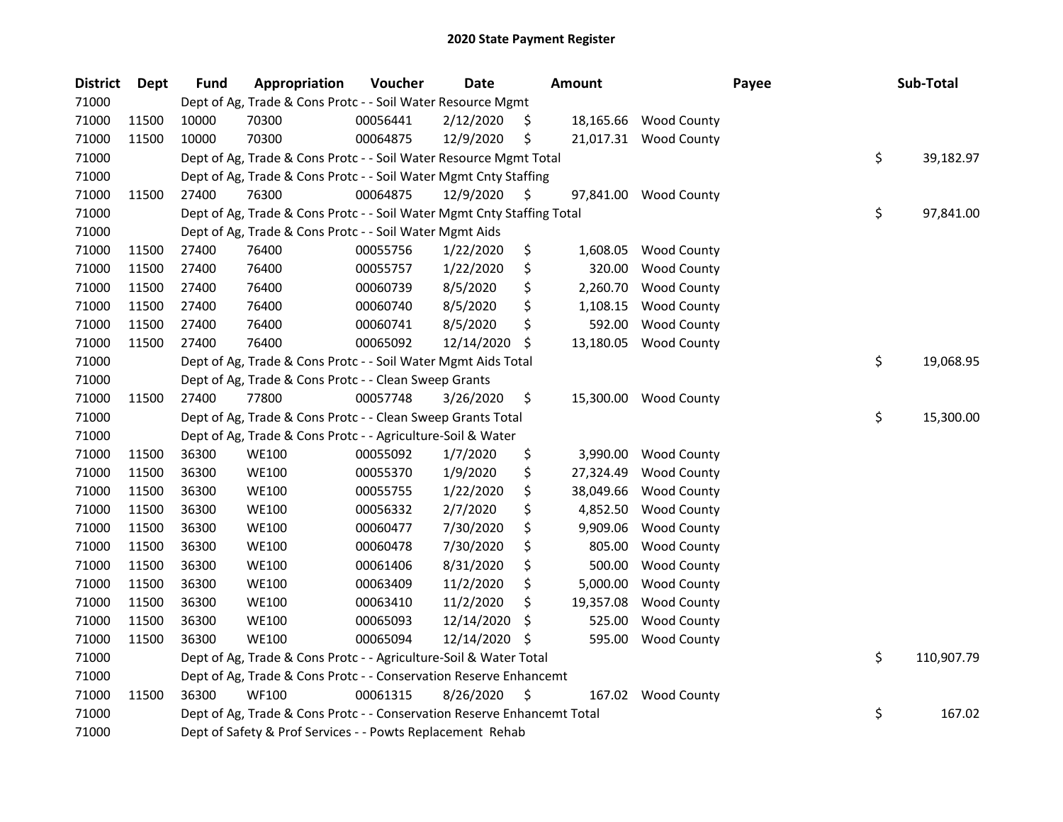| <b>District</b> | <b>Dept</b> | <b>Fund</b> | Appropriation                                                           | Voucher  | <b>Date</b> |     | <b>Amount</b> |                       | Payee |    | Sub-Total  |  |
|-----------------|-------------|-------------|-------------------------------------------------------------------------|----------|-------------|-----|---------------|-----------------------|-------|----|------------|--|
| 71000           |             |             | Dept of Ag, Trade & Cons Protc - - Soil Water Resource Mgmt             |          |             |     |               |                       |       |    |            |  |
| 71000           | 11500       | 10000       | 70300                                                                   | 00056441 | 2/12/2020   | S.  |               | 18,165.66 Wood County |       |    |            |  |
| 71000           | 11500       | 10000       | 70300                                                                   | 00064875 | 12/9/2020   | \$  |               | 21,017.31 Wood County |       |    |            |  |
| 71000           |             |             | Dept of Ag, Trade & Cons Protc - - Soil Water Resource Mgmt Total       |          |             |     |               |                       |       | \$ | 39,182.97  |  |
| 71000           |             |             | Dept of Ag, Trade & Cons Protc - - Soil Water Mgmt Cnty Staffing        |          |             |     |               |                       |       |    |            |  |
| 71000           | 11500       | 27400       | 76300                                                                   | 00064875 | 12/9/2020   | S.  | 97,841.00     | <b>Wood County</b>    |       |    |            |  |
| 71000           |             |             | Dept of Ag, Trade & Cons Protc - - Soil Water Mgmt Cnty Staffing Total  |          |             |     |               |                       |       | \$ | 97,841.00  |  |
| 71000           |             |             | Dept of Ag, Trade & Cons Protc - - Soil Water Mgmt Aids                 |          |             |     |               |                       |       |    |            |  |
| 71000           | 11500       | 27400       | 76400                                                                   | 00055756 | 1/22/2020   | \$  | 1,608.05      | <b>Wood County</b>    |       |    |            |  |
| 71000           | 11500       | 27400       | 76400                                                                   | 00055757 | 1/22/2020   | \$  | 320.00        | <b>Wood County</b>    |       |    |            |  |
| 71000           | 11500       | 27400       | 76400                                                                   | 00060739 | 8/5/2020    | \$  | 2,260.70      | <b>Wood County</b>    |       |    |            |  |
| 71000           | 11500       | 27400       | 76400                                                                   | 00060740 | 8/5/2020    | \$  | 1,108.15      | <b>Wood County</b>    |       |    |            |  |
| 71000           | 11500       | 27400       | 76400                                                                   | 00060741 | 8/5/2020    | \$  | 592.00        | <b>Wood County</b>    |       |    |            |  |
| 71000           | 11500       | 27400       | 76400                                                                   | 00065092 | 12/14/2020  | \$. | 13,180.05     | <b>Wood County</b>    |       |    |            |  |
| 71000           |             |             | Dept of Ag, Trade & Cons Protc - - Soil Water Mgmt Aids Total           |          |             |     |               |                       |       | \$ | 19,068.95  |  |
| 71000           |             |             | Dept of Ag, Trade & Cons Protc - - Clean Sweep Grants                   |          |             |     |               |                       |       |    |            |  |
| 71000           | 11500       | 27400       | 77800                                                                   | 00057748 | 3/26/2020   | \$  | 15,300.00     | <b>Wood County</b>    |       |    |            |  |
| 71000           |             |             | Dept of Ag, Trade & Cons Protc - - Clean Sweep Grants Total             |          |             |     |               |                       |       | \$ | 15,300.00  |  |
| 71000           |             |             | Dept of Ag, Trade & Cons Protc - - Agriculture-Soil & Water             |          |             |     |               |                       |       |    |            |  |
| 71000           | 11500       | 36300       | <b>WE100</b>                                                            | 00055092 | 1/7/2020    | \$  | 3,990.00      | <b>Wood County</b>    |       |    |            |  |
| 71000           | 11500       | 36300       | <b>WE100</b>                                                            | 00055370 | 1/9/2020    | \$  | 27,324.49     | <b>Wood County</b>    |       |    |            |  |
| 71000           | 11500       | 36300       | <b>WE100</b>                                                            | 00055755 | 1/22/2020   | \$  | 38,049.66     | <b>Wood County</b>    |       |    |            |  |
| 71000           | 11500       | 36300       | <b>WE100</b>                                                            | 00056332 | 2/7/2020    | \$  | 4,852.50      | <b>Wood County</b>    |       |    |            |  |
| 71000           | 11500       | 36300       | <b>WE100</b>                                                            | 00060477 | 7/30/2020   | \$  | 9,909.06      | <b>Wood County</b>    |       |    |            |  |
| 71000           | 11500       | 36300       | <b>WE100</b>                                                            | 00060478 | 7/30/2020   | \$  | 805.00        | <b>Wood County</b>    |       |    |            |  |
| 71000           | 11500       | 36300       | <b>WE100</b>                                                            | 00061406 | 8/31/2020   | \$  | 500.00        | <b>Wood County</b>    |       |    |            |  |
| 71000           | 11500       | 36300       | <b>WE100</b>                                                            | 00063409 | 11/2/2020   | \$  | 5,000.00      | <b>Wood County</b>    |       |    |            |  |
| 71000           | 11500       | 36300       | <b>WE100</b>                                                            | 00063410 | 11/2/2020   | \$  | 19,357.08     | <b>Wood County</b>    |       |    |            |  |
| 71000           | 11500       | 36300       | <b>WE100</b>                                                            | 00065093 | 12/14/2020  | \$  | 525.00        | <b>Wood County</b>    |       |    |            |  |
| 71000           | 11500       | 36300       | <b>WE100</b>                                                            | 00065094 | 12/14/2020  | \$, | 595.00        | Wood County           |       |    |            |  |
| 71000           |             |             | Dept of Ag, Trade & Cons Protc - - Agriculture-Soil & Water Total       |          |             |     |               |                       |       | \$ | 110,907.79 |  |
| 71000           |             |             | Dept of Ag, Trade & Cons Protc - - Conservation Reserve Enhancemt       |          |             |     |               |                       |       |    |            |  |
| 71000           | 11500       | 36300       | <b>WF100</b>                                                            | 00061315 | 8/26/2020   | \$  | 167.02        | <b>Wood County</b>    |       |    |            |  |
| 71000           |             |             | Dept of Ag, Trade & Cons Protc - - Conservation Reserve Enhancemt Total |          |             |     |               |                       |       | \$ | 167.02     |  |
| 71000           |             |             | Dept of Safety & Prof Services - - Powts Replacement Rehab              |          |             |     |               |                       |       |    |            |  |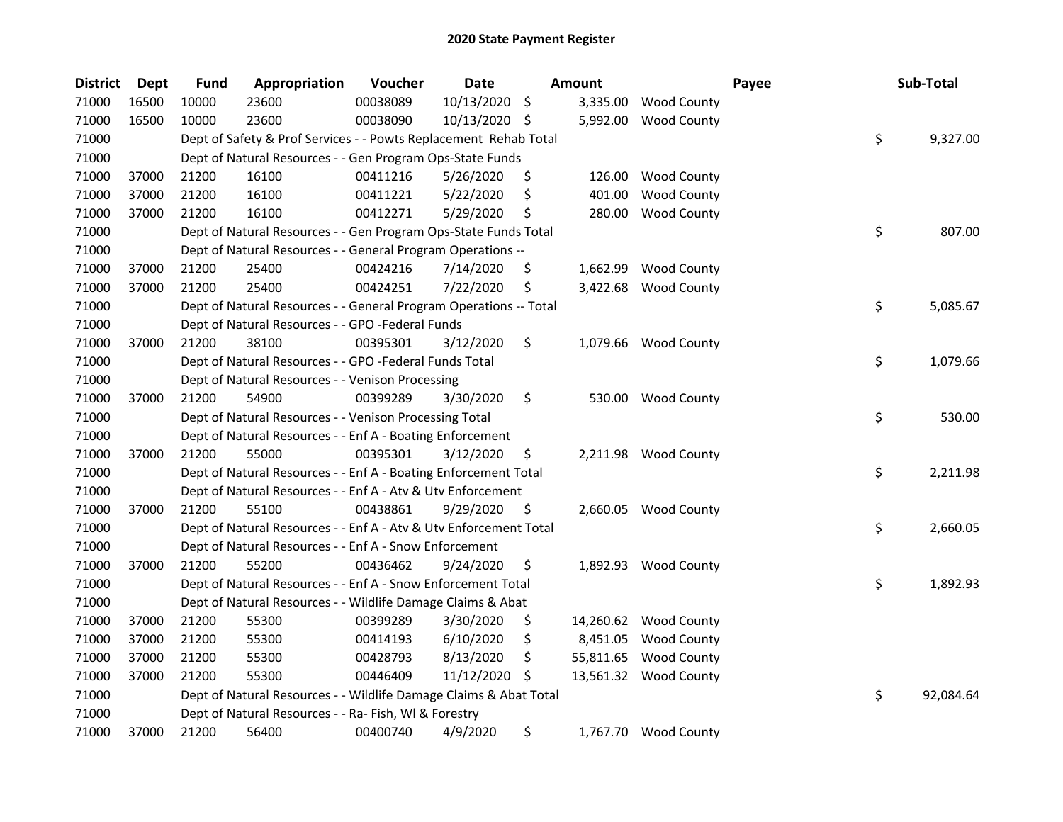| <b>District</b> | <b>Dept</b> | <b>Fund</b> | Appropriation                                                     | Voucher  | Date          |                    | Amount    |                       | Payee | Sub-Total       |
|-----------------|-------------|-------------|-------------------------------------------------------------------|----------|---------------|--------------------|-----------|-----------------------|-------|-----------------|
| 71000           | 16500       | 10000       | 23600                                                             | 00038089 | 10/13/2020    | $\ddot{\varsigma}$ | 3,335.00  | <b>Wood County</b>    |       |                 |
| 71000           | 16500       | 10000       | 23600                                                             | 00038090 | 10/13/2020 \$ |                    | 5,992.00  | <b>Wood County</b>    |       |                 |
| 71000           |             |             | Dept of Safety & Prof Services - - Powts Replacement Rehab Total  |          |               |                    |           |                       |       | \$<br>9,327.00  |
| 71000           |             |             | Dept of Natural Resources - - Gen Program Ops-State Funds         |          |               |                    |           |                       |       |                 |
| 71000           | 37000       | 21200       | 16100                                                             | 00411216 | 5/26/2020     | \$                 | 126.00    | <b>Wood County</b>    |       |                 |
| 71000           | 37000       | 21200       | 16100                                                             | 00411221 | 5/22/2020     | \$                 | 401.00    | <b>Wood County</b>    |       |                 |
| 71000           | 37000       | 21200       | 16100                                                             | 00412271 | 5/29/2020     | S                  | 280.00    | <b>Wood County</b>    |       |                 |
| 71000           |             |             | Dept of Natural Resources - - Gen Program Ops-State Funds Total   |          |               |                    |           |                       |       | \$<br>807.00    |
| 71000           |             |             | Dept of Natural Resources - - General Program Operations --       |          |               |                    |           |                       |       |                 |
| 71000           | 37000       | 21200       | 25400                                                             | 00424216 | 7/14/2020     | \$                 |           | 1,662.99 Wood County  |       |                 |
| 71000           | 37000       | 21200       | 25400                                                             | 00424251 | 7/22/2020     | \$                 |           | 3,422.68 Wood County  |       |                 |
| 71000           |             |             | Dept of Natural Resources - - General Program Operations -- Total |          |               |                    |           |                       |       | \$<br>5,085.67  |
| 71000           |             |             | Dept of Natural Resources - - GPO -Federal Funds                  |          |               |                    |           |                       |       |                 |
| 71000           | 37000       | 21200       | 38100                                                             | 00395301 | 3/12/2020     | \$                 |           | 1,079.66 Wood County  |       |                 |
| 71000           |             |             | Dept of Natural Resources - - GPO -Federal Funds Total            |          |               |                    |           |                       |       | \$<br>1,079.66  |
| 71000           |             |             | Dept of Natural Resources - - Venison Processing                  |          |               |                    |           |                       |       |                 |
| 71000           | 37000       | 21200       | 54900                                                             | 00399289 | 3/30/2020     | \$                 | 530.00    | <b>Wood County</b>    |       |                 |
| 71000           |             |             | Dept of Natural Resources - - Venison Processing Total            |          |               |                    |           |                       |       | \$<br>530.00    |
| 71000           |             |             | Dept of Natural Resources - - Enf A - Boating Enforcement         |          |               |                    |           |                       |       |                 |
| 71000           | 37000       | 21200       | 55000                                                             | 00395301 | 3/12/2020     | \$                 |           | 2,211.98 Wood County  |       |                 |
| 71000           |             |             | Dept of Natural Resources - - Enf A - Boating Enforcement Total   |          |               |                    |           |                       |       | \$<br>2,211.98  |
| 71000           |             |             | Dept of Natural Resources - - Enf A - Atv & Utv Enforcement       |          |               |                    |           |                       |       |                 |
| 71000           | 37000       | 21200       | 55100                                                             | 00438861 | 9/29/2020     | \$                 |           | 2,660.05 Wood County  |       |                 |
| 71000           |             |             | Dept of Natural Resources - - Enf A - Atv & Utv Enforcement Total |          |               |                    |           |                       |       | \$<br>2,660.05  |
| 71000           |             |             | Dept of Natural Resources - - Enf A - Snow Enforcement            |          |               |                    |           |                       |       |                 |
| 71000           | 37000       | 21200       | 55200                                                             | 00436462 | 9/24/2020     | \$                 |           | 1,892.93 Wood County  |       |                 |
| 71000           |             |             | Dept of Natural Resources - - Enf A - Snow Enforcement Total      |          |               |                    |           |                       |       | \$<br>1,892.93  |
| 71000           |             |             | Dept of Natural Resources - - Wildlife Damage Claims & Abat       |          |               |                    |           |                       |       |                 |
| 71000           | 37000       | 21200       | 55300                                                             | 00399289 | 3/30/2020     | \$,                |           | 14,260.62 Wood County |       |                 |
| 71000           | 37000       | 21200       | 55300                                                             | 00414193 | 6/10/2020     | \$                 | 8,451.05  | <b>Wood County</b>    |       |                 |
| 71000           | 37000       | 21200       | 55300                                                             | 00428793 | 8/13/2020     | \$                 | 55,811.65 | <b>Wood County</b>    |       |                 |
| 71000           | 37000       | 21200       | 55300                                                             | 00446409 | 11/12/2020    | S                  |           | 13,561.32 Wood County |       |                 |
| 71000           |             |             | Dept of Natural Resources - - Wildlife Damage Claims & Abat Total |          |               |                    |           |                       |       | \$<br>92,084.64 |
| 71000           |             |             | Dept of Natural Resources - - Ra- Fish, WI & Forestry             |          |               |                    |           |                       |       |                 |
| 71000           | 37000       | 21200       | 56400                                                             | 00400740 | 4/9/2020      | \$                 |           | 1,767.70 Wood County  |       |                 |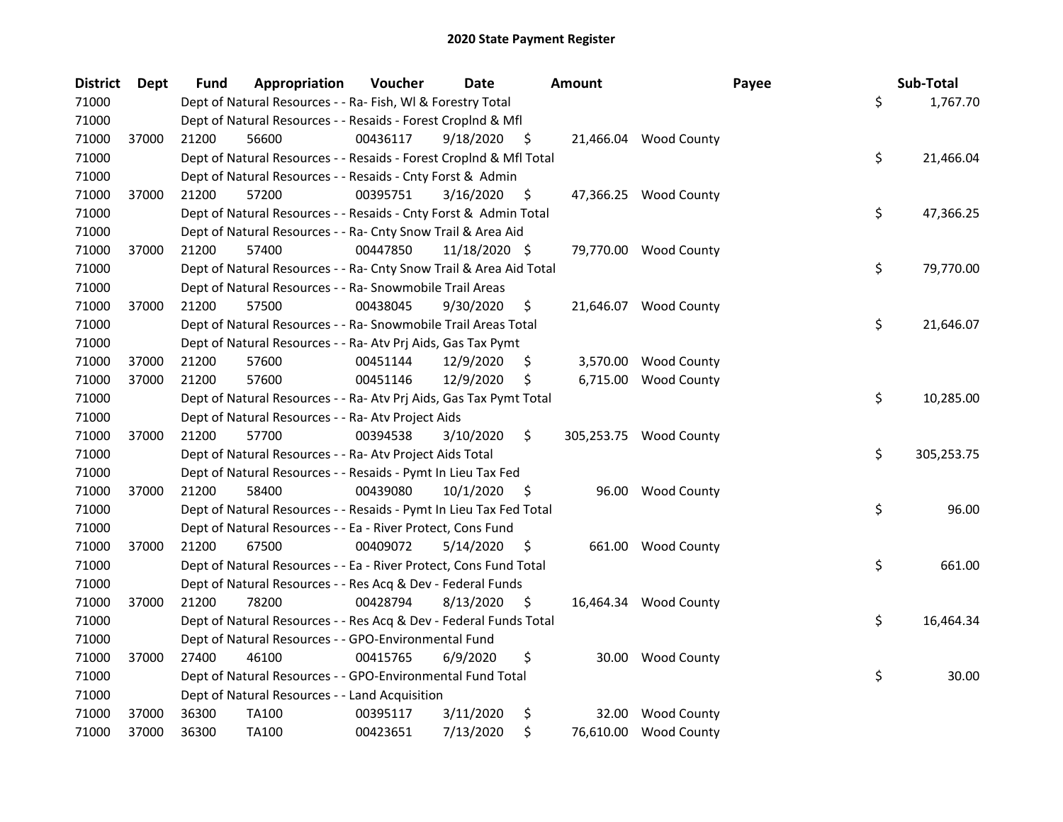| <b>District</b> | <b>Dept</b> | <b>Fund</b> | Appropriation                                                      | Voucher  | <b>Date</b>   |                    | <b>Amount</b> |                        | Payee | Sub-Total        |
|-----------------|-------------|-------------|--------------------------------------------------------------------|----------|---------------|--------------------|---------------|------------------------|-------|------------------|
| 71000           |             |             | Dept of Natural Resources - - Ra- Fish, WI & Forestry Total        |          |               |                    |               |                        |       | \$<br>1,767.70   |
| 71000           |             |             | Dept of Natural Resources - - Resaids - Forest Croplnd & Mfl       |          |               |                    |               |                        |       |                  |
| 71000           | 37000       | 21200       | 56600                                                              | 00436117 | 9/18/2020     | - \$               |               | 21,466.04 Wood County  |       |                  |
| 71000           |             |             | Dept of Natural Resources - - Resaids - Forest CropInd & Mfl Total |          |               |                    |               |                        |       | \$<br>21,466.04  |
| 71000           |             |             | Dept of Natural Resources - - Resaids - Cnty Forst & Admin         |          |               |                    |               |                        |       |                  |
| 71000           | 37000       | 21200       | 57200                                                              | 00395751 | 3/16/2020     | \$                 |               | 47,366.25 Wood County  |       |                  |
| 71000           |             |             | Dept of Natural Resources - - Resaids - Cnty Forst & Admin Total   |          |               |                    |               |                        |       | \$<br>47,366.25  |
| 71000           |             |             | Dept of Natural Resources - - Ra- Cnty Snow Trail & Area Aid       |          |               |                    |               |                        |       |                  |
| 71000           | 37000       | 21200       | 57400                                                              | 00447850 | 11/18/2020 \$ |                    |               | 79,770.00 Wood County  |       |                  |
| 71000           |             |             | Dept of Natural Resources - - Ra- Cnty Snow Trail & Area Aid Total |          |               |                    |               |                        |       | \$<br>79,770.00  |
| 71000           |             |             | Dept of Natural Resources - - Ra- Snowmobile Trail Areas           |          |               |                    |               |                        |       |                  |
| 71000           | 37000       | 21200       | 57500                                                              | 00438045 | 9/30/2020     | \$                 |               | 21,646.07 Wood County  |       |                  |
| 71000           |             |             | Dept of Natural Resources - - Ra- Snowmobile Trail Areas Total     |          |               |                    |               |                        |       | \$<br>21,646.07  |
| 71000           |             |             | Dept of Natural Resources - - Ra- Atv Prj Aids, Gas Tax Pymt       |          |               |                    |               |                        |       |                  |
| 71000           | 37000       | 21200       | 57600                                                              | 00451144 | 12/9/2020     | Ş.                 |               | 3,570.00 Wood County   |       |                  |
| 71000           | 37000       | 21200       | 57600                                                              | 00451146 | 12/9/2020     | \$                 |               | 6,715.00 Wood County   |       |                  |
| 71000           |             |             | Dept of Natural Resources - - Ra- Atv Prj Aids, Gas Tax Pymt Total |          |               |                    |               |                        |       | \$<br>10,285.00  |
| 71000           |             |             | Dept of Natural Resources - - Ra- Atv Project Aids                 |          |               |                    |               |                        |       |                  |
| 71000           | 37000       | 21200       | 57700                                                              | 00394538 | 3/10/2020     | \$                 |               | 305,253.75 Wood County |       |                  |
| 71000           |             |             | Dept of Natural Resources - - Ra- Atv Project Aids Total           |          |               |                    |               |                        |       | \$<br>305,253.75 |
| 71000           |             |             | Dept of Natural Resources - - Resaids - Pymt In Lieu Tax Fed       |          |               |                    |               |                        |       |                  |
| 71000           | 37000       | 21200       | 58400                                                              | 00439080 | 10/1/2020     | $\ddot{\varsigma}$ |               | 96.00 Wood County      |       |                  |
| 71000           |             |             | Dept of Natural Resources - - Resaids - Pymt In Lieu Tax Fed Total |          |               |                    |               |                        |       | \$<br>96.00      |
| 71000           |             |             | Dept of Natural Resources - - Ea - River Protect, Cons Fund        |          |               |                    |               |                        |       |                  |
| 71000           | 37000       | 21200       | 67500                                                              | 00409072 | 5/14/2020     | -\$                |               | 661.00 Wood County     |       |                  |
| 71000           |             |             | Dept of Natural Resources - - Ea - River Protect, Cons Fund Total  |          |               |                    |               |                        |       | \$<br>661.00     |
| 71000           |             |             | Dept of Natural Resources - - Res Acq & Dev - Federal Funds        |          |               |                    |               |                        |       |                  |
| 71000           | 37000       | 21200       | 78200                                                              | 00428794 | 8/13/2020     | S                  |               | 16,464.34 Wood County  |       |                  |
| 71000           |             |             | Dept of Natural Resources - - Res Acq & Dev - Federal Funds Total  |          |               |                    |               |                        |       | \$<br>16,464.34  |
| 71000           |             |             | Dept of Natural Resources - - GPO-Environmental Fund               |          |               |                    |               |                        |       |                  |
| 71000           | 37000       | 27400       | 46100                                                              | 00415765 | 6/9/2020      | \$                 |               | 30.00 Wood County      |       |                  |
| 71000           |             |             | Dept of Natural Resources - - GPO-Environmental Fund Total         |          |               |                    |               |                        |       | \$<br>30.00      |
| 71000           |             |             | Dept of Natural Resources - - Land Acquisition                     |          |               |                    |               |                        |       |                  |
| 71000           | 37000       | 36300       | TA100                                                              | 00395117 | 3/11/2020     | \$                 |               | 32.00 Wood County      |       |                  |
| 71000           | 37000       | 36300       | TA100                                                              | 00423651 | 7/13/2020     | \$                 |               | 76,610.00 Wood County  |       |                  |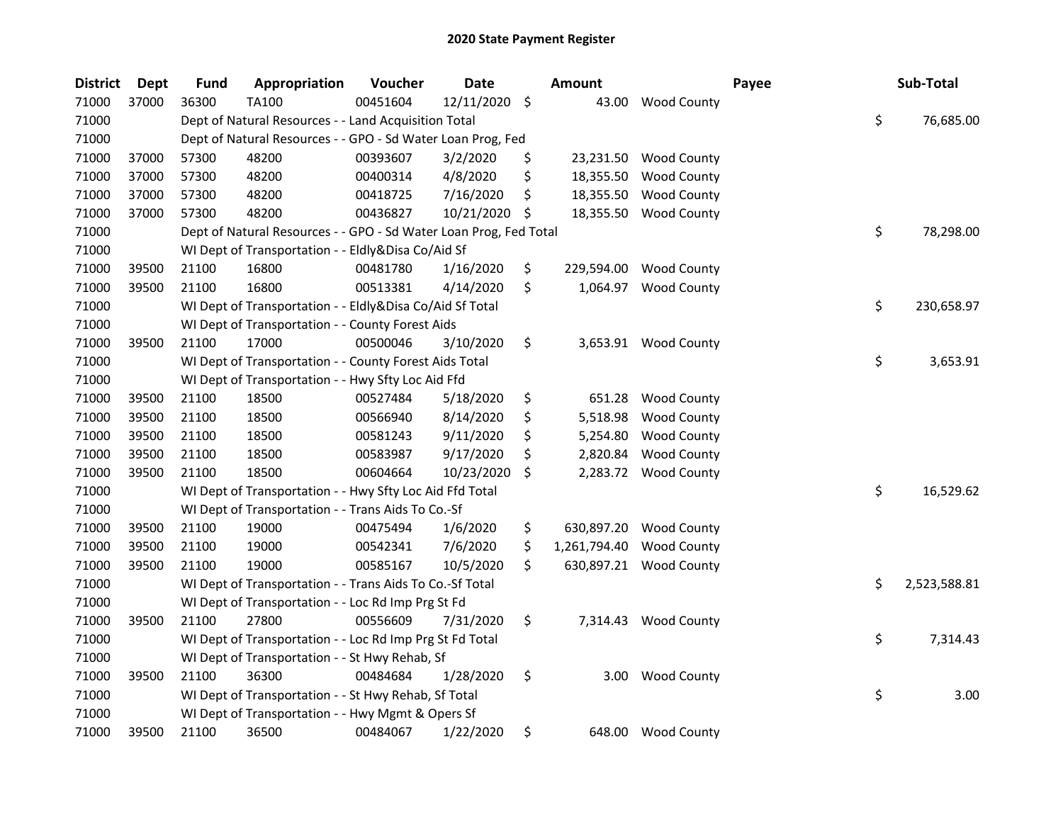| <b>District</b> | <b>Dept</b> | <b>Fund</b> | Appropriation                                                     | Voucher  | <b>Date</b> |                     | Amount       |                      | Payee | Sub-Total          |
|-----------------|-------------|-------------|-------------------------------------------------------------------|----------|-------------|---------------------|--------------|----------------------|-------|--------------------|
| 71000           | 37000       | 36300       | <b>TA100</b>                                                      | 00451604 | 12/11/2020  | $\ddot{\mathsf{S}}$ | 43.00        | <b>Wood County</b>   |       |                    |
| 71000           |             |             | Dept of Natural Resources - - Land Acquisition Total              |          |             |                     |              |                      |       | \$<br>76,685.00    |
| 71000           |             |             | Dept of Natural Resources - - GPO - Sd Water Loan Prog, Fed       |          |             |                     |              |                      |       |                    |
| 71000           | 37000       | 57300       | 48200                                                             | 00393607 | 3/2/2020    | \$                  | 23,231.50    | <b>Wood County</b>   |       |                    |
| 71000           | 37000       | 57300       | 48200                                                             | 00400314 | 4/8/2020    | \$                  | 18,355.50    | <b>Wood County</b>   |       |                    |
| 71000           | 37000       | 57300       | 48200                                                             | 00418725 | 7/16/2020   | \$                  | 18,355.50    | <b>Wood County</b>   |       |                    |
| 71000           | 37000       | 57300       | 48200                                                             | 00436827 | 10/21/2020  | \$                  | 18,355.50    | <b>Wood County</b>   |       |                    |
| 71000           |             |             | Dept of Natural Resources - - GPO - Sd Water Loan Prog, Fed Total |          |             |                     |              |                      |       | \$<br>78,298.00    |
| 71000           |             |             | WI Dept of Transportation - - Eldly&Disa Co/Aid Sf                |          |             |                     |              |                      |       |                    |
| 71000           | 39500       | 21100       | 16800                                                             | 00481780 | 1/16/2020   | \$                  | 229,594.00   | <b>Wood County</b>   |       |                    |
| 71000           | 39500       | 21100       | 16800                                                             | 00513381 | 4/14/2020   | \$                  | 1,064.97     | <b>Wood County</b>   |       |                    |
| 71000           |             |             | WI Dept of Transportation - - Eldly&Disa Co/Aid Sf Total          |          |             |                     |              |                      |       | \$<br>230,658.97   |
| 71000           |             |             | WI Dept of Transportation - - County Forest Aids                  |          |             |                     |              |                      |       |                    |
| 71000           | 39500       | 21100       | 17000                                                             | 00500046 | 3/10/2020   | \$                  |              | 3,653.91 Wood County |       |                    |
| 71000           |             |             | WI Dept of Transportation - - County Forest Aids Total            |          |             |                     |              |                      |       | \$<br>3,653.91     |
| 71000           |             |             | WI Dept of Transportation - - Hwy Sfty Loc Aid Ffd                |          |             |                     |              |                      |       |                    |
| 71000           | 39500       | 21100       | 18500                                                             | 00527484 | 5/18/2020   | \$                  | 651.28       | <b>Wood County</b>   |       |                    |
| 71000           | 39500       | 21100       | 18500                                                             | 00566940 | 8/14/2020   | \$                  | 5,518.98     | <b>Wood County</b>   |       |                    |
| 71000           | 39500       | 21100       | 18500                                                             | 00581243 | 9/11/2020   | \$                  | 5,254.80     | <b>Wood County</b>   |       |                    |
| 71000           | 39500       | 21100       | 18500                                                             | 00583987 | 9/17/2020   | \$                  | 2,820.84     | <b>Wood County</b>   |       |                    |
| 71000           | 39500       | 21100       | 18500                                                             | 00604664 | 10/23/2020  | S.                  | 2,283.72     | <b>Wood County</b>   |       |                    |
| 71000           |             |             | WI Dept of Transportation - - Hwy Sfty Loc Aid Ffd Total          |          |             |                     |              |                      |       | \$<br>16,529.62    |
| 71000           |             |             | WI Dept of Transportation - - Trans Aids To Co.-Sf                |          |             |                     |              |                      |       |                    |
| 71000           | 39500       | 21100       | 19000                                                             | 00475494 | 1/6/2020    | \$                  | 630,897.20   | <b>Wood County</b>   |       |                    |
| 71000           | 39500       | 21100       | 19000                                                             | 00542341 | 7/6/2020    | \$                  | 1,261,794.40 | <b>Wood County</b>   |       |                    |
| 71000           | 39500       | 21100       | 19000                                                             | 00585167 | 10/5/2020   | \$                  | 630,897.21   | <b>Wood County</b>   |       |                    |
| 71000           |             |             | WI Dept of Transportation - - Trans Aids To Co.-Sf Total          |          |             |                     |              |                      |       | \$<br>2,523,588.81 |
| 71000           |             |             | WI Dept of Transportation - - Loc Rd Imp Prg St Fd                |          |             |                     |              |                      |       |                    |
| 71000           | 39500       | 21100       | 27800                                                             | 00556609 | 7/31/2020   | \$                  |              | 7,314.43 Wood County |       |                    |
| 71000           |             |             | WI Dept of Transportation - - Loc Rd Imp Prg St Fd Total          |          |             |                     |              |                      |       | \$<br>7,314.43     |
| 71000           |             |             | WI Dept of Transportation - - St Hwy Rehab, Sf                    |          |             |                     |              |                      |       |                    |
| 71000           | 39500       | 21100       | 36300                                                             | 00484684 | 1/28/2020   | \$                  | 3.00         | <b>Wood County</b>   |       |                    |
| 71000           |             |             | WI Dept of Transportation - - St Hwy Rehab, Sf Total              |          |             |                     |              |                      |       | \$<br>3.00         |
| 71000           |             |             | WI Dept of Transportation - - Hwy Mgmt & Opers Sf                 |          |             |                     |              |                      |       |                    |
| 71000           | 39500       | 21100       | 36500                                                             | 00484067 | 1/22/2020   | \$                  |              | 648.00 Wood County   |       |                    |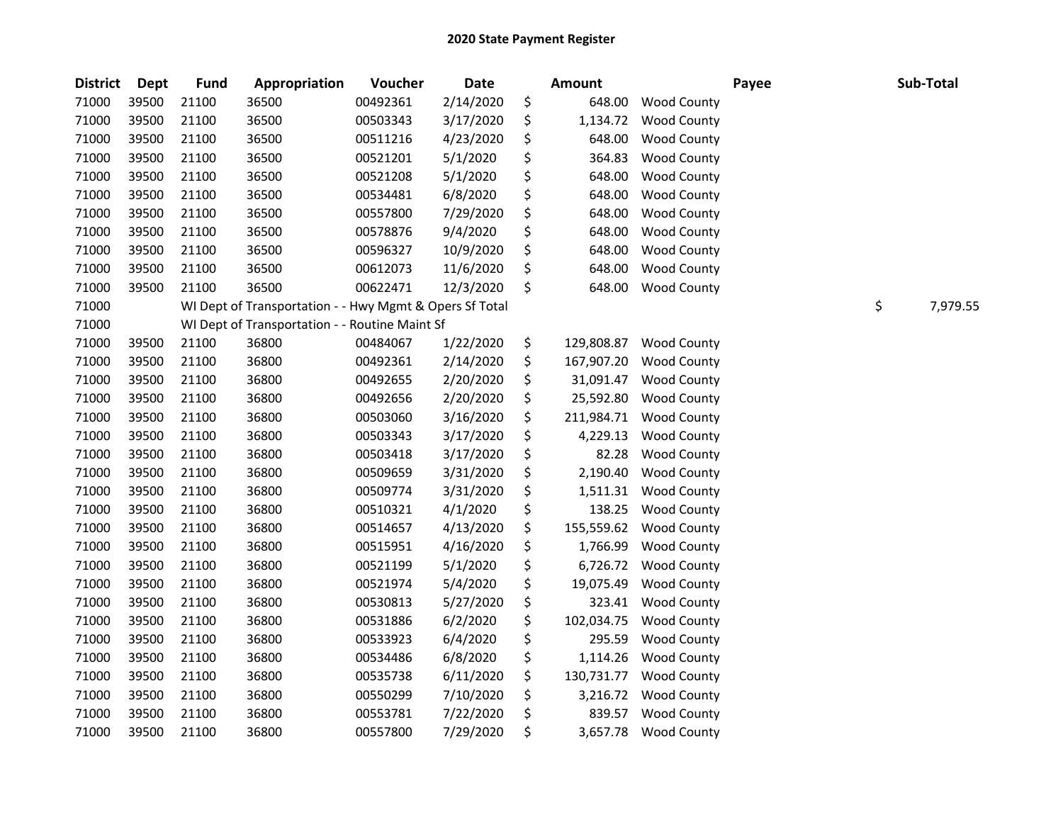| <b>District</b> | <b>Dept</b> | <b>Fund</b> | Appropriation                                           | Voucher  | <b>Date</b> | <b>Amount</b>    |                    | Payee | Sub-Total      |
|-----------------|-------------|-------------|---------------------------------------------------------|----------|-------------|------------------|--------------------|-------|----------------|
| 71000           | 39500       | 21100       | 36500                                                   | 00492361 | 2/14/2020   | \$<br>648.00     | Wood County        |       |                |
| 71000           | 39500       | 21100       | 36500                                                   | 00503343 | 3/17/2020   | \$<br>1,134.72   | <b>Wood County</b> |       |                |
| 71000           | 39500       | 21100       | 36500                                                   | 00511216 | 4/23/2020   | \$<br>648.00     | <b>Wood County</b> |       |                |
| 71000           | 39500       | 21100       | 36500                                                   | 00521201 | 5/1/2020    | \$<br>364.83     | <b>Wood County</b> |       |                |
| 71000           | 39500       | 21100       | 36500                                                   | 00521208 | 5/1/2020    | \$<br>648.00     | <b>Wood County</b> |       |                |
| 71000           | 39500       | 21100       | 36500                                                   | 00534481 | 6/8/2020    | \$<br>648.00     | <b>Wood County</b> |       |                |
| 71000           | 39500       | 21100       | 36500                                                   | 00557800 | 7/29/2020   | \$<br>648.00     | <b>Wood County</b> |       |                |
| 71000           | 39500       | 21100       | 36500                                                   | 00578876 | 9/4/2020    | \$<br>648.00     | <b>Wood County</b> |       |                |
| 71000           | 39500       | 21100       | 36500                                                   | 00596327 | 10/9/2020   | \$<br>648.00     | <b>Wood County</b> |       |                |
| 71000           | 39500       | 21100       | 36500                                                   | 00612073 | 11/6/2020   | \$<br>648.00     | <b>Wood County</b> |       |                |
| 71000           | 39500       | 21100       | 36500                                                   | 00622471 | 12/3/2020   | \$<br>648.00     | <b>Wood County</b> |       |                |
| 71000           |             |             | WI Dept of Transportation - - Hwy Mgmt & Opers Sf Total |          |             |                  |                    |       | \$<br>7,979.55 |
| 71000           |             |             | WI Dept of Transportation - - Routine Maint Sf          |          |             |                  |                    |       |                |
| 71000           | 39500       | 21100       | 36800                                                   | 00484067 | 1/22/2020   | \$<br>129,808.87 | <b>Wood County</b> |       |                |
| 71000           | 39500       | 21100       | 36800                                                   | 00492361 | 2/14/2020   | \$<br>167,907.20 | <b>Wood County</b> |       |                |
| 71000           | 39500       | 21100       | 36800                                                   | 00492655 | 2/20/2020   | \$<br>31,091.47  | <b>Wood County</b> |       |                |
| 71000           | 39500       | 21100       | 36800                                                   | 00492656 | 2/20/2020   | \$<br>25,592.80  | <b>Wood County</b> |       |                |
| 71000           | 39500       | 21100       | 36800                                                   | 00503060 | 3/16/2020   | \$<br>211,984.71 | <b>Wood County</b> |       |                |
| 71000           | 39500       | 21100       | 36800                                                   | 00503343 | 3/17/2020   | \$<br>4,229.13   | <b>Wood County</b> |       |                |
| 71000           | 39500       | 21100       | 36800                                                   | 00503418 | 3/17/2020   | \$<br>82.28      | <b>Wood County</b> |       |                |
| 71000           | 39500       | 21100       | 36800                                                   | 00509659 | 3/31/2020   | \$<br>2,190.40   | <b>Wood County</b> |       |                |
| 71000           | 39500       | 21100       | 36800                                                   | 00509774 | 3/31/2020   | \$<br>1,511.31   | <b>Wood County</b> |       |                |
| 71000           | 39500       | 21100       | 36800                                                   | 00510321 | 4/1/2020    | \$<br>138.25     | <b>Wood County</b> |       |                |
| 71000           | 39500       | 21100       | 36800                                                   | 00514657 | 4/13/2020   | \$<br>155,559.62 | <b>Wood County</b> |       |                |
| 71000           | 39500       | 21100       | 36800                                                   | 00515951 | 4/16/2020   | \$<br>1,766.99   | <b>Wood County</b> |       |                |
| 71000           | 39500       | 21100       | 36800                                                   | 00521199 | 5/1/2020    | \$<br>6,726.72   | <b>Wood County</b> |       |                |
| 71000           | 39500       | 21100       | 36800                                                   | 00521974 | 5/4/2020    | \$<br>19,075.49  | <b>Wood County</b> |       |                |
| 71000           | 39500       | 21100       | 36800                                                   | 00530813 | 5/27/2020   | \$<br>323.41     | <b>Wood County</b> |       |                |
| 71000           | 39500       | 21100       | 36800                                                   | 00531886 | 6/2/2020    | \$<br>102,034.75 | <b>Wood County</b> |       |                |
| 71000           | 39500       | 21100       | 36800                                                   | 00533923 | 6/4/2020    | \$<br>295.59     | <b>Wood County</b> |       |                |
| 71000           | 39500       | 21100       | 36800                                                   | 00534486 | 6/8/2020    | \$<br>1,114.26   | <b>Wood County</b> |       |                |
| 71000           | 39500       | 21100       | 36800                                                   | 00535738 | 6/11/2020   | \$<br>130,731.77 | <b>Wood County</b> |       |                |
| 71000           | 39500       | 21100       | 36800                                                   | 00550299 | 7/10/2020   | \$<br>3,216.72   | <b>Wood County</b> |       |                |
| 71000           | 39500       | 21100       | 36800                                                   | 00553781 | 7/22/2020   | \$<br>839.57     | <b>Wood County</b> |       |                |
| 71000           | 39500       | 21100       | 36800                                                   | 00557800 | 7/29/2020   | \$<br>3,657.78   | <b>Wood County</b> |       |                |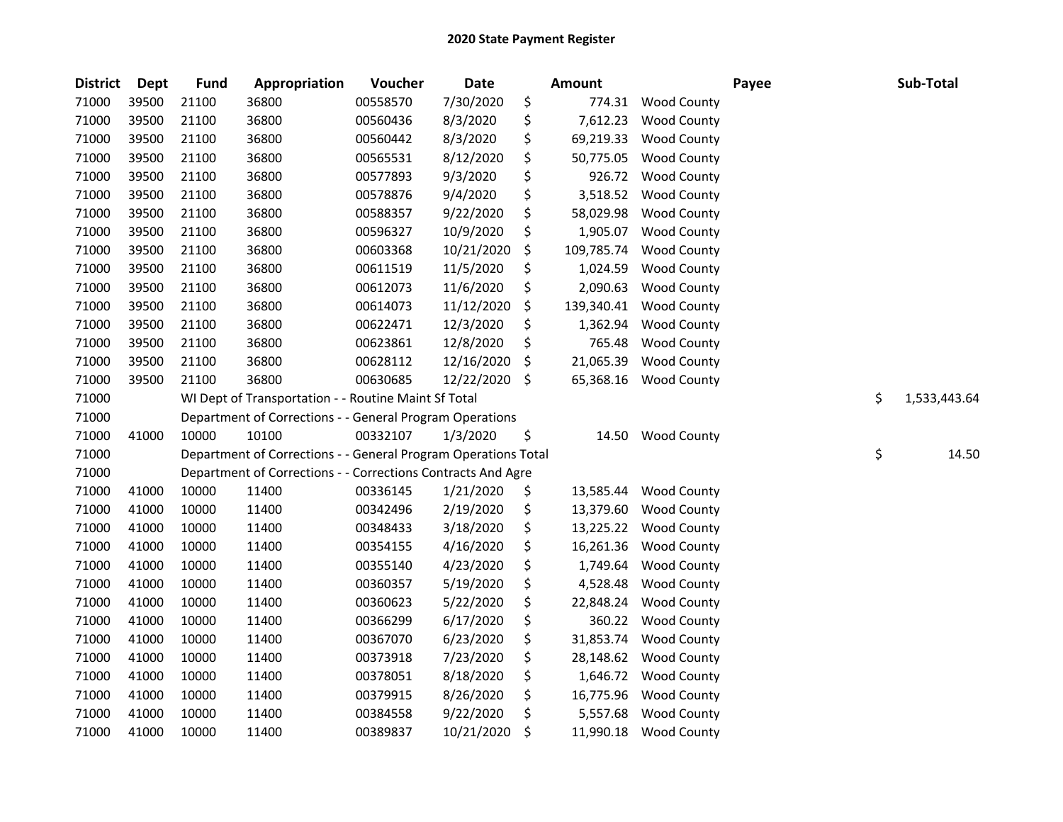| <b>District</b> | <b>Dept</b> | <b>Fund</b> | Appropriation                                                  | Voucher  | <b>Date</b> | <b>Amount</b>    |                    | Payee | Sub-Total          |
|-----------------|-------------|-------------|----------------------------------------------------------------|----------|-------------|------------------|--------------------|-------|--------------------|
| 71000           | 39500       | 21100       | 36800                                                          | 00558570 | 7/30/2020   | \$<br>774.31     | <b>Wood County</b> |       |                    |
| 71000           | 39500       | 21100       | 36800                                                          | 00560436 | 8/3/2020    | \$<br>7,612.23   | <b>Wood County</b> |       |                    |
| 71000           | 39500       | 21100       | 36800                                                          | 00560442 | 8/3/2020    | \$<br>69,219.33  | <b>Wood County</b> |       |                    |
| 71000           | 39500       | 21100       | 36800                                                          | 00565531 | 8/12/2020   | \$<br>50,775.05  | <b>Wood County</b> |       |                    |
| 71000           | 39500       | 21100       | 36800                                                          | 00577893 | 9/3/2020    | \$<br>926.72     | <b>Wood County</b> |       |                    |
| 71000           | 39500       | 21100       | 36800                                                          | 00578876 | 9/4/2020    | \$<br>3,518.52   | <b>Wood County</b> |       |                    |
| 71000           | 39500       | 21100       | 36800                                                          | 00588357 | 9/22/2020   | \$<br>58,029.98  | <b>Wood County</b> |       |                    |
| 71000           | 39500       | 21100       | 36800                                                          | 00596327 | 10/9/2020   | \$<br>1,905.07   | <b>Wood County</b> |       |                    |
| 71000           | 39500       | 21100       | 36800                                                          | 00603368 | 10/21/2020  | \$<br>109,785.74 | <b>Wood County</b> |       |                    |
| 71000           | 39500       | 21100       | 36800                                                          | 00611519 | 11/5/2020   | \$<br>1,024.59   | <b>Wood County</b> |       |                    |
| 71000           | 39500       | 21100       | 36800                                                          | 00612073 | 11/6/2020   | \$<br>2,090.63   | <b>Wood County</b> |       |                    |
| 71000           | 39500       | 21100       | 36800                                                          | 00614073 | 11/12/2020  | \$<br>139,340.41 | <b>Wood County</b> |       |                    |
| 71000           | 39500       | 21100       | 36800                                                          | 00622471 | 12/3/2020   | \$<br>1,362.94   | <b>Wood County</b> |       |                    |
| 71000           | 39500       | 21100       | 36800                                                          | 00623861 | 12/8/2020   | \$<br>765.48     | <b>Wood County</b> |       |                    |
| 71000           | 39500       | 21100       | 36800                                                          | 00628112 | 12/16/2020  | \$<br>21,065.39  | <b>Wood County</b> |       |                    |
| 71000           | 39500       | 21100       | 36800                                                          | 00630685 | 12/22/2020  | \$<br>65,368.16  | <b>Wood County</b> |       |                    |
| 71000           |             |             | WI Dept of Transportation - - Routine Maint Sf Total           |          |             |                  |                    |       | \$<br>1,533,443.64 |
| 71000           |             |             | Department of Corrections - - General Program Operations       |          |             |                  |                    |       |                    |
| 71000           | 41000       | 10000       | 10100                                                          | 00332107 | 1/3/2020    | \$<br>14.50      | <b>Wood County</b> |       |                    |
| 71000           |             |             | Department of Corrections - - General Program Operations Total |          |             |                  |                    |       | \$<br>14.50        |
| 71000           |             |             | Department of Corrections - - Corrections Contracts And Agre   |          |             |                  |                    |       |                    |
| 71000           | 41000       | 10000       | 11400                                                          | 00336145 | 1/21/2020   | \$<br>13,585.44  | <b>Wood County</b> |       |                    |
| 71000           | 41000       | 10000       | 11400                                                          | 00342496 | 2/19/2020   | \$<br>13,379.60  | <b>Wood County</b> |       |                    |
| 71000           | 41000       | 10000       | 11400                                                          | 00348433 | 3/18/2020   | \$<br>13,225.22  | <b>Wood County</b> |       |                    |
| 71000           | 41000       | 10000       | 11400                                                          | 00354155 | 4/16/2020   | \$<br>16,261.36  | <b>Wood County</b> |       |                    |
| 71000           | 41000       | 10000       | 11400                                                          | 00355140 | 4/23/2020   | \$<br>1,749.64   | <b>Wood County</b> |       |                    |
| 71000           | 41000       | 10000       | 11400                                                          | 00360357 | 5/19/2020   | \$<br>4,528.48   | <b>Wood County</b> |       |                    |
| 71000           | 41000       | 10000       | 11400                                                          | 00360623 | 5/22/2020   | \$<br>22,848.24  | <b>Wood County</b> |       |                    |
| 71000           | 41000       | 10000       | 11400                                                          | 00366299 | 6/17/2020   | \$<br>360.22     | <b>Wood County</b> |       |                    |
| 71000           | 41000       | 10000       | 11400                                                          | 00367070 | 6/23/2020   | \$<br>31,853.74  | <b>Wood County</b> |       |                    |
| 71000           | 41000       | 10000       | 11400                                                          | 00373918 | 7/23/2020   | \$<br>28,148.62  | <b>Wood County</b> |       |                    |
| 71000           | 41000       | 10000       | 11400                                                          | 00378051 | 8/18/2020   | \$<br>1,646.72   | <b>Wood County</b> |       |                    |
| 71000           | 41000       | 10000       | 11400                                                          | 00379915 | 8/26/2020   | \$<br>16,775.96  | <b>Wood County</b> |       |                    |
| 71000           | 41000       | 10000       | 11400                                                          | 00384558 | 9/22/2020   | \$<br>5,557.68   | <b>Wood County</b> |       |                    |
| 71000           | 41000       | 10000       | 11400                                                          | 00389837 | 10/21/2020  | \$<br>11,990.18  | <b>Wood County</b> |       |                    |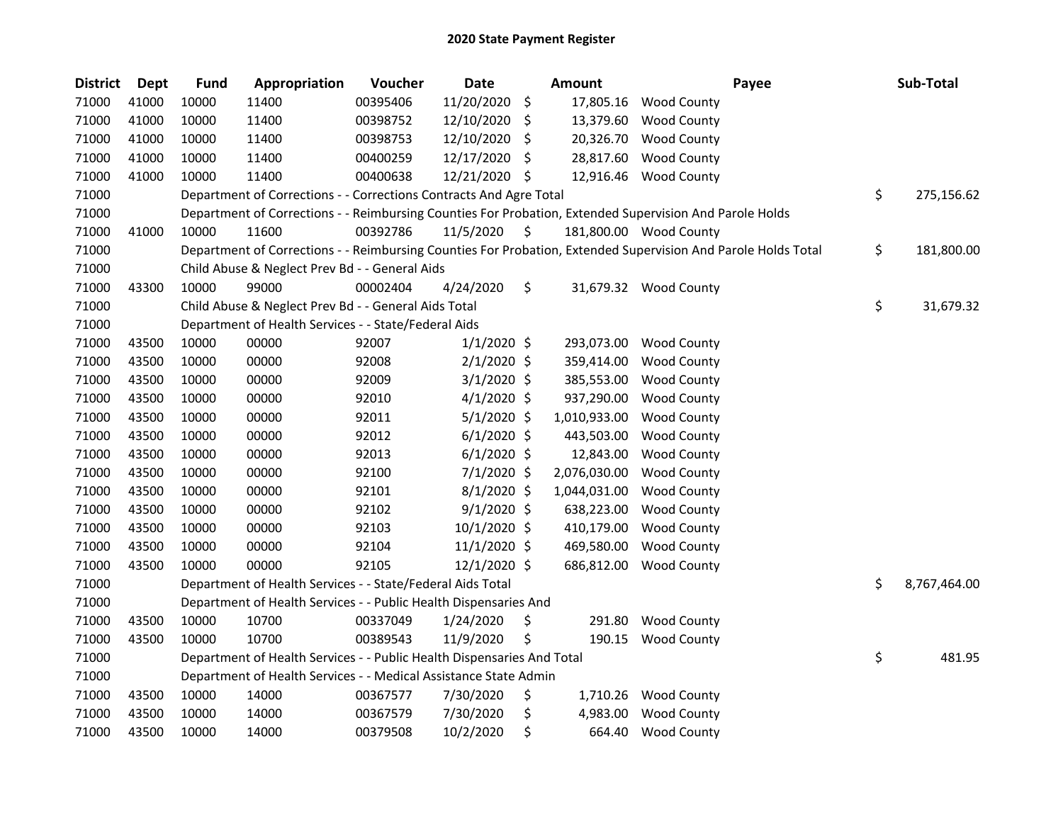| <b>District</b> | Dept  | <b>Fund</b> | Appropriation                                                          | Voucher  | <b>Date</b>    |    | <b>Amount</b> | Payee                                                                                                         | Sub-Total          |
|-----------------|-------|-------------|------------------------------------------------------------------------|----------|----------------|----|---------------|---------------------------------------------------------------------------------------------------------------|--------------------|
| 71000           | 41000 | 10000       | 11400                                                                  | 00395406 | 11/20/2020     | \$ | 17,805.16     | <b>Wood County</b>                                                                                            |                    |
| 71000           | 41000 | 10000       | 11400                                                                  | 00398752 | 12/10/2020     | \$ | 13,379.60     | <b>Wood County</b>                                                                                            |                    |
| 71000           | 41000 | 10000       | 11400                                                                  | 00398753 | 12/10/2020     | \$ | 20,326.70     | <b>Wood County</b>                                                                                            |                    |
| 71000           | 41000 | 10000       | 11400                                                                  | 00400259 | 12/17/2020     | \$ | 28,817.60     | <b>Wood County</b>                                                                                            |                    |
| 71000           | 41000 | 10000       | 11400                                                                  | 00400638 | 12/21/2020     | -S | 12,916.46     | <b>Wood County</b>                                                                                            |                    |
| 71000           |       |             | Department of Corrections - - Corrections Contracts And Agre Total     |          |                |    |               |                                                                                                               | \$<br>275,156.62   |
| 71000           |       |             |                                                                        |          |                |    |               | Department of Corrections - - Reimbursing Counties For Probation, Extended Supervision And Parole Holds       |                    |
| 71000           | 41000 | 10000       | 11600                                                                  | 00392786 | 11/5/2020      | \$ |               | 181,800.00 Wood County                                                                                        |                    |
| 71000           |       |             |                                                                        |          |                |    |               | Department of Corrections - - Reimbursing Counties For Probation, Extended Supervision And Parole Holds Total | \$<br>181,800.00   |
| 71000           |       |             | Child Abuse & Neglect Prev Bd - - General Aids                         |          |                |    |               |                                                                                                               |                    |
| 71000           | 43300 | 10000       | 99000                                                                  | 00002404 | 4/24/2020      | \$ |               | 31,679.32 Wood County                                                                                         |                    |
| 71000           |       |             | Child Abuse & Neglect Prev Bd - - General Aids Total                   |          |                |    |               |                                                                                                               | \$<br>31,679.32    |
| 71000           |       |             | Department of Health Services - - State/Federal Aids                   |          |                |    |               |                                                                                                               |                    |
| 71000           | 43500 | 10000       | 00000                                                                  | 92007    | $1/1/2020$ \$  |    | 293,073.00    | <b>Wood County</b>                                                                                            |                    |
| 71000           | 43500 | 10000       | 00000                                                                  | 92008    | $2/1/2020$ \$  |    | 359,414.00    | <b>Wood County</b>                                                                                            |                    |
| 71000           | 43500 | 10000       | 00000                                                                  | 92009    | $3/1/2020$ \$  |    | 385,553.00    | <b>Wood County</b>                                                                                            |                    |
| 71000           | 43500 | 10000       | 00000                                                                  | 92010    | $4/1/2020$ \$  |    | 937,290.00    | <b>Wood County</b>                                                                                            |                    |
| 71000           | 43500 | 10000       | 00000                                                                  | 92011    | $5/1/2020$ \$  |    | 1,010,933.00  | <b>Wood County</b>                                                                                            |                    |
| 71000           | 43500 | 10000       | 00000                                                                  | 92012    | $6/1/2020$ \$  |    | 443,503.00    | <b>Wood County</b>                                                                                            |                    |
| 71000           | 43500 | 10000       | 00000                                                                  | 92013    | $6/1/2020$ \$  |    | 12,843.00     | <b>Wood County</b>                                                                                            |                    |
| 71000           | 43500 | 10000       | 00000                                                                  | 92100    | $7/1/2020$ \$  |    | 2,076,030.00  | <b>Wood County</b>                                                                                            |                    |
| 71000           | 43500 | 10000       | 00000                                                                  | 92101    | $8/1/2020$ \$  |    | 1,044,031.00  | <b>Wood County</b>                                                                                            |                    |
| 71000           | 43500 | 10000       | 00000                                                                  | 92102    | $9/1/2020$ \$  |    | 638,223.00    | <b>Wood County</b>                                                                                            |                    |
| 71000           | 43500 | 10000       | 00000                                                                  | 92103    | 10/1/2020 \$   |    | 410,179.00    | <b>Wood County</b>                                                                                            |                    |
| 71000           | 43500 | 10000       | 00000                                                                  | 92104    | 11/1/2020 \$   |    | 469,580.00    | <b>Wood County</b>                                                                                            |                    |
| 71000           | 43500 | 10000       | 00000                                                                  | 92105    | $12/1/2020$ \$ |    | 686,812.00    | <b>Wood County</b>                                                                                            |                    |
| 71000           |       |             | Department of Health Services - - State/Federal Aids Total             |          |                |    |               |                                                                                                               | \$<br>8,767,464.00 |
| 71000           |       |             | Department of Health Services - - Public Health Dispensaries And       |          |                |    |               |                                                                                                               |                    |
| 71000           | 43500 | 10000       | 10700                                                                  | 00337049 | 1/24/2020      | \$ | 291.80        | <b>Wood County</b>                                                                                            |                    |
| 71000           | 43500 | 10000       | 10700                                                                  | 00389543 | 11/9/2020      | \$ | 190.15        | <b>Wood County</b>                                                                                            |                    |
| 71000           |       |             | Department of Health Services - - Public Health Dispensaries And Total |          |                |    |               |                                                                                                               | \$<br>481.95       |
| 71000           |       |             | Department of Health Services - - Medical Assistance State Admin       |          |                |    |               |                                                                                                               |                    |
| 71000           | 43500 | 10000       | 14000                                                                  | 00367577 | 7/30/2020      | \$ | 1,710.26      | <b>Wood County</b>                                                                                            |                    |
| 71000           | 43500 | 10000       | 14000                                                                  | 00367579 | 7/30/2020      | \$ | 4,983.00      | <b>Wood County</b>                                                                                            |                    |
| 71000           | 43500 | 10000       | 14000                                                                  | 00379508 | 10/2/2020      | \$ | 664.40        | <b>Wood County</b>                                                                                            |                    |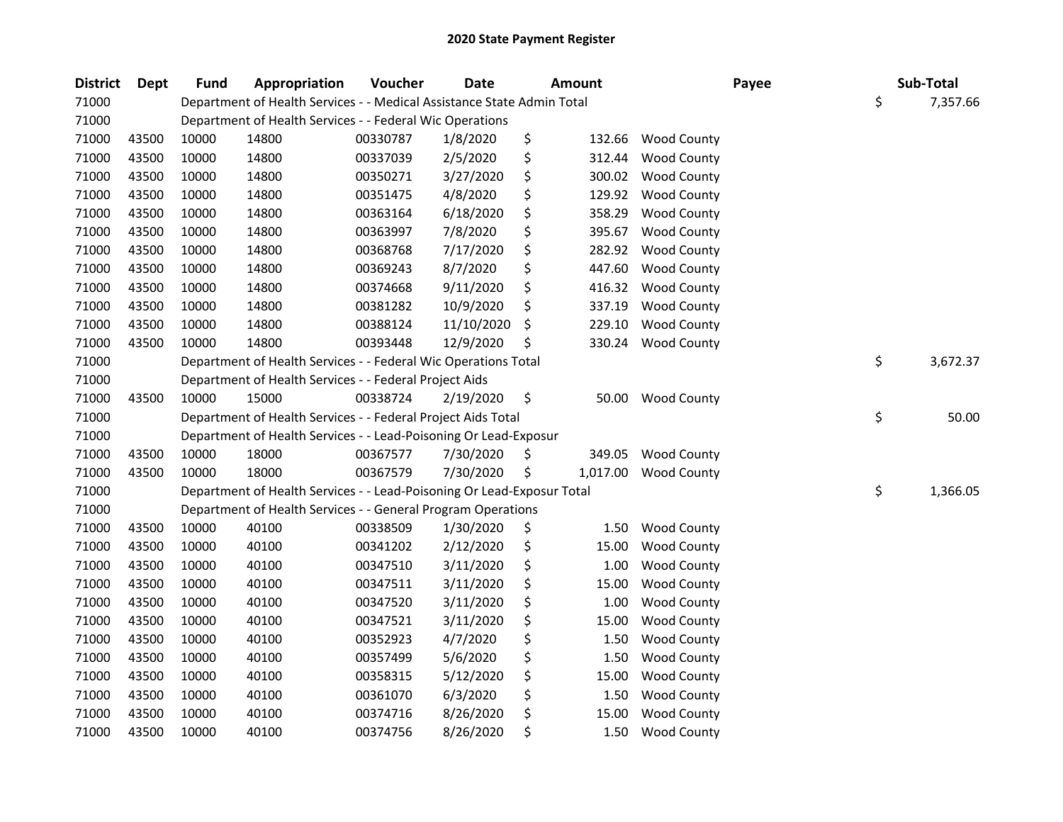| <b>District</b> | Dept  | <b>Fund</b> | Appropriation                                                          | Voucher  | <b>Date</b> | <b>Amount</b>  | Payee              | Sub-Total      |
|-----------------|-------|-------------|------------------------------------------------------------------------|----------|-------------|----------------|--------------------|----------------|
| 71000           |       |             | Department of Health Services - - Medical Assistance State Admin Total |          |             |                |                    | \$<br>7,357.66 |
| 71000           |       |             | Department of Health Services - - Federal Wic Operations               |          |             |                |                    |                |
| 71000           | 43500 | 10000       | 14800                                                                  | 00330787 | 1/8/2020    | \$<br>132.66   | <b>Wood County</b> |                |
| 71000           | 43500 | 10000       | 14800                                                                  | 00337039 | 2/5/2020    | \$<br>312.44   | Wood County        |                |
| 71000           | 43500 | 10000       | 14800                                                                  | 00350271 | 3/27/2020   | \$<br>300.02   | <b>Wood County</b> |                |
| 71000           | 43500 | 10000       | 14800                                                                  | 00351475 | 4/8/2020    | \$<br>129.92   | <b>Wood County</b> |                |
| 71000           | 43500 | 10000       | 14800                                                                  | 00363164 | 6/18/2020   | \$<br>358.29   | <b>Wood County</b> |                |
| 71000           | 43500 | 10000       | 14800                                                                  | 00363997 | 7/8/2020    | \$<br>395.67   | <b>Wood County</b> |                |
| 71000           | 43500 | 10000       | 14800                                                                  | 00368768 | 7/17/2020   | \$<br>282.92   | <b>Wood County</b> |                |
| 71000           | 43500 | 10000       | 14800                                                                  | 00369243 | 8/7/2020    | \$<br>447.60   | Wood County        |                |
| 71000           | 43500 | 10000       | 14800                                                                  | 00374668 | 9/11/2020   | \$<br>416.32   | Wood County        |                |
| 71000           | 43500 | 10000       | 14800                                                                  | 00381282 | 10/9/2020   | \$<br>337.19   | <b>Wood County</b> |                |
| 71000           | 43500 | 10000       | 14800                                                                  | 00388124 | 11/10/2020  | \$<br>229.10   | <b>Wood County</b> |                |
| 71000           | 43500 | 10000       | 14800                                                                  | 00393448 | 12/9/2020   | \$<br>330.24   | <b>Wood County</b> |                |
| 71000           |       |             | Department of Health Services - - Federal Wic Operations Total         |          |             |                |                    | \$<br>3,672.37 |
| 71000           |       |             | Department of Health Services - - Federal Project Aids                 |          |             |                |                    |                |
| 71000           | 43500 | 10000       | 15000                                                                  | 00338724 | 2/19/2020   | \$<br>50.00    | <b>Wood County</b> |                |
| 71000           |       |             | Department of Health Services - - Federal Project Aids Total           |          |             |                |                    | \$<br>50.00    |
| 71000           |       |             | Department of Health Services - - Lead-Poisoning Or Lead-Exposur       |          |             |                |                    |                |
| 71000           | 43500 | 10000       | 18000                                                                  | 00367577 | 7/30/2020   | \$<br>349.05   | <b>Wood County</b> |                |
| 71000           | 43500 | 10000       | 18000                                                                  | 00367579 | 7/30/2020   | \$<br>1,017.00 | <b>Wood County</b> |                |
| 71000           |       |             | Department of Health Services - - Lead-Poisoning Or Lead-Exposur Total |          |             |                |                    | \$<br>1,366.05 |
| 71000           |       |             | Department of Health Services - - General Program Operations           |          |             |                |                    |                |
| 71000           | 43500 | 10000       | 40100                                                                  | 00338509 | 1/30/2020   | \$<br>1.50     | <b>Wood County</b> |                |
| 71000           | 43500 | 10000       | 40100                                                                  | 00341202 | 2/12/2020   | \$<br>15.00    | <b>Wood County</b> |                |
| 71000           | 43500 | 10000       | 40100                                                                  | 00347510 | 3/11/2020   | \$<br>1.00     | Wood County        |                |
| 71000           | 43500 | 10000       | 40100                                                                  | 00347511 | 3/11/2020   | \$<br>15.00    | <b>Wood County</b> |                |
| 71000           | 43500 | 10000       | 40100                                                                  | 00347520 | 3/11/2020   | \$<br>1.00     | <b>Wood County</b> |                |
| 71000           | 43500 | 10000       | 40100                                                                  | 00347521 | 3/11/2020   | \$<br>15.00    | <b>Wood County</b> |                |
| 71000           | 43500 | 10000       | 40100                                                                  | 00352923 | 4/7/2020    | \$<br>1.50     | <b>Wood County</b> |                |
| 71000           | 43500 | 10000       | 40100                                                                  | 00357499 | 5/6/2020    | \$<br>1.50     | <b>Wood County</b> |                |
| 71000           | 43500 | 10000       | 40100                                                                  | 00358315 | 5/12/2020   | \$<br>15.00    | <b>Wood County</b> |                |
| 71000           | 43500 | 10000       | 40100                                                                  | 00361070 | 6/3/2020    | \$<br>1.50     | <b>Wood County</b> |                |
| 71000           | 43500 | 10000       | 40100                                                                  | 00374716 | 8/26/2020   | \$<br>15.00    | <b>Wood County</b> |                |
| 71000           | 43500 | 10000       | 40100                                                                  | 00374756 | 8/26/2020   | \$<br>1.50     | <b>Wood County</b> |                |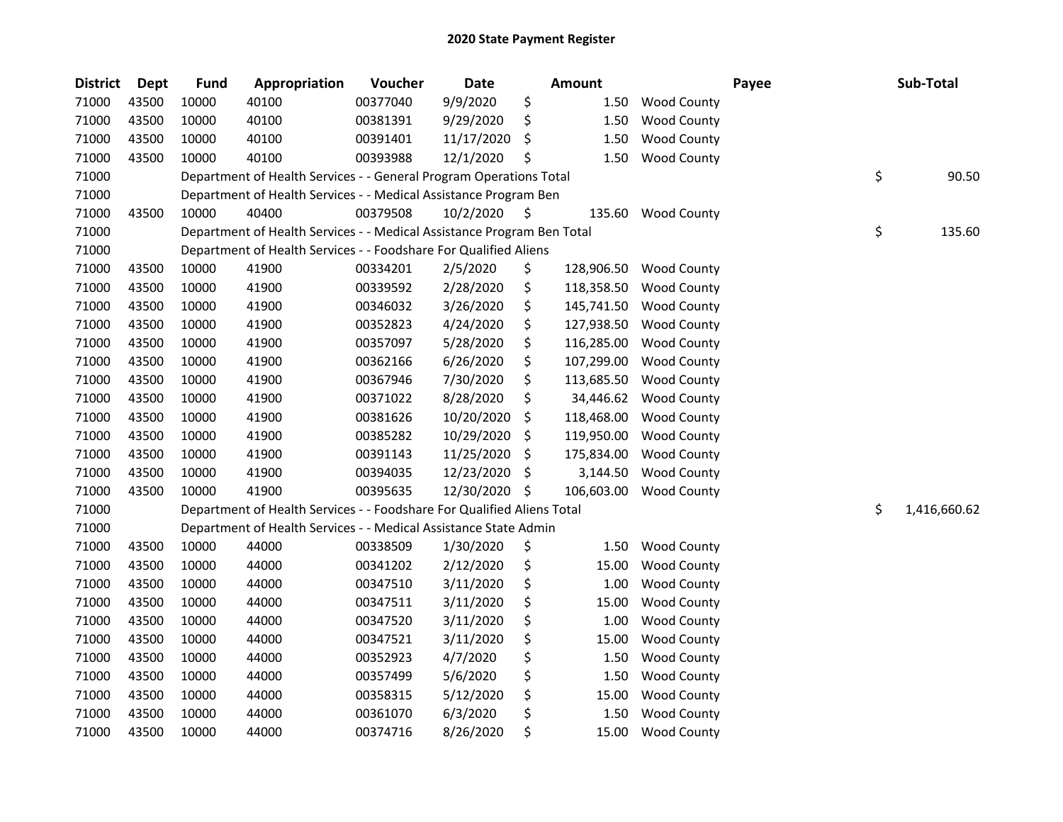| <b>District</b> | <b>Dept</b> | <b>Fund</b> | Appropriation                                                          | Voucher  | <b>Date</b> |     | <b>Amount</b> |                    | Payee | Sub-Total          |
|-----------------|-------------|-------------|------------------------------------------------------------------------|----------|-------------|-----|---------------|--------------------|-------|--------------------|
| 71000           | 43500       | 10000       | 40100                                                                  | 00377040 | 9/9/2020    | \$  | 1.50          | <b>Wood County</b> |       |                    |
| 71000           | 43500       | 10000       | 40100                                                                  | 00381391 | 9/29/2020   | \$  | 1.50          | <b>Wood County</b> |       |                    |
| 71000           | 43500       | 10000       | 40100                                                                  | 00391401 | 11/17/2020  | \$  | 1.50          | <b>Wood County</b> |       |                    |
| 71000           | 43500       | 10000       | 40100                                                                  | 00393988 | 12/1/2020   | \$  | 1.50          | <b>Wood County</b> |       |                    |
| 71000           |             |             | Department of Health Services - - General Program Operations Total     |          |             |     |               |                    |       | \$<br>90.50        |
| 71000           |             |             | Department of Health Services - - Medical Assistance Program Ben       |          |             |     |               |                    |       |                    |
| 71000           | 43500       | 10000       | 40400                                                                  | 00379508 | 10/2/2020   | \$  | 135.60        | <b>Wood County</b> |       |                    |
| 71000           |             |             | Department of Health Services - - Medical Assistance Program Ben Total |          |             |     |               |                    |       | \$<br>135.60       |
| 71000           |             |             | Department of Health Services - - Foodshare For Qualified Aliens       |          |             |     |               |                    |       |                    |
| 71000           | 43500       | 10000       | 41900                                                                  | 00334201 | 2/5/2020    | \$  | 128,906.50    | <b>Wood County</b> |       |                    |
| 71000           | 43500       | 10000       | 41900                                                                  | 00339592 | 2/28/2020   | \$  | 118,358.50    | <b>Wood County</b> |       |                    |
| 71000           | 43500       | 10000       | 41900                                                                  | 00346032 | 3/26/2020   | \$  | 145,741.50    | <b>Wood County</b> |       |                    |
| 71000           | 43500       | 10000       | 41900                                                                  | 00352823 | 4/24/2020   | \$  | 127,938.50    | <b>Wood County</b> |       |                    |
| 71000           | 43500       | 10000       | 41900                                                                  | 00357097 | 5/28/2020   | \$  | 116,285.00    | <b>Wood County</b> |       |                    |
| 71000           | 43500       | 10000       | 41900                                                                  | 00362166 | 6/26/2020   | \$  | 107,299.00    | Wood County        |       |                    |
| 71000           | 43500       | 10000       | 41900                                                                  | 00367946 | 7/30/2020   | \$  | 113,685.50    | <b>Wood County</b> |       |                    |
| 71000           | 43500       | 10000       | 41900                                                                  | 00371022 | 8/28/2020   | \$  | 34,446.62     | <b>Wood County</b> |       |                    |
| 71000           | 43500       | 10000       | 41900                                                                  | 00381626 | 10/20/2020  | \$  | 118,468.00    | <b>Wood County</b> |       |                    |
| 71000           | 43500       | 10000       | 41900                                                                  | 00385282 | 10/29/2020  | \$  | 119,950.00    | <b>Wood County</b> |       |                    |
| 71000           | 43500       | 10000       | 41900                                                                  | 00391143 | 11/25/2020  | \$  | 175,834.00    | <b>Wood County</b> |       |                    |
| 71000           | 43500       | 10000       | 41900                                                                  | 00394035 | 12/23/2020  | -\$ | 3,144.50      | <b>Wood County</b> |       |                    |
| 71000           | 43500       | 10000       | 41900                                                                  | 00395635 | 12/30/2020  | -\$ | 106,603.00    | <b>Wood County</b> |       |                    |
| 71000           |             |             | Department of Health Services - - Foodshare For Qualified Aliens Total |          |             |     |               |                    |       | \$<br>1,416,660.62 |
| 71000           |             |             | Department of Health Services - - Medical Assistance State Admin       |          |             |     |               |                    |       |                    |
| 71000           | 43500       | 10000       | 44000                                                                  | 00338509 | 1/30/2020   | \$  | 1.50          | <b>Wood County</b> |       |                    |
| 71000           | 43500       | 10000       | 44000                                                                  | 00341202 | 2/12/2020   | \$  | 15.00         | <b>Wood County</b> |       |                    |
| 71000           | 43500       | 10000       | 44000                                                                  | 00347510 | 3/11/2020   | \$  | 1.00          | <b>Wood County</b> |       |                    |
| 71000           | 43500       | 10000       | 44000                                                                  | 00347511 | 3/11/2020   | \$  | 15.00         | <b>Wood County</b> |       |                    |
| 71000           | 43500       | 10000       | 44000                                                                  | 00347520 | 3/11/2020   | \$  | 1.00          | <b>Wood County</b> |       |                    |
| 71000           | 43500       | 10000       | 44000                                                                  | 00347521 | 3/11/2020   | \$  | 15.00         | <b>Wood County</b> |       |                    |
| 71000           | 43500       | 10000       | 44000                                                                  | 00352923 | 4/7/2020    | \$  | 1.50          | <b>Wood County</b> |       |                    |
| 71000           | 43500       | 10000       | 44000                                                                  | 00357499 | 5/6/2020    | \$  | 1.50          | <b>Wood County</b> |       |                    |
| 71000           | 43500       | 10000       | 44000                                                                  | 00358315 | 5/12/2020   | \$  | 15.00         | <b>Wood County</b> |       |                    |
| 71000           | 43500       | 10000       | 44000                                                                  | 00361070 | 6/3/2020    | \$  | 1.50          | <b>Wood County</b> |       |                    |
| 71000           | 43500       | 10000       | 44000                                                                  | 00374716 | 8/26/2020   | \$  | 15.00         | <b>Wood County</b> |       |                    |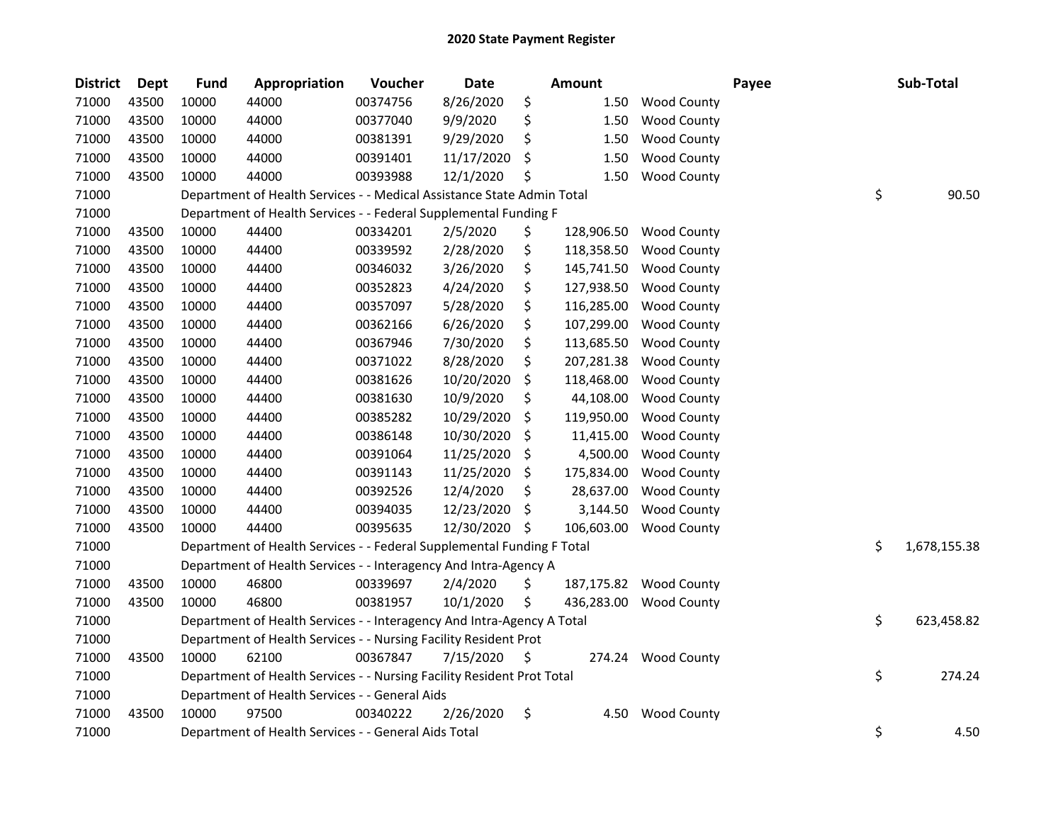| <b>District</b> | <b>Dept</b> | <b>Fund</b> | Appropriation                                                          | Voucher  | <b>Date</b> | <b>Amount</b>    |                    | Payee | Sub-Total          |
|-----------------|-------------|-------------|------------------------------------------------------------------------|----------|-------------|------------------|--------------------|-------|--------------------|
| 71000           | 43500       | 10000       | 44000                                                                  | 00374756 | 8/26/2020   | \$<br>1.50       | Wood County        |       |                    |
| 71000           | 43500       | 10000       | 44000                                                                  | 00377040 | 9/9/2020    | \$<br>1.50       | <b>Wood County</b> |       |                    |
| 71000           | 43500       | 10000       | 44000                                                                  | 00381391 | 9/29/2020   | \$<br>1.50       | <b>Wood County</b> |       |                    |
| 71000           | 43500       | 10000       | 44000                                                                  | 00391401 | 11/17/2020  | \$<br>1.50       | <b>Wood County</b> |       |                    |
| 71000           | 43500       | 10000       | 44000                                                                  | 00393988 | 12/1/2020   | \$<br>1.50       | <b>Wood County</b> |       |                    |
| 71000           |             |             | Department of Health Services - - Medical Assistance State Admin Total |          |             |                  |                    |       | \$<br>90.50        |
| 71000           |             |             | Department of Health Services - - Federal Supplemental Funding F       |          |             |                  |                    |       |                    |
| 71000           | 43500       | 10000       | 44400                                                                  | 00334201 | 2/5/2020    | \$<br>128,906.50 | <b>Wood County</b> |       |                    |
| 71000           | 43500       | 10000       | 44400                                                                  | 00339592 | 2/28/2020   | \$<br>118,358.50 | <b>Wood County</b> |       |                    |
| 71000           | 43500       | 10000       | 44400                                                                  | 00346032 | 3/26/2020   | \$<br>145,741.50 | <b>Wood County</b> |       |                    |
| 71000           | 43500       | 10000       | 44400                                                                  | 00352823 | 4/24/2020   | \$<br>127,938.50 | <b>Wood County</b> |       |                    |
| 71000           | 43500       | 10000       | 44400                                                                  | 00357097 | 5/28/2020   | \$<br>116,285.00 | <b>Wood County</b> |       |                    |
| 71000           | 43500       | 10000       | 44400                                                                  | 00362166 | 6/26/2020   | \$<br>107,299.00 | <b>Wood County</b> |       |                    |
| 71000           | 43500       | 10000       | 44400                                                                  | 00367946 | 7/30/2020   | \$<br>113,685.50 | <b>Wood County</b> |       |                    |
| 71000           | 43500       | 10000       | 44400                                                                  | 00371022 | 8/28/2020   | \$<br>207,281.38 | <b>Wood County</b> |       |                    |
| 71000           | 43500       | 10000       | 44400                                                                  | 00381626 | 10/20/2020  | \$<br>118,468.00 | <b>Wood County</b> |       |                    |
| 71000           | 43500       | 10000       | 44400                                                                  | 00381630 | 10/9/2020   | \$<br>44,108.00  | <b>Wood County</b> |       |                    |
| 71000           | 43500       | 10000       | 44400                                                                  | 00385282 | 10/29/2020  | \$<br>119,950.00 | <b>Wood County</b> |       |                    |
| 71000           | 43500       | 10000       | 44400                                                                  | 00386148 | 10/30/2020  | \$<br>11,415.00  | <b>Wood County</b> |       |                    |
| 71000           | 43500       | 10000       | 44400                                                                  | 00391064 | 11/25/2020  | \$<br>4,500.00   | <b>Wood County</b> |       |                    |
| 71000           | 43500       | 10000       | 44400                                                                  | 00391143 | 11/25/2020  | \$<br>175,834.00 | <b>Wood County</b> |       |                    |
| 71000           | 43500       | 10000       | 44400                                                                  | 00392526 | 12/4/2020   | \$<br>28,637.00  | Wood County        |       |                    |
| 71000           | 43500       | 10000       | 44400                                                                  | 00394035 | 12/23/2020  | \$<br>3,144.50   | <b>Wood County</b> |       |                    |
| 71000           | 43500       | 10000       | 44400                                                                  | 00395635 | 12/30/2020  | \$<br>106,603.00 | <b>Wood County</b> |       |                    |
| 71000           |             |             | Department of Health Services - - Federal Supplemental Funding F Total |          |             |                  |                    |       | \$<br>1,678,155.38 |
| 71000           |             |             | Department of Health Services - - Interagency And Intra-Agency A       |          |             |                  |                    |       |                    |
| 71000           | 43500       | 10000       | 46800                                                                  | 00339697 | 2/4/2020    | \$<br>187,175.82 | <b>Wood County</b> |       |                    |
| 71000           | 43500       | 10000       | 46800                                                                  | 00381957 | 10/1/2020   | \$<br>436,283.00 | <b>Wood County</b> |       |                    |
| 71000           |             |             | Department of Health Services - - Interagency And Intra-Agency A Total |          |             |                  |                    |       | \$<br>623,458.82   |
| 71000           |             |             | Department of Health Services - - Nursing Facility Resident Prot       |          |             |                  |                    |       |                    |
| 71000           | 43500       | 10000       | 62100                                                                  | 00367847 | 7/15/2020   | \$<br>274.24     | <b>Wood County</b> |       |                    |
| 71000           |             |             | Department of Health Services - - Nursing Facility Resident Prot Total |          |             |                  |                    |       | \$<br>274.24       |
| 71000           |             |             | Department of Health Services - - General Aids                         |          |             |                  |                    |       |                    |
| 71000           | 43500       | 10000       | 97500                                                                  | 00340222 | 2/26/2020   | \$<br>4.50       | <b>Wood County</b> |       |                    |
| 71000           |             |             | Department of Health Services - - General Aids Total                   |          |             |                  |                    |       | \$<br>4.50         |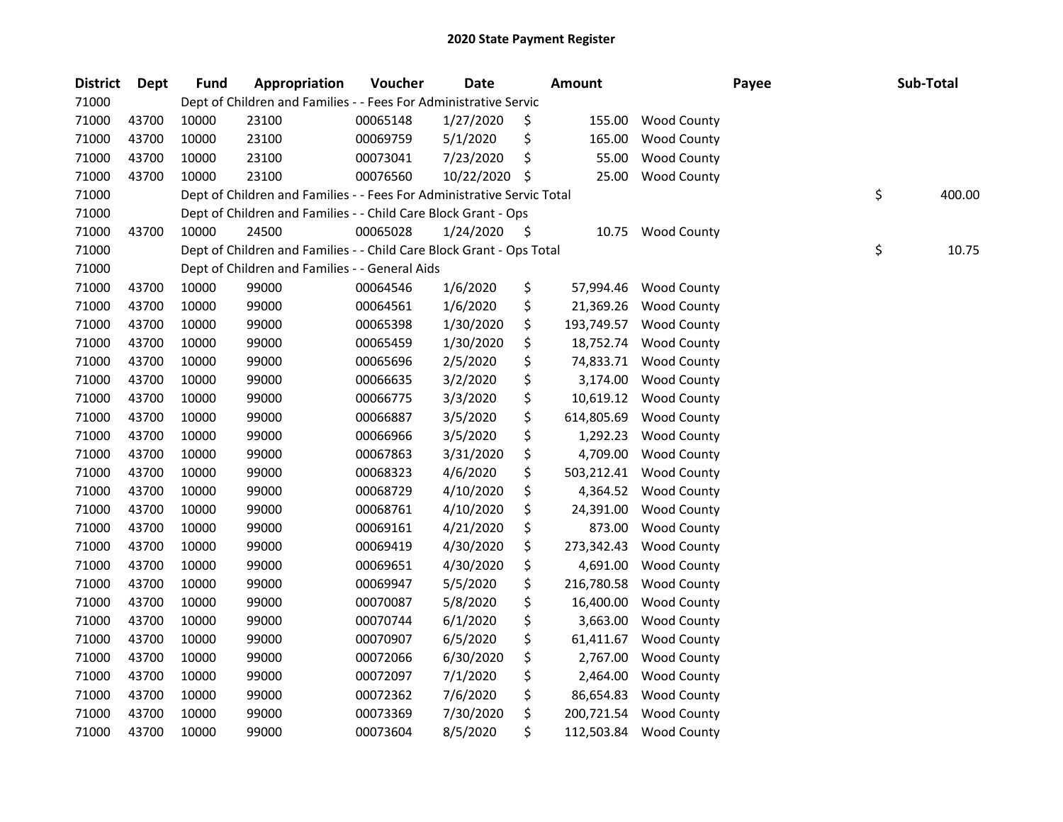| <b>District</b> | <b>Dept</b> | <b>Fund</b> | Appropriation                                                          | Voucher  | <b>Date</b> | <b>Amount</b>    |                    | Payee | Sub-Total    |
|-----------------|-------------|-------------|------------------------------------------------------------------------|----------|-------------|------------------|--------------------|-------|--------------|
| 71000           |             |             | Dept of Children and Families - - Fees For Administrative Servic       |          |             |                  |                    |       |              |
| 71000           | 43700       | 10000       | 23100                                                                  | 00065148 | 1/27/2020   | \$<br>155.00     | <b>Wood County</b> |       |              |
| 71000           | 43700       | 10000       | 23100                                                                  | 00069759 | 5/1/2020    | \$<br>165.00     | <b>Wood County</b> |       |              |
| 71000           | 43700       | 10000       | 23100                                                                  | 00073041 | 7/23/2020   | \$<br>55.00      | <b>Wood County</b> |       |              |
| 71000           | 43700       | 10000       | 23100                                                                  | 00076560 | 10/22/2020  | \$<br>25.00      | <b>Wood County</b> |       |              |
| 71000           |             |             | Dept of Children and Families - - Fees For Administrative Servic Total |          |             |                  |                    |       | \$<br>400.00 |
| 71000           |             |             | Dept of Children and Families - - Child Care Block Grant - Ops         |          |             |                  |                    |       |              |
| 71000           | 43700       | 10000       | 24500                                                                  | 00065028 | 1/24/2020   | \$<br>10.75      | <b>Wood County</b> |       |              |
| 71000           |             |             | Dept of Children and Families - - Child Care Block Grant - Ops Total   |          |             |                  |                    |       | \$<br>10.75  |
| 71000           |             |             | Dept of Children and Families - - General Aids                         |          |             |                  |                    |       |              |
| 71000           | 43700       | 10000       | 99000                                                                  | 00064546 | 1/6/2020    | \$<br>57,994.46  | <b>Wood County</b> |       |              |
| 71000           | 43700       | 10000       | 99000                                                                  | 00064561 | 1/6/2020    | \$<br>21,369.26  | <b>Wood County</b> |       |              |
| 71000           | 43700       | 10000       | 99000                                                                  | 00065398 | 1/30/2020   | \$<br>193,749.57 | <b>Wood County</b> |       |              |
| 71000           | 43700       | 10000       | 99000                                                                  | 00065459 | 1/30/2020   | \$<br>18,752.74  | <b>Wood County</b> |       |              |
| 71000           | 43700       | 10000       | 99000                                                                  | 00065696 | 2/5/2020    | \$<br>74,833.71  | <b>Wood County</b> |       |              |
| 71000           | 43700       | 10000       | 99000                                                                  | 00066635 | 3/2/2020    | \$<br>3,174.00   | <b>Wood County</b> |       |              |
| 71000           | 43700       | 10000       | 99000                                                                  | 00066775 | 3/3/2020    | \$<br>10,619.12  | <b>Wood County</b> |       |              |
| 71000           | 43700       | 10000       | 99000                                                                  | 00066887 | 3/5/2020    | \$<br>614,805.69 | <b>Wood County</b> |       |              |
| 71000           | 43700       | 10000       | 99000                                                                  | 00066966 | 3/5/2020    | \$<br>1,292.23   | <b>Wood County</b> |       |              |
| 71000           | 43700       | 10000       | 99000                                                                  | 00067863 | 3/31/2020   | \$<br>4,709.00   | <b>Wood County</b> |       |              |
| 71000           | 43700       | 10000       | 99000                                                                  | 00068323 | 4/6/2020    | \$<br>503,212.41 | <b>Wood County</b> |       |              |
| 71000           | 43700       | 10000       | 99000                                                                  | 00068729 | 4/10/2020   | \$<br>4,364.52   | <b>Wood County</b> |       |              |
| 71000           | 43700       | 10000       | 99000                                                                  | 00068761 | 4/10/2020   | \$<br>24,391.00  | <b>Wood County</b> |       |              |
| 71000           | 43700       | 10000       | 99000                                                                  | 00069161 | 4/21/2020   | \$<br>873.00     | <b>Wood County</b> |       |              |
| 71000           | 43700       | 10000       | 99000                                                                  | 00069419 | 4/30/2020   | \$<br>273,342.43 | <b>Wood County</b> |       |              |
| 71000           | 43700       | 10000       | 99000                                                                  | 00069651 | 4/30/2020   | \$<br>4,691.00   | <b>Wood County</b> |       |              |
| 71000           | 43700       | 10000       | 99000                                                                  | 00069947 | 5/5/2020    | \$<br>216,780.58 | <b>Wood County</b> |       |              |
| 71000           | 43700       | 10000       | 99000                                                                  | 00070087 | 5/8/2020    | \$<br>16,400.00  | <b>Wood County</b> |       |              |
| 71000           | 43700       | 10000       | 99000                                                                  | 00070744 | 6/1/2020    | \$<br>3,663.00   | <b>Wood County</b> |       |              |
| 71000           | 43700       | 10000       | 99000                                                                  | 00070907 | 6/5/2020    | \$<br>61,411.67  | <b>Wood County</b> |       |              |
| 71000           | 43700       | 10000       | 99000                                                                  | 00072066 | 6/30/2020   | \$<br>2,767.00   | <b>Wood County</b> |       |              |
| 71000           | 43700       | 10000       | 99000                                                                  | 00072097 | 7/1/2020    | \$<br>2,464.00   | <b>Wood County</b> |       |              |
| 71000           | 43700       | 10000       | 99000                                                                  | 00072362 | 7/6/2020    | \$<br>86,654.83  | <b>Wood County</b> |       |              |
| 71000           | 43700       | 10000       | 99000                                                                  | 00073369 | 7/30/2020   | \$<br>200,721.54 | <b>Wood County</b> |       |              |
| 71000           | 43700       | 10000       | 99000                                                                  | 00073604 | 8/5/2020    | \$<br>112,503.84 | <b>Wood County</b> |       |              |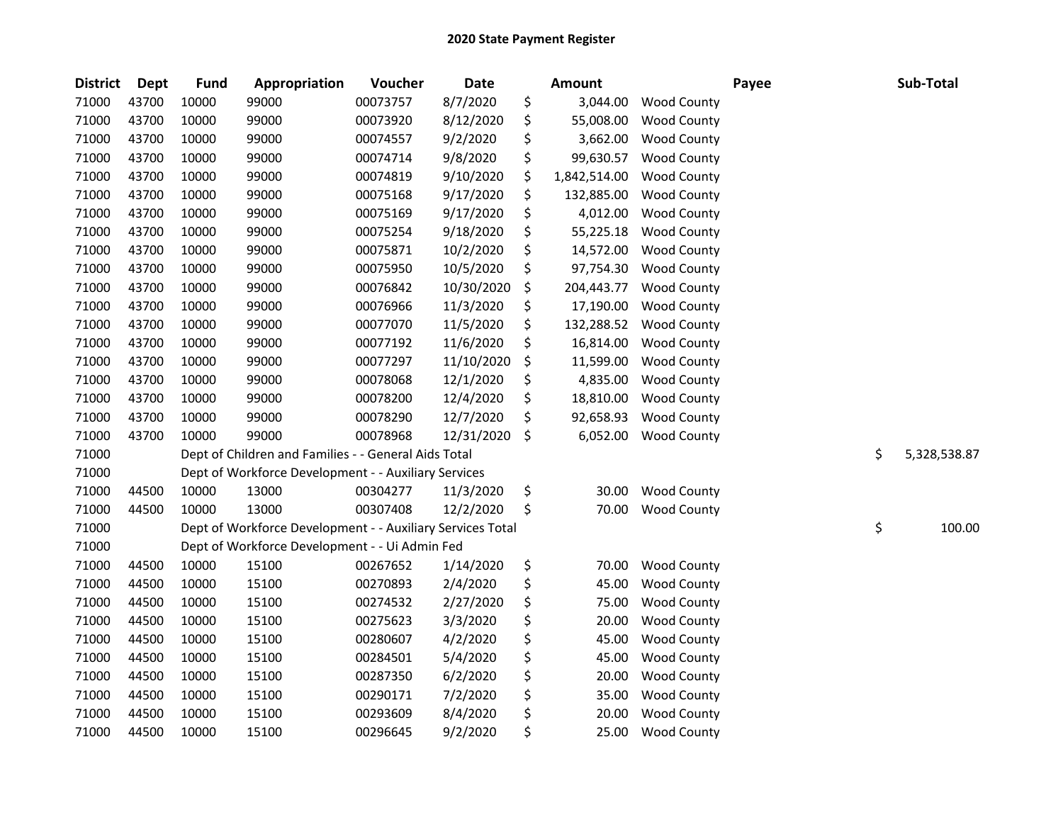| <b>District</b> | <b>Dept</b> | <b>Fund</b> | Appropriation                                              | Voucher  | <b>Date</b> | Amount             |                    | Payee | Sub-Total          |
|-----------------|-------------|-------------|------------------------------------------------------------|----------|-------------|--------------------|--------------------|-------|--------------------|
| 71000           | 43700       | 10000       | 99000                                                      | 00073757 | 8/7/2020    | \$<br>3,044.00     | <b>Wood County</b> |       |                    |
| 71000           | 43700       | 10000       | 99000                                                      | 00073920 | 8/12/2020   | \$<br>55,008.00    | <b>Wood County</b> |       |                    |
| 71000           | 43700       | 10000       | 99000                                                      | 00074557 | 9/2/2020    | \$<br>3,662.00     | <b>Wood County</b> |       |                    |
| 71000           | 43700       | 10000       | 99000                                                      | 00074714 | 9/8/2020    | \$<br>99,630.57    | <b>Wood County</b> |       |                    |
| 71000           | 43700       | 10000       | 99000                                                      | 00074819 | 9/10/2020   | \$<br>1,842,514.00 | <b>Wood County</b> |       |                    |
| 71000           | 43700       | 10000       | 99000                                                      | 00075168 | 9/17/2020   | \$<br>132,885.00   | <b>Wood County</b> |       |                    |
| 71000           | 43700       | 10000       | 99000                                                      | 00075169 | 9/17/2020   | \$<br>4,012.00     | <b>Wood County</b> |       |                    |
| 71000           | 43700       | 10000       | 99000                                                      | 00075254 | 9/18/2020   | \$<br>55,225.18    | <b>Wood County</b> |       |                    |
| 71000           | 43700       | 10000       | 99000                                                      | 00075871 | 10/2/2020   | \$<br>14,572.00    | <b>Wood County</b> |       |                    |
| 71000           | 43700       | 10000       | 99000                                                      | 00075950 | 10/5/2020   | \$<br>97,754.30    | <b>Wood County</b> |       |                    |
| 71000           | 43700       | 10000       | 99000                                                      | 00076842 | 10/30/2020  | \$<br>204,443.77   | <b>Wood County</b> |       |                    |
| 71000           | 43700       | 10000       | 99000                                                      | 00076966 | 11/3/2020   | \$<br>17,190.00    | <b>Wood County</b> |       |                    |
| 71000           | 43700       | 10000       | 99000                                                      | 00077070 | 11/5/2020   | \$<br>132,288.52   | <b>Wood County</b> |       |                    |
| 71000           | 43700       | 10000       | 99000                                                      | 00077192 | 11/6/2020   | \$<br>16,814.00    | <b>Wood County</b> |       |                    |
| 71000           | 43700       | 10000       | 99000                                                      | 00077297 | 11/10/2020  | \$<br>11,599.00    | <b>Wood County</b> |       |                    |
| 71000           | 43700       | 10000       | 99000                                                      | 00078068 | 12/1/2020   | \$<br>4,835.00     | <b>Wood County</b> |       |                    |
| 71000           | 43700       | 10000       | 99000                                                      | 00078200 | 12/4/2020   | \$<br>18,810.00    | <b>Wood County</b> |       |                    |
| 71000           | 43700       | 10000       | 99000                                                      | 00078290 | 12/7/2020   | \$<br>92,658.93    | <b>Wood County</b> |       |                    |
| 71000           | 43700       | 10000       | 99000                                                      | 00078968 | 12/31/2020  | \$<br>6,052.00     | <b>Wood County</b> |       |                    |
| 71000           |             |             | Dept of Children and Families - - General Aids Total       |          |             |                    |                    |       | \$<br>5,328,538.87 |
| 71000           |             |             | Dept of Workforce Development - - Auxiliary Services       |          |             |                    |                    |       |                    |
| 71000           | 44500       | 10000       | 13000                                                      | 00304277 | 11/3/2020   | \$<br>30.00        | <b>Wood County</b> |       |                    |
| 71000           | 44500       | 10000       | 13000                                                      | 00307408 | 12/2/2020   | \$<br>70.00        | <b>Wood County</b> |       |                    |
| 71000           |             |             | Dept of Workforce Development - - Auxiliary Services Total |          |             |                    |                    |       | \$<br>100.00       |
| 71000           |             |             | Dept of Workforce Development - - Ui Admin Fed             |          |             |                    |                    |       |                    |
| 71000           | 44500       | 10000       | 15100                                                      | 00267652 | 1/14/2020   | \$<br>70.00        | <b>Wood County</b> |       |                    |
| 71000           | 44500       | 10000       | 15100                                                      | 00270893 | 2/4/2020    | \$<br>45.00        | <b>Wood County</b> |       |                    |
| 71000           | 44500       | 10000       | 15100                                                      | 00274532 | 2/27/2020   | \$<br>75.00        | <b>Wood County</b> |       |                    |
| 71000           | 44500       | 10000       | 15100                                                      | 00275623 | 3/3/2020    | \$<br>20.00        | <b>Wood County</b> |       |                    |
| 71000           | 44500       | 10000       | 15100                                                      | 00280607 | 4/2/2020    | \$<br>45.00        | <b>Wood County</b> |       |                    |
| 71000           | 44500       | 10000       | 15100                                                      | 00284501 | 5/4/2020    | \$<br>45.00        | <b>Wood County</b> |       |                    |
| 71000           | 44500       | 10000       | 15100                                                      | 00287350 | 6/2/2020    | \$<br>20.00        | <b>Wood County</b> |       |                    |
| 71000           | 44500       | 10000       | 15100                                                      | 00290171 | 7/2/2020    | \$<br>35.00        | <b>Wood County</b> |       |                    |
| 71000           | 44500       | 10000       | 15100                                                      | 00293609 | 8/4/2020    | \$<br>20.00        | <b>Wood County</b> |       |                    |
| 71000           | 44500       | 10000       | 15100                                                      | 00296645 | 9/2/2020    | \$<br>25.00        | <b>Wood County</b> |       |                    |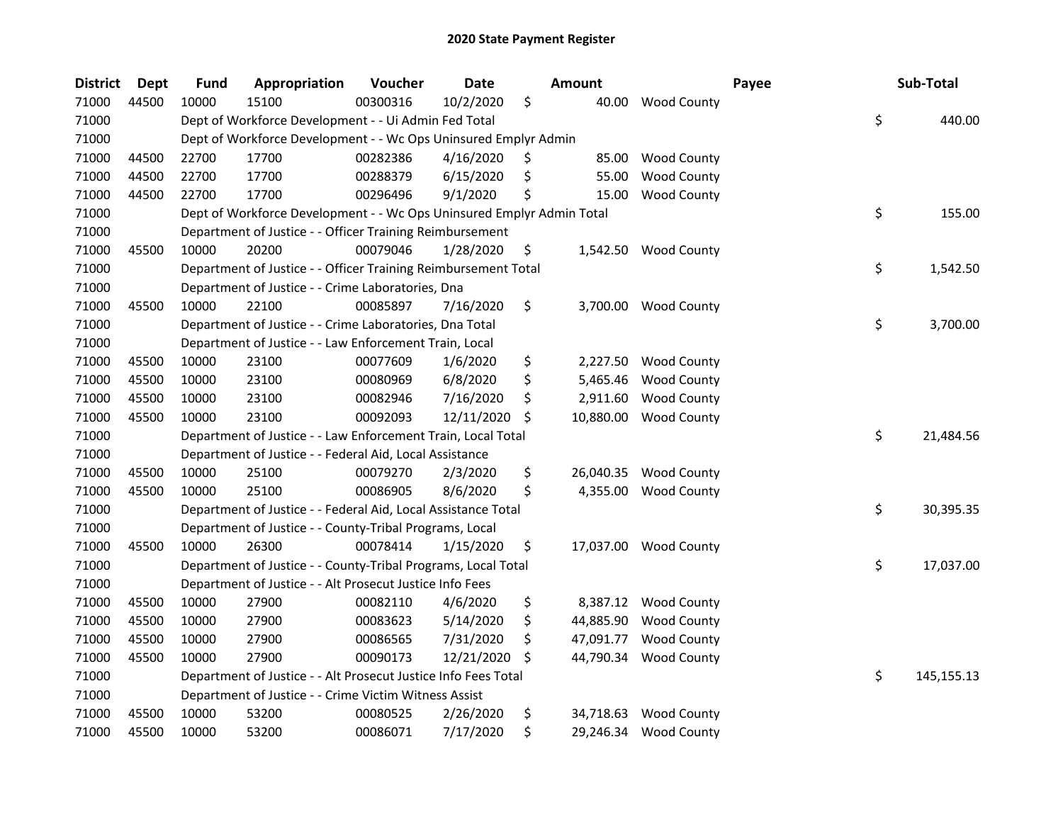| <b>District</b> | Dept  | <b>Fund</b> | Appropriation                                                         | Voucher  | <b>Date</b> | <b>Amount</b>   |                       | Payee | Sub-Total        |
|-----------------|-------|-------------|-----------------------------------------------------------------------|----------|-------------|-----------------|-----------------------|-------|------------------|
| 71000           | 44500 | 10000       | 15100                                                                 | 00300316 | 10/2/2020   | \$<br>40.00     | Wood County           |       |                  |
| 71000           |       |             | Dept of Workforce Development - - Ui Admin Fed Total                  |          |             |                 |                       |       | \$<br>440.00     |
| 71000           |       |             | Dept of Workforce Development - - Wc Ops Uninsured Emplyr Admin       |          |             |                 |                       |       |                  |
| 71000           | 44500 | 22700       | 17700                                                                 | 00282386 | 4/16/2020   | \$<br>85.00     | <b>Wood County</b>    |       |                  |
| 71000           | 44500 | 22700       | 17700                                                                 | 00288379 | 6/15/2020   | \$<br>55.00     | <b>Wood County</b>    |       |                  |
| 71000           | 44500 | 22700       | 17700                                                                 | 00296496 | 9/1/2020    | \$<br>15.00     | <b>Wood County</b>    |       |                  |
| 71000           |       |             | Dept of Workforce Development - - Wc Ops Uninsured Emplyr Admin Total |          |             |                 |                       |       | \$<br>155.00     |
| 71000           |       |             | Department of Justice - - Officer Training Reimbursement              |          |             |                 |                       |       |                  |
| 71000           | 45500 | 10000       | 20200                                                                 | 00079046 | 1/28/2020   | \$              | 1,542.50 Wood County  |       |                  |
| 71000           |       |             | Department of Justice - - Officer Training Reimbursement Total        |          |             |                 |                       |       | \$<br>1,542.50   |
| 71000           |       |             | Department of Justice - - Crime Laboratories, Dna                     |          |             |                 |                       |       |                  |
| 71000           | 45500 | 10000       | 22100                                                                 | 00085897 | 7/16/2020   | \$              | 3,700.00 Wood County  |       |                  |
| 71000           |       |             | Department of Justice - - Crime Laboratories, Dna Total               |          |             |                 |                       |       | \$<br>3,700.00   |
| 71000           |       |             | Department of Justice - - Law Enforcement Train, Local                |          |             |                 |                       |       |                  |
| 71000           | 45500 | 10000       | 23100                                                                 | 00077609 | 1/6/2020    | \$<br>2,227.50  | <b>Wood County</b>    |       |                  |
| 71000           | 45500 | 10000       | 23100                                                                 | 00080969 | 6/8/2020    | \$<br>5,465.46  | <b>Wood County</b>    |       |                  |
| 71000           | 45500 | 10000       | 23100                                                                 | 00082946 | 7/16/2020   | \$<br>2,911.60  | <b>Wood County</b>    |       |                  |
| 71000           | 45500 | 10000       | 23100                                                                 | 00092093 | 12/11/2020  | \$<br>10,880.00 | <b>Wood County</b>    |       |                  |
| 71000           |       |             | Department of Justice - - Law Enforcement Train, Local Total          |          |             |                 |                       |       | \$<br>21,484.56  |
| 71000           |       |             | Department of Justice - - Federal Aid, Local Assistance               |          |             |                 |                       |       |                  |
| 71000           | 45500 | 10000       | 25100                                                                 | 00079270 | 2/3/2020    | \$<br>26,040.35 | <b>Wood County</b>    |       |                  |
| 71000           | 45500 | 10000       | 25100                                                                 | 00086905 | 8/6/2020    | \$<br>4,355.00  | <b>Wood County</b>    |       |                  |
| 71000           |       |             | Department of Justice - - Federal Aid, Local Assistance Total         |          |             |                 |                       |       | \$<br>30,395.35  |
| 71000           |       |             | Department of Justice - - County-Tribal Programs, Local               |          |             |                 |                       |       |                  |
| 71000           | 45500 | 10000       | 26300                                                                 | 00078414 | 1/15/2020   | \$              | 17,037.00 Wood County |       |                  |
| 71000           |       |             | Department of Justice - - County-Tribal Programs, Local Total         |          |             |                 |                       |       | \$<br>17,037.00  |
| 71000           |       |             | Department of Justice - - Alt Prosecut Justice Info Fees              |          |             |                 |                       |       |                  |
| 71000           | 45500 | 10000       | 27900                                                                 | 00082110 | 4/6/2020    | \$              | 8,387.12 Wood County  |       |                  |
| 71000           | 45500 | 10000       | 27900                                                                 | 00083623 | 5/14/2020   | \$<br>44,885.90 | <b>Wood County</b>    |       |                  |
| 71000           | 45500 | 10000       | 27900                                                                 | 00086565 | 7/31/2020   | \$<br>47,091.77 | <b>Wood County</b>    |       |                  |
| 71000           | 45500 | 10000       | 27900                                                                 | 00090173 | 12/21/2020  | \$<br>44,790.34 | <b>Wood County</b>    |       |                  |
| 71000           |       |             | Department of Justice - - Alt Prosecut Justice Info Fees Total        |          |             |                 |                       |       | \$<br>145,155.13 |
| 71000           |       |             | Department of Justice - - Crime Victim Witness Assist                 |          |             |                 |                       |       |                  |
| 71000           | 45500 | 10000       | 53200                                                                 | 00080525 | 2/26/2020   | \$<br>34,718.63 | <b>Wood County</b>    |       |                  |
| 71000           | 45500 | 10000       | 53200                                                                 | 00086071 | 7/17/2020   | \$              | 29,246.34 Wood County |       |                  |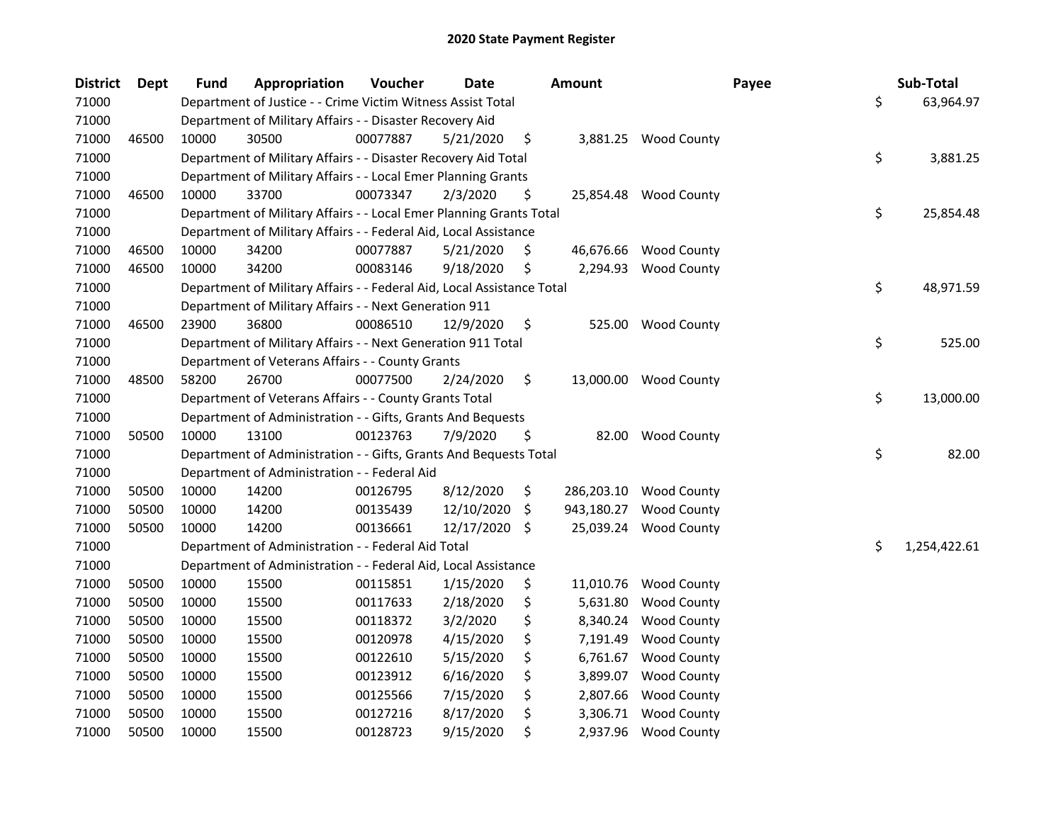| <b>District</b> | Dept  | <b>Fund</b> | Appropriation                                                          | Voucher  | <b>Date</b> |     | <b>Amount</b> |                       | Payee | Sub-Total    |
|-----------------|-------|-------------|------------------------------------------------------------------------|----------|-------------|-----|---------------|-----------------------|-------|--------------|
| 71000           |       |             | Department of Justice - - Crime Victim Witness Assist Total            |          |             |     |               |                       | \$    | 63,964.97    |
| 71000           |       |             | Department of Military Affairs - - Disaster Recovery Aid               |          |             |     |               |                       |       |              |
| 71000           | 46500 | 10000       | 30500                                                                  | 00077887 | 5/21/2020   | \$  |               | 3,881.25 Wood County  |       |              |
| 71000           |       |             | Department of Military Affairs - - Disaster Recovery Aid Total         |          |             |     |               |                       | \$    | 3,881.25     |
| 71000           |       |             | Department of Military Affairs - - Local Emer Planning Grants          |          |             |     |               |                       |       |              |
| 71000           | 46500 | 10000       | 33700                                                                  | 00073347 | 2/3/2020    | \$  |               | 25,854.48 Wood County |       |              |
| 71000           |       |             | Department of Military Affairs - - Local Emer Planning Grants Total    |          |             |     |               |                       | \$    | 25,854.48    |
| 71000           |       |             | Department of Military Affairs - - Federal Aid, Local Assistance       |          |             |     |               |                       |       |              |
| 71000           | 46500 | 10000       | 34200                                                                  | 00077887 | 5/21/2020   | \$  |               | 46,676.66 Wood County |       |              |
| 71000           | 46500 | 10000       | 34200                                                                  | 00083146 | 9/18/2020   | \$  | 2,294.93      | <b>Wood County</b>    |       |              |
| 71000           |       |             | Department of Military Affairs - - Federal Aid, Local Assistance Total |          |             |     |               |                       | \$    | 48,971.59    |
| 71000           |       |             | Department of Military Affairs - - Next Generation 911                 |          |             |     |               |                       |       |              |
| 71000           | 46500 | 23900       | 36800                                                                  | 00086510 | 12/9/2020   | \$  | 525.00        | <b>Wood County</b>    |       |              |
| 71000           |       |             | Department of Military Affairs - - Next Generation 911 Total           |          |             |     |               |                       | \$    | 525.00       |
| 71000           |       |             | Department of Veterans Affairs - - County Grants                       |          |             |     |               |                       |       |              |
| 71000           | 48500 | 58200       | 26700                                                                  | 00077500 | 2/24/2020   | \$  | 13,000.00     | <b>Wood County</b>    |       |              |
| 71000           |       |             | Department of Veterans Affairs - - County Grants Total                 |          |             |     |               |                       | \$    | 13,000.00    |
| 71000           |       |             | Department of Administration - - Gifts, Grants And Bequests            |          |             |     |               |                       |       |              |
| 71000           | 50500 | 10000       | 13100                                                                  | 00123763 | 7/9/2020    | \$  | 82.00         | <b>Wood County</b>    |       |              |
| 71000           |       |             | Department of Administration - - Gifts, Grants And Bequests Total      |          |             |     |               |                       | \$    | 82.00        |
| 71000           |       |             | Department of Administration - - Federal Aid                           |          |             |     |               |                       |       |              |
| 71000           | 50500 | 10000       | 14200                                                                  | 00126795 | 8/12/2020   | \$  | 286,203.10    | <b>Wood County</b>    |       |              |
| 71000           | 50500 | 10000       | 14200                                                                  | 00135439 | 12/10/2020  | \$  | 943,180.27    | <b>Wood County</b>    |       |              |
| 71000           | 50500 | 10000       | 14200                                                                  | 00136661 | 12/17/2020  | -\$ |               | 25,039.24 Wood County |       |              |
| 71000           |       |             | Department of Administration - - Federal Aid Total                     |          |             |     |               |                       | \$    | 1,254,422.61 |
| 71000           |       |             | Department of Administration - - Federal Aid, Local Assistance         |          |             |     |               |                       |       |              |
| 71000           | 50500 | 10000       | 15500                                                                  | 00115851 | 1/15/2020   | \$  | 11,010.76     | <b>Wood County</b>    |       |              |
| 71000           | 50500 | 10000       | 15500                                                                  | 00117633 | 2/18/2020   | \$  | 5,631.80      | <b>Wood County</b>    |       |              |
| 71000           | 50500 | 10000       | 15500                                                                  | 00118372 | 3/2/2020    | \$  | 8,340.24      | <b>Wood County</b>    |       |              |
| 71000           | 50500 | 10000       | 15500                                                                  | 00120978 | 4/15/2020   | \$  | 7,191.49      | <b>Wood County</b>    |       |              |
| 71000           | 50500 | 10000       | 15500                                                                  | 00122610 | 5/15/2020   | \$  | 6,761.67      | <b>Wood County</b>    |       |              |
| 71000           | 50500 | 10000       | 15500                                                                  | 00123912 | 6/16/2020   | \$  | 3,899.07      | <b>Wood County</b>    |       |              |
| 71000           | 50500 | 10000       | 15500                                                                  | 00125566 | 7/15/2020   | \$  | 2,807.66      | <b>Wood County</b>    |       |              |
| 71000           | 50500 | 10000       | 15500                                                                  | 00127216 | 8/17/2020   | \$  | 3,306.71      | <b>Wood County</b>    |       |              |
| 71000           | 50500 | 10000       | 15500                                                                  | 00128723 | 9/15/2020   | \$  | 2,937.96      | <b>Wood County</b>    |       |              |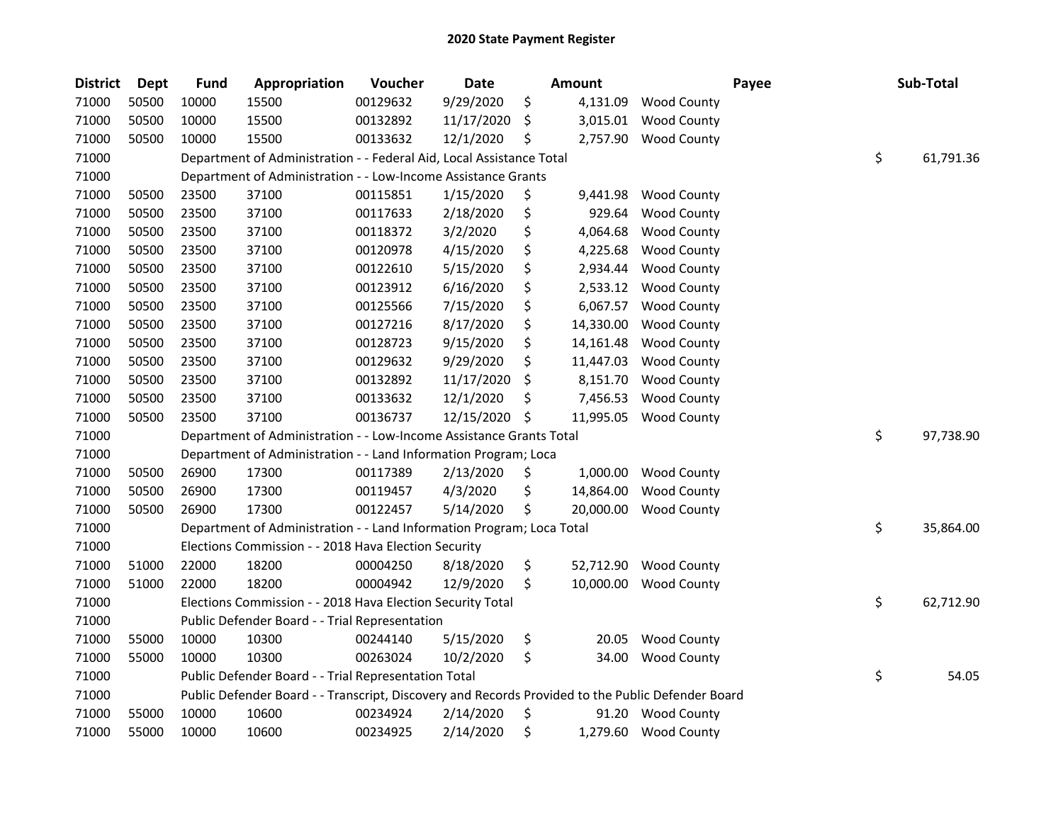| <b>District</b> | <b>Dept</b> | <b>Fund</b> | Appropriation                                                                                     | Voucher  | <b>Date</b> |    | <b>Amount</b> |                      | Payee | Sub-Total       |
|-----------------|-------------|-------------|---------------------------------------------------------------------------------------------------|----------|-------------|----|---------------|----------------------|-------|-----------------|
| 71000           | 50500       | 10000       | 15500                                                                                             | 00129632 | 9/29/2020   | \$ | 4,131.09      | <b>Wood County</b>   |       |                 |
| 71000           | 50500       | 10000       | 15500                                                                                             | 00132892 | 11/17/2020  | \$ | 3,015.01      | <b>Wood County</b>   |       |                 |
| 71000           | 50500       | 10000       | 15500                                                                                             | 00133632 | 12/1/2020   | \$ | 2,757.90      | <b>Wood County</b>   |       |                 |
| 71000           |             |             | Department of Administration - - Federal Aid, Local Assistance Total                              |          |             |    |               |                      |       | \$<br>61,791.36 |
| 71000           |             |             | Department of Administration - - Low-Income Assistance Grants                                     |          |             |    |               |                      |       |                 |
| 71000           | 50500       | 23500       | 37100                                                                                             | 00115851 | 1/15/2020   | \$ | 9,441.98      | <b>Wood County</b>   |       |                 |
| 71000           | 50500       | 23500       | 37100                                                                                             | 00117633 | 2/18/2020   | \$ | 929.64        | <b>Wood County</b>   |       |                 |
| 71000           | 50500       | 23500       | 37100                                                                                             | 00118372 | 3/2/2020    | \$ | 4,064.68      | <b>Wood County</b>   |       |                 |
| 71000           | 50500       | 23500       | 37100                                                                                             | 00120978 | 4/15/2020   | \$ | 4,225.68      | <b>Wood County</b>   |       |                 |
| 71000           | 50500       | 23500       | 37100                                                                                             | 00122610 | 5/15/2020   | \$ | 2,934.44      | <b>Wood County</b>   |       |                 |
| 71000           | 50500       | 23500       | 37100                                                                                             | 00123912 | 6/16/2020   | \$ | 2,533.12      | <b>Wood County</b>   |       |                 |
| 71000           | 50500       | 23500       | 37100                                                                                             | 00125566 | 7/15/2020   | \$ | 6,067.57      | <b>Wood County</b>   |       |                 |
| 71000           | 50500       | 23500       | 37100                                                                                             | 00127216 | 8/17/2020   | \$ | 14,330.00     | <b>Wood County</b>   |       |                 |
| 71000           | 50500       | 23500       | 37100                                                                                             | 00128723 | 9/15/2020   | \$ | 14,161.48     | <b>Wood County</b>   |       |                 |
| 71000           | 50500       | 23500       | 37100                                                                                             | 00129632 | 9/29/2020   | \$ | 11,447.03     | <b>Wood County</b>   |       |                 |
| 71000           | 50500       | 23500       | 37100                                                                                             | 00132892 | 11/17/2020  | S  | 8,151.70      | <b>Wood County</b>   |       |                 |
| 71000           | 50500       | 23500       | 37100                                                                                             | 00133632 | 12/1/2020   | \$ | 7,456.53      | <b>Wood County</b>   |       |                 |
| 71000           | 50500       | 23500       | 37100                                                                                             | 00136737 | 12/15/2020  | \$ | 11,995.05     | <b>Wood County</b>   |       |                 |
| 71000           |             |             | Department of Administration - - Low-Income Assistance Grants Total                               |          |             |    |               |                      |       | \$<br>97,738.90 |
| 71000           |             |             | Department of Administration - - Land Information Program; Loca                                   |          |             |    |               |                      |       |                 |
| 71000           | 50500       | 26900       | 17300                                                                                             | 00117389 | 2/13/2020   | \$ | 1,000.00      | <b>Wood County</b>   |       |                 |
| 71000           | 50500       | 26900       | 17300                                                                                             | 00119457 | 4/3/2020    | \$ | 14,864.00     | <b>Wood County</b>   |       |                 |
| 71000           | 50500       | 26900       | 17300                                                                                             | 00122457 | 5/14/2020   | \$ | 20,000.00     | <b>Wood County</b>   |       |                 |
| 71000           |             |             | Department of Administration - - Land Information Program; Loca Total                             |          |             |    |               |                      |       | \$<br>35,864.00 |
| 71000           |             |             | Elections Commission - - 2018 Hava Election Security                                              |          |             |    |               |                      |       |                 |
| 71000           | 51000       | 22000       | 18200                                                                                             | 00004250 | 8/18/2020   | \$ | 52,712.90     | <b>Wood County</b>   |       |                 |
| 71000           | 51000       | 22000       | 18200                                                                                             | 00004942 | 12/9/2020   | \$ | 10,000.00     | <b>Wood County</b>   |       |                 |
| 71000           |             |             | Elections Commission - - 2018 Hava Election Security Total                                        |          |             |    |               |                      |       | \$<br>62,712.90 |
| 71000           |             |             | Public Defender Board - - Trial Representation                                                    |          |             |    |               |                      |       |                 |
| 71000           | 55000       | 10000       | 10300                                                                                             | 00244140 | 5/15/2020   | \$ | 20.05         | <b>Wood County</b>   |       |                 |
| 71000           | 55000       | 10000       | 10300                                                                                             | 00263024 | 10/2/2020   | \$ | 34.00         | <b>Wood County</b>   |       |                 |
| 71000           |             |             | Public Defender Board - - Trial Representation Total                                              |          |             |    |               |                      |       | \$<br>54.05     |
| 71000           |             |             | Public Defender Board - - Transcript, Discovery and Records Provided to the Public Defender Board |          |             |    |               |                      |       |                 |
| 71000           | 55000       | 10000       | 10600                                                                                             | 00234924 | 2/14/2020   | \$ | 91.20         | <b>Wood County</b>   |       |                 |
| 71000           | 55000       | 10000       | 10600                                                                                             | 00234925 | 2/14/2020   | \$ |               | 1,279.60 Wood County |       |                 |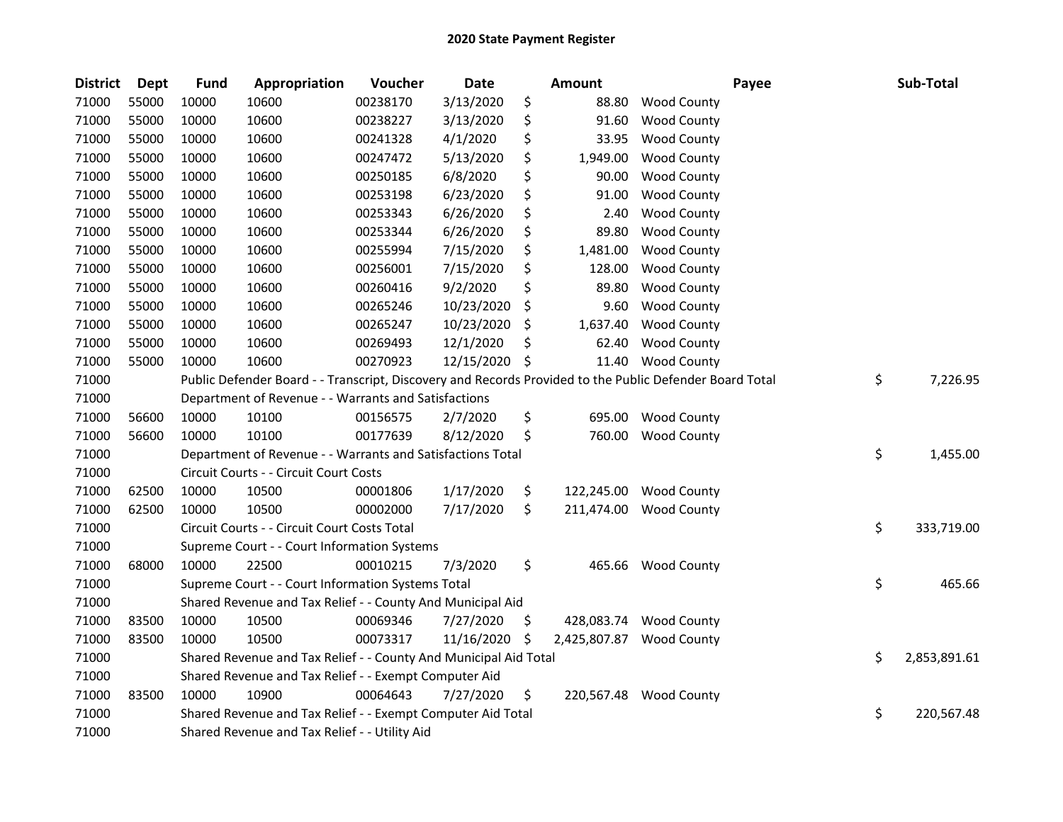| <b>District</b> | <b>Dept</b> | <b>Fund</b> | Appropriation                                                    | Voucher  | <b>Date</b> |     | <b>Amount</b> | Payee                                                                                                   | Sub-Total          |
|-----------------|-------------|-------------|------------------------------------------------------------------|----------|-------------|-----|---------------|---------------------------------------------------------------------------------------------------------|--------------------|
| 71000           | 55000       | 10000       | 10600                                                            | 00238170 | 3/13/2020   | \$  | 88.80         | <b>Wood County</b>                                                                                      |                    |
| 71000           | 55000       | 10000       | 10600                                                            | 00238227 | 3/13/2020   | \$  | 91.60         | <b>Wood County</b>                                                                                      |                    |
| 71000           | 55000       | 10000       | 10600                                                            | 00241328 | 4/1/2020    | \$  | 33.95         | <b>Wood County</b>                                                                                      |                    |
| 71000           | 55000       | 10000       | 10600                                                            | 00247472 | 5/13/2020   | \$  | 1,949.00      | <b>Wood County</b>                                                                                      |                    |
| 71000           | 55000       | 10000       | 10600                                                            | 00250185 | 6/8/2020    | \$  | 90.00         | <b>Wood County</b>                                                                                      |                    |
| 71000           | 55000       | 10000       | 10600                                                            | 00253198 | 6/23/2020   | \$  | 91.00         | <b>Wood County</b>                                                                                      |                    |
| 71000           | 55000       | 10000       | 10600                                                            | 00253343 | 6/26/2020   | \$  | 2.40          | <b>Wood County</b>                                                                                      |                    |
| 71000           | 55000       | 10000       | 10600                                                            | 00253344 | 6/26/2020   | \$  | 89.80         | <b>Wood County</b>                                                                                      |                    |
| 71000           | 55000       | 10000       | 10600                                                            | 00255994 | 7/15/2020   | \$  | 1,481.00      | <b>Wood County</b>                                                                                      |                    |
| 71000           | 55000       | 10000       | 10600                                                            | 00256001 | 7/15/2020   | \$  | 128.00        | <b>Wood County</b>                                                                                      |                    |
| 71000           | 55000       | 10000       | 10600                                                            | 00260416 | 9/2/2020    | \$  | 89.80         | <b>Wood County</b>                                                                                      |                    |
| 71000           | 55000       | 10000       | 10600                                                            | 00265246 | 10/23/2020  | \$  | 9.60          | <b>Wood County</b>                                                                                      |                    |
| 71000           | 55000       | 10000       | 10600                                                            | 00265247 | 10/23/2020  | \$, | 1,637.40      | <b>Wood County</b>                                                                                      |                    |
| 71000           | 55000       | 10000       | 10600                                                            | 00269493 | 12/1/2020   | \$  | 62.40         | <b>Wood County</b>                                                                                      |                    |
| 71000           | 55000       | 10000       | 10600                                                            | 00270923 | 12/15/2020  | \$  | 11.40         | <b>Wood County</b>                                                                                      |                    |
| 71000           |             |             |                                                                  |          |             |     |               | Public Defender Board - - Transcript, Discovery and Records Provided to the Public Defender Board Total | \$<br>7,226.95     |
| 71000           |             |             | Department of Revenue - - Warrants and Satisfactions             |          |             |     |               |                                                                                                         |                    |
| 71000           | 56600       | 10000       | 10100                                                            | 00156575 | 2/7/2020    | \$  | 695.00        | <b>Wood County</b>                                                                                      |                    |
| 71000           | 56600       | 10000       | 10100                                                            | 00177639 | 8/12/2020   | \$  | 760.00        | <b>Wood County</b>                                                                                      |                    |
| 71000           |             |             | Department of Revenue - - Warrants and Satisfactions Total       |          |             |     |               |                                                                                                         | \$<br>1,455.00     |
| 71000           |             |             | Circuit Courts - - Circuit Court Costs                           |          |             |     |               |                                                                                                         |                    |
| 71000           | 62500       | 10000       | 10500                                                            | 00001806 | 1/17/2020   | \$  | 122,245.00    | <b>Wood County</b>                                                                                      |                    |
| 71000           | 62500       | 10000       | 10500                                                            | 00002000 | 7/17/2020   | \$  | 211,474.00    | <b>Wood County</b>                                                                                      |                    |
| 71000           |             |             | Circuit Courts - - Circuit Court Costs Total                     |          |             |     |               |                                                                                                         | \$<br>333,719.00   |
| 71000           |             |             | Supreme Court - - Court Information Systems                      |          |             |     |               |                                                                                                         |                    |
| 71000           | 68000       | 10000       | 22500                                                            | 00010215 | 7/3/2020    | \$  | 465.66        | <b>Wood County</b>                                                                                      |                    |
| 71000           |             |             | Supreme Court - - Court Information Systems Total                |          |             |     |               |                                                                                                         | \$<br>465.66       |
| 71000           |             |             | Shared Revenue and Tax Relief - - County And Municipal Aid       |          |             |     |               |                                                                                                         |                    |
| 71000           | 83500       | 10000       | 10500                                                            | 00069346 | 7/27/2020   | \$  | 428,083.74    | <b>Wood County</b>                                                                                      |                    |
| 71000           | 83500       | 10000       | 10500                                                            | 00073317 | 11/16/2020  | \$, | 2,425,807.87  | <b>Wood County</b>                                                                                      |                    |
| 71000           |             |             | Shared Revenue and Tax Relief - - County And Municipal Aid Total |          |             |     |               |                                                                                                         | \$<br>2,853,891.61 |
| 71000           |             |             | Shared Revenue and Tax Relief - - Exempt Computer Aid            |          |             |     |               |                                                                                                         |                    |
| 71000           | 83500       | 10000       | 10900                                                            | 00064643 | 7/27/2020   | \$  |               | 220,567.48 Wood County                                                                                  |                    |
| 71000           |             |             | Shared Revenue and Tax Relief - - Exempt Computer Aid Total      |          |             |     |               |                                                                                                         | \$<br>220,567.48   |
| 71000           |             |             | Shared Revenue and Tax Relief - - Utility Aid                    |          |             |     |               |                                                                                                         |                    |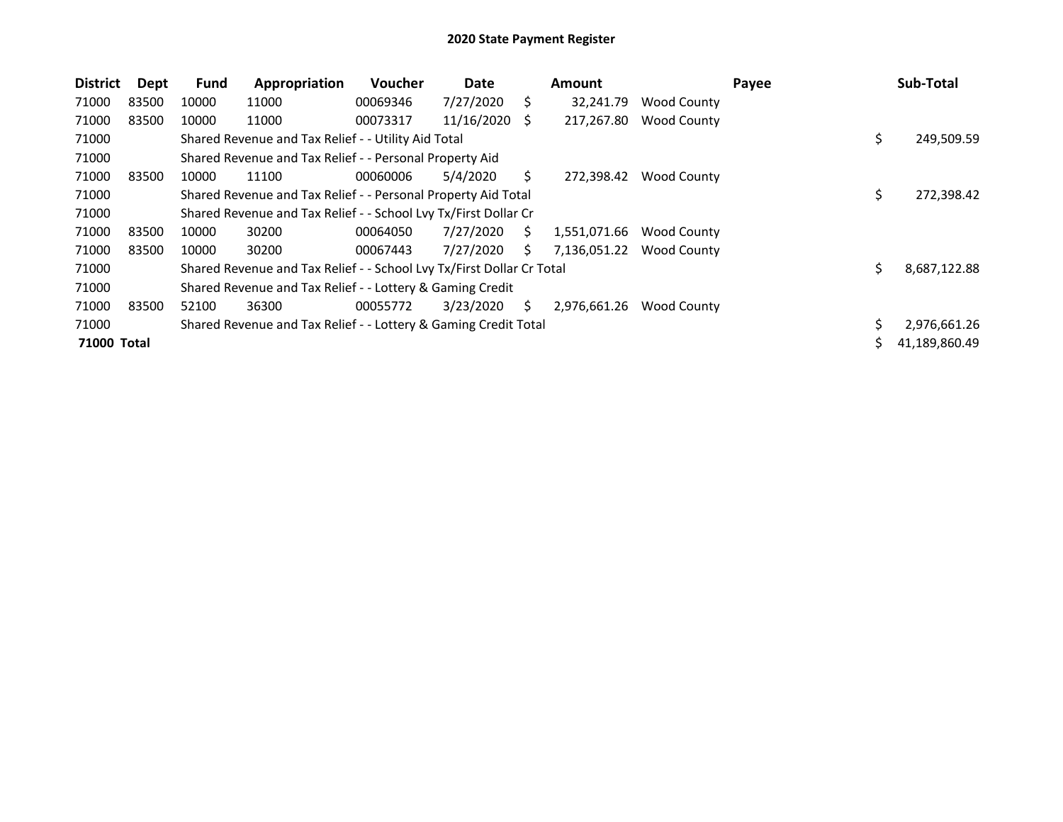| <b>District</b>    | Dept  | <b>Fund</b> | Appropriation                                                         | Voucher  | Date       |    | <b>Amount</b> |                    | Payee |     | Sub-Total     |
|--------------------|-------|-------------|-----------------------------------------------------------------------|----------|------------|----|---------------|--------------------|-------|-----|---------------|
| 71000              | 83500 | 10000       | 11000                                                                 | 00069346 | 7/27/2020  | S. | 32,241.79     | Wood County        |       |     |               |
| 71000              | 83500 | 10000       | 11000                                                                 | 00073317 | 11/16/2020 | S. | 217,267.80    | <b>Wood County</b> |       |     |               |
| 71000              |       |             | Shared Revenue and Tax Relief - - Utility Aid Total                   |          |            |    |               |                    |       | \$. | 249,509.59    |
| 71000              |       |             | Shared Revenue and Tax Relief - - Personal Property Aid               |          |            |    |               |                    |       |     |               |
| 71000              | 83500 | 10000       | 11100                                                                 | 00060006 | 5/4/2020   | S. | 272,398.42    | Wood County        |       |     |               |
| 71000              |       |             | Shared Revenue and Tax Relief - - Personal Property Aid Total         |          |            |    |               |                    |       | \$. | 272,398.42    |
| 71000              |       |             | Shared Revenue and Tax Relief - - School Lvy Tx/First Dollar Cr       |          |            |    |               |                    |       |     |               |
| 71000              | 83500 | 10000       | 30200                                                                 | 00064050 | 7/27/2020  | S. | 1,551,071.66  | Wood County        |       |     |               |
| 71000              | 83500 | 10000       | 30200                                                                 | 00067443 | 7/27/2020  | S. | 7,136,051.22  | Wood County        |       |     |               |
| 71000              |       |             | Shared Revenue and Tax Relief - - School Lvy Tx/First Dollar Cr Total |          |            |    |               |                    |       | Ś.  | 8,687,122.88  |
| 71000              |       |             | Shared Revenue and Tax Relief - - Lottery & Gaming Credit             |          |            |    |               |                    |       |     |               |
| 71000              | 83500 | 52100       | 36300                                                                 | 00055772 | 3/23/2020  | S. | 2,976,661.26  | Wood County        |       |     |               |
| 71000              |       |             | Shared Revenue and Tax Relief - - Lottery & Gaming Credit Total       |          |            |    |               |                    |       |     | 2,976,661.26  |
| <b>71000 Total</b> |       |             |                                                                       |          |            |    |               |                    |       |     | 41,189,860.49 |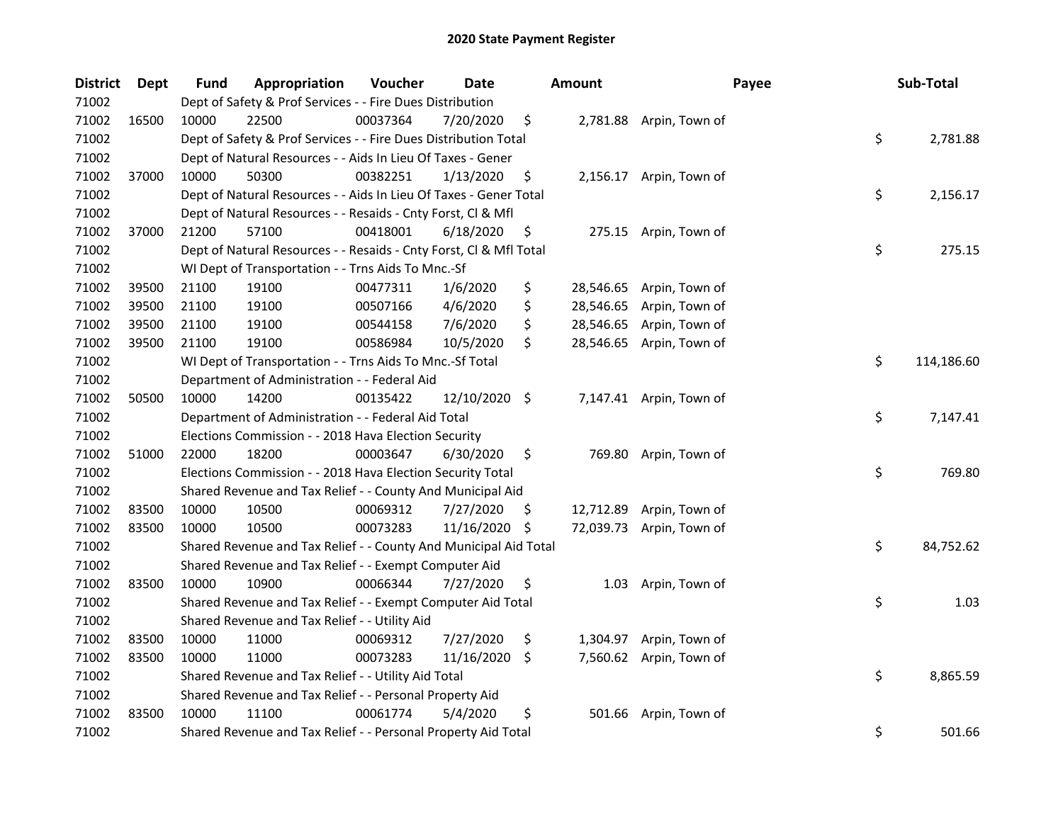| <b>District</b> | Dept  | <b>Fund</b> | Appropriation                                                      | Voucher  | Date          |     | <b>Amount</b> | Payee                    | Sub-Total        |
|-----------------|-------|-------------|--------------------------------------------------------------------|----------|---------------|-----|---------------|--------------------------|------------------|
| 71002           |       |             | Dept of Safety & Prof Services - - Fire Dues Distribution          |          |               |     |               |                          |                  |
| 71002           | 16500 | 10000       | 22500                                                              | 00037364 | 7/20/2020     | \$  |               | 2,781.88 Arpin, Town of  |                  |
| 71002           |       |             | Dept of Safety & Prof Services - - Fire Dues Distribution Total    |          |               |     |               |                          | \$<br>2,781.88   |
| 71002           |       |             | Dept of Natural Resources - - Aids In Lieu Of Taxes - Gener        |          |               |     |               |                          |                  |
| 71002           | 37000 | 10000       | 50300                                                              | 00382251 | 1/13/2020     | \$  |               | 2,156.17 Arpin, Town of  |                  |
| 71002           |       |             | Dept of Natural Resources - - Aids In Lieu Of Taxes - Gener Total  |          |               |     |               |                          | \$<br>2,156.17   |
| 71002           |       |             | Dept of Natural Resources - - Resaids - Cnty Forst, Cl & Mfl       |          |               |     |               |                          |                  |
| 71002           | 37000 | 21200       | 57100                                                              | 00418001 | 6/18/2020     | \$  |               | 275.15 Arpin, Town of    |                  |
| 71002           |       |             | Dept of Natural Resources - - Resaids - Cnty Forst, Cl & Mfl Total |          |               |     |               |                          | \$<br>275.15     |
| 71002           |       |             | WI Dept of Transportation - - Trns Aids To Mnc.-Sf                 |          |               |     |               |                          |                  |
| 71002           | 39500 | 21100       | 19100                                                              | 00477311 | 1/6/2020      | \$  |               | 28,546.65 Arpin, Town of |                  |
| 71002           | 39500 | 21100       | 19100                                                              | 00507166 | 4/6/2020      | \$  | 28,546.65     | Arpin, Town of           |                  |
| 71002           | 39500 | 21100       | 19100                                                              | 00544158 | 7/6/2020      | \$  | 28,546.65     | Arpin, Town of           |                  |
| 71002           | 39500 | 21100       | 19100                                                              | 00586984 | 10/5/2020     | \$  | 28,546.65     | Arpin, Town of           |                  |
| 71002           |       |             | WI Dept of Transportation - - Trns Aids To Mnc.-Sf Total           |          |               |     |               |                          | \$<br>114,186.60 |
| 71002           |       |             | Department of Administration - - Federal Aid                       |          |               |     |               |                          |                  |
| 71002           | 50500 | 10000       | 14200                                                              | 00135422 | 12/10/2020 \$ |     |               | 7,147.41 Arpin, Town of  |                  |
| 71002           |       |             | Department of Administration - - Federal Aid Total                 |          |               |     |               |                          | \$<br>7,147.41   |
| 71002           |       |             | Elections Commission - - 2018 Hava Election Security               |          |               |     |               |                          |                  |
| 71002           | 51000 | 22000       | 18200                                                              | 00003647 | 6/30/2020     | \$  |               | 769.80 Arpin, Town of    |                  |
| 71002           |       |             | Elections Commission - - 2018 Hava Election Security Total         |          |               |     |               |                          | \$<br>769.80     |
| 71002           |       |             | Shared Revenue and Tax Relief - - County And Municipal Aid         |          |               |     |               |                          |                  |
| 71002           | 83500 | 10000       | 10500                                                              | 00069312 | 7/27/2020     | \$. |               | 12,712.89 Arpin, Town of |                  |
| 71002           | 83500 | 10000       | 10500                                                              | 00073283 | 11/16/2020    | -\$ |               | 72,039.73 Arpin, Town of |                  |
| 71002           |       |             | Shared Revenue and Tax Relief - - County And Municipal Aid Total   |          |               |     |               |                          | \$<br>84,752.62  |
| 71002           |       |             | Shared Revenue and Tax Relief - - Exempt Computer Aid              |          |               |     |               |                          |                  |
| 71002           | 83500 | 10000       | 10900                                                              | 00066344 | 7/27/2020     | \$. | 1.03          | Arpin, Town of           |                  |
| 71002           |       |             | Shared Revenue and Tax Relief - - Exempt Computer Aid Total        |          |               |     |               |                          | \$<br>1.03       |
| 71002           |       |             | Shared Revenue and Tax Relief - - Utility Aid                      |          |               |     |               |                          |                  |
| 71002           | 83500 | 10000       | 11000                                                              | 00069312 | 7/27/2020     | \$  | 1,304.97      | Arpin, Town of           |                  |
| 71002           | 83500 | 10000       | 11000                                                              | 00073283 | 11/16/2020    | \$. |               | 7,560.62 Arpin, Town of  |                  |
| 71002           |       |             | Shared Revenue and Tax Relief - - Utility Aid Total                |          |               |     |               |                          | \$<br>8,865.59   |
| 71002           |       |             | Shared Revenue and Tax Relief - - Personal Property Aid            |          |               |     |               |                          |                  |
| 71002           | 83500 | 10000       | 11100                                                              | 00061774 | 5/4/2020      | \$  | 501.66        | Arpin, Town of           |                  |
| 71002           |       |             | Shared Revenue and Tax Relief - - Personal Property Aid Total      |          |               |     |               |                          | \$<br>501.66     |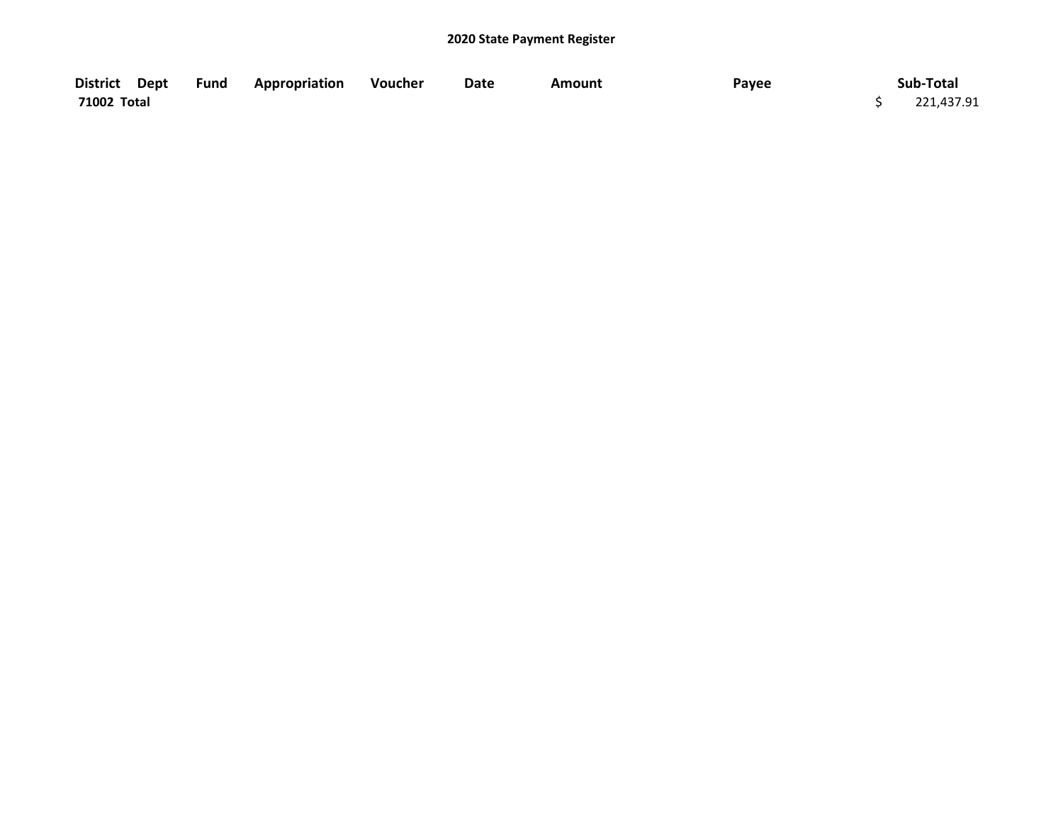| District Dept | <b>Fund Appropriation</b> | Voucher | Date | Amount | Payee | Sub-Total  |
|---------------|---------------------------|---------|------|--------|-------|------------|
| 71002 Total   |                           |         |      |        |       | 221,437.91 |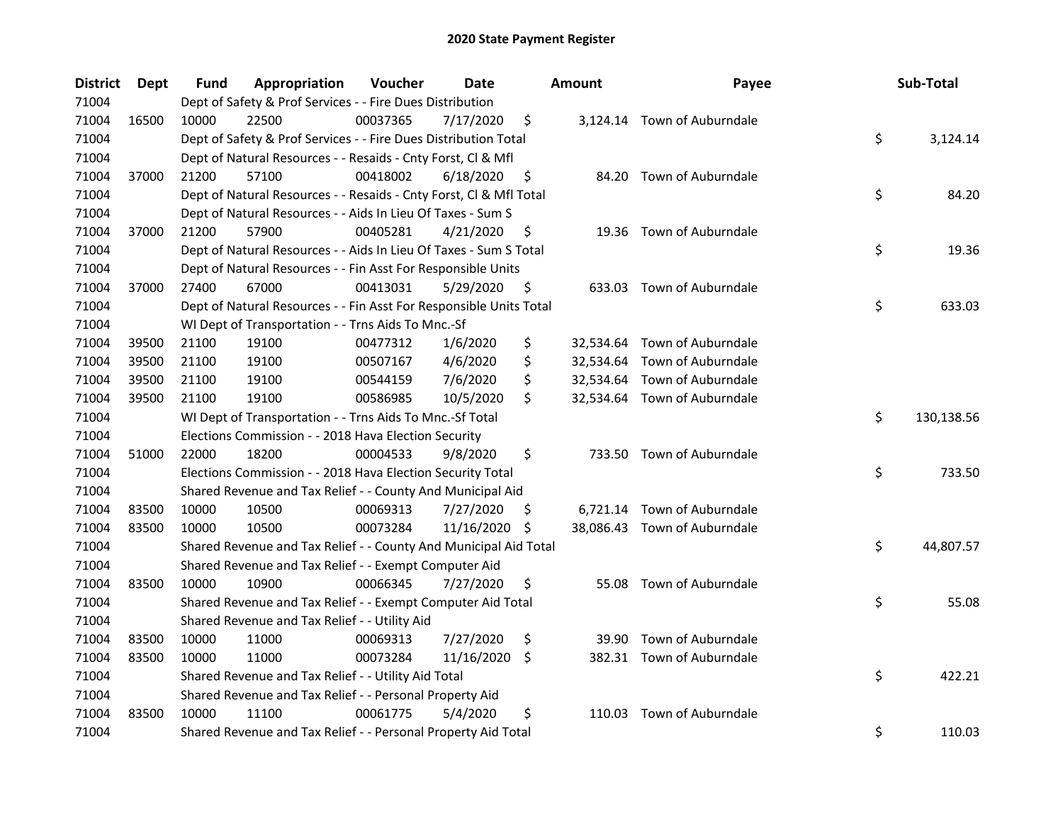| <b>District</b> | Dept  | Fund  | Appropriation                                                      | Voucher  | Date          |     | <b>Amount</b> | Payee                        | Sub-Total        |
|-----------------|-------|-------|--------------------------------------------------------------------|----------|---------------|-----|---------------|------------------------------|------------------|
| 71004           |       |       | Dept of Safety & Prof Services - - Fire Dues Distribution          |          |               |     |               |                              |                  |
| 71004           | 16500 | 10000 | 22500                                                              | 00037365 | 7/17/2020     | \$  |               | 3,124.14 Town of Auburndale  |                  |
| 71004           |       |       | Dept of Safety & Prof Services - - Fire Dues Distribution Total    |          |               |     |               |                              | \$<br>3,124.14   |
| 71004           |       |       | Dept of Natural Resources - - Resaids - Cnty Forst, Cl & Mfl       |          |               |     |               |                              |                  |
| 71004           | 37000 | 21200 | 57100                                                              | 00418002 | 6/18/2020     | \$  |               | 84.20 Town of Auburndale     |                  |
| 71004           |       |       | Dept of Natural Resources - - Resaids - Cnty Forst, CI & Mfl Total |          |               |     |               |                              | \$<br>84.20      |
| 71004           |       |       | Dept of Natural Resources - - Aids In Lieu Of Taxes - Sum S        |          |               |     |               |                              |                  |
| 71004           | 37000 | 21200 | 57900                                                              | 00405281 | 4/21/2020     | \$  |               | 19.36 Town of Auburndale     |                  |
| 71004           |       |       | Dept of Natural Resources - - Aids In Lieu Of Taxes - Sum S Total  |          |               |     |               |                              | \$<br>19.36      |
| 71004           |       |       | Dept of Natural Resources - - Fin Asst For Responsible Units       |          |               |     |               |                              |                  |
| 71004           | 37000 | 27400 | 67000                                                              | 00413031 | 5/29/2020     | \$  |               | 633.03 Town of Auburndale    |                  |
| 71004           |       |       | Dept of Natural Resources - - Fin Asst For Responsible Units Total |          |               |     |               |                              | \$<br>633.03     |
| 71004           |       |       | WI Dept of Transportation - - Trns Aids To Mnc.-Sf                 |          |               |     |               |                              |                  |
| 71004           | 39500 | 21100 | 19100                                                              | 00477312 | 1/6/2020      | \$  |               | 32,534.64 Town of Auburndale |                  |
| 71004           | 39500 | 21100 | 19100                                                              | 00507167 | 4/6/2020      | \$  |               | 32,534.64 Town of Auburndale |                  |
| 71004           | 39500 | 21100 | 19100                                                              | 00544159 | 7/6/2020      | \$  |               | 32,534.64 Town of Auburndale |                  |
| 71004           | 39500 | 21100 | 19100                                                              | 00586985 | 10/5/2020     | \$  |               | 32,534.64 Town of Auburndale |                  |
| 71004           |       |       | WI Dept of Transportation - - Trns Aids To Mnc.-Sf Total           |          |               |     |               |                              | \$<br>130,138.56 |
| 71004           |       |       | Elections Commission - - 2018 Hava Election Security               |          |               |     |               |                              |                  |
| 71004           | 51000 | 22000 | 18200                                                              | 00004533 | 9/8/2020      | \$  |               | 733.50 Town of Auburndale    |                  |
| 71004           |       |       | Elections Commission - - 2018 Hava Election Security Total         |          |               |     |               |                              | \$<br>733.50     |
| 71004           |       |       | Shared Revenue and Tax Relief - - County And Municipal Aid         |          |               |     |               |                              |                  |
| 71004           | 83500 | 10000 | 10500                                                              | 00069313 | 7/27/2020     | \$. |               | 6,721.14 Town of Auburndale  |                  |
| 71004           | 83500 | 10000 | 10500                                                              | 00073284 | 11/16/2020 \$ |     |               | 38,086.43 Town of Auburndale |                  |
| 71004           |       |       | Shared Revenue and Tax Relief - - County And Municipal Aid Total   |          |               |     |               |                              | \$<br>44,807.57  |
| 71004           |       |       | Shared Revenue and Tax Relief - - Exempt Computer Aid              |          |               |     |               |                              |                  |
| 71004           | 83500 | 10000 | 10900                                                              | 00066345 | 7/27/2020     | \$  | 55.08         | Town of Auburndale           |                  |
| 71004           |       |       | Shared Revenue and Tax Relief - - Exempt Computer Aid Total        |          |               |     |               |                              | \$<br>55.08      |
| 71004           |       |       | Shared Revenue and Tax Relief - - Utility Aid                      |          |               |     |               |                              |                  |
| 71004           | 83500 | 10000 | 11000                                                              | 00069313 | 7/27/2020     | \$  | 39.90         | Town of Auburndale           |                  |
| 71004           | 83500 | 10000 | 11000                                                              | 00073284 | 11/16/2020    | \$  |               | 382.31 Town of Auburndale    |                  |
| 71004           |       |       | Shared Revenue and Tax Relief - - Utility Aid Total                |          |               |     |               |                              | \$<br>422.21     |
| 71004           |       |       | Shared Revenue and Tax Relief - - Personal Property Aid            |          |               |     |               |                              |                  |
| 71004           | 83500 | 10000 | 11100                                                              | 00061775 | 5/4/2020      | \$  |               | 110.03 Town of Auburndale    |                  |
| 71004           |       |       | Shared Revenue and Tax Relief - - Personal Property Aid Total      |          |               |     |               |                              | \$<br>110.03     |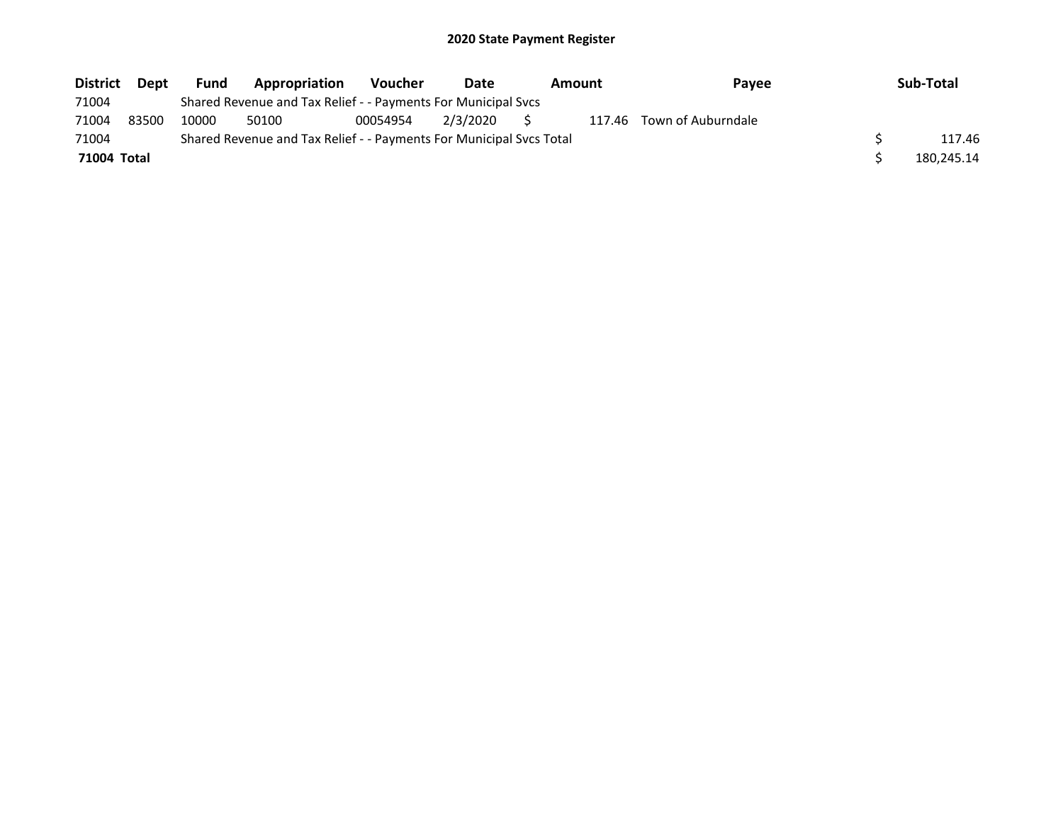| <b>District</b> | <b>Dept</b> | <b>Fund</b> | Appropriation                                                       | <b>Voucher</b> | Date     |   | Amount | <b>Pavee</b>              | Sub-Total  |
|-----------------|-------------|-------------|---------------------------------------------------------------------|----------------|----------|---|--------|---------------------------|------------|
| 71004           |             |             | Shared Revenue and Tax Relief - - Payments For Municipal Svcs       |                |          |   |        |                           |            |
| 71004           | 83500       | 10000       | 50100                                                               | 00054954       | 2/3/2020 | S |        | 117.46 Town of Auburndale |            |
| 71004           |             |             | Shared Revenue and Tax Relief - - Payments For Municipal Svcs Total |                |          |   |        |                           | 117.46     |
| 71004 Total     |             |             |                                                                     |                |          |   |        |                           | 180,245.14 |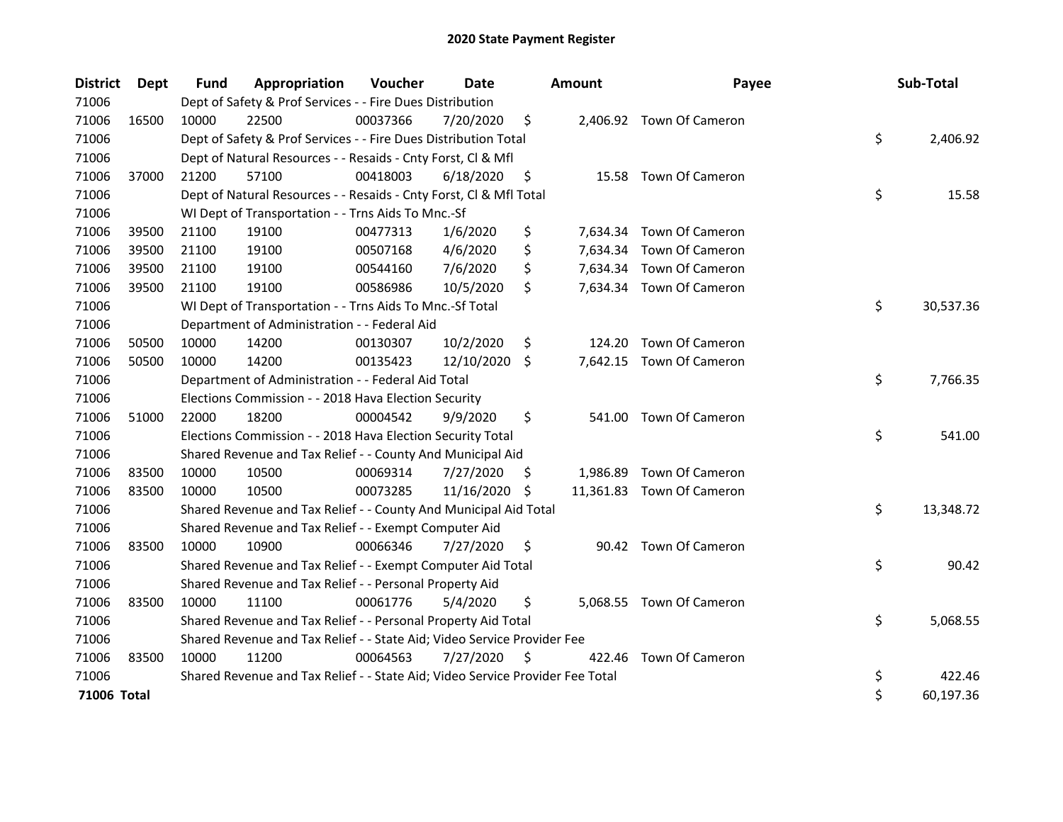| <b>District</b> | <b>Dept</b> | <b>Fund</b> | Appropriation                                                                 | Voucher  | Date       |     | <b>Amount</b> | Payee                     | Sub-Total       |
|-----------------|-------------|-------------|-------------------------------------------------------------------------------|----------|------------|-----|---------------|---------------------------|-----------------|
| 71006           |             |             | Dept of Safety & Prof Services - - Fire Dues Distribution                     |          |            |     |               |                           |                 |
| 71006           | 16500       | 10000       | 22500                                                                         | 00037366 | 7/20/2020  | \$  |               | 2,406.92 Town Of Cameron  |                 |
| 71006           |             |             | Dept of Safety & Prof Services - - Fire Dues Distribution Total               |          |            |     |               |                           | \$<br>2,406.92  |
| 71006           |             |             | Dept of Natural Resources - - Resaids - Cnty Forst, Cl & Mfl                  |          |            |     |               |                           |                 |
| 71006           | 37000       | 21200       | 57100                                                                         | 00418003 | 6/18/2020  | \$  |               | 15.58 Town Of Cameron     |                 |
| 71006           |             |             | Dept of Natural Resources - - Resaids - Cnty Forst, Cl & Mfl Total            |          |            |     |               |                           | \$<br>15.58     |
| 71006           |             |             | WI Dept of Transportation - - Trns Aids To Mnc.-Sf                            |          |            |     |               |                           |                 |
| 71006           | 39500       | 21100       | 19100                                                                         | 00477313 | 1/6/2020   | \$  |               | 7,634.34 Town Of Cameron  |                 |
| 71006           | 39500       | 21100       | 19100                                                                         | 00507168 | 4/6/2020   | \$  |               | 7,634.34 Town Of Cameron  |                 |
| 71006           | 39500       | 21100       | 19100                                                                         | 00544160 | 7/6/2020   | \$  |               | 7,634.34 Town Of Cameron  |                 |
| 71006           | 39500       | 21100       | 19100                                                                         | 00586986 | 10/5/2020  | \$  |               | 7,634.34 Town Of Cameron  |                 |
| 71006           |             |             | WI Dept of Transportation - - Trns Aids To Mnc.-Sf Total                      |          |            |     |               |                           | \$<br>30,537.36 |
| 71006           |             |             | Department of Administration - - Federal Aid                                  |          |            |     |               |                           |                 |
| 71006           | 50500       | 10000       | 14200                                                                         | 00130307 | 10/2/2020  | \$  | 124.20        | Town Of Cameron           |                 |
| 71006           | 50500       | 10000       | 14200                                                                         | 00135423 | 12/10/2020 | \$. | 7,642.15      | Town Of Cameron           |                 |
| 71006           |             |             | Department of Administration - - Federal Aid Total                            |          |            |     |               |                           | \$<br>7,766.35  |
| 71006           |             |             | Elections Commission - - 2018 Hava Election Security                          |          |            |     |               |                           |                 |
| 71006           | 51000       | 22000       | 18200                                                                         | 00004542 | 9/9/2020   | \$  | 541.00        | <b>Town Of Cameron</b>    |                 |
| 71006           |             |             | Elections Commission - - 2018 Hava Election Security Total                    |          |            |     |               |                           | \$<br>541.00    |
| 71006           |             |             | Shared Revenue and Tax Relief - - County And Municipal Aid                    |          |            |     |               |                           |                 |
| 71006           | 83500       | 10000       | 10500                                                                         | 00069314 | 7/27/2020  | \$. |               | 1,986.89 Town Of Cameron  |                 |
| 71006           | 83500       | 10000       | 10500                                                                         | 00073285 | 11/16/2020 | S   |               | 11,361.83 Town Of Cameron |                 |
| 71006           |             |             | Shared Revenue and Tax Relief - - County And Municipal Aid Total              |          |            |     |               |                           | \$<br>13,348.72 |
| 71006           |             |             | Shared Revenue and Tax Relief - - Exempt Computer Aid                         |          |            |     |               |                           |                 |
| 71006           | 83500       | 10000       | 10900                                                                         | 00066346 | 7/27/2020  | \$  |               | 90.42 Town Of Cameron     |                 |
| 71006           |             |             | Shared Revenue and Tax Relief - - Exempt Computer Aid Total                   |          |            |     |               |                           | \$<br>90.42     |
| 71006           |             |             | Shared Revenue and Tax Relief - - Personal Property Aid                       |          |            |     |               |                           |                 |
| 71006           | 83500       | 10000       | 11100                                                                         | 00061776 | 5/4/2020   | \$  |               | 5,068.55 Town Of Cameron  |                 |
| 71006           |             |             | Shared Revenue and Tax Relief - - Personal Property Aid Total                 |          |            |     |               |                           | \$<br>5,068.55  |
| 71006           |             |             | Shared Revenue and Tax Relief - - State Aid; Video Service Provider Fee       |          |            |     |               |                           |                 |
| 71006           | 83500       | 10000       | 11200                                                                         | 00064563 | 7/27/2020  | \$, | 422.46        | Town Of Cameron           |                 |
| 71006           |             |             | Shared Revenue and Tax Relief - - State Aid; Video Service Provider Fee Total |          |            |     |               |                           | \$<br>422.46    |
| 71006 Total     |             |             |                                                                               |          |            |     |               |                           | \$<br>60,197.36 |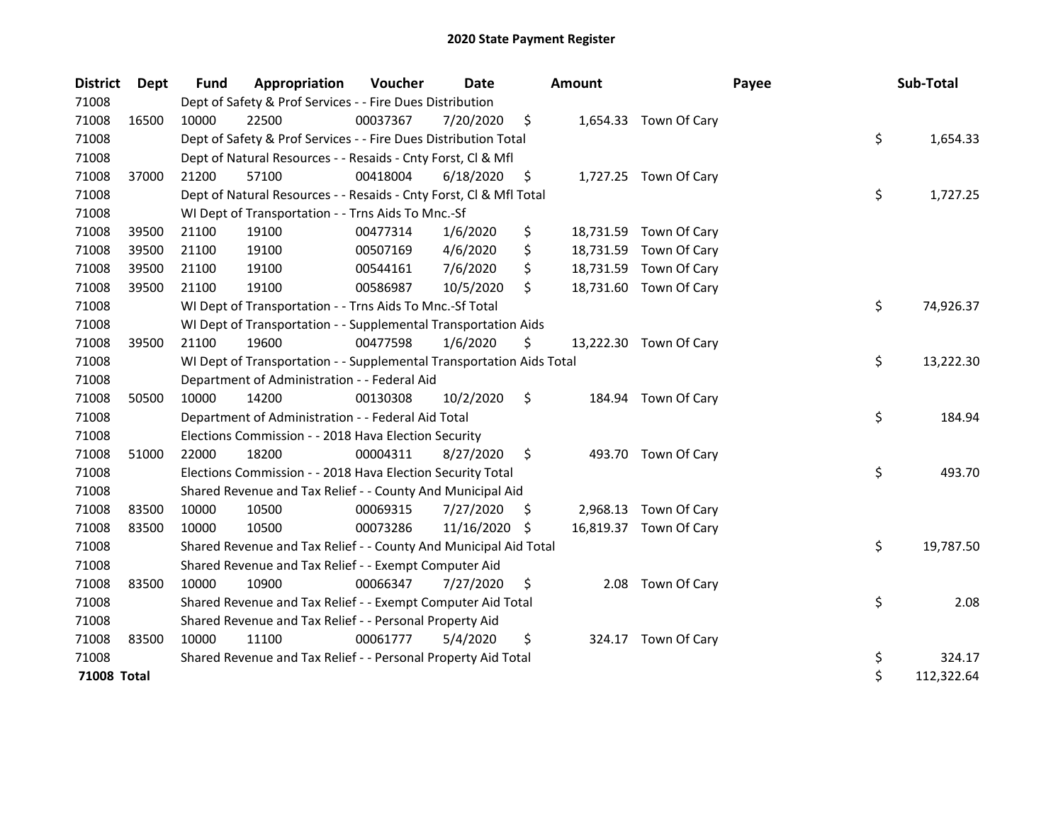| <b>District</b> | Dept  | Fund  | Appropriation                                                        | Voucher  | Date       |     | <b>Amount</b> |                        | Payee | Sub-Total        |
|-----------------|-------|-------|----------------------------------------------------------------------|----------|------------|-----|---------------|------------------------|-------|------------------|
| 71008           |       |       | Dept of Safety & Prof Services - - Fire Dues Distribution            |          |            |     |               |                        |       |                  |
| 71008           | 16500 | 10000 | 22500                                                                | 00037367 | 7/20/2020  | \$  |               | 1,654.33 Town Of Cary  |       |                  |
| 71008           |       |       | Dept of Safety & Prof Services - - Fire Dues Distribution Total      |          |            |     |               |                        |       | \$<br>1,654.33   |
| 71008           |       |       | Dept of Natural Resources - - Resaids - Cnty Forst, Cl & Mfl         |          |            |     |               |                        |       |                  |
| 71008           | 37000 | 21200 | 57100                                                                | 00418004 | 6/18/2020  | \$  |               | 1,727.25 Town Of Cary  |       |                  |
| 71008           |       |       | Dept of Natural Resources - - Resaids - Cnty Forst, Cl & Mfl Total   |          |            |     |               |                        |       | \$<br>1,727.25   |
| 71008           |       |       | WI Dept of Transportation - - Trns Aids To Mnc.-Sf                   |          |            |     |               |                        |       |                  |
| 71008           | 39500 | 21100 | 19100                                                                | 00477314 | 1/6/2020   | \$  |               | 18,731.59 Town Of Cary |       |                  |
| 71008           | 39500 | 21100 | 19100                                                                | 00507169 | 4/6/2020   | \$  |               | 18,731.59 Town Of Cary |       |                  |
| 71008           | 39500 | 21100 | 19100                                                                | 00544161 | 7/6/2020   | \$  |               | 18,731.59 Town Of Cary |       |                  |
| 71008           | 39500 | 21100 | 19100                                                                | 00586987 | 10/5/2020  | \$  |               | 18,731.60 Town Of Cary |       |                  |
| 71008           |       |       | WI Dept of Transportation - - Trns Aids To Mnc.-Sf Total             |          |            |     |               |                        |       | \$<br>74,926.37  |
| 71008           |       |       | WI Dept of Transportation - - Supplemental Transportation Aids       |          |            |     |               |                        |       |                  |
| 71008           | 39500 | 21100 | 19600                                                                | 00477598 | 1/6/2020   | \$  |               | 13,222.30 Town Of Cary |       |                  |
| 71008           |       |       | WI Dept of Transportation - - Supplemental Transportation Aids Total |          |            |     |               |                        |       | \$<br>13,222.30  |
| 71008           |       |       | Department of Administration - - Federal Aid                         |          |            |     |               |                        |       |                  |
| 71008           | 50500 | 10000 | 14200                                                                | 00130308 | 10/2/2020  | \$  |               | 184.94 Town Of Cary    |       |                  |
| 71008           |       |       | Department of Administration - - Federal Aid Total                   |          |            |     |               |                        |       | \$<br>184.94     |
| 71008           |       |       | Elections Commission - - 2018 Hava Election Security                 |          |            |     |               |                        |       |                  |
| 71008           | 51000 | 22000 | 18200                                                                | 00004311 | 8/27/2020  | \$  |               | 493.70 Town Of Cary    |       |                  |
| 71008           |       |       | Elections Commission - - 2018 Hava Election Security Total           |          |            |     |               |                        |       | \$<br>493.70     |
| 71008           |       |       | Shared Revenue and Tax Relief - - County And Municipal Aid           |          |            |     |               |                        |       |                  |
| 71008           | 83500 | 10000 | 10500                                                                | 00069315 | 7/27/2020  | \$. |               | 2,968.13 Town Of Cary  |       |                  |
| 71008           | 83500 | 10000 | 10500                                                                | 00073286 | 11/16/2020 | S   |               | 16,819.37 Town Of Cary |       |                  |
| 71008           |       |       | Shared Revenue and Tax Relief - - County And Municipal Aid Total     |          |            |     |               |                        |       | \$<br>19,787.50  |
| 71008           |       |       | Shared Revenue and Tax Relief - - Exempt Computer Aid                |          |            |     |               |                        |       |                  |
| 71008           | 83500 | 10000 | 10900                                                                | 00066347 | 7/27/2020  | \$  | 2.08          | Town Of Cary           |       |                  |
| 71008           |       |       | Shared Revenue and Tax Relief - - Exempt Computer Aid Total          |          |            |     |               |                        |       | \$<br>2.08       |
| 71008           |       |       | Shared Revenue and Tax Relief - - Personal Property Aid              |          |            |     |               |                        |       |                  |
| 71008           | 83500 | 10000 | 11100                                                                | 00061777 | 5/4/2020   | \$  |               | 324.17 Town Of Cary    |       |                  |
| 71008           |       |       | Shared Revenue and Tax Relief - - Personal Property Aid Total        |          |            |     |               |                        |       | \$<br>324.17     |
| 71008 Total     |       |       |                                                                      |          |            |     |               |                        |       | \$<br>112,322.64 |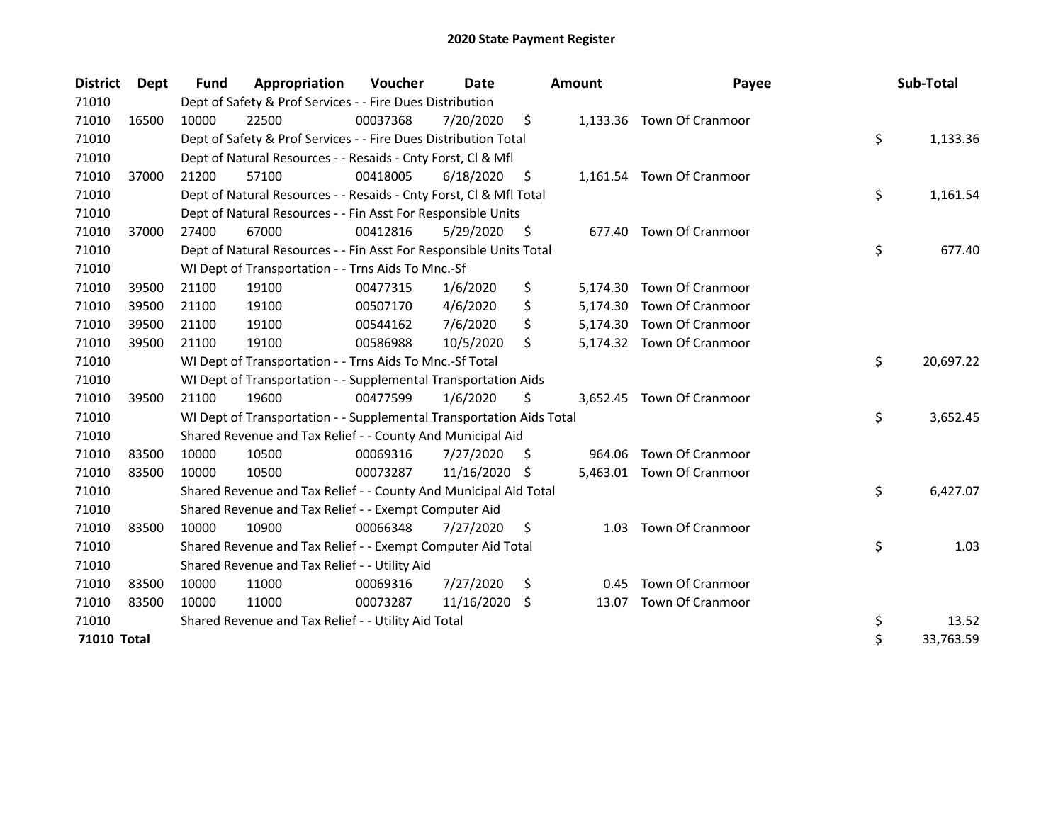| <b>District</b> | <b>Dept</b> | <b>Fund</b> | Appropriation                                                        | Voucher  | Date       |    | <b>Amount</b> | Payee                     | Sub-Total       |
|-----------------|-------------|-------------|----------------------------------------------------------------------|----------|------------|----|---------------|---------------------------|-----------------|
| 71010           |             |             | Dept of Safety & Prof Services - - Fire Dues Distribution            |          |            |    |               |                           |                 |
| 71010           | 16500       | 10000       | 22500                                                                | 00037368 | 7/20/2020  | \$ |               | 1,133.36 Town Of Cranmoor |                 |
| 71010           |             |             | Dept of Safety & Prof Services - - Fire Dues Distribution Total      |          |            |    |               |                           | \$<br>1,133.36  |
| 71010           |             |             | Dept of Natural Resources - - Resaids - Cnty Forst, Cl & Mfl         |          |            |    |               |                           |                 |
| 71010           | 37000       | 21200       | 57100                                                                | 00418005 | 6/18/2020  | S  |               | 1,161.54 Town Of Cranmoor |                 |
| 71010           |             |             | Dept of Natural Resources - - Resaids - Cnty Forst, Cl & Mfl Total   |          |            |    |               |                           | \$<br>1,161.54  |
| 71010           |             |             | Dept of Natural Resources - - Fin Asst For Responsible Units         |          |            |    |               |                           |                 |
| 71010           | 37000       | 27400       | 67000                                                                | 00412816 | 5/29/2020  | \$ | 677.40        | Town Of Cranmoor          |                 |
| 71010           |             |             | Dept of Natural Resources - - Fin Asst For Responsible Units Total   |          |            |    |               |                           | \$<br>677.40    |
| 71010           |             |             | WI Dept of Transportation - - Trns Aids To Mnc.-Sf                   |          |            |    |               |                           |                 |
| 71010           | 39500       | 21100       | 19100                                                                | 00477315 | 1/6/2020   | \$ |               | 5,174.30 Town Of Cranmoor |                 |
| 71010           | 39500       | 21100       | 19100                                                                | 00507170 | 4/6/2020   | \$ | 5,174.30      | Town Of Cranmoor          |                 |
| 71010           | 39500       | 21100       | 19100                                                                | 00544162 | 7/6/2020   | \$ |               | 5,174.30 Town Of Cranmoor |                 |
| 71010           | 39500       | 21100       | 19100                                                                | 00586988 | 10/5/2020  | \$ |               | 5,174.32 Town Of Cranmoor |                 |
| 71010           |             |             | WI Dept of Transportation - - Trns Aids To Mnc.-Sf Total             |          |            |    |               |                           | \$<br>20,697.22 |
| 71010           |             |             | WI Dept of Transportation - - Supplemental Transportation Aids       |          |            |    |               |                           |                 |
| 71010           | 39500       | 21100       | 19600                                                                | 00477599 | 1/6/2020   | \$ | 3.652.45      | <b>Town Of Cranmoor</b>   |                 |
| 71010           |             |             | WI Dept of Transportation - - Supplemental Transportation Aids Total |          |            |    |               |                           | \$<br>3,652.45  |
| 71010           |             |             | Shared Revenue and Tax Relief - - County And Municipal Aid           |          |            |    |               |                           |                 |
| 71010           | 83500       | 10000       | 10500                                                                | 00069316 | 7/27/2020  | \$ |               | 964.06 Town Of Cranmoor   |                 |
| 71010           | 83500       | 10000       | 10500                                                                | 00073287 | 11/16/2020 | -S |               | 5,463.01 Town Of Cranmoor |                 |
| 71010           |             |             | Shared Revenue and Tax Relief - - County And Municipal Aid Total     |          |            |    |               |                           | \$<br>6,427.07  |
| 71010           |             |             | Shared Revenue and Tax Relief - - Exempt Computer Aid                |          |            |    |               |                           |                 |
| 71010           | 83500       | 10000       | 10900                                                                | 00066348 | 7/27/2020  | \$ | 1.03          | Town Of Cranmoor          |                 |
| 71010           |             |             | Shared Revenue and Tax Relief - - Exempt Computer Aid Total          |          |            |    |               |                           | \$<br>1.03      |
| 71010           |             |             | Shared Revenue and Tax Relief - - Utility Aid                        |          |            |    |               |                           |                 |
| 71010           | 83500       | 10000       | 11000                                                                | 00069316 | 7/27/2020  | \$ | 0.45          | Town Of Cranmoor          |                 |
| 71010           | 83500       | 10000       | 11000                                                                | 00073287 | 11/16/2020 | \$ | 13.07         | <b>Town Of Cranmoor</b>   |                 |
| 71010           |             |             | Shared Revenue and Tax Relief - - Utility Aid Total                  |          |            |    |               |                           | \$<br>13.52     |
| 71010 Total     |             |             |                                                                      |          |            |    |               |                           | \$<br>33,763.59 |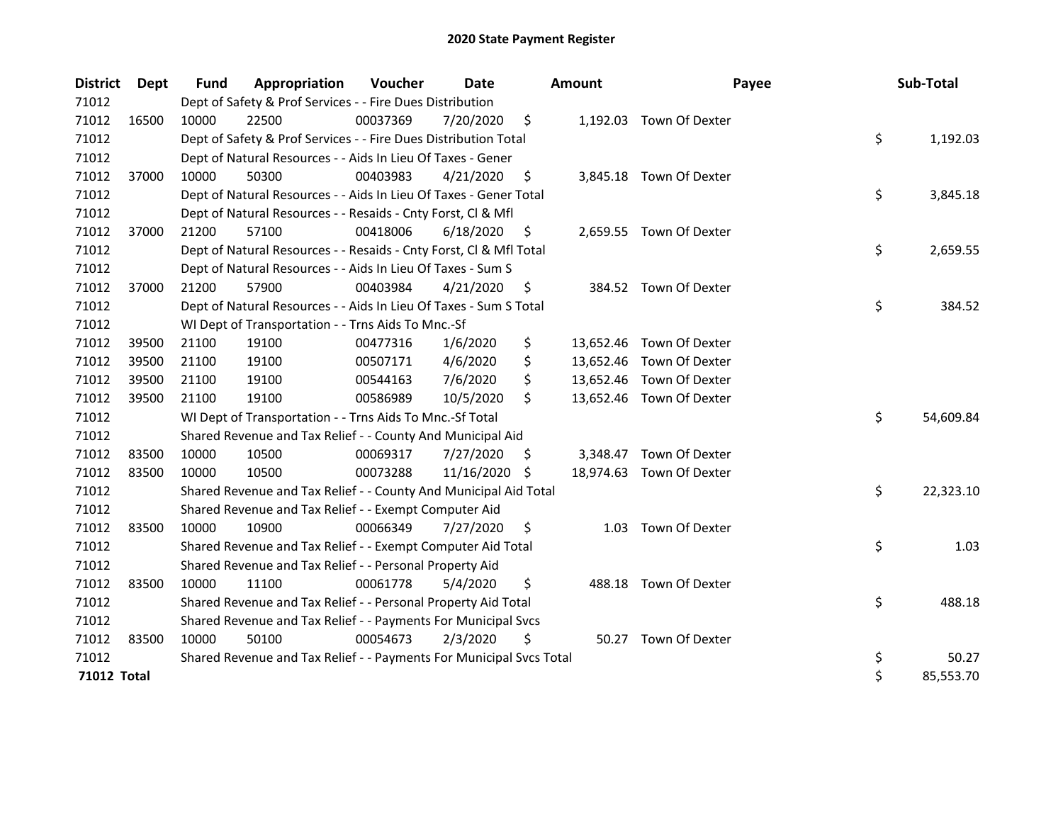| <b>District</b> | Dept  | Fund  | Appropriation                                                       | Voucher  | Date          |     | <b>Amount</b> | Payee                    | Sub-Total       |
|-----------------|-------|-------|---------------------------------------------------------------------|----------|---------------|-----|---------------|--------------------------|-----------------|
| 71012           |       |       | Dept of Safety & Prof Services - - Fire Dues Distribution           |          |               |     |               |                          |                 |
| 71012           | 16500 | 10000 | 22500                                                               | 00037369 | 7/20/2020     | \$  |               | 1,192.03 Town Of Dexter  |                 |
| 71012           |       |       | Dept of Safety & Prof Services - - Fire Dues Distribution Total     |          |               |     |               |                          | \$<br>1,192.03  |
| 71012           |       |       | Dept of Natural Resources - - Aids In Lieu Of Taxes - Gener         |          |               |     |               |                          |                 |
| 71012           | 37000 | 10000 | 50300                                                               | 00403983 | 4/21/2020     | \$  |               | 3,845.18 Town Of Dexter  |                 |
| 71012           |       |       | Dept of Natural Resources - - Aids In Lieu Of Taxes - Gener Total   |          |               |     |               |                          | \$<br>3,845.18  |
| 71012           |       |       | Dept of Natural Resources - - Resaids - Cnty Forst, Cl & Mfl        |          |               |     |               |                          |                 |
| 71012           | 37000 | 21200 | 57100                                                               | 00418006 | 6/18/2020     | S   |               | 2,659.55 Town Of Dexter  |                 |
| 71012           |       |       | Dept of Natural Resources - - Resaids - Cnty Forst, Cl & Mfl Total  |          |               |     |               |                          | \$<br>2,659.55  |
| 71012           |       |       | Dept of Natural Resources - - Aids In Lieu Of Taxes - Sum S         |          |               |     |               |                          |                 |
| 71012           | 37000 | 21200 | 57900                                                               | 00403984 | 4/21/2020     | \$. |               | 384.52 Town Of Dexter    |                 |
| 71012           |       |       | Dept of Natural Resources - - Aids In Lieu Of Taxes - Sum S Total   |          |               |     |               |                          | \$<br>384.52    |
| 71012           |       |       | WI Dept of Transportation - - Trns Aids To Mnc.-Sf                  |          |               |     |               |                          |                 |
| 71012           | 39500 | 21100 | 19100                                                               | 00477316 | 1/6/2020      | \$  |               | 13,652.46 Town Of Dexter |                 |
| 71012           | 39500 | 21100 | 19100                                                               | 00507171 | 4/6/2020      | \$  |               | 13,652.46 Town Of Dexter |                 |
| 71012           | 39500 | 21100 | 19100                                                               | 00544163 | 7/6/2020      | \$  |               | 13,652.46 Town Of Dexter |                 |
| 71012           | 39500 | 21100 | 19100                                                               | 00586989 | 10/5/2020     | \$  |               | 13,652.46 Town Of Dexter |                 |
| 71012           |       |       | WI Dept of Transportation - - Trns Aids To Mnc.-Sf Total            |          |               |     |               |                          | \$<br>54,609.84 |
| 71012           |       |       | Shared Revenue and Tax Relief - - County And Municipal Aid          |          |               |     |               |                          |                 |
| 71012           | 83500 | 10000 | 10500                                                               | 00069317 | 7/27/2020     | \$. | 3,348.47      | Town Of Dexter           |                 |
| 71012           | 83500 | 10000 | 10500                                                               | 00073288 | 11/16/2020 \$ |     |               | 18,974.63 Town Of Dexter |                 |
| 71012           |       |       | Shared Revenue and Tax Relief - - County And Municipal Aid Total    |          |               |     |               |                          | \$<br>22,323.10 |
| 71012           |       |       | Shared Revenue and Tax Relief - - Exempt Computer Aid               |          |               |     |               |                          |                 |
| 71012           | 83500 | 10000 | 10900                                                               | 00066349 | 7/27/2020     | \$. | 1.03          | Town Of Dexter           |                 |
| 71012           |       |       | Shared Revenue and Tax Relief - - Exempt Computer Aid Total         |          |               |     |               |                          | \$<br>1.03      |
| 71012           |       |       | Shared Revenue and Tax Relief - - Personal Property Aid             |          |               |     |               |                          |                 |
| 71012           | 83500 | 10000 | 11100                                                               | 00061778 | 5/4/2020      | \$  | 488.18        | Town Of Dexter           |                 |
| 71012           |       |       | Shared Revenue and Tax Relief - - Personal Property Aid Total       |          |               |     |               |                          | \$<br>488.18    |
| 71012           |       |       | Shared Revenue and Tax Relief - - Payments For Municipal Svcs       |          |               |     |               |                          |                 |
| 71012           | 83500 | 10000 | 50100                                                               | 00054673 | 2/3/2020      | \$. |               | 50.27 Town Of Dexter     |                 |
| 71012           |       |       | Shared Revenue and Tax Relief - - Payments For Municipal Svcs Total |          |               |     |               |                          | \$<br>50.27     |
| 71012 Total     |       |       |                                                                     |          |               |     |               |                          | \$<br>85,553.70 |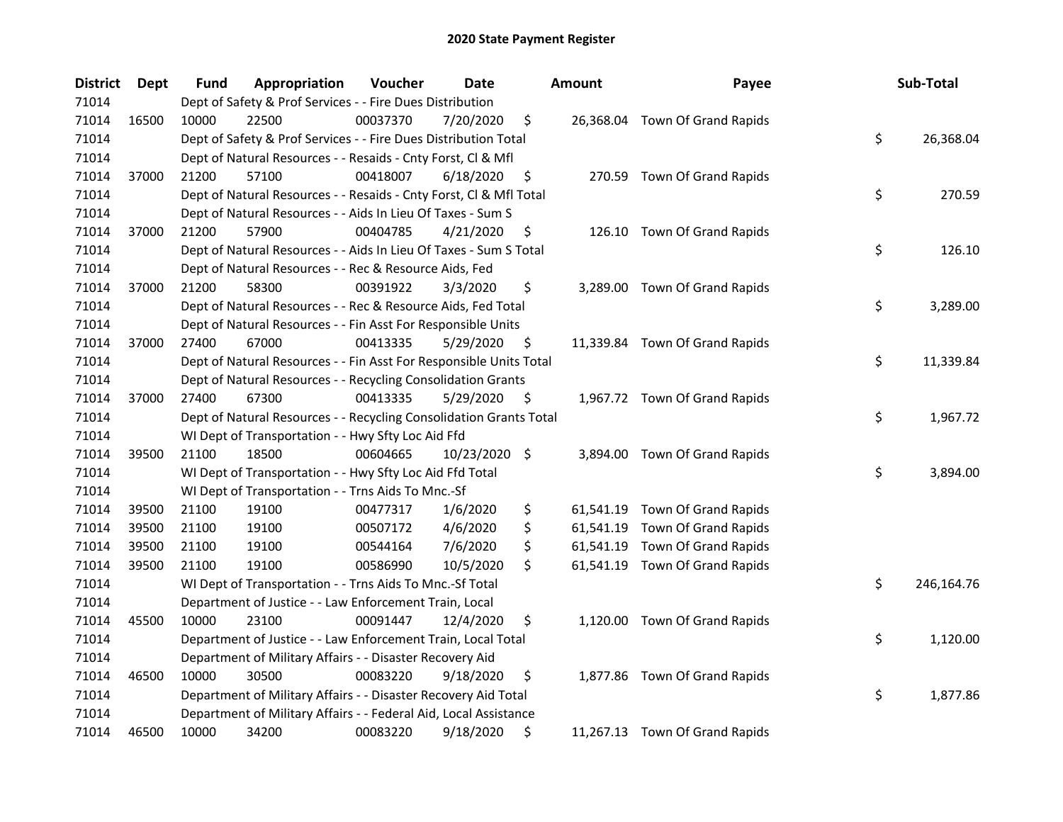| <b>District</b> | Dept  | <b>Fund</b> | Appropriation                                                      | Voucher  | Date          |    | <b>Amount</b> | Payee                          | Sub-Total        |
|-----------------|-------|-------------|--------------------------------------------------------------------|----------|---------------|----|---------------|--------------------------------|------------------|
| 71014           |       |             | Dept of Safety & Prof Services - - Fire Dues Distribution          |          |               |    |               |                                |                  |
| 71014           | 16500 | 10000       | 22500                                                              | 00037370 | 7/20/2020     | \$ |               | 26,368.04 Town Of Grand Rapids |                  |
| 71014           |       |             | Dept of Safety & Prof Services - - Fire Dues Distribution Total    |          |               |    |               |                                | \$<br>26,368.04  |
| 71014           |       |             | Dept of Natural Resources - - Resaids - Cnty Forst, Cl & Mfl       |          |               |    |               |                                |                  |
| 71014           | 37000 | 21200       | 57100                                                              | 00418007 | 6/18/2020     | \$ |               | 270.59 Town Of Grand Rapids    |                  |
| 71014           |       |             | Dept of Natural Resources - - Resaids - Cnty Forst, Cl & Mfl Total |          |               |    |               |                                | \$<br>270.59     |
| 71014           |       |             | Dept of Natural Resources - - Aids In Lieu Of Taxes - Sum S        |          |               |    |               |                                |                  |
| 71014           | 37000 | 21200       | 57900                                                              | 00404785 | 4/21/2020     | \$ |               | 126.10 Town Of Grand Rapids    |                  |
| 71014           |       |             | Dept of Natural Resources - - Aids In Lieu Of Taxes - Sum S Total  |          |               |    |               |                                | \$<br>126.10     |
| 71014           |       |             | Dept of Natural Resources - - Rec & Resource Aids, Fed             |          |               |    |               |                                |                  |
| 71014           | 37000 | 21200       | 58300                                                              | 00391922 | 3/3/2020      | \$ |               | 3,289.00 Town Of Grand Rapids  |                  |
| 71014           |       |             | Dept of Natural Resources - - Rec & Resource Aids, Fed Total       |          |               |    |               |                                | \$<br>3,289.00   |
| 71014           |       |             | Dept of Natural Resources - - Fin Asst For Responsible Units       |          |               |    |               |                                |                  |
| 71014           | 37000 | 27400       | 67000                                                              | 00413335 | 5/29/2020     | Ş  |               | 11,339.84 Town Of Grand Rapids |                  |
| 71014           |       |             | Dept of Natural Resources - - Fin Asst For Responsible Units Total |          |               |    |               |                                | \$<br>11,339.84  |
| 71014           |       |             | Dept of Natural Resources - - Recycling Consolidation Grants       |          |               |    |               |                                |                  |
| 71014           | 37000 | 27400       | 67300                                                              | 00413335 | 5/29/2020     | \$ |               | 1,967.72 Town Of Grand Rapids  |                  |
| 71014           |       |             | Dept of Natural Resources - - Recycling Consolidation Grants Total |          |               |    |               |                                | \$<br>1,967.72   |
| 71014           |       |             | WI Dept of Transportation - - Hwy Sfty Loc Aid Ffd                 |          |               |    |               |                                |                  |
| 71014           | 39500 | 21100       | 18500                                                              | 00604665 | 10/23/2020 \$ |    | 3,894.00      | Town Of Grand Rapids           |                  |
| 71014           |       |             | WI Dept of Transportation - - Hwy Sfty Loc Aid Ffd Total           |          |               |    |               |                                | \$<br>3,894.00   |
| 71014           |       |             | WI Dept of Transportation - - Trns Aids To Mnc.-Sf                 |          |               |    |               |                                |                  |
| 71014           | 39500 | 21100       | 19100                                                              | 00477317 | 1/6/2020      | \$ |               | 61,541.19 Town Of Grand Rapids |                  |
| 71014           | 39500 | 21100       | 19100                                                              | 00507172 | 4/6/2020      | \$ |               | 61,541.19 Town Of Grand Rapids |                  |
| 71014           | 39500 | 21100       | 19100                                                              | 00544164 | 7/6/2020      | \$ | 61,541.19     | Town Of Grand Rapids           |                  |
| 71014           | 39500 | 21100       | 19100                                                              | 00586990 | 10/5/2020     | \$ |               | 61,541.19 Town Of Grand Rapids |                  |
| 71014           |       |             | WI Dept of Transportation - - Trns Aids To Mnc.-Sf Total           |          |               |    |               |                                | \$<br>246,164.76 |
| 71014           |       |             | Department of Justice - - Law Enforcement Train, Local             |          |               |    |               |                                |                  |
| 71014           | 45500 | 10000       | 23100                                                              | 00091447 | 12/4/2020     | \$ |               | 1,120.00 Town Of Grand Rapids  |                  |
| 71014           |       |             | Department of Justice - - Law Enforcement Train, Local Total       |          |               |    |               |                                | \$<br>1,120.00   |
| 71014           |       |             | Department of Military Affairs - - Disaster Recovery Aid           |          |               |    |               |                                |                  |
| 71014           | 46500 | 10000       | 30500                                                              | 00083220 | 9/18/2020     | \$ |               | 1,877.86 Town Of Grand Rapids  |                  |
| 71014           |       |             | Department of Military Affairs - - Disaster Recovery Aid Total     |          |               |    |               |                                | \$<br>1,877.86   |
| 71014           |       |             | Department of Military Affairs - - Federal Aid, Local Assistance   |          |               |    |               |                                |                  |
| 71014           | 46500 | 10000       | 34200                                                              | 00083220 | 9/18/2020     | \$ |               | 11,267.13 Town Of Grand Rapids |                  |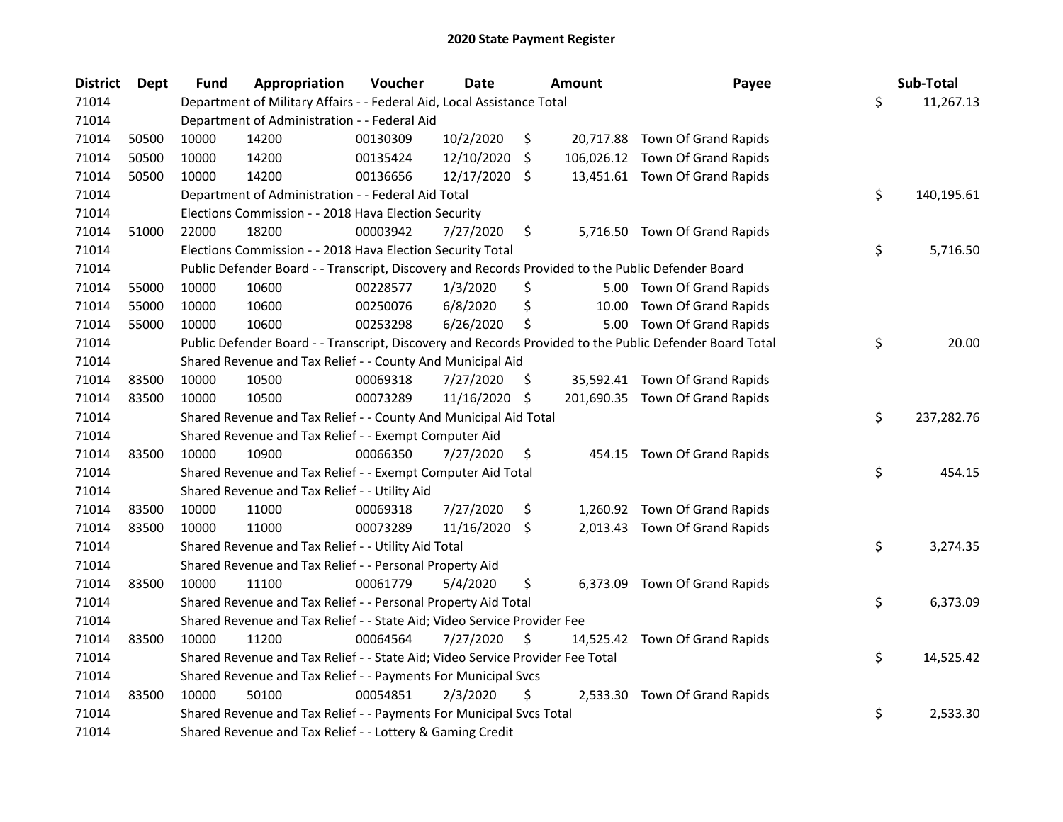| <b>District</b> | Dept  | <b>Fund</b> | Appropriation                                                                                     | Voucher  | <b>Date</b>   |                     | <b>Amount</b> | Payee                                                                                                   | Sub-Total        |
|-----------------|-------|-------------|---------------------------------------------------------------------------------------------------|----------|---------------|---------------------|---------------|---------------------------------------------------------------------------------------------------------|------------------|
| 71014           |       |             | Department of Military Affairs - - Federal Aid, Local Assistance Total                            |          |               |                     |               |                                                                                                         | \$<br>11,267.13  |
| 71014           |       |             | Department of Administration - - Federal Aid                                                      |          |               |                     |               |                                                                                                         |                  |
| 71014           | 50500 | 10000       | 14200                                                                                             | 00130309 | 10/2/2020     | \$                  |               | 20,717.88 Town Of Grand Rapids                                                                          |                  |
| 71014           | 50500 | 10000       | 14200                                                                                             | 00135424 | 12/10/2020    | \$                  |               | 106,026.12 Town Of Grand Rapids                                                                         |                  |
| 71014           | 50500 | 10000       | 14200                                                                                             | 00136656 | 12/17/2020    | Ŝ.                  |               | 13,451.61 Town Of Grand Rapids                                                                          |                  |
| 71014           |       |             | Department of Administration - - Federal Aid Total                                                |          |               |                     |               |                                                                                                         | \$<br>140,195.61 |
| 71014           |       |             | Elections Commission - - 2018 Hava Election Security                                              |          |               |                     |               |                                                                                                         |                  |
| 71014           | 51000 | 22000       | 18200                                                                                             | 00003942 | 7/27/2020     | \$                  |               | 5,716.50 Town Of Grand Rapids                                                                           |                  |
| 71014           |       |             | Elections Commission - - 2018 Hava Election Security Total                                        |          |               |                     |               |                                                                                                         | \$<br>5,716.50   |
| 71014           |       |             | Public Defender Board - - Transcript, Discovery and Records Provided to the Public Defender Board |          |               |                     |               |                                                                                                         |                  |
| 71014           | 55000 | 10000       | 10600                                                                                             | 00228577 | 1/3/2020      | \$                  |               | 5.00 Town Of Grand Rapids                                                                               |                  |
| 71014           | 55000 | 10000       | 10600                                                                                             | 00250076 | 6/8/2020      | \$                  |               | 10.00 Town Of Grand Rapids                                                                              |                  |
| 71014           | 55000 | 10000       | 10600                                                                                             | 00253298 | 6/26/2020     | \$                  |               | 5.00 Town Of Grand Rapids                                                                               |                  |
| 71014           |       |             |                                                                                                   |          |               |                     |               | Public Defender Board - - Transcript, Discovery and Records Provided to the Public Defender Board Total | \$<br>20.00      |
| 71014           |       |             | Shared Revenue and Tax Relief - - County And Municipal Aid                                        |          |               |                     |               |                                                                                                         |                  |
| 71014           | 83500 | 10000       | 10500                                                                                             | 00069318 | 7/27/2020     | \$.                 |               | 35,592.41 Town Of Grand Rapids                                                                          |                  |
| 71014           | 83500 | 10000       | 10500                                                                                             | 00073289 | 11/16/2020 \$ |                     |               | 201,690.35 Town Of Grand Rapids                                                                         |                  |
| 71014           |       |             | Shared Revenue and Tax Relief - - County And Municipal Aid Total                                  |          |               |                     |               |                                                                                                         | \$<br>237,282.76 |
| 71014           |       |             | Shared Revenue and Tax Relief - - Exempt Computer Aid                                             |          |               |                     |               |                                                                                                         |                  |
| 71014           | 83500 | 10000       | 10900                                                                                             | 00066350 | 7/27/2020     | \$                  |               | 454.15 Town Of Grand Rapids                                                                             |                  |
| 71014           |       |             | Shared Revenue and Tax Relief - - Exempt Computer Aid Total                                       |          |               |                     |               |                                                                                                         | \$<br>454.15     |
| 71014           |       |             | Shared Revenue and Tax Relief - - Utility Aid                                                     |          |               |                     |               |                                                                                                         |                  |
| 71014           | 83500 | 10000       | 11000                                                                                             | 00069318 | 7/27/2020     | \$                  |               | 1,260.92 Town Of Grand Rapids                                                                           |                  |
| 71014           | 83500 | 10000       | 11000                                                                                             | 00073289 | 11/16/2020    | $\ddot{\mathsf{S}}$ |               | 2,013.43 Town Of Grand Rapids                                                                           |                  |
| 71014           |       |             | Shared Revenue and Tax Relief - - Utility Aid Total                                               |          |               |                     |               |                                                                                                         | \$<br>3,274.35   |
| 71014           |       |             | Shared Revenue and Tax Relief - - Personal Property Aid                                           |          |               |                     |               |                                                                                                         |                  |
| 71014           | 83500 | 10000       | 11100                                                                                             | 00061779 | 5/4/2020      | \$                  |               | 6,373.09 Town Of Grand Rapids                                                                           |                  |
| 71014           |       |             | Shared Revenue and Tax Relief - - Personal Property Aid Total                                     |          |               |                     |               |                                                                                                         | \$<br>6,373.09   |
| 71014           |       |             | Shared Revenue and Tax Relief - - State Aid; Video Service Provider Fee                           |          |               |                     |               |                                                                                                         |                  |
| 71014           | 83500 | 10000       | 11200                                                                                             | 00064564 | 7/27/2020     | S                   |               | 14,525.42 Town Of Grand Rapids                                                                          |                  |
| 71014           |       |             | Shared Revenue and Tax Relief - - State Aid; Video Service Provider Fee Total                     |          |               |                     |               |                                                                                                         | \$<br>14,525.42  |
| 71014           |       |             | Shared Revenue and Tax Relief - - Payments For Municipal Svcs                                     |          |               |                     |               |                                                                                                         |                  |
| 71014           | 83500 | 10000       | 50100                                                                                             | 00054851 | 2/3/2020      | \$                  |               | 2,533.30 Town Of Grand Rapids                                                                           |                  |
| 71014           |       |             | Shared Revenue and Tax Relief - - Payments For Municipal Svcs Total                               |          |               |                     |               |                                                                                                         | \$<br>2,533.30   |
| 71014           |       |             | Shared Revenue and Tax Relief - - Lottery & Gaming Credit                                         |          |               |                     |               |                                                                                                         |                  |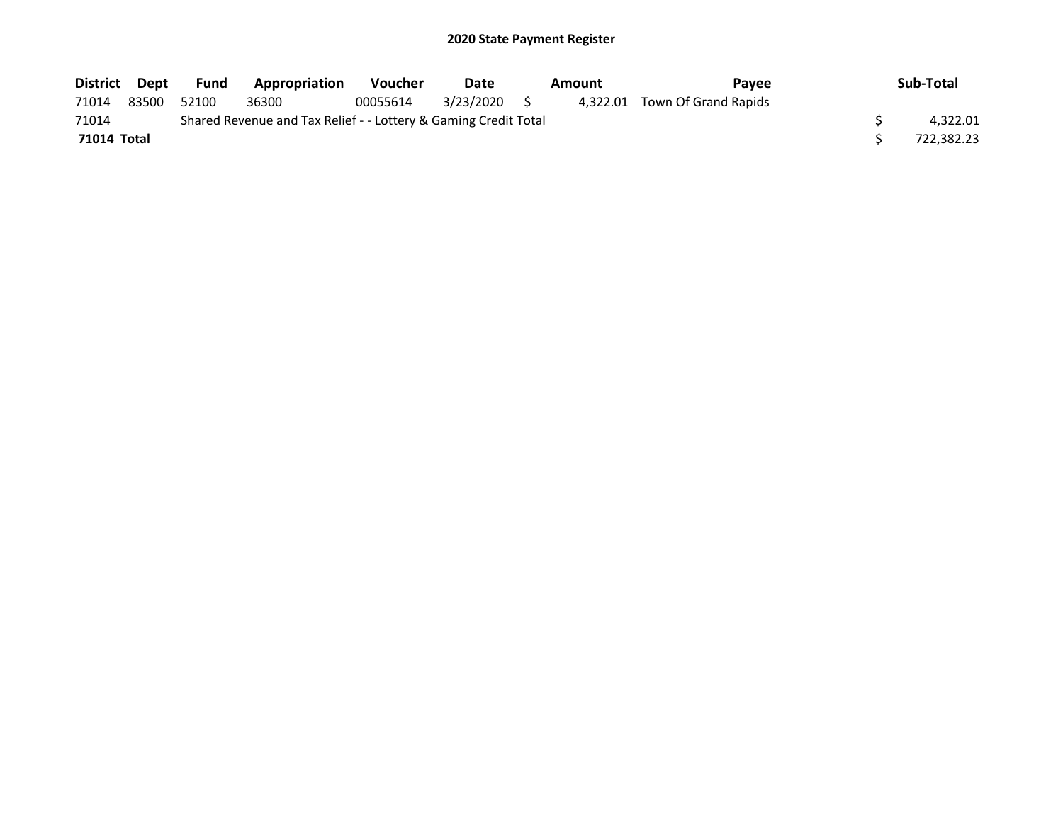| District Dept      |       | Fund  | Appropriation                                                   | <b>Voucher</b> | Date         | Amount | <b>Pavee</b>                  | Sub-Total  |
|--------------------|-------|-------|-----------------------------------------------------------------|----------------|--------------|--------|-------------------------------|------------|
| 71014              | 83500 | 52100 | 36300                                                           | 00055614       | 3/23/2020 \$ |        | 4,322.01 Town Of Grand Rapids |            |
| 71014              |       |       | Shared Revenue and Tax Relief - - Lottery & Gaming Credit Total |                |              |        |                               | 4.322.01   |
| <b>71014 Total</b> |       |       |                                                                 |                |              |        |                               | 722.382.23 |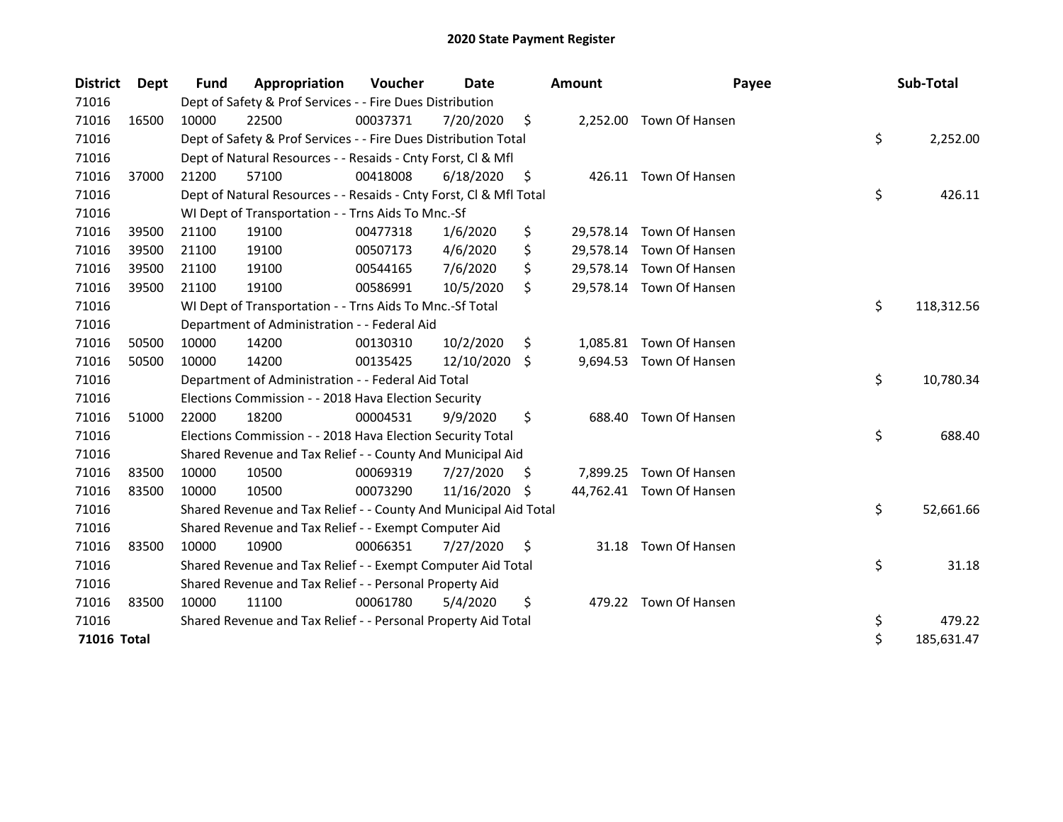| <b>District</b> | Dept  | <b>Fund</b> | Appropriation                                                      | Voucher  | Date       |     | <b>Amount</b> | Payee                    | Sub-Total        |
|-----------------|-------|-------------|--------------------------------------------------------------------|----------|------------|-----|---------------|--------------------------|------------------|
| 71016           |       |             | Dept of Safety & Prof Services - - Fire Dues Distribution          |          |            |     |               |                          |                  |
| 71016           | 16500 | 10000       | 22500                                                              | 00037371 | 7/20/2020  | \$  |               | 2,252.00 Town Of Hansen  |                  |
| 71016           |       |             | Dept of Safety & Prof Services - - Fire Dues Distribution Total    |          |            |     |               |                          | \$<br>2,252.00   |
| 71016           |       |             | Dept of Natural Resources - - Resaids - Cnty Forst, Cl & Mfl       |          |            |     |               |                          |                  |
| 71016           | 37000 | 21200       | 57100                                                              | 00418008 | 6/18/2020  | \$  |               | 426.11 Town Of Hansen    |                  |
| 71016           |       |             | Dept of Natural Resources - - Resaids - Cnty Forst, Cl & Mfl Total |          |            |     |               |                          | \$<br>426.11     |
| 71016           |       |             | WI Dept of Transportation - - Trns Aids To Mnc.-Sf                 |          |            |     |               |                          |                  |
| 71016           | 39500 | 21100       | 19100                                                              | 00477318 | 1/6/2020   | \$  |               | 29,578.14 Town Of Hansen |                  |
| 71016           | 39500 | 21100       | 19100                                                              | 00507173 | 4/6/2020   | \$  |               | 29,578.14 Town Of Hansen |                  |
| 71016           | 39500 | 21100       | 19100                                                              | 00544165 | 7/6/2020   | \$  |               | 29,578.14 Town Of Hansen |                  |
| 71016           | 39500 | 21100       | 19100                                                              | 00586991 | 10/5/2020  | Ś.  |               | 29,578.14 Town Of Hansen |                  |
| 71016           |       |             | WI Dept of Transportation - - Trns Aids To Mnc.-Sf Total           |          |            |     |               |                          | \$<br>118,312.56 |
| 71016           |       |             | Department of Administration - - Federal Aid                       |          |            |     |               |                          |                  |
| 71016           | 50500 | 10000       | 14200                                                              | 00130310 | 10/2/2020  | \$  |               | 1,085.81 Town Of Hansen  |                  |
| 71016           | 50500 | 10000       | 14200                                                              | 00135425 | 12/10/2020 | \$  | 9,694.53      | Town Of Hansen           |                  |
| 71016           |       |             | Department of Administration - - Federal Aid Total                 |          |            |     |               |                          | \$<br>10,780.34  |
| 71016           |       |             | Elections Commission - - 2018 Hava Election Security               |          |            |     |               |                          |                  |
| 71016           | 51000 | 22000       | 18200                                                              | 00004531 | 9/9/2020   | \$  | 688.40        | Town Of Hansen           |                  |
| 71016           |       |             | Elections Commission - - 2018 Hava Election Security Total         |          |            |     |               |                          | \$<br>688.40     |
| 71016           |       |             | Shared Revenue and Tax Relief - - County And Municipal Aid         |          |            |     |               |                          |                  |
| 71016           | 83500 | 10000       | 10500                                                              | 00069319 | 7/27/2020  | \$. |               | 7,899.25 Town Of Hansen  |                  |
| 71016           | 83500 | 10000       | 10500                                                              | 00073290 | 11/16/2020 | S.  |               | 44,762.41 Town Of Hansen |                  |
| 71016           |       |             | Shared Revenue and Tax Relief - - County And Municipal Aid Total   |          |            |     |               |                          | \$<br>52,661.66  |
| 71016           |       |             | Shared Revenue and Tax Relief - - Exempt Computer Aid              |          |            |     |               |                          |                  |
| 71016           | 83500 | 10000       | 10900                                                              | 00066351 | 7/27/2020  | \$  | 31.18         | Town Of Hansen           |                  |
| 71016           |       |             | Shared Revenue and Tax Relief - - Exempt Computer Aid Total        |          |            |     |               |                          | \$<br>31.18      |
| 71016           |       |             | Shared Revenue and Tax Relief - - Personal Property Aid            |          |            |     |               |                          |                  |
| 71016           | 83500 | 10000       | 11100                                                              | 00061780 | 5/4/2020   | \$  |               | 479.22 Town Of Hansen    |                  |
| 71016           |       |             | Shared Revenue and Tax Relief - - Personal Property Aid Total      |          |            |     |               |                          | \$<br>479.22     |
| 71016 Total     |       |             |                                                                    |          |            |     |               |                          | \$<br>185,631.47 |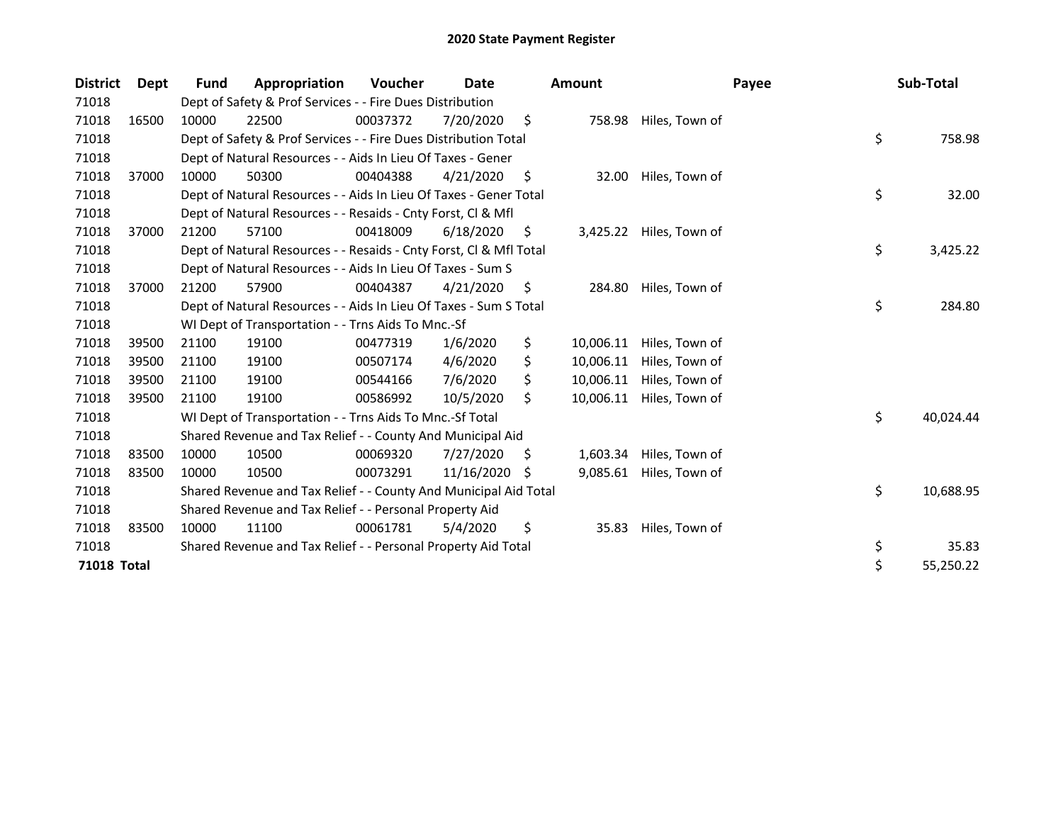| <b>District</b> | <b>Dept</b> | <b>Fund</b> | Appropriation                                                      | Voucher  | Date       |    | <b>Amount</b> | Payee          | Sub-Total       |
|-----------------|-------------|-------------|--------------------------------------------------------------------|----------|------------|----|---------------|----------------|-----------------|
| 71018           |             |             | Dept of Safety & Prof Services - - Fire Dues Distribution          |          |            |    |               |                |                 |
| 71018           | 16500       | 10000       | 22500                                                              | 00037372 | 7/20/2020  | \$ | 758.98        | Hiles, Town of |                 |
| 71018           |             |             | Dept of Safety & Prof Services - - Fire Dues Distribution Total    |          |            |    |               |                | \$<br>758.98    |
| 71018           |             |             | Dept of Natural Resources - - Aids In Lieu Of Taxes - Gener        |          |            |    |               |                |                 |
| 71018           | 37000       | 10000       | 50300                                                              | 00404388 | 4/21/2020  | \$ | 32.00         | Hiles, Town of |                 |
| 71018           |             |             | Dept of Natural Resources - - Aids In Lieu Of Taxes - Gener Total  |          |            |    |               |                | \$<br>32.00     |
| 71018           |             |             | Dept of Natural Resources - - Resaids - Cnty Forst, Cl & Mfl       |          |            |    |               |                |                 |
| 71018           | 37000       | 21200       | 57100                                                              | 00418009 | 6/18/2020  | \$ | 3,425.22      | Hiles, Town of |                 |
| 71018           |             |             | Dept of Natural Resources - - Resaids - Cnty Forst, Cl & Mfl Total |          |            |    |               |                | \$<br>3,425.22  |
| 71018           |             |             | Dept of Natural Resources - - Aids In Lieu Of Taxes - Sum S        |          |            |    |               |                |                 |
| 71018           | 37000       | 21200       | 57900                                                              | 00404387 | 4/21/2020  | \$ | 284.80        | Hiles, Town of |                 |
| 71018           |             |             | Dept of Natural Resources - - Aids In Lieu Of Taxes - Sum S Total  |          |            |    |               |                | \$<br>284.80    |
| 71018           |             |             | WI Dept of Transportation - - Trns Aids To Mnc.-Sf                 |          |            |    |               |                |                 |
| 71018           | 39500       | 21100       | 19100                                                              | 00477319 | 1/6/2020   | \$ | 10,006.11     | Hiles, Town of |                 |
| 71018           | 39500       | 21100       | 19100                                                              | 00507174 | 4/6/2020   | \$ | 10,006.11     | Hiles, Town of |                 |
| 71018           | 39500       | 21100       | 19100                                                              | 00544166 | 7/6/2020   | \$ | 10,006.11     | Hiles, Town of |                 |
| 71018           | 39500       | 21100       | 19100                                                              | 00586992 | 10/5/2020  | \$ | 10,006.11     | Hiles, Town of |                 |
| 71018           |             |             | WI Dept of Transportation - - Trns Aids To Mnc.-Sf Total           |          |            |    |               |                | \$<br>40,024.44 |
| 71018           |             |             | Shared Revenue and Tax Relief - - County And Municipal Aid         |          |            |    |               |                |                 |
| 71018           | 83500       | 10000       | 10500                                                              | 00069320 | 7/27/2020  | S  | 1,603.34      | Hiles, Town of |                 |
| 71018           | 83500       | 10000       | 10500                                                              | 00073291 | 11/16/2020 | S  | 9,085.61      | Hiles, Town of |                 |
| 71018           |             |             | Shared Revenue and Tax Relief - - County And Municipal Aid Total   |          |            |    |               |                | \$<br>10,688.95 |
| 71018           |             |             | Shared Revenue and Tax Relief - - Personal Property Aid            |          |            |    |               |                |                 |
| 71018           | 83500       | 10000       | 11100                                                              | 00061781 | 5/4/2020   | \$ | 35.83         | Hiles, Town of |                 |
| 71018           |             |             | Shared Revenue and Tax Relief - - Personal Property Aid Total      |          |            |    |               |                | \$<br>35.83     |
| 71018 Total     |             |             |                                                                    |          |            |    |               |                | \$<br>55,250.22 |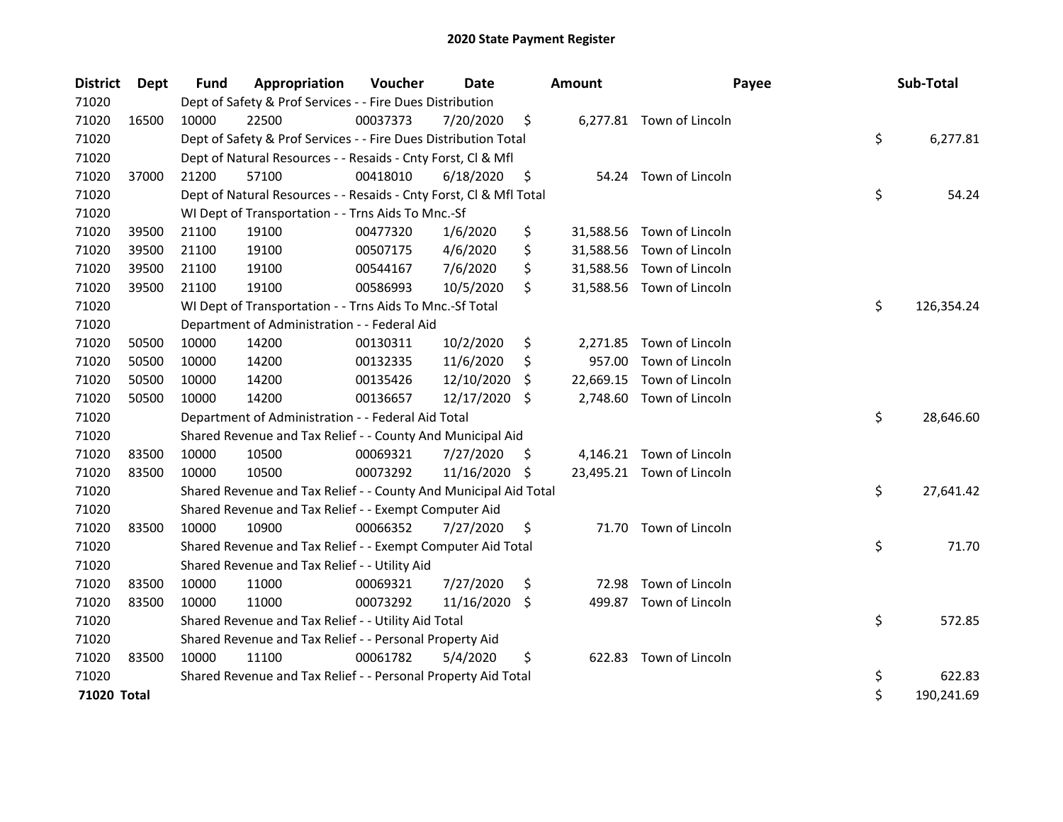| <b>District</b> | Dept  | <b>Fund</b> | Appropriation                                                      | Voucher  | <b>Date</b> |     | <b>Amount</b> | Payee                     | Sub-Total        |
|-----------------|-------|-------------|--------------------------------------------------------------------|----------|-------------|-----|---------------|---------------------------|------------------|
| 71020           |       |             | Dept of Safety & Prof Services - - Fire Dues Distribution          |          |             |     |               |                           |                  |
| 71020           | 16500 | 10000       | 22500                                                              | 00037373 | 7/20/2020   | \$  |               | 6,277.81 Town of Lincoln  |                  |
| 71020           |       |             | Dept of Safety & Prof Services - - Fire Dues Distribution Total    |          |             |     |               |                           | \$<br>6,277.81   |
| 71020           |       |             | Dept of Natural Resources - - Resaids - Cnty Forst, Cl & Mfl       |          |             |     |               |                           |                  |
| 71020           | 37000 | 21200       | 57100                                                              | 00418010 | 6/18/2020   | \$  |               | 54.24 Town of Lincoln     |                  |
| 71020           |       |             | Dept of Natural Resources - - Resaids - Cnty Forst, Cl & Mfl Total |          |             |     |               |                           | \$<br>54.24      |
| 71020           |       |             | WI Dept of Transportation - - Trns Aids To Mnc.-Sf                 |          |             |     |               |                           |                  |
| 71020           | 39500 | 21100       | 19100                                                              | 00477320 | 1/6/2020    | \$  | 31,588.56     | Town of Lincoln           |                  |
| 71020           | 39500 | 21100       | 19100                                                              | 00507175 | 4/6/2020    | \$  |               | 31,588.56 Town of Lincoln |                  |
| 71020           | 39500 | 21100       | 19100                                                              | 00544167 | 7/6/2020    | \$  |               | 31,588.56 Town of Lincoln |                  |
| 71020           | 39500 | 21100       | 19100                                                              | 00586993 | 10/5/2020   | \$  |               | 31,588.56 Town of Lincoln |                  |
| 71020           |       |             | WI Dept of Transportation - - Trns Aids To Mnc.-Sf Total           |          |             |     |               |                           | \$<br>126,354.24 |
| 71020           |       |             | Department of Administration - - Federal Aid                       |          |             |     |               |                           |                  |
| 71020           | 50500 | 10000       | 14200                                                              | 00130311 | 10/2/2020   | \$  | 2,271.85      | Town of Lincoln           |                  |
| 71020           | 50500 | 10000       | 14200                                                              | 00132335 | 11/6/2020   | \$  | 957.00        | Town of Lincoln           |                  |
| 71020           | 50500 | 10000       | 14200                                                              | 00135426 | 12/10/2020  | S   | 22,669.15     | Town of Lincoln           |                  |
| 71020           | 50500 | 10000       | 14200                                                              | 00136657 | 12/17/2020  | \$  | 2,748.60      | Town of Lincoln           |                  |
| 71020           |       |             | Department of Administration - - Federal Aid Total                 |          |             |     |               |                           | \$<br>28,646.60  |
| 71020           |       |             | Shared Revenue and Tax Relief - - County And Municipal Aid         |          |             |     |               |                           |                  |
| 71020           | 83500 | 10000       | 10500                                                              | 00069321 | 7/27/2020   | \$. |               | 4,146.21 Town of Lincoln  |                  |
| 71020           | 83500 | 10000       | 10500                                                              | 00073292 | 11/16/2020  | \$  |               | 23,495.21 Town of Lincoln |                  |
| 71020           |       |             | Shared Revenue and Tax Relief - - County And Municipal Aid Total   |          |             |     |               |                           | \$<br>27,641.42  |
| 71020           |       |             | Shared Revenue and Tax Relief - - Exempt Computer Aid              |          |             |     |               |                           |                  |
| 71020           | 83500 | 10000       | 10900                                                              | 00066352 | 7/27/2020   | \$  |               | 71.70 Town of Lincoln     |                  |
| 71020           |       |             | Shared Revenue and Tax Relief - - Exempt Computer Aid Total        |          |             |     |               |                           | \$<br>71.70      |
| 71020           |       |             | Shared Revenue and Tax Relief - - Utility Aid                      |          |             |     |               |                           |                  |
| 71020           | 83500 | 10000       | 11000                                                              | 00069321 | 7/27/2020   | \$  | 72.98         | Town of Lincoln           |                  |
| 71020           | 83500 | 10000       | 11000                                                              | 00073292 | 11/16/2020  | \$  | 499.87        | Town of Lincoln           |                  |
| 71020           |       |             | Shared Revenue and Tax Relief - - Utility Aid Total                |          |             |     |               |                           | \$<br>572.85     |
| 71020           |       |             | Shared Revenue and Tax Relief - - Personal Property Aid            |          |             |     |               |                           |                  |
| 71020           | 83500 | 10000       | 11100                                                              | 00061782 | 5/4/2020    | \$  | 622.83        | Town of Lincoln           |                  |
| 71020           |       |             | Shared Revenue and Tax Relief - - Personal Property Aid Total      |          |             |     |               |                           | \$<br>622.83     |
| 71020 Total     |       |             |                                                                    |          |             |     |               |                           | \$<br>190,241.69 |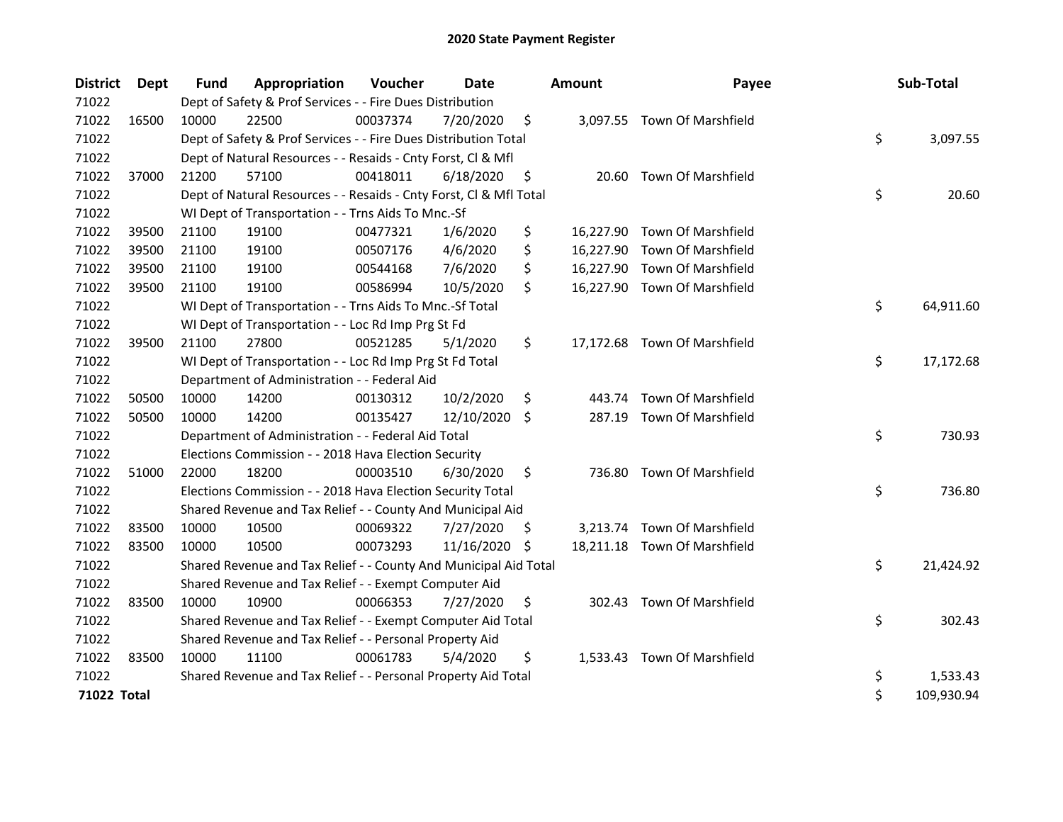| <b>District</b> | Dept  | <b>Fund</b> | Appropriation                                                      | Voucher  | <b>Date</b> |     | <b>Amount</b> | Payee                        | Sub-Total        |
|-----------------|-------|-------------|--------------------------------------------------------------------|----------|-------------|-----|---------------|------------------------------|------------------|
| 71022           |       |             | Dept of Safety & Prof Services - - Fire Dues Distribution          |          |             |     |               |                              |                  |
| 71022           | 16500 | 10000       | 22500                                                              | 00037374 | 7/20/2020   | \$  |               | 3,097.55 Town Of Marshfield  |                  |
| 71022           |       |             | Dept of Safety & Prof Services - - Fire Dues Distribution Total    |          |             |     |               |                              | \$<br>3,097.55   |
| 71022           |       |             | Dept of Natural Resources - - Resaids - Cnty Forst, Cl & Mfl       |          |             |     |               |                              |                  |
| 71022           | 37000 | 21200       | 57100                                                              | 00418011 | 6/18/2020   | \$  | 20.60         | <b>Town Of Marshfield</b>    |                  |
| 71022           |       |             | Dept of Natural Resources - - Resaids - Cnty Forst, Cl & Mfl Total |          |             |     |               |                              | \$<br>20.60      |
| 71022           |       |             | WI Dept of Transportation - - Trns Aids To Mnc.-Sf                 |          |             |     |               |                              |                  |
| 71022           | 39500 | 21100       | 19100                                                              | 00477321 | 1/6/2020    | \$  |               | 16,227.90 Town Of Marshfield |                  |
| 71022           | 39500 | 21100       | 19100                                                              | 00507176 | 4/6/2020    | \$  |               | 16,227.90 Town Of Marshfield |                  |
| 71022           | 39500 | 21100       | 19100                                                              | 00544168 | 7/6/2020    | \$  |               | 16,227.90 Town Of Marshfield |                  |
| 71022           | 39500 | 21100       | 19100                                                              | 00586994 | 10/5/2020   | \$  |               | 16,227.90 Town Of Marshfield |                  |
| 71022           |       |             | WI Dept of Transportation - - Trns Aids To Mnc.-Sf Total           |          |             |     |               |                              | \$<br>64,911.60  |
| 71022           |       |             | WI Dept of Transportation - - Loc Rd Imp Prg St Fd                 |          |             |     |               |                              |                  |
| 71022           | 39500 | 21100       | 27800                                                              | 00521285 | 5/1/2020    | \$  |               | 17,172.68 Town Of Marshfield |                  |
| 71022           |       |             | WI Dept of Transportation - - Loc Rd Imp Prg St Fd Total           |          |             |     |               |                              | \$<br>17,172.68  |
| 71022           |       |             | Department of Administration - - Federal Aid                       |          |             |     |               |                              |                  |
| 71022           | 50500 | 10000       | 14200                                                              | 00130312 | 10/2/2020   | \$  | 443.74        | Town Of Marshfield           |                  |
| 71022           | 50500 | 10000       | 14200                                                              | 00135427 | 12/10/2020  | S.  | 287.19        | Town Of Marshfield           |                  |
| 71022           |       |             | Department of Administration - - Federal Aid Total                 |          |             |     |               |                              | \$<br>730.93     |
| 71022           |       |             | Elections Commission - - 2018 Hava Election Security               |          |             |     |               |                              |                  |
| 71022           | 51000 | 22000       | 18200                                                              | 00003510 | 6/30/2020   | \$  |               | 736.80 Town Of Marshfield    |                  |
| 71022           |       |             | Elections Commission - - 2018 Hava Election Security Total         |          |             |     |               |                              | \$<br>736.80     |
| 71022           |       |             | Shared Revenue and Tax Relief - - County And Municipal Aid         |          |             |     |               |                              |                  |
| 71022           | 83500 | 10000       | 10500                                                              | 00069322 | 7/27/2020   | \$. | 3,213.74      | Town Of Marshfield           |                  |
| 71022           | 83500 | 10000       | 10500                                                              | 00073293 | 11/16/2020  | \$  |               | 18,211.18 Town Of Marshfield |                  |
| 71022           |       |             | Shared Revenue and Tax Relief - - County And Municipal Aid Total   |          |             |     |               |                              | \$<br>21,424.92  |
| 71022           |       |             | Shared Revenue and Tax Relief - - Exempt Computer Aid              |          |             |     |               |                              |                  |
| 71022           | 83500 | 10000       | 10900                                                              | 00066353 | 7/27/2020   | \$  |               | 302.43 Town Of Marshfield    |                  |
| 71022           |       |             | Shared Revenue and Tax Relief - - Exempt Computer Aid Total        |          |             |     |               |                              | \$<br>302.43     |
| 71022           |       |             | Shared Revenue and Tax Relief - - Personal Property Aid            |          |             |     |               |                              |                  |
| 71022           | 83500 | 10000       | 11100                                                              | 00061783 | 5/4/2020    | \$  |               | 1,533.43 Town Of Marshfield  |                  |
| 71022           |       |             | Shared Revenue and Tax Relief - - Personal Property Aid Total      |          |             |     |               |                              | \$<br>1,533.43   |
| 71022 Total     |       |             |                                                                    |          |             |     |               |                              | \$<br>109,930.94 |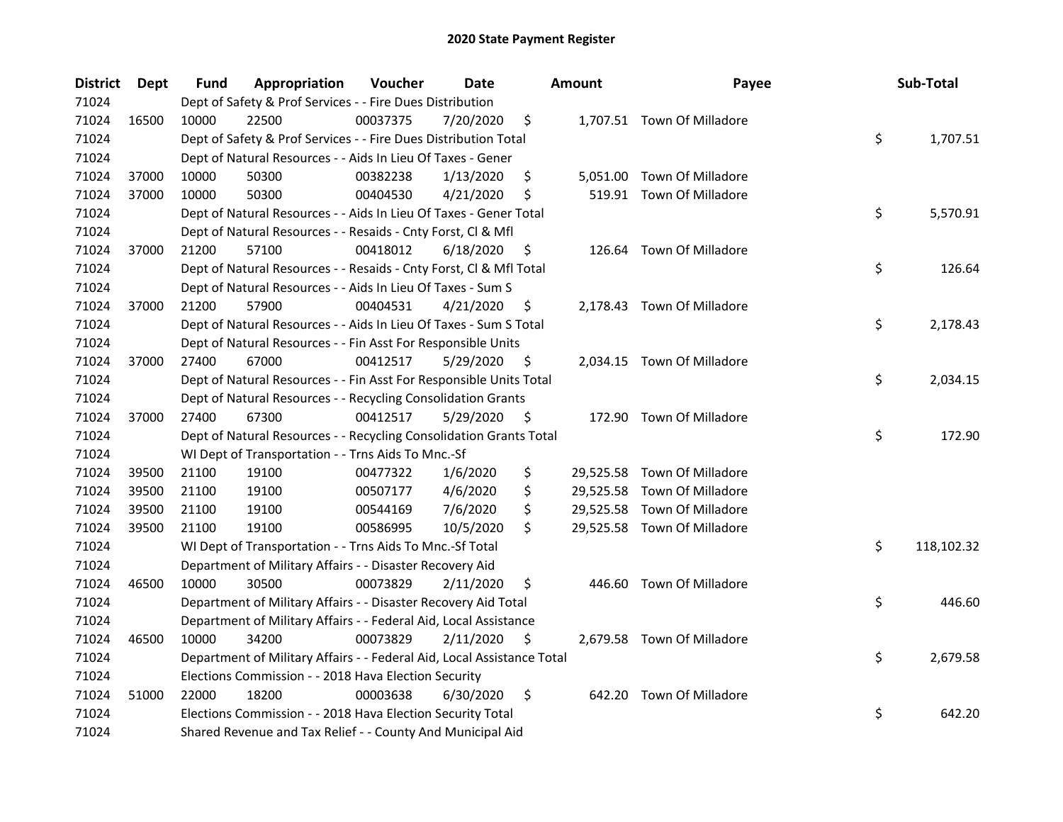| <b>District</b> | <b>Dept</b> | Fund  | Appropriation                                                          | Voucher  | <b>Date</b> |     | <b>Amount</b> | Payee                       | Sub-Total        |
|-----------------|-------------|-------|------------------------------------------------------------------------|----------|-------------|-----|---------------|-----------------------------|------------------|
| 71024           |             |       | Dept of Safety & Prof Services - - Fire Dues Distribution              |          |             |     |               |                             |                  |
| 71024           | 16500       | 10000 | 22500                                                                  | 00037375 | 7/20/2020   | \$  |               | 1,707.51 Town Of Milladore  |                  |
| 71024           |             |       | Dept of Safety & Prof Services - - Fire Dues Distribution Total        |          |             |     |               |                             | \$<br>1,707.51   |
| 71024           |             |       | Dept of Natural Resources - - Aids In Lieu Of Taxes - Gener            |          |             |     |               |                             |                  |
| 71024           | 37000       | 10000 | 50300                                                                  | 00382238 | 1/13/2020   | \$  |               | 5,051.00 Town Of Milladore  |                  |
| 71024           | 37000       | 10000 | 50300                                                                  | 00404530 | 4/21/2020   | \$  |               | 519.91 Town Of Milladore    |                  |
| 71024           |             |       | Dept of Natural Resources - - Aids In Lieu Of Taxes - Gener Total      |          |             |     |               |                             | \$<br>5,570.91   |
| 71024           |             |       | Dept of Natural Resources - - Resaids - Cnty Forst, CI & Mfl           |          |             |     |               |                             |                  |
| 71024           | 37000       | 21200 | 57100                                                                  | 00418012 | 6/18/2020   | \$  |               | 126.64 Town Of Milladore    |                  |
| 71024           |             |       | Dept of Natural Resources - - Resaids - Cnty Forst, Cl & Mfl Total     |          |             |     |               |                             | \$<br>126.64     |
| 71024           |             |       | Dept of Natural Resources - - Aids In Lieu Of Taxes - Sum S            |          |             |     |               |                             |                  |
| 71024           | 37000       | 21200 | 57900                                                                  | 00404531 | 4/21/2020   | \$  |               | 2,178.43 Town Of Milladore  |                  |
| 71024           |             |       | Dept of Natural Resources - - Aids In Lieu Of Taxes - Sum S Total      |          |             |     |               |                             | \$<br>2,178.43   |
| 71024           |             |       | Dept of Natural Resources - - Fin Asst For Responsible Units           |          |             |     |               |                             |                  |
| 71024           | 37000       | 27400 | 67000                                                                  | 00412517 | 5/29/2020   | \$. |               | 2,034.15 Town Of Milladore  |                  |
| 71024           |             |       | Dept of Natural Resources - - Fin Asst For Responsible Units Total     |          |             |     |               |                             | \$<br>2,034.15   |
| 71024           |             |       | Dept of Natural Resources - - Recycling Consolidation Grants           |          |             |     |               |                             |                  |
| 71024           | 37000       | 27400 | 67300                                                                  | 00412517 | 5/29/2020   | \$  |               | 172.90 Town Of Milladore    |                  |
| 71024           |             |       | Dept of Natural Resources - - Recycling Consolidation Grants Total     |          |             |     |               |                             | \$<br>172.90     |
| 71024           |             |       | WI Dept of Transportation - - Trns Aids To Mnc.-Sf                     |          |             |     |               |                             |                  |
| 71024           | 39500       | 21100 | 19100                                                                  | 00477322 | 1/6/2020    | \$  |               | 29,525.58 Town Of Milladore |                  |
| 71024           | 39500       | 21100 | 19100                                                                  | 00507177 | 4/6/2020    | \$  |               | 29,525.58 Town Of Milladore |                  |
| 71024           | 39500       | 21100 | 19100                                                                  | 00544169 | 7/6/2020    | \$  |               | 29,525.58 Town Of Milladore |                  |
| 71024           | 39500       | 21100 | 19100                                                                  | 00586995 | 10/5/2020   | \$  |               | 29,525.58 Town Of Milladore |                  |
| 71024           |             |       | WI Dept of Transportation - - Trns Aids To Mnc.-Sf Total               |          |             |     |               |                             | \$<br>118,102.32 |
| 71024           |             |       | Department of Military Affairs - - Disaster Recovery Aid               |          |             |     |               |                             |                  |
| 71024           | 46500       | 10000 | 30500                                                                  | 00073829 | 2/11/2020   | \$  |               | 446.60 Town Of Milladore    |                  |
| 71024           |             |       | Department of Military Affairs - - Disaster Recovery Aid Total         |          |             |     |               |                             | \$<br>446.60     |
| 71024           |             |       | Department of Military Affairs - - Federal Aid, Local Assistance       |          |             |     |               |                             |                  |
| 71024           | 46500       | 10000 | 34200                                                                  | 00073829 | 2/11/2020   | \$. |               | 2,679.58 Town Of Milladore  |                  |
| 71024           |             |       | Department of Military Affairs - - Federal Aid, Local Assistance Total |          |             |     |               |                             | \$<br>2,679.58   |
| 71024           |             |       | Elections Commission - - 2018 Hava Election Security                   |          |             |     |               |                             |                  |
| 71024           | 51000       | 22000 | 18200                                                                  | 00003638 | 6/30/2020   | \$  |               | 642.20 Town Of Milladore    |                  |
| 71024           |             |       | Elections Commission - - 2018 Hava Election Security Total             |          |             |     |               |                             | \$<br>642.20     |
| 71024           |             |       | Shared Revenue and Tax Relief - - County And Municipal Aid             |          |             |     |               |                             |                  |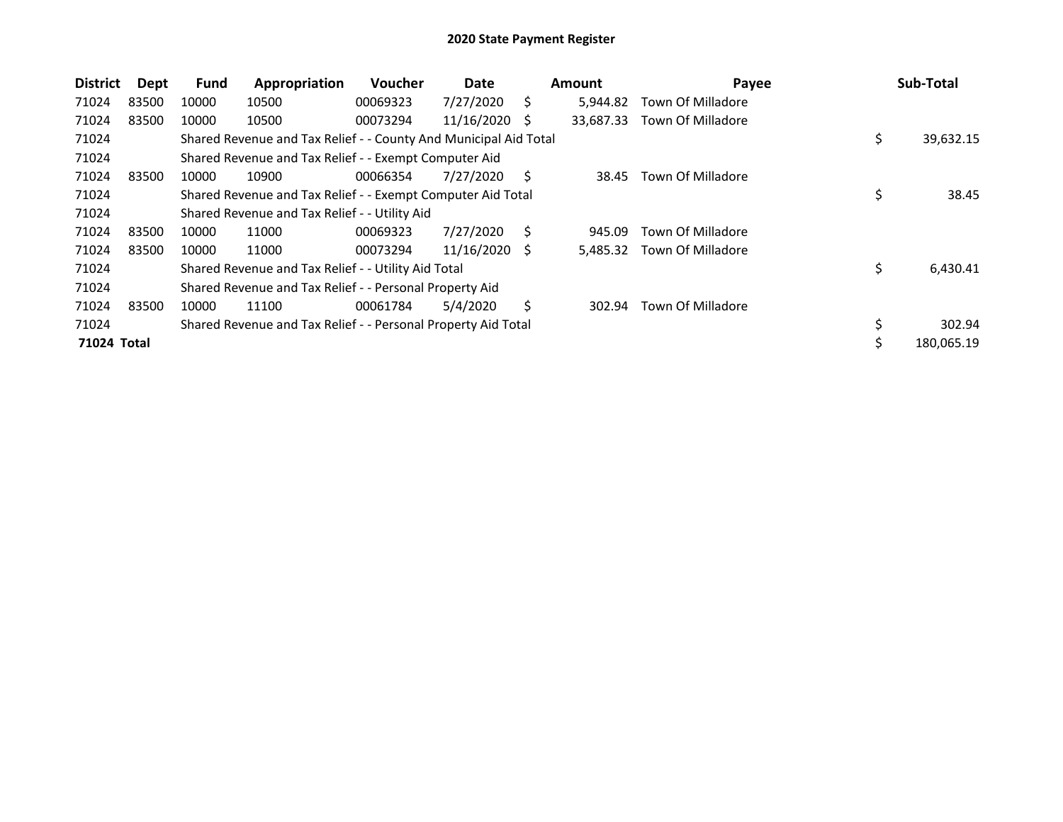| <b>District</b> | Dept  | <b>Fund</b> | Appropriation                                                    | <b>Voucher</b> | Date       |    | <b>Amount</b> | Payee             | Sub-Total        |
|-----------------|-------|-------------|------------------------------------------------------------------|----------------|------------|----|---------------|-------------------|------------------|
| 71024           | 83500 | 10000       | 10500                                                            | 00069323       | 7/27/2020  | Ś. | 5.944.82      | Town Of Milladore |                  |
| 71024           | 83500 | 10000       | 10500                                                            | 00073294       | 11/16/2020 | -S | 33,687.33     | Town Of Milladore |                  |
| 71024           |       |             | Shared Revenue and Tax Relief - - County And Municipal Aid Total |                |            |    |               |                   | \$<br>39,632.15  |
| 71024           |       |             | Shared Revenue and Tax Relief - - Exempt Computer Aid            |                |            |    |               |                   |                  |
| 71024           | 83500 | 10000       | 10900                                                            | 00066354       | 7/27/2020  | S. | 38.45         | Town Of Milladore |                  |
| 71024           |       |             | Shared Revenue and Tax Relief - - Exempt Computer Aid Total      |                |            |    |               |                   | \$<br>38.45      |
| 71024           |       |             | Shared Revenue and Tax Relief - - Utility Aid                    |                |            |    |               |                   |                  |
| 71024           | 83500 | 10000       | 11000                                                            | 00069323       | 7/27/2020  | Ś. | 945.09        | Town Of Milladore |                  |
| 71024           | 83500 | 10000       | 11000                                                            | 00073294       | 11/16/2020 | -S | 5,485.32      | Town Of Milladore |                  |
| 71024           |       |             | Shared Revenue and Tax Relief - - Utility Aid Total              |                |            |    |               |                   | \$<br>6,430.41   |
| 71024           |       |             | Shared Revenue and Tax Relief - - Personal Property Aid          |                |            |    |               |                   |                  |
| 71024           | 83500 | 10000       | 11100                                                            | 00061784       | 5/4/2020   | S  | 302.94        | Town Of Milladore |                  |
| 71024           |       |             | Shared Revenue and Tax Relief - - Personal Property Aid Total    |                |            |    |               |                   | \$<br>302.94     |
| 71024 Total     |       |             |                                                                  |                |            |    |               |                   | \$<br>180,065.19 |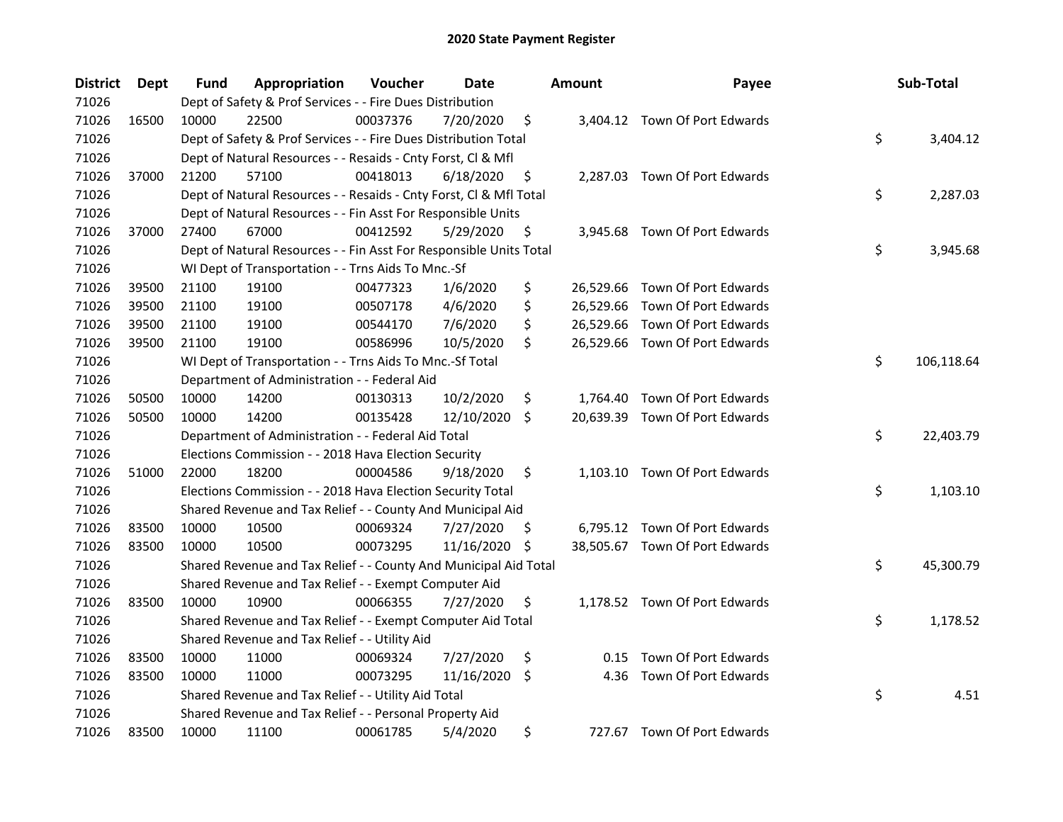| <b>District</b> | <b>Dept</b> | Fund  | Appropriation                                                      | Voucher  | Date       |     | <b>Amount</b> | Payee                          | Sub-Total        |
|-----------------|-------------|-------|--------------------------------------------------------------------|----------|------------|-----|---------------|--------------------------------|------------------|
| 71026           |             |       | Dept of Safety & Prof Services - - Fire Dues Distribution          |          |            |     |               |                                |                  |
| 71026           | 16500       | 10000 | 22500                                                              | 00037376 | 7/20/2020  | \$  |               | 3,404.12 Town Of Port Edwards  |                  |
| 71026           |             |       | Dept of Safety & Prof Services - - Fire Dues Distribution Total    |          |            |     |               |                                | \$<br>3,404.12   |
| 71026           |             |       | Dept of Natural Resources - - Resaids - Cnty Forst, Cl & Mfl       |          |            |     |               |                                |                  |
| 71026           | 37000       | 21200 | 57100                                                              | 00418013 | 6/18/2020  | \$  |               | 2,287.03 Town Of Port Edwards  |                  |
| 71026           |             |       | Dept of Natural Resources - - Resaids - Cnty Forst, Cl & Mfl Total |          |            |     |               |                                | \$<br>2,287.03   |
| 71026           |             |       | Dept of Natural Resources - - Fin Asst For Responsible Units       |          |            |     |               |                                |                  |
| 71026           | 37000       | 27400 | 67000                                                              | 00412592 | 5/29/2020  | \$  |               | 3,945.68 Town Of Port Edwards  |                  |
| 71026           |             |       | Dept of Natural Resources - - Fin Asst For Responsible Units Total |          |            |     |               |                                | \$<br>3,945.68   |
| 71026           |             |       | WI Dept of Transportation - - Trns Aids To Mnc.-Sf                 |          |            |     |               |                                |                  |
| 71026           | 39500       | 21100 | 19100                                                              | 00477323 | 1/6/2020   | \$  |               | 26,529.66 Town Of Port Edwards |                  |
| 71026           | 39500       | 21100 | 19100                                                              | 00507178 | 4/6/2020   | \$  |               | 26,529.66 Town Of Port Edwards |                  |
| 71026           | 39500       | 21100 | 19100                                                              | 00544170 | 7/6/2020   | \$  |               | 26,529.66 Town Of Port Edwards |                  |
| 71026           | 39500       | 21100 | 19100                                                              | 00586996 | 10/5/2020  | \$  |               | 26,529.66 Town Of Port Edwards |                  |
| 71026           |             |       | WI Dept of Transportation - - Trns Aids To Mnc.-Sf Total           |          |            |     |               |                                | \$<br>106,118.64 |
| 71026           |             |       | Department of Administration - - Federal Aid                       |          |            |     |               |                                |                  |
| 71026           | 50500       | 10000 | 14200                                                              | 00130313 | 10/2/2020  | \$  | 1,764.40      | Town Of Port Edwards           |                  |
| 71026           | 50500       | 10000 | 14200                                                              | 00135428 | 12/10/2020 | \$  |               | 20,639.39 Town Of Port Edwards |                  |
| 71026           |             |       | Department of Administration - - Federal Aid Total                 |          |            |     |               |                                | \$<br>22,403.79  |
| 71026           |             |       | Elections Commission - - 2018 Hava Election Security               |          |            |     |               |                                |                  |
| 71026           | 51000       | 22000 | 18200                                                              | 00004586 | 9/18/2020  | \$  |               | 1,103.10 Town Of Port Edwards  |                  |
| 71026           |             |       | Elections Commission - - 2018 Hava Election Security Total         |          |            |     |               |                                | \$<br>1,103.10   |
| 71026           |             |       | Shared Revenue and Tax Relief - - County And Municipal Aid         |          |            |     |               |                                |                  |
| 71026           | 83500       | 10000 | 10500                                                              | 00069324 | 7/27/2020  | \$. |               | 6,795.12 Town Of Port Edwards  |                  |
| 71026           | 83500       | 10000 | 10500                                                              | 00073295 | 11/16/2020 | \$  |               | 38,505.67 Town Of Port Edwards |                  |
| 71026           |             |       | Shared Revenue and Tax Relief - - County And Municipal Aid Total   |          |            |     |               |                                | \$<br>45,300.79  |
| 71026           |             |       | Shared Revenue and Tax Relief - - Exempt Computer Aid              |          |            |     |               |                                |                  |
| 71026           | 83500       | 10000 | 10900                                                              | 00066355 | 7/27/2020  | \$  |               | 1,178.52 Town Of Port Edwards  |                  |
| 71026           |             |       | Shared Revenue and Tax Relief - - Exempt Computer Aid Total        |          |            |     |               |                                | \$<br>1,178.52   |
| 71026           |             |       | Shared Revenue and Tax Relief - - Utility Aid                      |          |            |     |               |                                |                  |
| 71026           | 83500       | 10000 | 11000                                                              | 00069324 | 7/27/2020  | \$  | 0.15          | Town Of Port Edwards           |                  |
| 71026           | 83500       | 10000 | 11000                                                              | 00073295 | 11/16/2020 | \$  | 4.36          | Town Of Port Edwards           |                  |
| 71026           |             |       | Shared Revenue and Tax Relief - - Utility Aid Total                |          |            |     |               |                                | \$<br>4.51       |
| 71026           |             |       | Shared Revenue and Tax Relief - - Personal Property Aid            |          |            |     |               |                                |                  |
| 71026           | 83500       | 10000 | 11100                                                              | 00061785 | 5/4/2020   | \$  |               | 727.67 Town Of Port Edwards    |                  |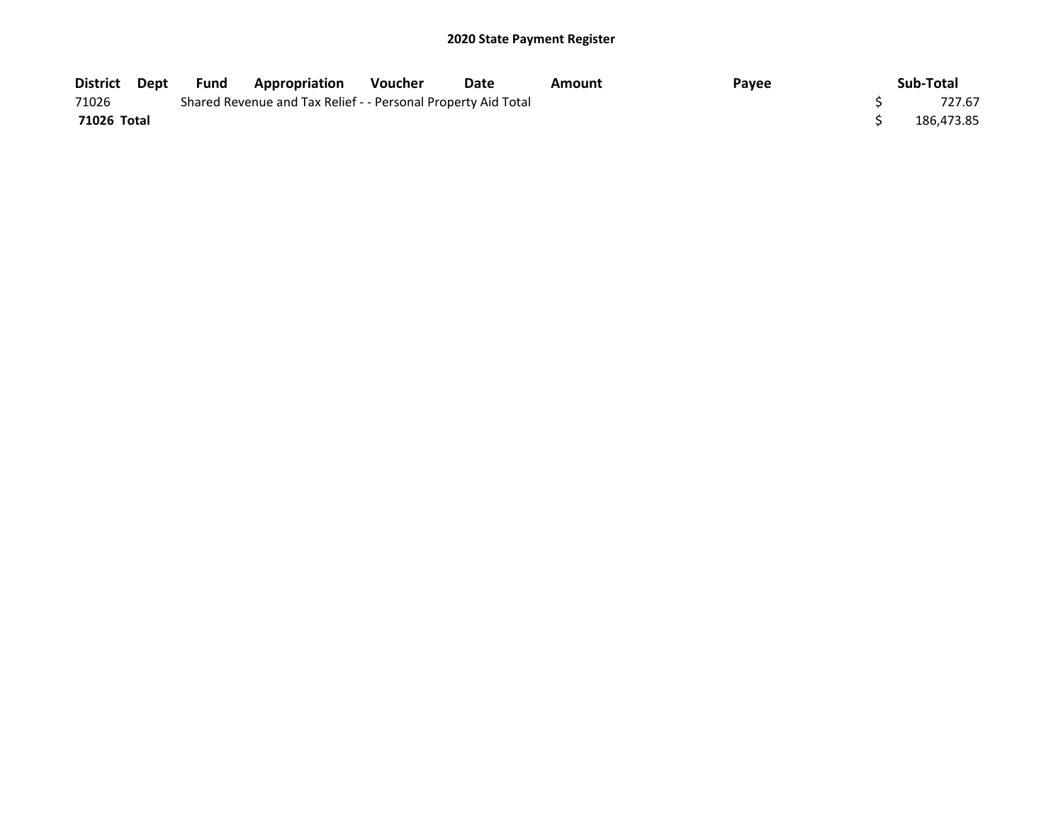| District Dept | Fund | Appropriation                                                 | <b>Voucher</b> | Date | Amount | Payee | Sub-Total  |
|---------------|------|---------------------------------------------------------------|----------------|------|--------|-------|------------|
| 71026         |      | Shared Revenue and Tax Relief - - Personal Property Aid Total |                |      |        |       | 727.67     |
| 71026 Total   |      |                                                               |                |      |        |       | 186.473.85 |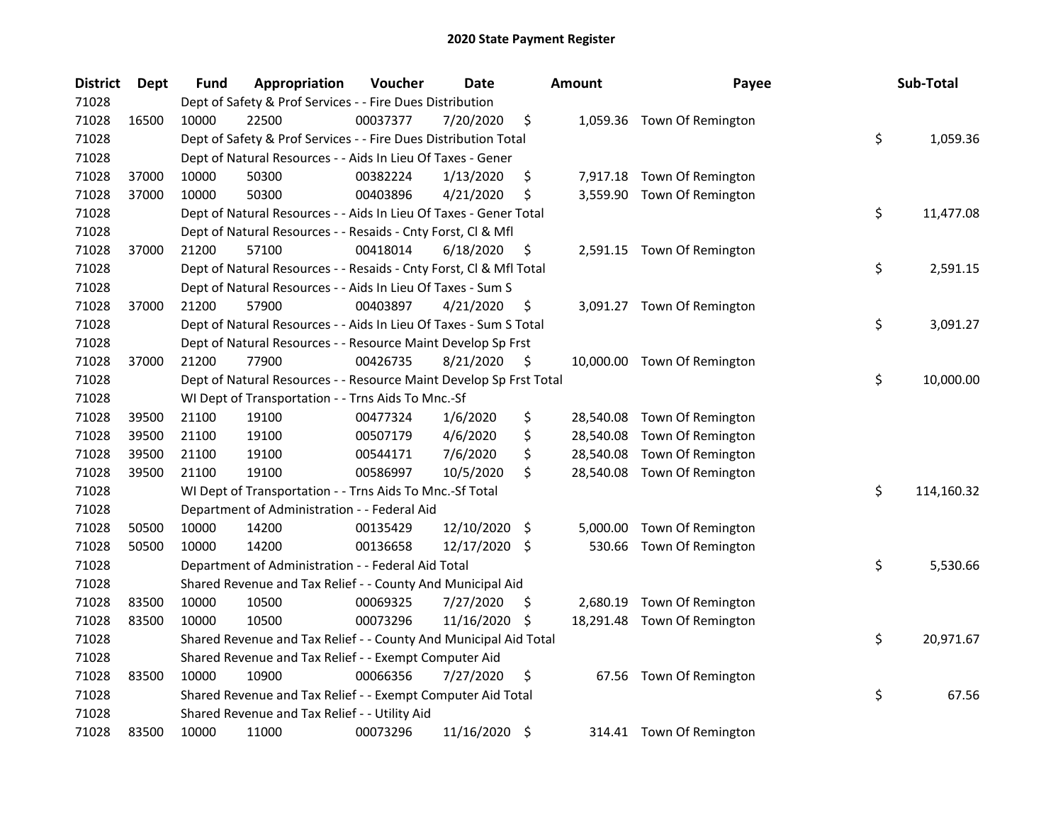| <b>District</b> | <b>Dept</b> | <b>Fund</b> | Appropriation                                                      | Voucher  | <b>Date</b>   |     | <b>Amount</b> | Payee                       | Sub-Total        |
|-----------------|-------------|-------------|--------------------------------------------------------------------|----------|---------------|-----|---------------|-----------------------------|------------------|
| 71028           |             |             | Dept of Safety & Prof Services - - Fire Dues Distribution          |          |               |     |               |                             |                  |
| 71028           | 16500       | 10000       | 22500                                                              | 00037377 | 7/20/2020     | \$  |               | 1,059.36 Town Of Remington  |                  |
| 71028           |             |             | Dept of Safety & Prof Services - - Fire Dues Distribution Total    |          |               |     |               |                             | \$<br>1,059.36   |
| 71028           |             |             | Dept of Natural Resources - - Aids In Lieu Of Taxes - Gener        |          |               |     |               |                             |                  |
| 71028           | 37000       | 10000       | 50300                                                              | 00382224 | 1/13/2020     | \$  |               | 7,917.18 Town Of Remington  |                  |
| 71028           | 37000       | 10000       | 50300                                                              | 00403896 | 4/21/2020     | \$  |               | 3,559.90 Town Of Remington  |                  |
| 71028           |             |             | Dept of Natural Resources - - Aids In Lieu Of Taxes - Gener Total  |          |               |     |               |                             | \$<br>11,477.08  |
| 71028           |             |             | Dept of Natural Resources - - Resaids - Cnty Forst, Cl & Mfl       |          |               |     |               |                             |                  |
| 71028           | 37000       | 21200       | 57100                                                              | 00418014 | 6/18/2020     | \$  |               | 2,591.15 Town Of Remington  |                  |
| 71028           |             |             | Dept of Natural Resources - - Resaids - Cnty Forst, Cl & Mfl Total |          |               |     |               |                             | \$<br>2,591.15   |
| 71028           |             |             | Dept of Natural Resources - - Aids In Lieu Of Taxes - Sum S        |          |               |     |               |                             |                  |
| 71028           | 37000       | 21200       | 57900                                                              | 00403897 | 4/21/2020     | \$  |               | 3,091.27 Town Of Remington  |                  |
| 71028           |             |             | Dept of Natural Resources - - Aids In Lieu Of Taxes - Sum S Total  |          |               |     |               |                             | \$<br>3,091.27   |
| 71028           |             |             | Dept of Natural Resources - - Resource Maint Develop Sp Frst       |          |               |     |               |                             |                  |
| 71028           | 37000       | 21200       | 77900                                                              | 00426735 | 8/21/2020     | \$  |               | 10,000.00 Town Of Remington |                  |
| 71028           |             |             | Dept of Natural Resources - - Resource Maint Develop Sp Frst Total |          |               |     |               |                             | \$<br>10,000.00  |
| 71028           |             |             | WI Dept of Transportation - - Trns Aids To Mnc.-Sf                 |          |               |     |               |                             |                  |
| 71028           | 39500       | 21100       | 19100                                                              | 00477324 | 1/6/2020      | \$  | 28,540.08     | Town Of Remington           |                  |
| 71028           | 39500       | 21100       | 19100                                                              | 00507179 | 4/6/2020      | \$  | 28,540.08     | Town Of Remington           |                  |
| 71028           | 39500       | 21100       | 19100                                                              | 00544171 | 7/6/2020      | \$  | 28,540.08     | Town Of Remington           |                  |
| 71028           | 39500       | 21100       | 19100                                                              | 00586997 | 10/5/2020     | \$  |               | 28,540.08 Town Of Remington |                  |
| 71028           |             |             | WI Dept of Transportation - - Trns Aids To Mnc.-Sf Total           |          |               |     |               |                             | \$<br>114,160.32 |
| 71028           |             |             | Department of Administration - - Federal Aid                       |          |               |     |               |                             |                  |
| 71028           | 50500       | 10000       | 14200                                                              | 00135429 | 12/10/2020    | \$  | 5,000.00      | Town Of Remington           |                  |
| 71028           | 50500       | 10000       | 14200                                                              | 00136658 | 12/17/2020    | \$  | 530.66        | Town Of Remington           |                  |
| 71028           |             |             | Department of Administration - - Federal Aid Total                 |          |               |     |               |                             | \$<br>5,530.66   |
| 71028           |             |             | Shared Revenue and Tax Relief - - County And Municipal Aid         |          |               |     |               |                             |                  |
| 71028           | 83500       | 10000       | 10500                                                              | 00069325 | 7/27/2020     | \$. |               | 2,680.19 Town Of Remington  |                  |
| 71028           | 83500       | 10000       | 10500                                                              | 00073296 | 11/16/2020    | \$. |               | 18,291.48 Town Of Remington |                  |
| 71028           |             |             | Shared Revenue and Tax Relief - - County And Municipal Aid Total   |          |               |     |               |                             | \$<br>20,971.67  |
| 71028           |             |             | Shared Revenue and Tax Relief - - Exempt Computer Aid              |          |               |     |               |                             |                  |
| 71028           | 83500       | 10000       | 10900                                                              | 00066356 | 7/27/2020     | \$  | 67.56         | Town Of Remington           |                  |
| 71028           |             |             | Shared Revenue and Tax Relief - - Exempt Computer Aid Total        |          |               |     |               |                             | \$<br>67.56      |
| 71028           |             |             | Shared Revenue and Tax Relief - - Utility Aid                      |          |               |     |               |                             |                  |
| 71028           | 83500       | 10000       | 11000                                                              | 00073296 | 11/16/2020 \$ |     |               | 314.41 Town Of Remington    |                  |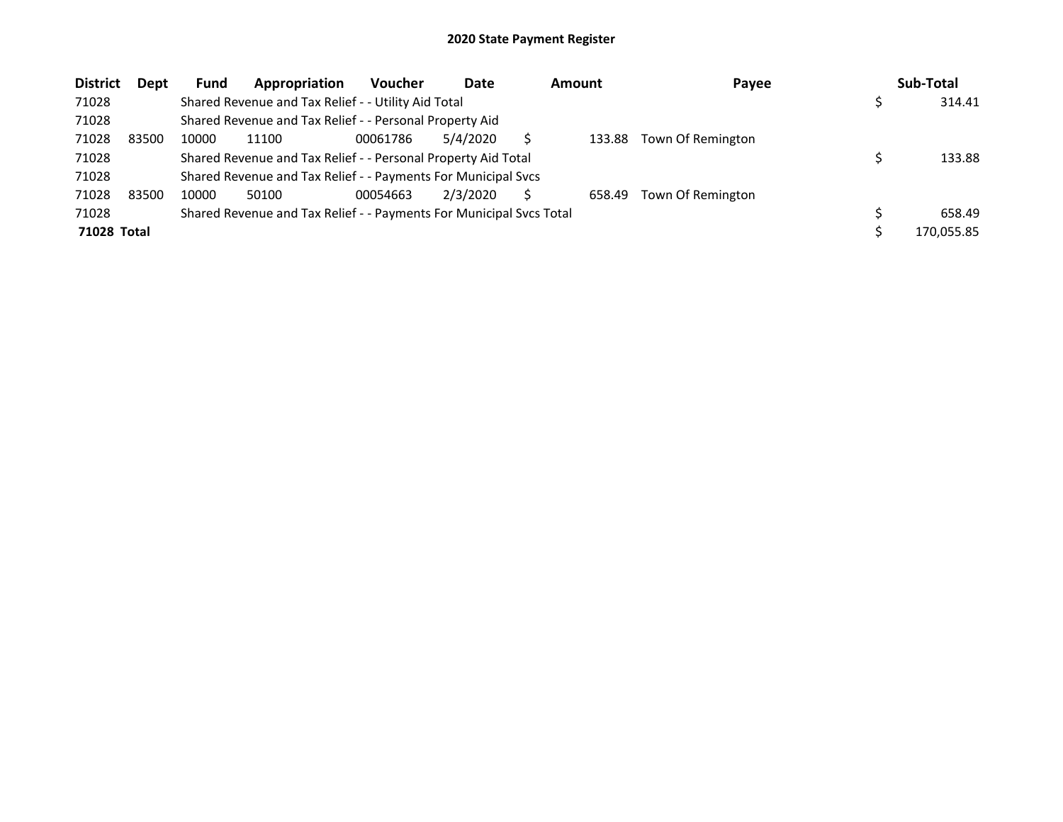| <b>District</b>    | Dept  | <b>Fund</b> | Appropriation                                                       | <b>Voucher</b> | Date     | <b>Amount</b> | Payee             | Sub-Total  |
|--------------------|-------|-------------|---------------------------------------------------------------------|----------------|----------|---------------|-------------------|------------|
| 71028              |       |             | Shared Revenue and Tax Relief - - Utility Aid Total                 |                |          |               |                   | 314.41     |
| 71028              |       |             | Shared Revenue and Tax Relief - - Personal Property Aid             |                |          |               |                   |            |
| 71028              | 83500 | 10000       | 11100                                                               | 00061786       | 5/4/2020 | 133.88        | Town Of Remington |            |
| 71028              |       |             | Shared Revenue and Tax Relief - - Personal Property Aid Total       |                |          |               |                   | 133.88     |
| 71028              |       |             | Shared Revenue and Tax Relief - - Payments For Municipal Svcs       |                |          |               |                   |            |
| 71028              | 83500 | 10000       | 50100                                                               | 00054663       | 2/3/2020 | 658.49        | Town Of Remington |            |
| 71028              |       |             | Shared Revenue and Tax Relief - - Payments For Municipal Svcs Total |                |          |               |                   | 658.49     |
| <b>71028 Total</b> |       |             |                                                                     |                |          |               |                   | 170,055.85 |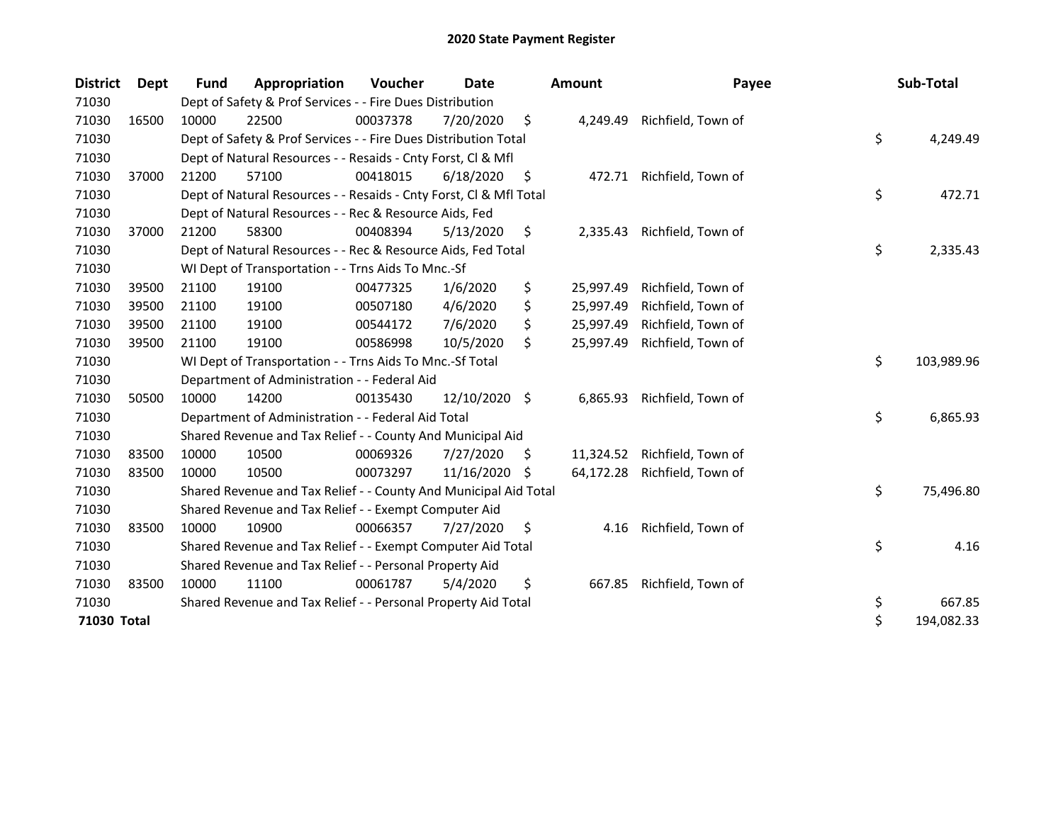| <b>District</b> | <b>Dept</b> | Fund  | Appropriation                                                      | <b>Voucher</b> | Date          |    | <b>Amount</b> | Payee                     | Sub-Total        |
|-----------------|-------------|-------|--------------------------------------------------------------------|----------------|---------------|----|---------------|---------------------------|------------------|
| 71030           |             |       | Dept of Safety & Prof Services - - Fire Dues Distribution          |                |               |    |               |                           |                  |
| 71030           | 16500       | 10000 | 22500                                                              | 00037378       | 7/20/2020     | \$ | 4,249.49      | Richfield, Town of        |                  |
| 71030           |             |       | Dept of Safety & Prof Services - - Fire Dues Distribution Total    |                |               |    |               |                           | \$<br>4,249.49   |
| 71030           |             |       | Dept of Natural Resources - - Resaids - Cnty Forst, CI & Mfl       |                |               |    |               |                           |                  |
| 71030           | 37000       | 21200 | 57100                                                              | 00418015       | 6/18/2020     | \$ |               | 472.71 Richfield, Town of |                  |
| 71030           |             |       | Dept of Natural Resources - - Resaids - Cnty Forst, Cl & Mfl Total |                |               |    |               |                           | \$<br>472.71     |
| 71030           |             |       | Dept of Natural Resources - - Rec & Resource Aids, Fed             |                |               |    |               |                           |                  |
| 71030           | 37000       | 21200 | 58300                                                              | 00408394       | 5/13/2020     | \$ | 2,335.43      | Richfield, Town of        |                  |
| 71030           |             |       | Dept of Natural Resources - - Rec & Resource Aids, Fed Total       |                |               |    |               |                           | \$<br>2,335.43   |
| 71030           |             |       | WI Dept of Transportation - - Trns Aids To Mnc.-Sf                 |                |               |    |               |                           |                  |
| 71030           | 39500       | 21100 | 19100                                                              | 00477325       | 1/6/2020      | \$ | 25,997.49     | Richfield, Town of        |                  |
| 71030           | 39500       | 21100 | 19100                                                              | 00507180       | 4/6/2020      | \$ | 25,997.49     | Richfield, Town of        |                  |
| 71030           | 39500       | 21100 | 19100                                                              | 00544172       | 7/6/2020      | \$ | 25,997.49     | Richfield, Town of        |                  |
| 71030           | 39500       | 21100 | 19100                                                              | 00586998       | 10/5/2020     | \$ | 25,997.49     | Richfield, Town of        |                  |
| 71030           |             |       | WI Dept of Transportation - - Trns Aids To Mnc.-Sf Total           |                |               |    |               |                           | \$<br>103,989.96 |
| 71030           |             |       | Department of Administration - - Federal Aid                       |                |               |    |               |                           |                  |
| 71030           | 50500       | 10000 | 14200                                                              | 00135430       | 12/10/2020 \$ |    | 6,865.93      | Richfield, Town of        |                  |
| 71030           |             |       | Department of Administration - - Federal Aid Total                 |                |               |    |               |                           | \$<br>6,865.93   |
| 71030           |             |       | Shared Revenue and Tax Relief - - County And Municipal Aid         |                |               |    |               |                           |                  |
| 71030           | 83500       | 10000 | 10500                                                              | 00069326       | 7/27/2020     | S  | 11,324.52     | Richfield, Town of        |                  |
| 71030           | 83500       | 10000 | 10500                                                              | 00073297       | 11/16/2020    | S  | 64,172.28     | Richfield, Town of        |                  |
| 71030           |             |       | Shared Revenue and Tax Relief - - County And Municipal Aid Total   |                |               |    |               |                           | \$<br>75,496.80  |
| 71030           |             |       | Shared Revenue and Tax Relief - - Exempt Computer Aid              |                |               |    |               |                           |                  |
| 71030           | 83500       | 10000 | 10900                                                              | 00066357       | 7/27/2020     | S  | 4.16          | Richfield, Town of        |                  |
| 71030           |             |       | Shared Revenue and Tax Relief - - Exempt Computer Aid Total        |                |               |    |               |                           | \$<br>4.16       |
| 71030           |             |       | Shared Revenue and Tax Relief - - Personal Property Aid            |                |               |    |               |                           |                  |
| 71030           | 83500       | 10000 | 11100                                                              | 00061787       | 5/4/2020      | \$ | 667.85        | Richfield, Town of        |                  |
| 71030           |             |       | Shared Revenue and Tax Relief - - Personal Property Aid Total      |                |               |    |               |                           | \$<br>667.85     |
| 71030 Total     |             |       |                                                                    |                |               |    |               |                           | \$<br>194,082.33 |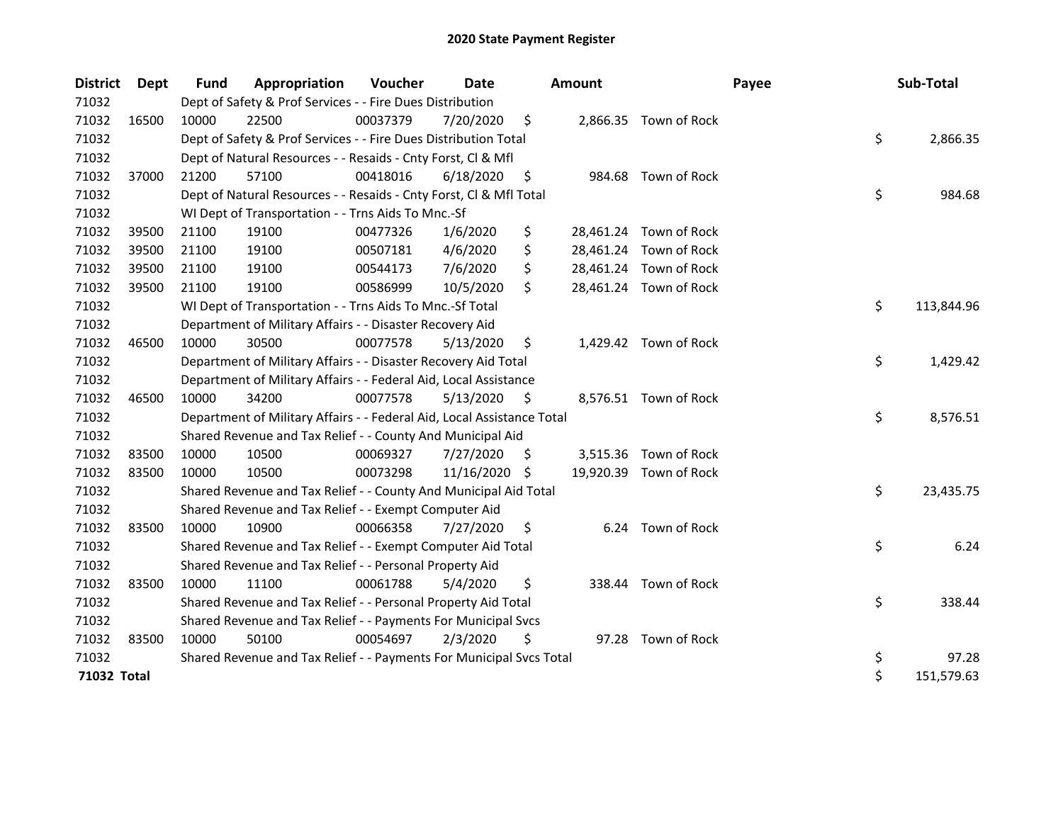| <b>District</b> | <b>Dept</b> | Fund  | Appropriation                                                          | Voucher  | Date       |     | Amount   |                        | Payee | Sub-Total        |
|-----------------|-------------|-------|------------------------------------------------------------------------|----------|------------|-----|----------|------------------------|-------|------------------|
| 71032           |             |       | Dept of Safety & Prof Services - - Fire Dues Distribution              |          |            |     |          |                        |       |                  |
| 71032           | 16500       | 10000 | 22500                                                                  | 00037379 | 7/20/2020  | \$  |          | 2,866.35 Town of Rock  |       |                  |
| 71032           |             |       | Dept of Safety & Prof Services - - Fire Dues Distribution Total        |          |            |     |          |                        |       | \$<br>2,866.35   |
| 71032           |             |       | Dept of Natural Resources - - Resaids - Cnty Forst, Cl & Mfl           |          |            |     |          |                        |       |                  |
| 71032           | 37000       | 21200 | 57100                                                                  | 00418016 | 6/18/2020  | \$  |          | 984.68 Town of Rock    |       |                  |
| 71032           |             |       | Dept of Natural Resources - - Resaids - Cnty Forst, Cl & Mfl Total     |          |            |     |          |                        |       | \$<br>984.68     |
| 71032           |             |       | WI Dept of Transportation - - Trns Aids To Mnc.-Sf                     |          |            |     |          |                        |       |                  |
| 71032           | 39500       | 21100 | 19100                                                                  | 00477326 | 1/6/2020   | \$  |          | 28,461.24 Town of Rock |       |                  |
| 71032           | 39500       | 21100 | 19100                                                                  | 00507181 | 4/6/2020   | \$  |          | 28,461.24 Town of Rock |       |                  |
| 71032           | 39500       | 21100 | 19100                                                                  | 00544173 | 7/6/2020   | \$  |          | 28,461.24 Town of Rock |       |                  |
| 71032           | 39500       | 21100 | 19100                                                                  | 00586999 | 10/5/2020  | \$  |          | 28,461.24 Town of Rock |       |                  |
| 71032           |             |       | WI Dept of Transportation - - Trns Aids To Mnc.-Sf Total               |          |            |     |          |                        |       | \$<br>113,844.96 |
| 71032           |             |       | Department of Military Affairs - - Disaster Recovery Aid               |          |            |     |          |                        |       |                  |
| 71032           | 46500       | 10000 | 30500                                                                  | 00077578 | 5/13/2020  | \$  |          | 1,429.42 Town of Rock  |       |                  |
| 71032           |             |       | Department of Military Affairs - - Disaster Recovery Aid Total         |          |            |     |          |                        |       | \$<br>1,429.42   |
| 71032           |             |       | Department of Military Affairs - - Federal Aid, Local Assistance       |          |            |     |          |                        |       |                  |
| 71032           | 46500       | 10000 | 34200                                                                  | 00077578 | 5/13/2020  | S   |          | 8,576.51 Town of Rock  |       |                  |
| 71032           |             |       | Department of Military Affairs - - Federal Aid, Local Assistance Total |          |            |     |          |                        |       | \$<br>8,576.51   |
| 71032           |             |       | Shared Revenue and Tax Relief - - County And Municipal Aid             |          |            |     |          |                        |       |                  |
| 71032           | 83500       | 10000 | 10500                                                                  | 00069327 | 7/27/2020  | S   | 3,515.36 | Town of Rock           |       |                  |
| 71032           | 83500       | 10000 | 10500                                                                  | 00073298 | 11/16/2020 | \$. |          | 19,920.39 Town of Rock |       |                  |
| 71032           |             |       | Shared Revenue and Tax Relief - - County And Municipal Aid Total       |          |            |     |          |                        |       | \$<br>23,435.75  |
| 71032           |             |       | Shared Revenue and Tax Relief - - Exempt Computer Aid                  |          |            |     |          |                        |       |                  |
| 71032           | 83500       | 10000 | 10900                                                                  | 00066358 | 7/27/2020  | \$. |          | 6.24 Town of Rock      |       |                  |
| 71032           |             |       | Shared Revenue and Tax Relief - - Exempt Computer Aid Total            |          |            |     |          |                        |       | \$<br>6.24       |
| 71032           |             |       | Shared Revenue and Tax Relief - - Personal Property Aid                |          |            |     |          |                        |       |                  |
| 71032           | 83500       | 10000 | 11100                                                                  | 00061788 | 5/4/2020   | \$  | 338.44   | Town of Rock           |       |                  |
| 71032           |             |       | Shared Revenue and Tax Relief - - Personal Property Aid Total          |          |            |     |          |                        |       | \$<br>338.44     |
| 71032           |             |       | Shared Revenue and Tax Relief - - Payments For Municipal Svcs          |          |            |     |          |                        |       |                  |
| 71032           | 83500       | 10000 | 50100                                                                  | 00054697 | 2/3/2020   | \$  |          | 97.28 Town of Rock     |       |                  |
| 71032           |             |       | Shared Revenue and Tax Relief - - Payments For Municipal Svcs Total    |          |            |     |          |                        |       | \$<br>97.28      |
| 71032 Total     |             |       |                                                                        |          |            |     |          |                        |       | \$<br>151,579.63 |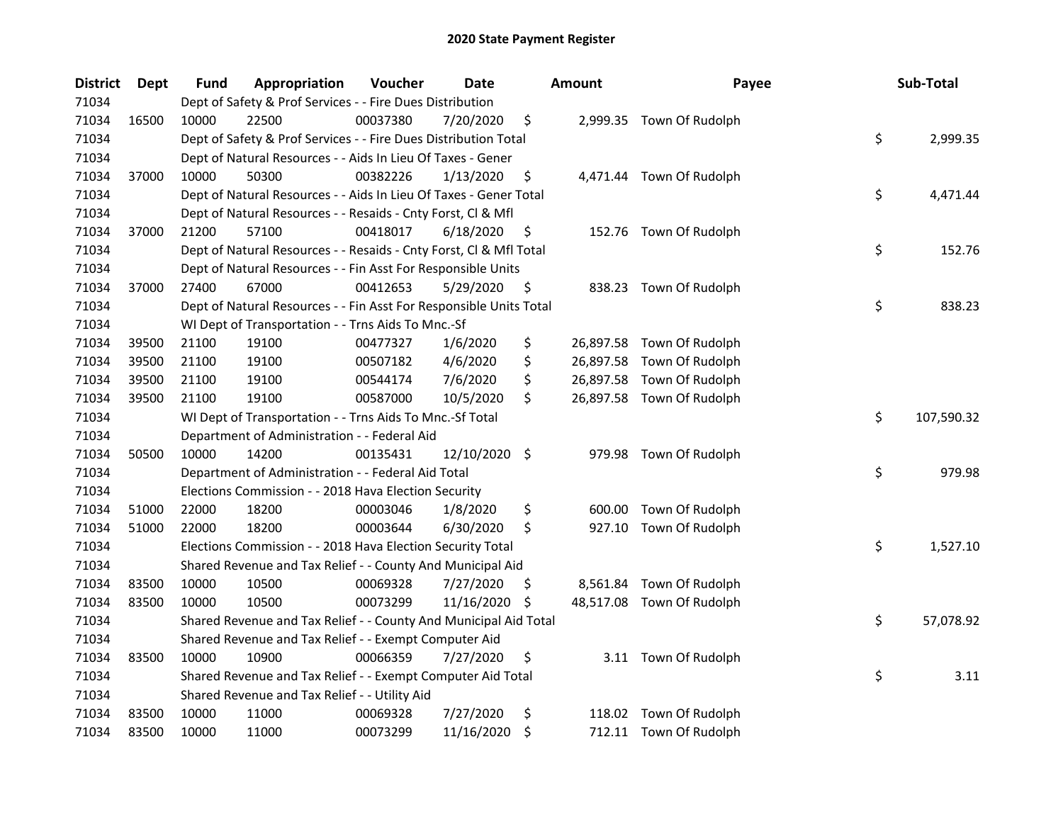| <b>District</b> | <b>Dept</b> | Fund  | Appropriation                                                      | Voucher  | <b>Date</b> |     | <b>Amount</b> | Payee                     | Sub-Total        |
|-----------------|-------------|-------|--------------------------------------------------------------------|----------|-------------|-----|---------------|---------------------------|------------------|
| 71034           |             |       | Dept of Safety & Prof Services - - Fire Dues Distribution          |          |             |     |               |                           |                  |
| 71034           | 16500       | 10000 | 22500                                                              | 00037380 | 7/20/2020   | \$  |               | 2,999.35 Town Of Rudolph  |                  |
| 71034           |             |       | Dept of Safety & Prof Services - - Fire Dues Distribution Total    |          |             |     |               |                           | \$<br>2,999.35   |
| 71034           |             |       | Dept of Natural Resources - - Aids In Lieu Of Taxes - Gener        |          |             |     |               |                           |                  |
| 71034           | 37000       | 10000 | 50300                                                              | 00382226 | 1/13/2020   | \$  |               | 4,471.44 Town Of Rudolph  |                  |
| 71034           |             |       | Dept of Natural Resources - - Aids In Lieu Of Taxes - Gener Total  |          |             |     |               |                           | \$<br>4,471.44   |
| 71034           |             |       | Dept of Natural Resources - - Resaids - Cnty Forst, Cl & Mfl       |          |             |     |               |                           |                  |
| 71034           | 37000       | 21200 | 57100                                                              | 00418017 | 6/18/2020   | \$  |               | 152.76 Town Of Rudolph    |                  |
| 71034           |             |       | Dept of Natural Resources - - Resaids - Cnty Forst, Cl & Mfl Total |          |             |     |               |                           | \$<br>152.76     |
| 71034           |             |       | Dept of Natural Resources - - Fin Asst For Responsible Units       |          |             |     |               |                           |                  |
| 71034           | 37000       | 27400 | 67000                                                              | 00412653 | 5/29/2020   | \$, |               | 838.23 Town Of Rudolph    |                  |
| 71034           |             |       | Dept of Natural Resources - - Fin Asst For Responsible Units Total |          |             |     |               |                           | \$<br>838.23     |
| 71034           |             |       | WI Dept of Transportation - - Trns Aids To Mnc.-Sf                 |          |             |     |               |                           |                  |
| 71034           | 39500       | 21100 | 19100                                                              | 00477327 | 1/6/2020    | \$  |               | 26,897.58 Town Of Rudolph |                  |
| 71034           | 39500       | 21100 | 19100                                                              | 00507182 | 4/6/2020    | \$  |               | 26,897.58 Town Of Rudolph |                  |
| 71034           | 39500       | 21100 | 19100                                                              | 00544174 | 7/6/2020    | \$  |               | 26,897.58 Town Of Rudolph |                  |
| 71034           | 39500       | 21100 | 19100                                                              | 00587000 | 10/5/2020   | \$  |               | 26,897.58 Town Of Rudolph |                  |
| 71034           |             |       | WI Dept of Transportation - - Trns Aids To Mnc.-Sf Total           |          |             |     |               |                           | \$<br>107,590.32 |
| 71034           |             |       | Department of Administration - - Federal Aid                       |          |             |     |               |                           |                  |
| 71034           | 50500       | 10000 | 14200                                                              | 00135431 | 12/10/2020  | \$  |               | 979.98 Town Of Rudolph    |                  |
| 71034           |             |       | Department of Administration - - Federal Aid Total                 |          |             |     |               |                           | \$<br>979.98     |
| 71034           |             |       | Elections Commission - - 2018 Hava Election Security               |          |             |     |               |                           |                  |
| 71034           | 51000       | 22000 | 18200                                                              | 00003046 | 1/8/2020    | \$  | 600.00        | Town Of Rudolph           |                  |
| 71034           | 51000       | 22000 | 18200                                                              | 00003644 | 6/30/2020   | \$  | 927.10        | Town Of Rudolph           |                  |
| 71034           |             |       | Elections Commission - - 2018 Hava Election Security Total         |          |             |     |               |                           | \$<br>1,527.10   |
| 71034           |             |       | Shared Revenue and Tax Relief - - County And Municipal Aid         |          |             |     |               |                           |                  |
| 71034           | 83500       | 10000 | 10500                                                              | 00069328 | 7/27/2020   | \$. |               | 8,561.84 Town Of Rudolph  |                  |
| 71034           | 83500       | 10000 | 10500                                                              | 00073299 | 11/16/2020  | \$, |               | 48,517.08 Town Of Rudolph |                  |
| 71034           |             |       | Shared Revenue and Tax Relief - - County And Municipal Aid Total   |          |             |     |               |                           | \$<br>57,078.92  |
| 71034           |             |       | Shared Revenue and Tax Relief - - Exempt Computer Aid              |          |             |     |               |                           |                  |
| 71034           | 83500       | 10000 | 10900                                                              | 00066359 | 7/27/2020   | \$  |               | 3.11 Town Of Rudolph      |                  |
| 71034           |             |       | Shared Revenue and Tax Relief - - Exempt Computer Aid Total        |          |             |     |               |                           | \$<br>3.11       |
| 71034           |             |       | Shared Revenue and Tax Relief - - Utility Aid                      |          |             |     |               |                           |                  |
| 71034           | 83500       | 10000 | 11000                                                              | 00069328 | 7/27/2020   | \$  |               | 118.02 Town Of Rudolph    |                  |
| 71034           | 83500       | 10000 | 11000                                                              | 00073299 | 11/16/2020  | \$  |               | 712.11 Town Of Rudolph    |                  |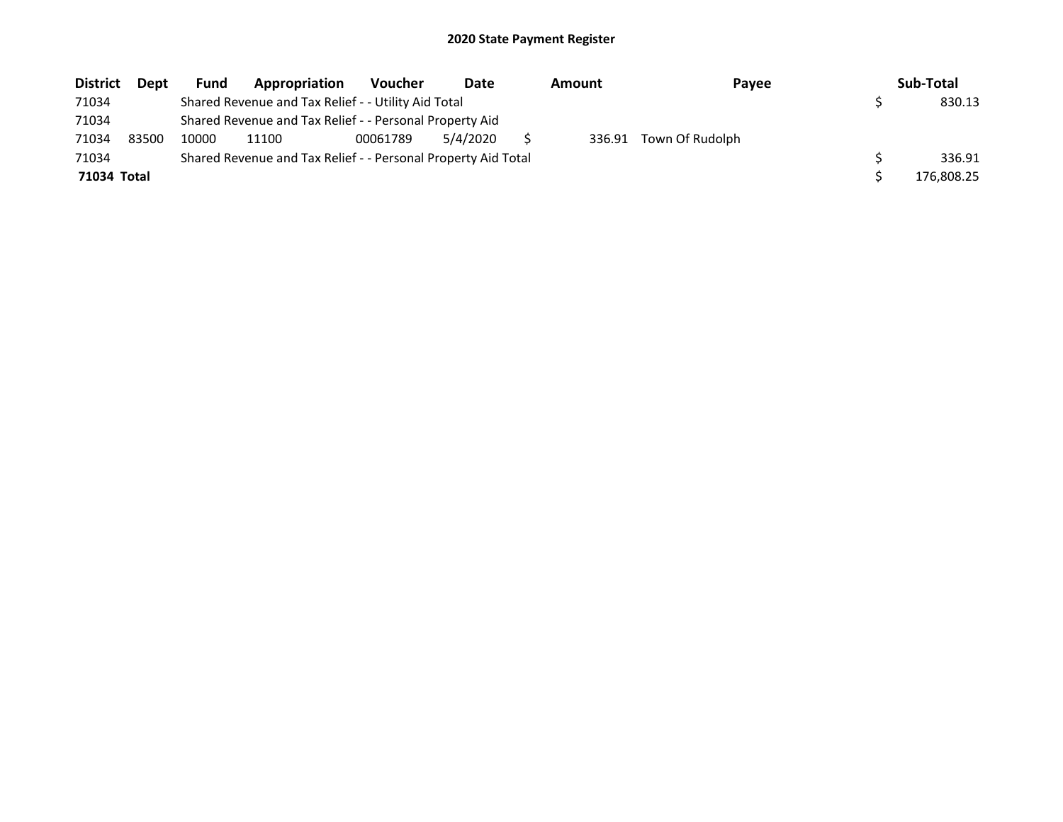| <b>District</b> | Dept  | Fund  | Appropriation                                                 | <b>Voucher</b> | Date     | Amount | Payee           | Sub-Total  |
|-----------------|-------|-------|---------------------------------------------------------------|----------------|----------|--------|-----------------|------------|
| 71034           |       |       | Shared Revenue and Tax Relief - - Utility Aid Total           |                |          |        |                 | 830.13     |
| 71034           |       |       | Shared Revenue and Tax Relief - - Personal Property Aid       |                |          |        |                 |            |
| 71034           | 83500 | 10000 | 11100                                                         | 00061789       | 5/4/2020 | 336.91 | Town Of Rudolph |            |
| 71034           |       |       | Shared Revenue and Tax Relief - - Personal Property Aid Total |                |          |        |                 | 336.91     |
| 71034 Total     |       |       |                                                               |                |          |        |                 | 176,808.25 |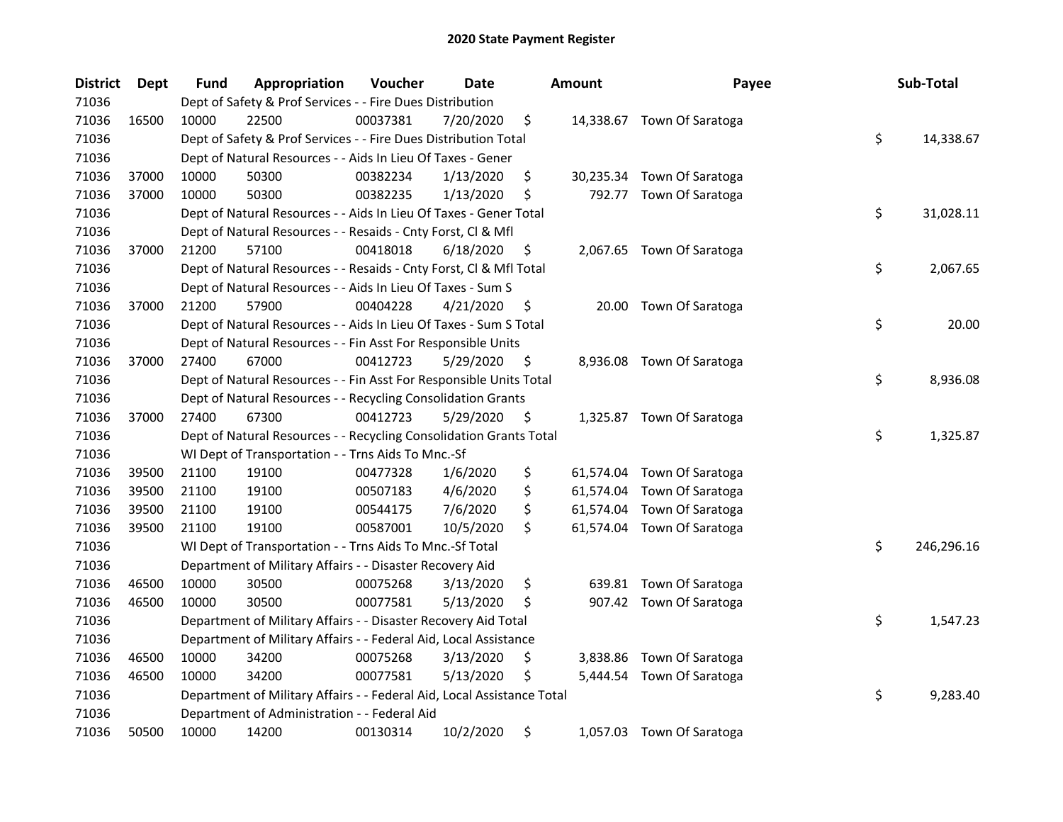| <b>District</b> | <b>Dept</b> | Fund  | Appropriation                                                          | Voucher  | <b>Date</b> | <b>Amount</b>   | Payee                      | Sub-Total        |
|-----------------|-------------|-------|------------------------------------------------------------------------|----------|-------------|-----------------|----------------------------|------------------|
| 71036           |             |       | Dept of Safety & Prof Services - - Fire Dues Distribution              |          |             |                 |                            |                  |
| 71036           | 16500       | 10000 | 22500                                                                  | 00037381 | 7/20/2020   | \$              | 14,338.67 Town Of Saratoga |                  |
| 71036           |             |       | Dept of Safety & Prof Services - - Fire Dues Distribution Total        |          |             |                 |                            | \$<br>14,338.67  |
| 71036           |             |       | Dept of Natural Resources - - Aids In Lieu Of Taxes - Gener            |          |             |                 |                            |                  |
| 71036           | 37000       | 10000 | 50300                                                                  | 00382234 | 1/13/2020   | \$              | 30,235.34 Town Of Saratoga |                  |
| 71036           | 37000       | 10000 | 50300                                                                  | 00382235 | 1/13/2020   | \$<br>792.77    | Town Of Saratoga           |                  |
| 71036           |             |       | Dept of Natural Resources - - Aids In Lieu Of Taxes - Gener Total      |          |             |                 |                            | \$<br>31,028.11  |
| 71036           |             |       | Dept of Natural Resources - - Resaids - Cnty Forst, Cl & Mfl           |          |             |                 |                            |                  |
| 71036           | 37000       | 21200 | 57100                                                                  | 00418018 | 6/18/2020   | \$              | 2,067.65 Town Of Saratoga  |                  |
| 71036           |             |       | Dept of Natural Resources - - Resaids - Cnty Forst, Cl & Mfl Total     |          |             |                 |                            | \$<br>2,067.65   |
| 71036           |             |       | Dept of Natural Resources - - Aids In Lieu Of Taxes - Sum S            |          |             |                 |                            |                  |
| 71036           | 37000       | 21200 | 57900                                                                  | 00404228 | 4/21/2020   | \$              | 20.00 Town Of Saratoga     |                  |
| 71036           |             |       | Dept of Natural Resources - - Aids In Lieu Of Taxes - Sum S Total      |          |             |                 |                            | \$<br>20.00      |
| 71036           |             |       | Dept of Natural Resources - - Fin Asst For Responsible Units           |          |             |                 |                            |                  |
| 71036           | 37000       | 27400 | 67000                                                                  | 00412723 | 5/29/2020   | \$<br>8,936.08  | Town Of Saratoga           |                  |
| 71036           |             |       | Dept of Natural Resources - - Fin Asst For Responsible Units Total     |          |             |                 |                            | \$<br>8,936.08   |
| 71036           |             |       | Dept of Natural Resources - - Recycling Consolidation Grants           |          |             |                 |                            |                  |
| 71036           | 37000       | 27400 | 67300                                                                  | 00412723 | 5/29/2020   | \$              | 1,325.87 Town Of Saratoga  |                  |
| 71036           |             |       | Dept of Natural Resources - - Recycling Consolidation Grants Total     |          |             |                 |                            | \$<br>1,325.87   |
| 71036           |             |       | WI Dept of Transportation - - Trns Aids To Mnc.-Sf                     |          |             |                 |                            |                  |
| 71036           | 39500       | 21100 | 19100                                                                  | 00477328 | 1/6/2020    | \$              | 61,574.04 Town Of Saratoga |                  |
| 71036           | 39500       | 21100 | 19100                                                                  | 00507183 | 4/6/2020    | \$              | 61,574.04 Town Of Saratoga |                  |
| 71036           | 39500       | 21100 | 19100                                                                  | 00544175 | 7/6/2020    | \$<br>61,574.04 | Town Of Saratoga           |                  |
| 71036           | 39500       | 21100 | 19100                                                                  | 00587001 | 10/5/2020   | \$              | 61,574.04 Town Of Saratoga |                  |
| 71036           |             |       | WI Dept of Transportation - - Trns Aids To Mnc.-Sf Total               |          |             |                 |                            | \$<br>246,296.16 |
| 71036           |             |       | Department of Military Affairs - - Disaster Recovery Aid               |          |             |                 |                            |                  |
| 71036           | 46500       | 10000 | 30500                                                                  | 00075268 | 3/13/2020   | \$<br>639.81    | Town Of Saratoga           |                  |
| 71036           | 46500       | 10000 | 30500                                                                  | 00077581 | 5/13/2020   | \$              | 907.42 Town Of Saratoga    |                  |
| 71036           |             |       | Department of Military Affairs - - Disaster Recovery Aid Total         |          |             |                 |                            | \$<br>1,547.23   |
| 71036           |             |       | Department of Military Affairs - - Federal Aid, Local Assistance       |          |             |                 |                            |                  |
| 71036           | 46500       | 10000 | 34200                                                                  | 00075268 | 3/13/2020   | \$<br>3,838.86  | Town Of Saratoga           |                  |
| 71036           | 46500       | 10000 | 34200                                                                  | 00077581 | 5/13/2020   | \$<br>5,444.54  | Town Of Saratoga           |                  |
| 71036           |             |       | Department of Military Affairs - - Federal Aid, Local Assistance Total |          |             |                 |                            | \$<br>9,283.40   |
| 71036           |             |       | Department of Administration - - Federal Aid                           |          |             |                 |                            |                  |
| 71036           | 50500       | 10000 | 14200                                                                  | 00130314 | 10/2/2020   | \$              | 1,057.03 Town Of Saratoga  |                  |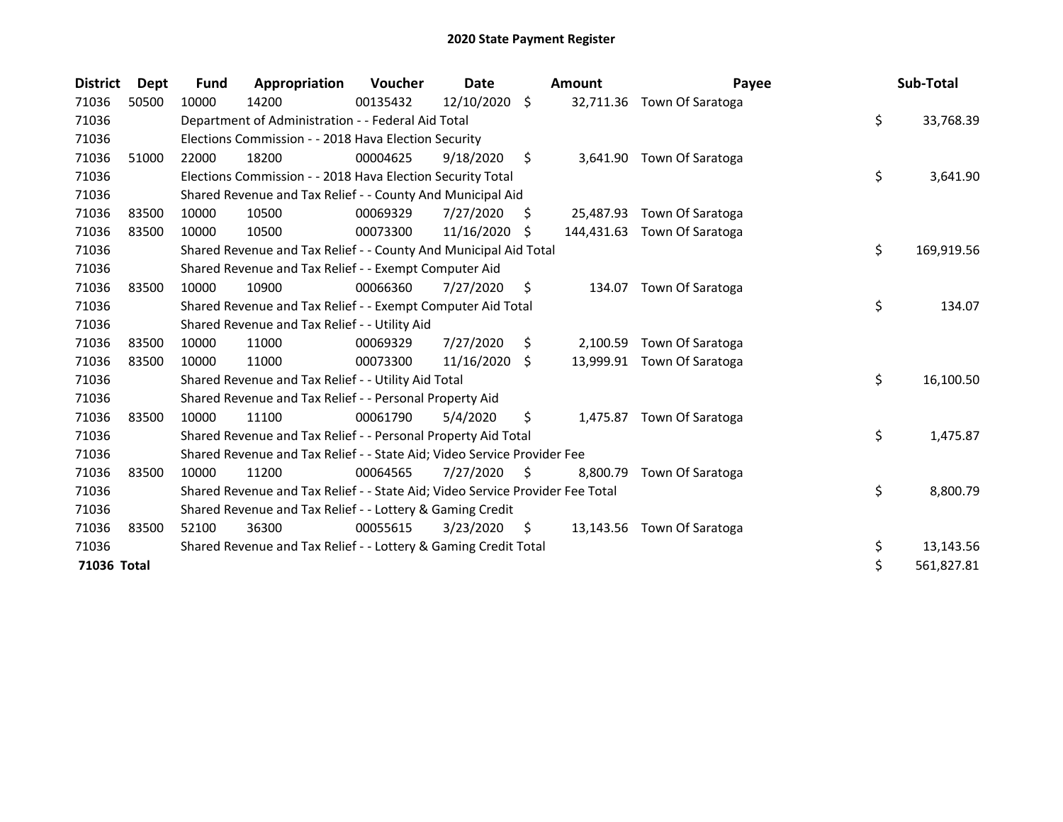| <b>District</b> | <b>Dept</b> | <b>Fund</b> | Appropriation                                                                 | Voucher  | Date          |     | <b>Amount</b> | Payee                       | Sub-Total        |
|-----------------|-------------|-------------|-------------------------------------------------------------------------------|----------|---------------|-----|---------------|-----------------------------|------------------|
| 71036           | 50500       | 10000       | 14200                                                                         | 00135432 | 12/10/2020 \$ |     | 32,711.36     | Town Of Saratoga            |                  |
| 71036           |             |             | Department of Administration - - Federal Aid Total                            |          |               |     |               |                             | \$<br>33,768.39  |
| 71036           |             |             | Elections Commission - - 2018 Hava Election Security                          |          |               |     |               |                             |                  |
| 71036           | 51000       | 22000       | 18200                                                                         | 00004625 | 9/18/2020     | \$  | 3,641.90      | Town Of Saratoga            |                  |
| 71036           |             |             | Elections Commission - - 2018 Hava Election Security Total                    |          |               |     |               |                             | \$<br>3,641.90   |
| 71036           |             |             | Shared Revenue and Tax Relief - - County And Municipal Aid                    |          |               |     |               |                             |                  |
| 71036           | 83500       | 10000       | 10500                                                                         | 00069329 | 7/27/2020     | S   | 25,487.93     | Town Of Saratoga            |                  |
| 71036           | 83500       | 10000       | 10500                                                                         | 00073300 | 11/16/2020    | S   |               | 144,431.63 Town Of Saratoga |                  |
| 71036           |             |             | Shared Revenue and Tax Relief - - County And Municipal Aid Total              |          |               |     |               |                             | \$<br>169,919.56 |
| 71036           |             |             | Shared Revenue and Tax Relief - - Exempt Computer Aid                         |          |               |     |               |                             |                  |
| 71036           | 83500       | 10000       | 10900                                                                         | 00066360 | 7/27/2020     | \$  | 134.07        | Town Of Saratoga            |                  |
| 71036           |             |             | Shared Revenue and Tax Relief - - Exempt Computer Aid Total                   |          |               |     |               |                             | \$<br>134.07     |
| 71036           |             |             | Shared Revenue and Tax Relief - - Utility Aid                                 |          |               |     |               |                             |                  |
| 71036           | 83500       | 10000       | 11000                                                                         | 00069329 | 7/27/2020     | \$  | 2,100.59      | Town Of Saratoga            |                  |
| 71036           | 83500       | 10000       | 11000                                                                         | 00073300 | 11/16/2020    | \$  |               | 13,999.91 Town Of Saratoga  |                  |
| 71036           |             |             | Shared Revenue and Tax Relief - - Utility Aid Total                           |          |               |     |               |                             | \$<br>16,100.50  |
| 71036           |             |             | Shared Revenue and Tax Relief - - Personal Property Aid                       |          |               |     |               |                             |                  |
| 71036           | 83500       | 10000       | 11100                                                                         | 00061790 | 5/4/2020      | \$  | 1,475.87      | Town Of Saratoga            |                  |
| 71036           |             |             | Shared Revenue and Tax Relief - - Personal Property Aid Total                 |          |               |     |               |                             | \$<br>1,475.87   |
| 71036           |             |             | Shared Revenue and Tax Relief - - State Aid; Video Service Provider Fee       |          |               |     |               |                             |                  |
| 71036           | 83500       | 10000       | 11200                                                                         | 00064565 | 7/27/2020     | S   | 8,800.79      | Town Of Saratoga            |                  |
| 71036           |             |             | Shared Revenue and Tax Relief - - State Aid; Video Service Provider Fee Total |          |               |     |               |                             | \$<br>8,800.79   |
| 71036           |             |             | Shared Revenue and Tax Relief - - Lottery & Gaming Credit                     |          |               |     |               |                             |                  |
| 71036           | 83500       | 52100       | 36300                                                                         | 00055615 | 3/23/2020     | \$. |               | 13,143.56 Town Of Saratoga  |                  |
| 71036           |             |             | Shared Revenue and Tax Relief - - Lottery & Gaming Credit Total               |          |               |     |               |                             | \$<br>13,143.56  |
| 71036 Total     |             |             |                                                                               |          |               |     |               |                             | \$<br>561,827.81 |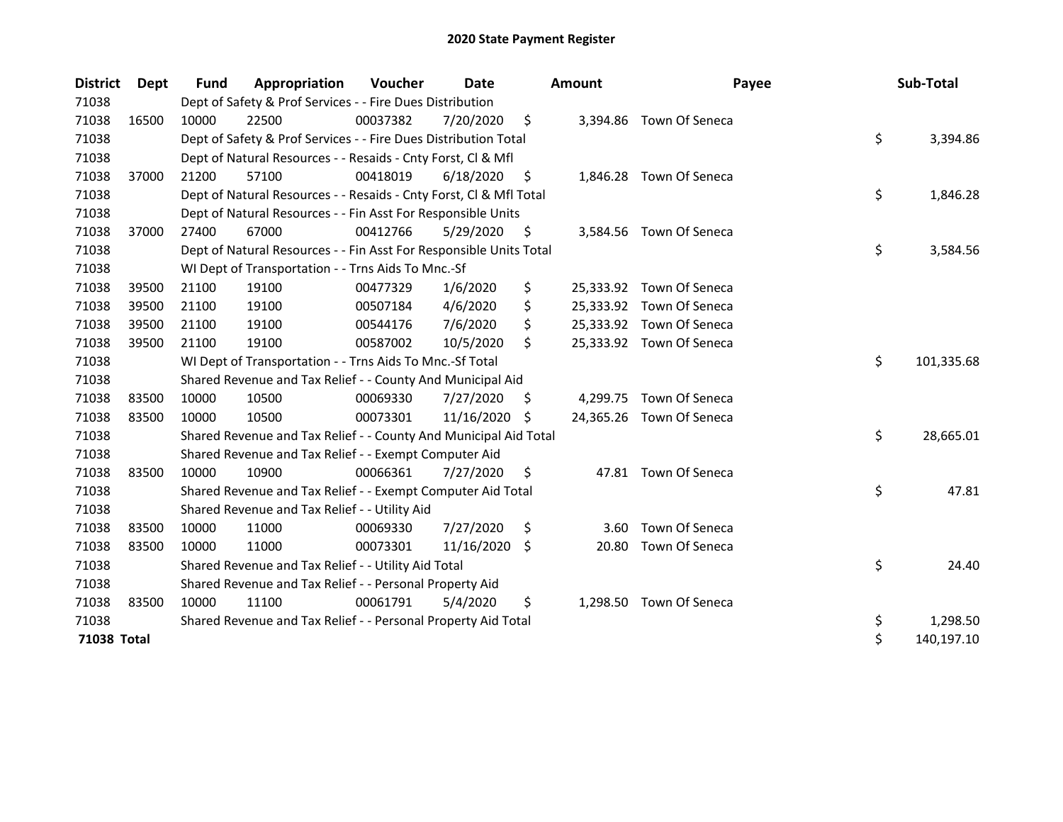| <b>District</b> | <b>Dept</b> | <b>Fund</b> | Appropriation                                                      | Voucher  | Date       |     | <b>Amount</b> | Payee                    | Sub-Total        |
|-----------------|-------------|-------------|--------------------------------------------------------------------|----------|------------|-----|---------------|--------------------------|------------------|
| 71038           |             |             | Dept of Safety & Prof Services - - Fire Dues Distribution          |          |            |     |               |                          |                  |
| 71038           | 16500       | 10000       | 22500                                                              | 00037382 | 7/20/2020  | \$  |               | 3,394.86 Town Of Seneca  |                  |
| 71038           |             |             | Dept of Safety & Prof Services - - Fire Dues Distribution Total    |          |            |     |               |                          | \$<br>3,394.86   |
| 71038           |             |             | Dept of Natural Resources - - Resaids - Cnty Forst, Cl & Mfl       |          |            |     |               |                          |                  |
| 71038           | 37000       | 21200       | 57100                                                              | 00418019 | 6/18/2020  | -\$ |               | 1,846.28 Town Of Seneca  |                  |
| 71038           |             |             | Dept of Natural Resources - - Resaids - Cnty Forst, Cl & Mfl Total |          |            |     |               |                          | \$<br>1,846.28   |
| 71038           |             |             | Dept of Natural Resources - - Fin Asst For Responsible Units       |          |            |     |               |                          |                  |
| 71038           | 37000       | 27400       | 67000                                                              | 00412766 | 5/29/2020  | \$  | 3,584.56      | Town Of Seneca           |                  |
| 71038           |             |             | Dept of Natural Resources - - Fin Asst For Responsible Units Total |          |            |     |               |                          | \$<br>3,584.56   |
| 71038           |             |             | WI Dept of Transportation - - Trns Aids To Mnc.-Sf                 |          |            |     |               |                          |                  |
| 71038           | 39500       | 21100       | 19100                                                              | 00477329 | 1/6/2020   | \$  |               | 25,333.92 Town Of Seneca |                  |
| 71038           | 39500       | 21100       | 19100                                                              | 00507184 | 4/6/2020   | \$  |               | 25,333.92 Town Of Seneca |                  |
| 71038           | 39500       | 21100       | 19100                                                              | 00544176 | 7/6/2020   | \$  |               | 25,333.92 Town Of Seneca |                  |
| 71038           | 39500       | 21100       | 19100                                                              | 00587002 | 10/5/2020  | \$  |               | 25,333.92 Town Of Seneca |                  |
| 71038           |             |             | WI Dept of Transportation - - Trns Aids To Mnc.-Sf Total           |          |            |     |               |                          | \$<br>101,335.68 |
| 71038           |             |             | Shared Revenue and Tax Relief - - County And Municipal Aid         |          |            |     |               |                          |                  |
| 71038           | 83500       | 10000       | 10500                                                              | 00069330 | 7/27/2020  | \$. | 4,299.75      | Town Of Seneca           |                  |
| 71038           | 83500       | 10000       | 10500                                                              | 00073301 | 11/16/2020 | -S  |               | 24,365.26 Town Of Seneca |                  |
| 71038           |             |             | Shared Revenue and Tax Relief - - County And Municipal Aid Total   |          |            |     |               |                          | \$<br>28,665.01  |
| 71038           |             |             | Shared Revenue and Tax Relief - - Exempt Computer Aid              |          |            |     |               |                          |                  |
| 71038           | 83500       | 10000       | 10900                                                              | 00066361 | 7/27/2020  | \$. |               | 47.81 Town Of Seneca     |                  |
| 71038           |             |             | Shared Revenue and Tax Relief - - Exempt Computer Aid Total        |          |            |     |               |                          | \$<br>47.81      |
| 71038           |             |             | Shared Revenue and Tax Relief - - Utility Aid                      |          |            |     |               |                          |                  |
| 71038           | 83500       | 10000       | 11000                                                              | 00069330 | 7/27/2020  | \$  | 3.60          | Town Of Seneca           |                  |
| 71038           | 83500       | 10000       | 11000                                                              | 00073301 | 11/16/2020 | \$  | 20.80         | Town Of Seneca           |                  |
| 71038           |             |             | Shared Revenue and Tax Relief - - Utility Aid Total                |          |            |     |               |                          | \$<br>24.40      |
| 71038           |             |             | Shared Revenue and Tax Relief - - Personal Property Aid            |          |            |     |               |                          |                  |
| 71038           | 83500       | 10000       | 11100                                                              | 00061791 | 5/4/2020   | \$  | 1,298.50      | Town Of Seneca           |                  |
| 71038           |             |             | Shared Revenue and Tax Relief - - Personal Property Aid Total      |          |            |     |               |                          | \$<br>1,298.50   |
| 71038 Total     |             |             |                                                                    |          |            |     |               |                          | \$<br>140,197.10 |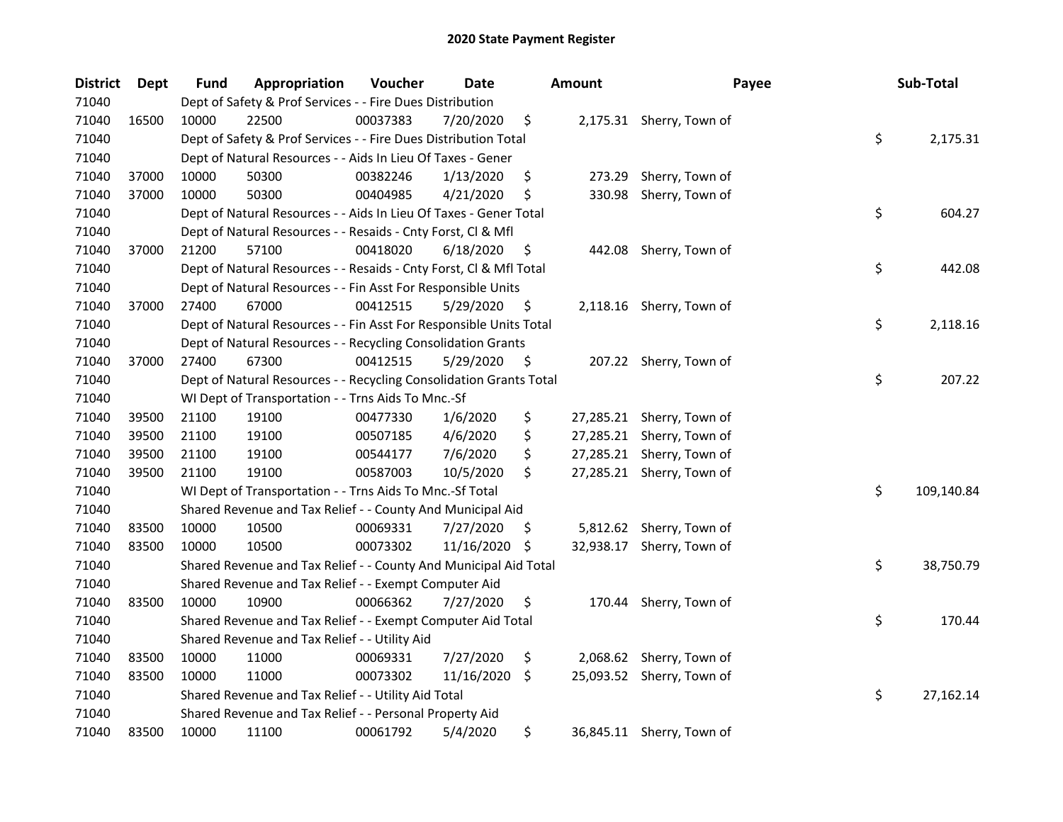| <b>District</b> | Dept  | Fund  | Appropriation                                                      | Voucher  | Date       |     | <b>Amount</b> | Payee                     | Sub-Total        |
|-----------------|-------|-------|--------------------------------------------------------------------|----------|------------|-----|---------------|---------------------------|------------------|
| 71040           |       |       | Dept of Safety & Prof Services - - Fire Dues Distribution          |          |            |     |               |                           |                  |
| 71040           | 16500 | 10000 | 22500                                                              | 00037383 | 7/20/2020  | \$  |               | 2,175.31 Sherry, Town of  |                  |
| 71040           |       |       | Dept of Safety & Prof Services - - Fire Dues Distribution Total    |          |            |     |               |                           | \$<br>2,175.31   |
| 71040           |       |       | Dept of Natural Resources - - Aids In Lieu Of Taxes - Gener        |          |            |     |               |                           |                  |
| 71040           | 37000 | 10000 | 50300                                                              | 00382246 | 1/13/2020  | \$  | 273.29        | Sherry, Town of           |                  |
| 71040           | 37000 | 10000 | 50300                                                              | 00404985 | 4/21/2020  | \$  | 330.98        | Sherry, Town of           |                  |
| 71040           |       |       | Dept of Natural Resources - - Aids In Lieu Of Taxes - Gener Total  |          |            |     |               |                           | \$<br>604.27     |
| 71040           |       |       | Dept of Natural Resources - - Resaids - Cnty Forst, Cl & Mfl       |          |            |     |               |                           |                  |
| 71040           | 37000 | 21200 | 57100                                                              | 00418020 | 6/18/2020  | \$  | 442.08        | Sherry, Town of           |                  |
| 71040           |       |       | Dept of Natural Resources - - Resaids - Cnty Forst, Cl & Mfl Total |          |            |     |               |                           | \$<br>442.08     |
| 71040           |       |       | Dept of Natural Resources - - Fin Asst For Responsible Units       |          |            |     |               |                           |                  |
| 71040           | 37000 | 27400 | 67000                                                              | 00412515 | 5/29/2020  | \$  |               | 2,118.16 Sherry, Town of  |                  |
| 71040           |       |       | Dept of Natural Resources - - Fin Asst For Responsible Units Total |          |            |     |               |                           | \$<br>2,118.16   |
| 71040           |       |       | Dept of Natural Resources - - Recycling Consolidation Grants       |          |            |     |               |                           |                  |
| 71040           | 37000 | 27400 | 67300                                                              | 00412515 | 5/29/2020  | \$. |               | 207.22 Sherry, Town of    |                  |
| 71040           |       |       | Dept of Natural Resources - - Recycling Consolidation Grants Total |          |            |     |               |                           | \$<br>207.22     |
| 71040           |       |       | WI Dept of Transportation - - Trns Aids To Mnc.-Sf                 |          |            |     |               |                           |                  |
| 71040           | 39500 | 21100 | 19100                                                              | 00477330 | 1/6/2020   | \$  | 27,285.21     | Sherry, Town of           |                  |
| 71040           | 39500 | 21100 | 19100                                                              | 00507185 | 4/6/2020   | \$  | 27,285.21     | Sherry, Town of           |                  |
| 71040           | 39500 | 21100 | 19100                                                              | 00544177 | 7/6/2020   | \$  | 27,285.21     | Sherry, Town of           |                  |
| 71040           | 39500 | 21100 | 19100                                                              | 00587003 | 10/5/2020  | \$  |               | 27,285.21 Sherry, Town of |                  |
| 71040           |       |       | WI Dept of Transportation - - Trns Aids To Mnc.-Sf Total           |          |            |     |               |                           | \$<br>109,140.84 |
| 71040           |       |       | Shared Revenue and Tax Relief - - County And Municipal Aid         |          |            |     |               |                           |                  |
| 71040           | 83500 | 10000 | 10500                                                              | 00069331 | 7/27/2020  | \$. |               | 5,812.62 Sherry, Town of  |                  |
| 71040           | 83500 | 10000 | 10500                                                              | 00073302 | 11/16/2020 | \$  | 32,938.17     | Sherry, Town of           |                  |
| 71040           |       |       | Shared Revenue and Tax Relief - - County And Municipal Aid Total   |          |            |     |               |                           | \$<br>38,750.79  |
| 71040           |       |       | Shared Revenue and Tax Relief - - Exempt Computer Aid              |          |            |     |               |                           |                  |
| 71040           | 83500 | 10000 | 10900                                                              | 00066362 | 7/27/2020  | \$  | 170.44        | Sherry, Town of           |                  |
| 71040           |       |       | Shared Revenue and Tax Relief - - Exempt Computer Aid Total        |          |            |     |               |                           | \$<br>170.44     |
| 71040           |       |       | Shared Revenue and Tax Relief - - Utility Aid                      |          |            |     |               |                           |                  |
| 71040           | 83500 | 10000 | 11000                                                              | 00069331 | 7/27/2020  | \$  |               | 2,068.62 Sherry, Town of  |                  |
| 71040           | 83500 | 10000 | 11000                                                              | 00073302 | 11/16/2020 | \$  |               | 25,093.52 Sherry, Town of |                  |
| 71040           |       |       | Shared Revenue and Tax Relief - - Utility Aid Total                |          |            |     |               |                           | \$<br>27,162.14  |
| 71040           |       |       | Shared Revenue and Tax Relief - - Personal Property Aid            |          |            |     |               |                           |                  |
| 71040           | 83500 | 10000 | 11100                                                              | 00061792 | 5/4/2020   | \$  |               | 36,845.11 Sherry, Town of |                  |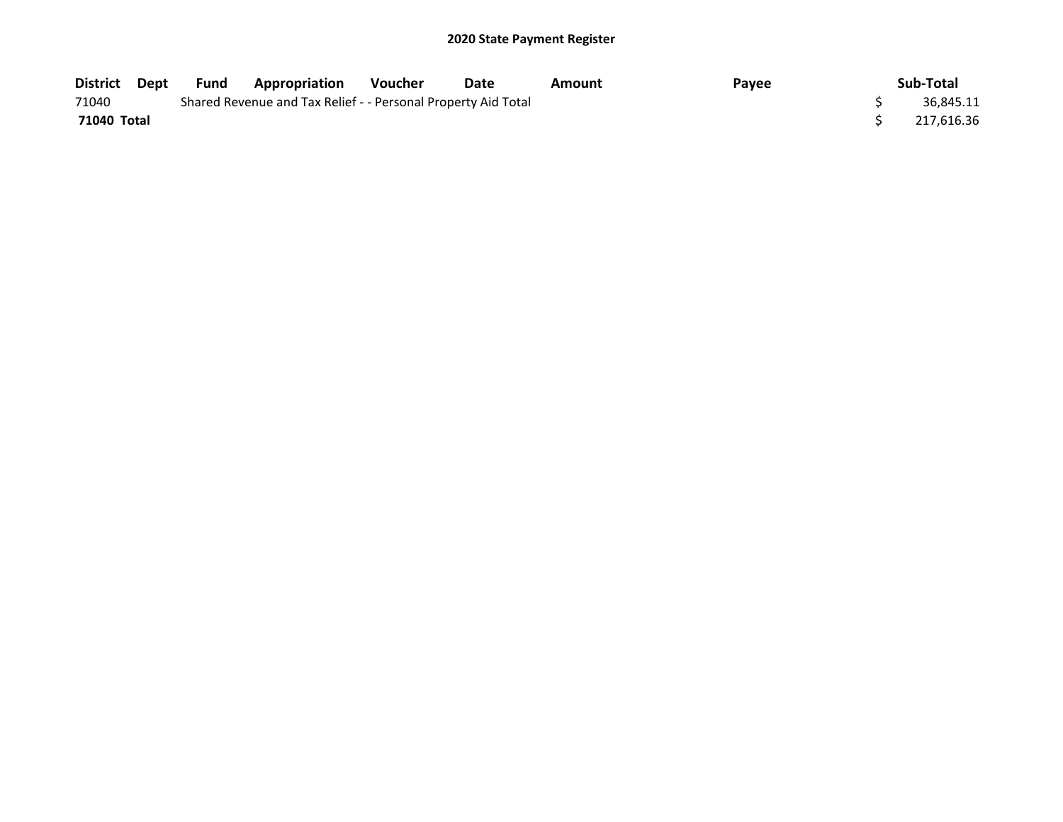| District Dept | Fund | <b>Appropriation</b>                                          | Voucher | Date | Amount | Payee | Sub-Total  |
|---------------|------|---------------------------------------------------------------|---------|------|--------|-------|------------|
| 71040         |      | Shared Revenue and Tax Relief - - Personal Property Aid Total |         |      |        |       | 36.845.11  |
| 71040 Total   |      |                                                               |         |      |        |       | 217,616.36 |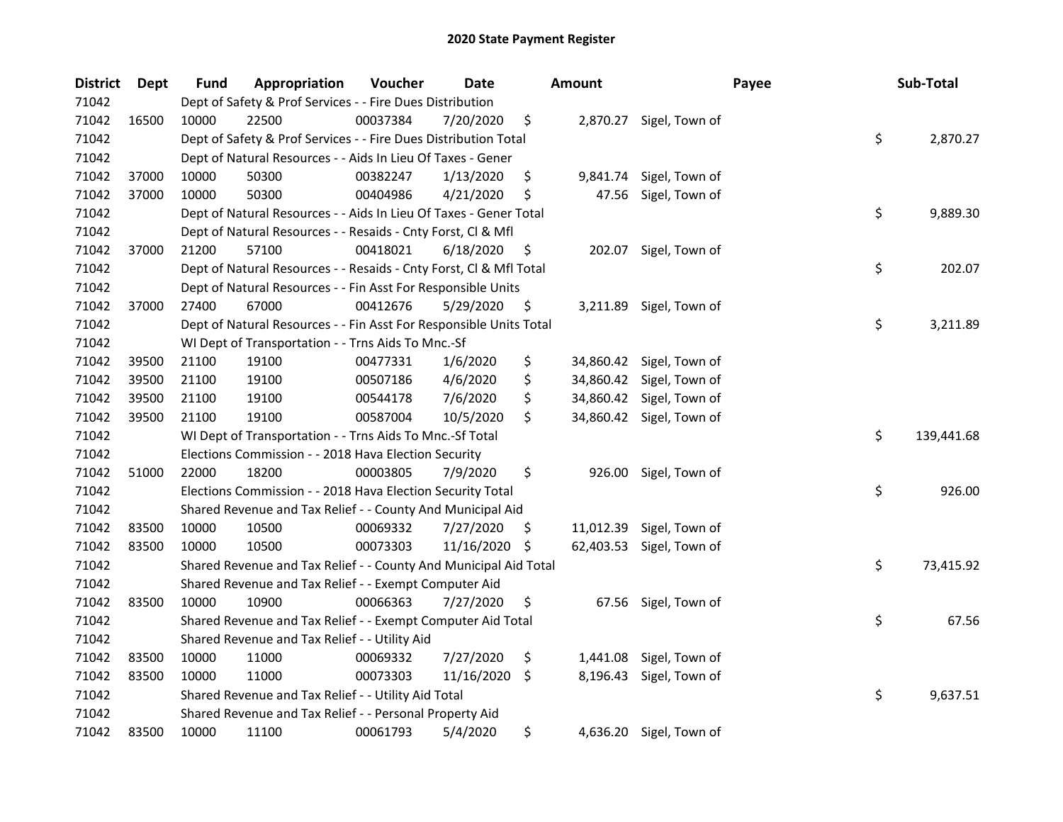| <b>District</b> | Dept  | Fund  | Appropriation                                                      | Voucher  | Date       |     | <b>Amount</b> |                          | Payee | Sub-Total        |
|-----------------|-------|-------|--------------------------------------------------------------------|----------|------------|-----|---------------|--------------------------|-------|------------------|
| 71042           |       |       | Dept of Safety & Prof Services - - Fire Dues Distribution          |          |            |     |               |                          |       |                  |
| 71042           | 16500 | 10000 | 22500                                                              | 00037384 | 7/20/2020  | \$  |               | 2,870.27 Sigel, Town of  |       |                  |
| 71042           |       |       | Dept of Safety & Prof Services - - Fire Dues Distribution Total    |          |            |     |               |                          |       | \$<br>2,870.27   |
| 71042           |       |       | Dept of Natural Resources - - Aids In Lieu Of Taxes - Gener        |          |            |     |               |                          |       |                  |
| 71042           | 37000 | 10000 | 50300                                                              | 00382247 | 1/13/2020  | \$  | 9,841.74      | Sigel, Town of           |       |                  |
| 71042           | 37000 | 10000 | 50300                                                              | 00404986 | 4/21/2020  | \$  | 47.56         | Sigel, Town of           |       |                  |
| 71042           |       |       | Dept of Natural Resources - - Aids In Lieu Of Taxes - Gener Total  |          |            |     |               |                          |       | \$<br>9,889.30   |
| 71042           |       |       | Dept of Natural Resources - - Resaids - Cnty Forst, Cl & Mfl       |          |            |     |               |                          |       |                  |
| 71042           | 37000 | 21200 | 57100                                                              | 00418021 | 6/18/2020  | \$  | 202.07        | Sigel, Town of           |       |                  |
| 71042           |       |       | Dept of Natural Resources - - Resaids - Cnty Forst, Cl & Mfl Total |          |            |     |               |                          |       | \$<br>202.07     |
| 71042           |       |       | Dept of Natural Resources - - Fin Asst For Responsible Units       |          |            |     |               |                          |       |                  |
| 71042           | 37000 | 27400 | 67000                                                              | 00412676 | 5/29/2020  | \$. | 3,211.89      | Sigel, Town of           |       |                  |
| 71042           |       |       | Dept of Natural Resources - - Fin Asst For Responsible Units Total |          |            |     |               |                          |       | \$<br>3,211.89   |
| 71042           |       |       | WI Dept of Transportation - - Trns Aids To Mnc.-Sf                 |          |            |     |               |                          |       |                  |
| 71042           | 39500 | 21100 | 19100                                                              | 00477331 | 1/6/2020   | \$  | 34,860.42     | Sigel, Town of           |       |                  |
| 71042           | 39500 | 21100 | 19100                                                              | 00507186 | 4/6/2020   | \$  | 34,860.42     | Sigel, Town of           |       |                  |
| 71042           | 39500 | 21100 | 19100                                                              | 00544178 | 7/6/2020   | \$  |               | 34,860.42 Sigel, Town of |       |                  |
| 71042           | 39500 | 21100 | 19100                                                              | 00587004 | 10/5/2020  | \$  |               | 34,860.42 Sigel, Town of |       |                  |
| 71042           |       |       | WI Dept of Transportation - - Trns Aids To Mnc.-Sf Total           |          |            |     |               |                          |       | \$<br>139,441.68 |
| 71042           |       |       | Elections Commission - - 2018 Hava Election Security               |          |            |     |               |                          |       |                  |
| 71042           | 51000 | 22000 | 18200                                                              | 00003805 | 7/9/2020   | \$  | 926.00        | Sigel, Town of           |       |                  |
| 71042           |       |       | Elections Commission - - 2018 Hava Election Security Total         |          |            |     |               |                          |       | \$<br>926.00     |
| 71042           |       |       | Shared Revenue and Tax Relief - - County And Municipal Aid         |          |            |     |               |                          |       |                  |
| 71042           | 83500 | 10000 | 10500                                                              | 00069332 | 7/27/2020  | \$. | 11,012.39     | Sigel, Town of           |       |                  |
| 71042           | 83500 | 10000 | 10500                                                              | 00073303 | 11/16/2020 | \$  | 62,403.53     | Sigel, Town of           |       |                  |
| 71042           |       |       | Shared Revenue and Tax Relief - - County And Municipal Aid Total   |          |            |     |               |                          |       | \$<br>73,415.92  |
| 71042           |       |       | Shared Revenue and Tax Relief - - Exempt Computer Aid              |          |            |     |               |                          |       |                  |
| 71042           | 83500 | 10000 | 10900                                                              | 00066363 | 7/27/2020  | \$  |               | 67.56 Sigel, Town of     |       |                  |
| 71042           |       |       | Shared Revenue and Tax Relief - - Exempt Computer Aid Total        |          |            |     |               |                          |       | \$<br>67.56      |
| 71042           |       |       | Shared Revenue and Tax Relief - - Utility Aid                      |          |            |     |               |                          |       |                  |
| 71042           | 83500 | 10000 | 11000                                                              | 00069332 | 7/27/2020  | \$  | 1,441.08      | Sigel, Town of           |       |                  |
| 71042           | 83500 | 10000 | 11000                                                              | 00073303 | 11/16/2020 | \$  | 8,196.43      | Sigel, Town of           |       |                  |
| 71042           |       |       | Shared Revenue and Tax Relief - - Utility Aid Total                |          |            |     |               |                          |       | \$<br>9,637.51   |
| 71042           |       |       | Shared Revenue and Tax Relief - - Personal Property Aid            |          |            |     |               |                          |       |                  |
| 71042           | 83500 | 10000 | 11100                                                              | 00061793 | 5/4/2020   | \$  |               | 4,636.20 Sigel, Town of  |       |                  |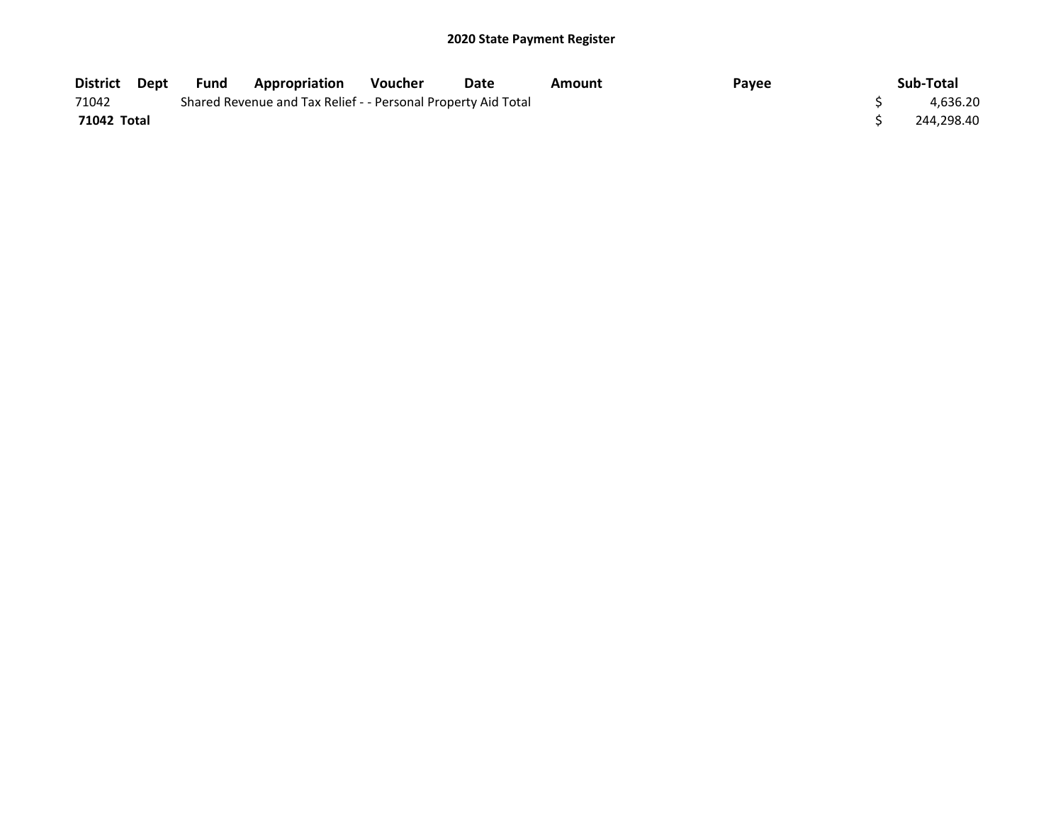| District Dept | Fund | Appropriation                                                 | <b>Voucher</b> | Date | Amount | Pavee | Sub-Total  |
|---------------|------|---------------------------------------------------------------|----------------|------|--------|-------|------------|
| 71042         |      | Shared Revenue and Tax Relief - - Personal Property Aid Total |                |      |        |       | 4,636.20   |
| 71042 Total   |      |                                                               |                |      |        |       | 244,298.40 |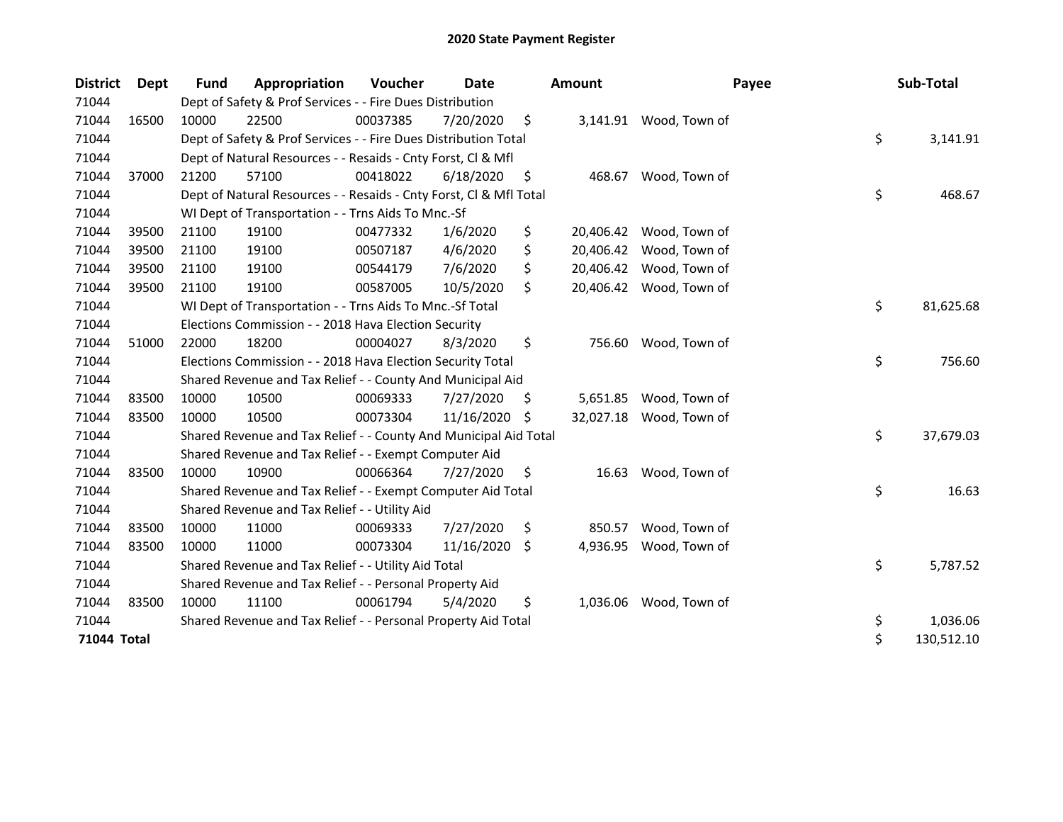| <b>District</b> | <b>Dept</b> | <b>Fund</b> | Appropriation                                                      | Voucher  | Date       |     | <b>Amount</b> | Payee                   | Sub-Total        |
|-----------------|-------------|-------------|--------------------------------------------------------------------|----------|------------|-----|---------------|-------------------------|------------------|
| 71044           |             |             | Dept of Safety & Prof Services - - Fire Dues Distribution          |          |            |     |               |                         |                  |
| 71044           | 16500       | 10000       | 22500                                                              | 00037385 | 7/20/2020  | \$  |               | 3,141.91 Wood, Town of  |                  |
| 71044           |             |             | Dept of Safety & Prof Services - - Fire Dues Distribution Total    |          |            |     |               |                         | \$<br>3,141.91   |
| 71044           |             |             | Dept of Natural Resources - - Resaids - Cnty Forst, Cl & Mfl       |          |            |     |               |                         |                  |
| 71044           | 37000       | 21200       | 57100                                                              | 00418022 | 6/18/2020  | \$  | 468.67        | Wood, Town of           |                  |
| 71044           |             |             | Dept of Natural Resources - - Resaids - Cnty Forst, Cl & Mfl Total |          |            |     |               |                         | \$<br>468.67     |
| 71044           |             |             | WI Dept of Transportation - - Trns Aids To Mnc.-Sf                 |          |            |     |               |                         |                  |
| 71044           | 39500       | 21100       | 19100                                                              | 00477332 | 1/6/2020   | \$  | 20,406.42     | Wood, Town of           |                  |
| 71044           | 39500       | 21100       | 19100                                                              | 00507187 | 4/6/2020   | \$  |               | 20,406.42 Wood, Town of |                  |
| 71044           | 39500       | 21100       | 19100                                                              | 00544179 | 7/6/2020   | \$  | 20,406.42     | Wood, Town of           |                  |
| 71044           | 39500       | 21100       | 19100                                                              | 00587005 | 10/5/2020  | \$  |               | 20,406.42 Wood, Town of |                  |
| 71044           |             |             | WI Dept of Transportation - - Trns Aids To Mnc.-Sf Total           |          |            |     |               |                         | \$<br>81,625.68  |
| 71044           |             |             | Elections Commission - - 2018 Hava Election Security               |          |            |     |               |                         |                  |
| 71044           | 51000       | 22000       | 18200                                                              | 00004027 | 8/3/2020   | \$  |               | 756.60 Wood, Town of    |                  |
| 71044           |             |             | Elections Commission - - 2018 Hava Election Security Total         |          |            |     |               |                         | \$<br>756.60     |
| 71044           |             |             | Shared Revenue and Tax Relief - - County And Municipal Aid         |          |            |     |               |                         |                  |
| 71044           | 83500       | 10000       | 10500                                                              | 00069333 | 7/27/2020  | \$. | 5,651.85      | Wood, Town of           |                  |
| 71044           | 83500       | 10000       | 10500                                                              | 00073304 | 11/16/2020 | S   | 32,027.18     | Wood, Town of           |                  |
| 71044           |             |             | Shared Revenue and Tax Relief - - County And Municipal Aid Total   |          |            |     |               |                         | \$<br>37,679.03  |
| 71044           |             |             | Shared Revenue and Tax Relief - - Exempt Computer Aid              |          |            |     |               |                         |                  |
| 71044           | 83500       | 10000       | 10900                                                              | 00066364 | 7/27/2020  | \$  | 16.63         | Wood, Town of           |                  |
| 71044           |             |             | Shared Revenue and Tax Relief - - Exempt Computer Aid Total        |          |            |     |               |                         | \$<br>16.63      |
| 71044           |             |             | Shared Revenue and Tax Relief - - Utility Aid                      |          |            |     |               |                         |                  |
| 71044           | 83500       | 10000       | 11000                                                              | 00069333 | 7/27/2020  | \$  | 850.57        | Wood, Town of           |                  |
| 71044           | 83500       | 10000       | 11000                                                              | 00073304 | 11/16/2020 | Ŝ.  | 4,936.95      | Wood, Town of           |                  |
| 71044           |             |             | Shared Revenue and Tax Relief - - Utility Aid Total                |          |            |     |               |                         | \$<br>5,787.52   |
| 71044           |             |             | Shared Revenue and Tax Relief - - Personal Property Aid            |          |            |     |               |                         |                  |
| 71044           | 83500       | 10000       | 11100                                                              | 00061794 | 5/4/2020   | \$  | 1,036.06      | Wood, Town of           |                  |
| 71044           |             |             | Shared Revenue and Tax Relief - - Personal Property Aid Total      |          |            |     |               |                         | \$<br>1,036.06   |
| 71044 Total     |             |             |                                                                    |          |            |     |               |                         | \$<br>130,512.10 |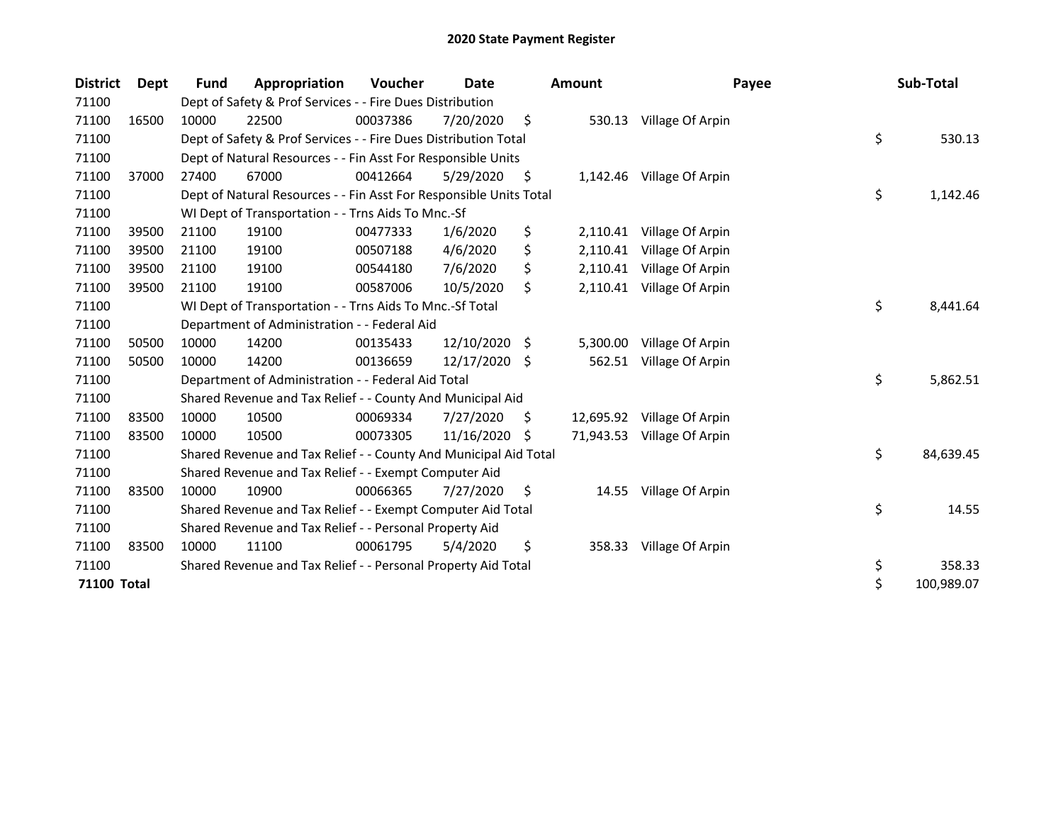| <b>District</b> | <b>Dept</b> | <b>Fund</b> | Appropriation                                                      | Voucher  | <b>Date</b> |    | <b>Amount</b> | Payee            | Sub-Total        |
|-----------------|-------------|-------------|--------------------------------------------------------------------|----------|-------------|----|---------------|------------------|------------------|
| 71100           |             |             | Dept of Safety & Prof Services - - Fire Dues Distribution          |          |             |    |               |                  |                  |
| 71100           | 16500       | 10000       | 22500                                                              | 00037386 | 7/20/2020   | \$ | 530.13        | Village Of Arpin |                  |
| 71100           |             |             | Dept of Safety & Prof Services - - Fire Dues Distribution Total    |          |             |    |               |                  | \$<br>530.13     |
| 71100           |             |             | Dept of Natural Resources - - Fin Asst For Responsible Units       |          |             |    |               |                  |                  |
| 71100           | 37000       | 27400       | 67000                                                              | 00412664 | 5/29/2020   | \$ | 1,142.46      | Village Of Arpin |                  |
| 71100           |             |             | Dept of Natural Resources - - Fin Asst For Responsible Units Total |          |             |    |               |                  | \$<br>1,142.46   |
| 71100           |             |             | WI Dept of Transportation - - Trns Aids To Mnc.-Sf                 |          |             |    |               |                  |                  |
| 71100           | 39500       | 21100       | 19100                                                              | 00477333 | 1/6/2020    | \$ | 2,110.41      | Village Of Arpin |                  |
| 71100           | 39500       | 21100       | 19100                                                              | 00507188 | 4/6/2020    | \$ | 2,110.41      | Village Of Arpin |                  |
| 71100           | 39500       | 21100       | 19100                                                              | 00544180 | 7/6/2020    | \$ | 2,110.41      | Village Of Arpin |                  |
| 71100           | 39500       | 21100       | 19100                                                              | 00587006 | 10/5/2020   | \$ | 2,110.41      | Village Of Arpin |                  |
| 71100           |             |             | WI Dept of Transportation - - Trns Aids To Mnc.-Sf Total           |          |             |    |               |                  | \$<br>8,441.64   |
| 71100           |             |             | Department of Administration - - Federal Aid                       |          |             |    |               |                  |                  |
| 71100           | 50500       | 10000       | 14200                                                              | 00135433 | 12/10/2020  | S. | 5,300.00      | Village Of Arpin |                  |
| 71100           | 50500       | 10000       | 14200                                                              | 00136659 | 12/17/2020  | Ŝ. | 562.51        | Village Of Arpin |                  |
| 71100           |             |             | Department of Administration - - Federal Aid Total                 |          |             |    |               |                  | \$<br>5,862.51   |
| 71100           |             |             | Shared Revenue and Tax Relief - - County And Municipal Aid         |          |             |    |               |                  |                  |
| 71100           | 83500       | 10000       | 10500                                                              | 00069334 | 7/27/2020   | S  | 12,695.92     | Village Of Arpin |                  |
| 71100           | 83500       | 10000       | 10500                                                              | 00073305 | 11/16/2020  | S  | 71,943.53     | Village Of Arpin |                  |
| 71100           |             |             | Shared Revenue and Tax Relief - - County And Municipal Aid Total   |          |             |    |               |                  | \$<br>84,639.45  |
| 71100           |             |             | Shared Revenue and Tax Relief - - Exempt Computer Aid              |          |             |    |               |                  |                  |
| 71100           | 83500       | 10000       | 10900                                                              | 00066365 | 7/27/2020   | \$ | 14.55         | Village Of Arpin |                  |
| 71100           |             |             | Shared Revenue and Tax Relief - - Exempt Computer Aid Total        |          |             |    |               |                  | \$<br>14.55      |
| 71100           |             |             | Shared Revenue and Tax Relief - - Personal Property Aid            |          |             |    |               |                  |                  |
| 71100           | 83500       | 10000       | 11100                                                              | 00061795 | 5/4/2020    | \$ | 358.33        | Village Of Arpin |                  |
| 71100           |             |             | Shared Revenue and Tax Relief - - Personal Property Aid Total      |          |             |    |               |                  | \$<br>358.33     |
| 71100 Total     |             |             |                                                                    |          |             |    |               |                  | \$<br>100,989.07 |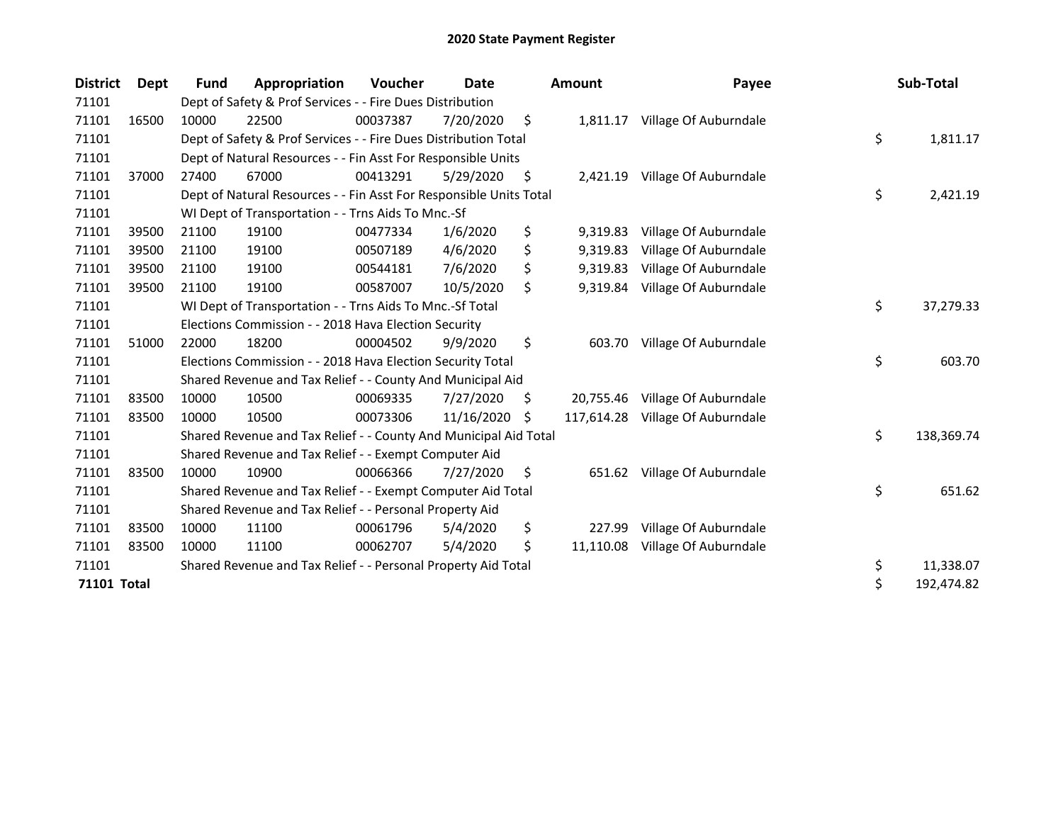| <b>District</b> | Dept  | Fund  | Appropriation                                                      | Voucher  | Date       |    | <b>Amount</b> | Payee                 | Sub-Total        |
|-----------------|-------|-------|--------------------------------------------------------------------|----------|------------|----|---------------|-----------------------|------------------|
| 71101           |       |       | Dept of Safety & Prof Services - - Fire Dues Distribution          |          |            |    |               |                       |                  |
| 71101           | 16500 | 10000 | 22500                                                              | 00037387 | 7/20/2020  | \$ | 1,811.17      | Village Of Auburndale |                  |
| 71101           |       |       | Dept of Safety & Prof Services - - Fire Dues Distribution Total    |          |            |    |               |                       | \$<br>1,811.17   |
| 71101           |       |       | Dept of Natural Resources - - Fin Asst For Responsible Units       |          |            |    |               |                       |                  |
| 71101           | 37000 | 27400 | 67000                                                              | 00413291 | 5/29/2020  | \$ | 2,421.19      | Village Of Auburndale |                  |
| 71101           |       |       | Dept of Natural Resources - - Fin Asst For Responsible Units Total |          |            |    |               |                       | \$<br>2,421.19   |
| 71101           |       |       | WI Dept of Transportation - - Trns Aids To Mnc.-Sf                 |          |            |    |               |                       |                  |
| 71101           | 39500 | 21100 | 19100                                                              | 00477334 | 1/6/2020   | \$ | 9,319.83      | Village Of Auburndale |                  |
| 71101           | 39500 | 21100 | 19100                                                              | 00507189 | 4/6/2020   | \$ | 9,319.83      | Village Of Auburndale |                  |
| 71101           | 39500 | 21100 | 19100                                                              | 00544181 | 7/6/2020   | \$ | 9,319.83      | Village Of Auburndale |                  |
| 71101           | 39500 | 21100 | 19100                                                              | 00587007 | 10/5/2020  | \$ | 9,319.84      | Village Of Auburndale |                  |
| 71101           |       |       | WI Dept of Transportation - - Trns Aids To Mnc.-Sf Total           |          |            |    |               |                       | \$<br>37,279.33  |
| 71101           |       |       | Elections Commission - - 2018 Hava Election Security               |          |            |    |               |                       |                  |
| 71101           | 51000 | 22000 | 18200                                                              | 00004502 | 9/9/2020   | \$ | 603.70        | Village Of Auburndale |                  |
| 71101           |       |       | Elections Commission - - 2018 Hava Election Security Total         |          |            |    |               |                       | \$<br>603.70     |
| 71101           |       |       | Shared Revenue and Tax Relief - - County And Municipal Aid         |          |            |    |               |                       |                  |
| 71101           | 83500 | 10000 | 10500                                                              | 00069335 | 7/27/2020  | \$ | 20,755.46     | Village Of Auburndale |                  |
| 71101           | 83500 | 10000 | 10500                                                              | 00073306 | 11/16/2020 | Ŝ. | 117,614.28    | Village Of Auburndale |                  |
| 71101           |       |       | Shared Revenue and Tax Relief - - County And Municipal Aid Total   |          |            |    |               |                       | \$<br>138,369.74 |
| 71101           |       |       | Shared Revenue and Tax Relief - - Exempt Computer Aid              |          |            |    |               |                       |                  |
| 71101           | 83500 | 10000 | 10900                                                              | 00066366 | 7/27/2020  | \$ | 651.62        | Village Of Auburndale |                  |
| 71101           |       |       | Shared Revenue and Tax Relief - - Exempt Computer Aid Total        |          |            |    |               |                       | \$<br>651.62     |
| 71101           |       |       | Shared Revenue and Tax Relief - - Personal Property Aid            |          |            |    |               |                       |                  |
| 71101           | 83500 | 10000 | 11100                                                              | 00061796 | 5/4/2020   | \$ | 227.99        | Village Of Auburndale |                  |
| 71101           | 83500 | 10000 | 11100                                                              | 00062707 | 5/4/2020   | \$ | 11,110.08     | Village Of Auburndale |                  |
| 71101           |       |       | Shared Revenue and Tax Relief - - Personal Property Aid Total      |          |            |    |               |                       | \$<br>11,338.07  |
| 71101 Total     |       |       |                                                                    |          |            |    |               |                       | \$<br>192,474.82 |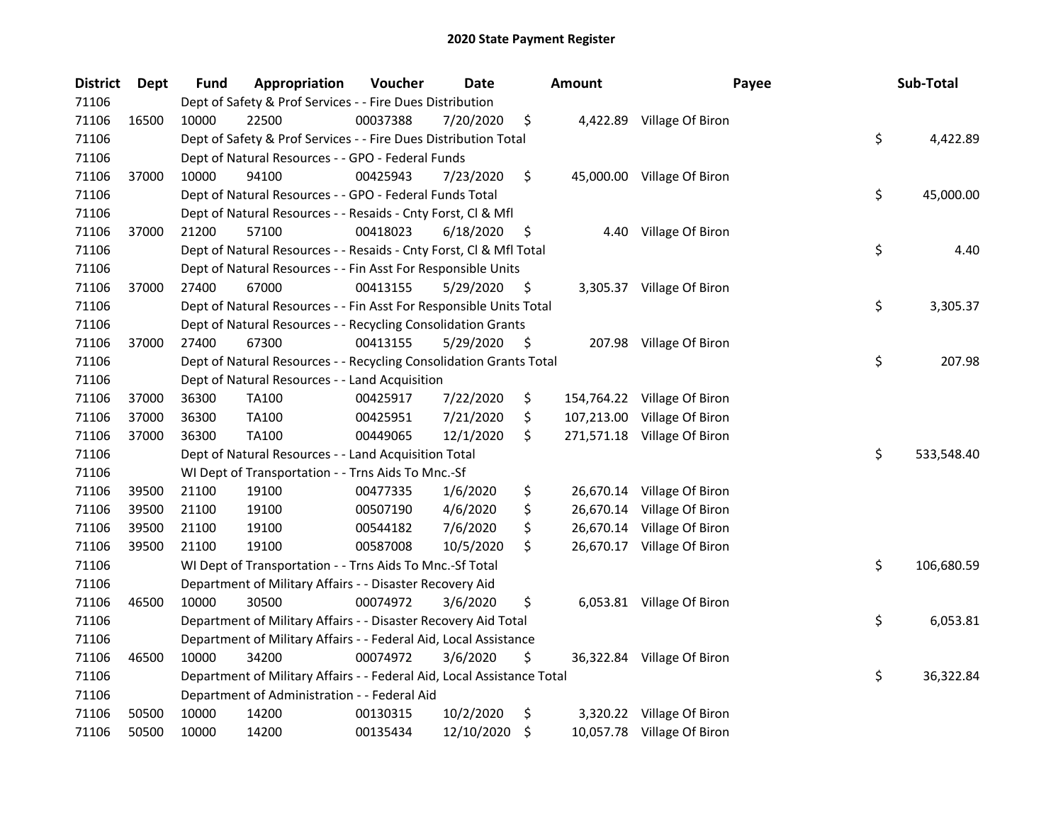| <b>District</b> | <b>Dept</b> | Fund  | Appropriation                                                          | Voucher  | Date       |     | <b>Amount</b> | Payee                       | Sub-Total        |
|-----------------|-------------|-------|------------------------------------------------------------------------|----------|------------|-----|---------------|-----------------------------|------------------|
| 71106           |             |       | Dept of Safety & Prof Services - - Fire Dues Distribution              |          |            |     |               |                             |                  |
| 71106           | 16500       | 10000 | 22500                                                                  | 00037388 | 7/20/2020  | \$  |               | 4,422.89 Village Of Biron   |                  |
| 71106           |             |       | Dept of Safety & Prof Services - - Fire Dues Distribution Total        |          |            |     |               |                             | \$<br>4,422.89   |
| 71106           |             |       | Dept of Natural Resources - - GPO - Federal Funds                      |          |            |     |               |                             |                  |
| 71106           | 37000       | 10000 | 94100                                                                  | 00425943 | 7/23/2020  | \$  |               | 45,000.00 Village Of Biron  |                  |
| 71106           |             |       | Dept of Natural Resources - - GPO - Federal Funds Total                |          |            |     |               |                             | \$<br>45,000.00  |
| 71106           |             |       | Dept of Natural Resources - - Resaids - Cnty Forst, Cl & Mfl           |          |            |     |               |                             |                  |
| 71106           | 37000       | 21200 | 57100                                                                  | 00418023 | 6/18/2020  | \$, | 4.40          | Village Of Biron            |                  |
| 71106           |             |       | Dept of Natural Resources - - Resaids - Cnty Forst, Cl & Mfl Total     |          |            |     |               |                             | \$<br>4.40       |
| 71106           |             |       | Dept of Natural Resources - - Fin Asst For Responsible Units           |          |            |     |               |                             |                  |
| 71106           | 37000       | 27400 | 67000                                                                  | 00413155 | 5/29/2020  | \$  |               | 3,305.37 Village Of Biron   |                  |
| 71106           |             |       | Dept of Natural Resources - - Fin Asst For Responsible Units Total     |          |            |     |               |                             | \$<br>3,305.37   |
| 71106           |             |       | Dept of Natural Resources - - Recycling Consolidation Grants           |          |            |     |               |                             |                  |
| 71106           | 37000       | 27400 | 67300                                                                  | 00413155 | 5/29/2020  | \$, |               | 207.98 Village Of Biron     |                  |
| 71106           |             |       | Dept of Natural Resources - - Recycling Consolidation Grants Total     |          |            |     |               |                             | \$<br>207.98     |
| 71106           |             |       | Dept of Natural Resources - - Land Acquisition                         |          |            |     |               |                             |                  |
| 71106           | 37000       | 36300 | <b>TA100</b>                                                           | 00425917 | 7/22/2020  | \$  | 154,764.22    | Village Of Biron            |                  |
| 71106           | 37000       | 36300 | TA100                                                                  | 00425951 | 7/21/2020  | \$  | 107,213.00    | Village Of Biron            |                  |
| 71106           | 37000       | 36300 | TA100                                                                  | 00449065 | 12/1/2020  | \$  |               | 271,571.18 Village Of Biron |                  |
| 71106           |             |       | Dept of Natural Resources - - Land Acquisition Total                   |          |            |     |               |                             | \$<br>533,548.40 |
| 71106           |             |       | WI Dept of Transportation - - Trns Aids To Mnc.-Sf                     |          |            |     |               |                             |                  |
| 71106           | 39500       | 21100 | 19100                                                                  | 00477335 | 1/6/2020   | \$  |               | 26,670.14 Village Of Biron  |                  |
| 71106           | 39500       | 21100 | 19100                                                                  | 00507190 | 4/6/2020   | \$  |               | 26,670.14 Village Of Biron  |                  |
| 71106           | 39500       | 21100 | 19100                                                                  | 00544182 | 7/6/2020   | \$  |               | 26,670.14 Village Of Biron  |                  |
| 71106           | 39500       | 21100 | 19100                                                                  | 00587008 | 10/5/2020  | \$  |               | 26,670.17 Village Of Biron  |                  |
| 71106           |             |       | WI Dept of Transportation - - Trns Aids To Mnc.-Sf Total               |          |            |     |               |                             | \$<br>106,680.59 |
| 71106           |             |       | Department of Military Affairs - - Disaster Recovery Aid               |          |            |     |               |                             |                  |
| 71106           | 46500       | 10000 | 30500                                                                  | 00074972 | 3/6/2020   | \$  |               | 6,053.81 Village Of Biron   |                  |
| 71106           |             |       | Department of Military Affairs - - Disaster Recovery Aid Total         |          |            |     |               |                             | \$<br>6,053.81   |
| 71106           |             |       | Department of Military Affairs - - Federal Aid, Local Assistance       |          |            |     |               |                             |                  |
| 71106           | 46500       | 10000 | 34200                                                                  | 00074972 | 3/6/2020   | \$  |               | 36,322.84 Village Of Biron  |                  |
| 71106           |             |       | Department of Military Affairs - - Federal Aid, Local Assistance Total |          |            |     |               |                             | \$<br>36,322.84  |
| 71106           |             |       | Department of Administration - - Federal Aid                           |          |            |     |               |                             |                  |
| 71106           | 50500       | 10000 | 14200                                                                  | 00130315 | 10/2/2020  | \$  |               | 3,320.22 Village Of Biron   |                  |
| 71106           | 50500       | 10000 | 14200                                                                  | 00135434 | 12/10/2020 | \$  |               | 10,057.78 Village Of Biron  |                  |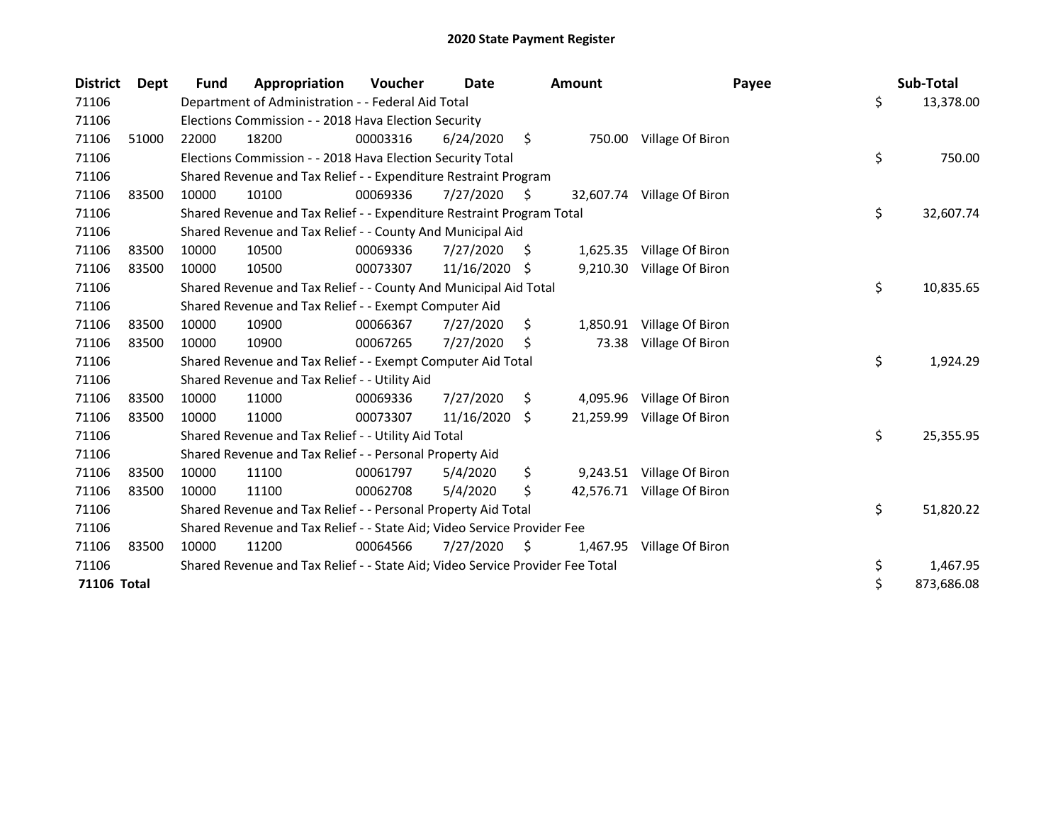| <b>District</b>    | <b>Dept</b> | <b>Fund</b> | Appropriation                                                                 | Voucher  | <b>Date</b> |     | <b>Amount</b> | Payee                      | Sub-Total        |
|--------------------|-------------|-------------|-------------------------------------------------------------------------------|----------|-------------|-----|---------------|----------------------------|------------------|
| 71106              |             |             | Department of Administration - - Federal Aid Total                            |          |             |     |               |                            | \$<br>13,378.00  |
| 71106              |             |             | Elections Commission - - 2018 Hava Election Security                          |          |             |     |               |                            |                  |
| 71106              | 51000       | 22000       | 18200                                                                         | 00003316 | 6/24/2020   | \$  |               | 750.00 Village Of Biron    |                  |
| 71106              |             |             | Elections Commission - - 2018 Hava Election Security Total                    |          |             |     |               |                            | \$<br>750.00     |
| 71106              |             |             | Shared Revenue and Tax Relief - - Expenditure Restraint Program               |          |             |     |               |                            |                  |
| 71106              | 83500       | 10000       | 10100                                                                         | 00069336 | 7/27/2020   | Ŝ.  | 32,607.74     | Village Of Biron           |                  |
| 71106              |             |             | Shared Revenue and Tax Relief - - Expenditure Restraint Program Total         |          |             |     |               |                            | \$<br>32,607.74  |
| 71106              |             |             | Shared Revenue and Tax Relief - - County And Municipal Aid                    |          |             |     |               |                            |                  |
| 71106              | 83500       | 10000       | 10500                                                                         | 00069336 | 7/27/2020   | S   | 1,625.35      | Village Of Biron           |                  |
| 71106              | 83500       | 10000       | 10500                                                                         | 00073307 | 11/16/2020  | -S  | 9,210.30      | Village Of Biron           |                  |
| 71106              |             |             | Shared Revenue and Tax Relief - - County And Municipal Aid Total              |          |             |     |               |                            | \$<br>10,835.65  |
| 71106              |             |             | Shared Revenue and Tax Relief - - Exempt Computer Aid                         |          |             |     |               |                            |                  |
| 71106              | 83500       | 10000       | 10900                                                                         | 00066367 | 7/27/2020   | \$  | 1,850.91      | Village Of Biron           |                  |
| 71106              | 83500       | 10000       | 10900                                                                         | 00067265 | 7/27/2020   | Ś   | 73.38         | Village Of Biron           |                  |
| 71106              |             |             | Shared Revenue and Tax Relief - - Exempt Computer Aid Total                   |          |             |     |               |                            | \$<br>1,924.29   |
| 71106              |             |             | Shared Revenue and Tax Relief - - Utility Aid                                 |          |             |     |               |                            |                  |
| 71106              | 83500       | 10000       | 11000                                                                         | 00069336 | 7/27/2020   | S   | 4,095.96      | Village Of Biron           |                  |
| 71106              | 83500       | 10000       | 11000                                                                         | 00073307 | 11/16/2020  | Ŝ.  | 21,259.99     | Village Of Biron           |                  |
| 71106              |             |             | Shared Revenue and Tax Relief - - Utility Aid Total                           |          |             |     |               |                            | \$<br>25,355.95  |
| 71106              |             |             | Shared Revenue and Tax Relief - - Personal Property Aid                       |          |             |     |               |                            |                  |
| 71106              | 83500       | 10000       | 11100                                                                         | 00061797 | 5/4/2020    | \$  |               | 9,243.51 Village Of Biron  |                  |
| 71106              | 83500       | 10000       | 11100                                                                         | 00062708 | 5/4/2020    | \$  |               | 42,576.71 Village Of Biron |                  |
| 71106              |             |             | Shared Revenue and Tax Relief - - Personal Property Aid Total                 |          |             |     |               |                            | \$<br>51,820.22  |
| 71106              |             |             | Shared Revenue and Tax Relief - - State Aid; Video Service Provider Fee       |          |             |     |               |                            |                  |
| 71106              | 83500       | 10000       | 11200                                                                         | 00064566 | 7/27/2020   | \$. | 1,467.95      | Village Of Biron           |                  |
| 71106              |             |             | Shared Revenue and Tax Relief - - State Aid; Video Service Provider Fee Total |          |             |     |               |                            | \$<br>1,467.95   |
| <b>71106 Total</b> |             |             |                                                                               |          |             |     |               |                            | \$<br>873,686.08 |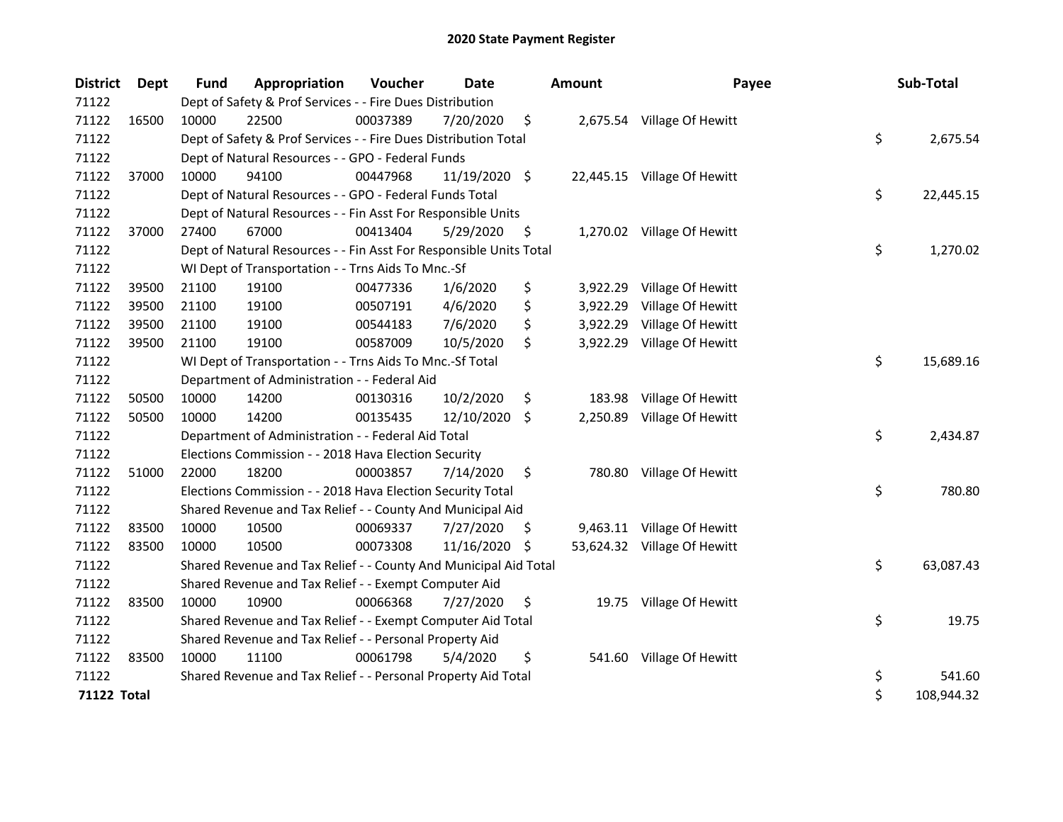| <b>District</b>    | <b>Dept</b> | <b>Fund</b> | Appropriation                                                      | Voucher  | <b>Date</b>   |     | <b>Amount</b> | Payee                       | Sub-Total        |
|--------------------|-------------|-------------|--------------------------------------------------------------------|----------|---------------|-----|---------------|-----------------------------|------------------|
| 71122              |             |             | Dept of Safety & Prof Services - - Fire Dues Distribution          |          |               |     |               |                             |                  |
| 71122              | 16500       | 10000       | 22500                                                              | 00037389 | 7/20/2020     | \$  |               | 2,675.54 Village Of Hewitt  |                  |
| 71122              |             |             | Dept of Safety & Prof Services - - Fire Dues Distribution Total    |          |               |     |               |                             | \$<br>2,675.54   |
| 71122              |             |             | Dept of Natural Resources - - GPO - Federal Funds                  |          |               |     |               |                             |                  |
| 71122              | 37000       | 10000       | 94100                                                              | 00447968 | 11/19/2020 \$ |     |               | 22,445.15 Village Of Hewitt |                  |
| 71122              |             |             | Dept of Natural Resources - - GPO - Federal Funds Total            |          |               |     |               |                             | \$<br>22,445.15  |
| 71122              |             |             | Dept of Natural Resources - - Fin Asst For Responsible Units       |          |               |     |               |                             |                  |
| 71122              | 37000       | 27400       | 67000                                                              | 00413404 | 5/29/2020     | \$  |               | 1,270.02 Village Of Hewitt  |                  |
| 71122              |             |             | Dept of Natural Resources - - Fin Asst For Responsible Units Total |          |               |     |               |                             | \$<br>1,270.02   |
| 71122              |             |             | WI Dept of Transportation - - Trns Aids To Mnc.-Sf                 |          |               |     |               |                             |                  |
| 71122              | 39500       | 21100       | 19100                                                              | 00477336 | 1/6/2020      | \$  | 3,922.29      | Village Of Hewitt           |                  |
| 71122              | 39500       | 21100       | 19100                                                              | 00507191 | 4/6/2020      | \$  | 3,922.29      | Village Of Hewitt           |                  |
| 71122              | 39500       | 21100       | 19100                                                              | 00544183 | 7/6/2020      | \$  | 3,922.29      | Village Of Hewitt           |                  |
| 71122              | 39500       | 21100       | 19100                                                              | 00587009 | 10/5/2020     | \$  |               | 3,922.29 Village Of Hewitt  |                  |
| 71122              |             |             | WI Dept of Transportation - - Trns Aids To Mnc.-Sf Total           |          |               |     |               |                             | \$<br>15,689.16  |
| 71122              |             |             | Department of Administration - - Federal Aid                       |          |               |     |               |                             |                  |
| 71122              | 50500       | 10000       | 14200                                                              | 00130316 | 10/2/2020     | \$  | 183.98        | Village Of Hewitt           |                  |
| 71122              | 50500       | 10000       | 14200                                                              | 00135435 | 12/10/2020 \$ |     |               | 2,250.89 Village Of Hewitt  |                  |
| 71122              |             |             | Department of Administration - - Federal Aid Total                 |          |               |     |               |                             | \$<br>2,434.87   |
| 71122              |             |             | Elections Commission - - 2018 Hava Election Security               |          |               |     |               |                             |                  |
| 71122              | 51000       | 22000       | 18200                                                              | 00003857 | 7/14/2020     | \$  |               | 780.80 Village Of Hewitt    |                  |
| 71122              |             |             | Elections Commission - - 2018 Hava Election Security Total         |          |               |     |               |                             | \$<br>780.80     |
| 71122              |             |             | Shared Revenue and Tax Relief - - County And Municipal Aid         |          |               |     |               |                             |                  |
| 71122              | 83500       | 10000       | 10500                                                              | 00069337 | 7/27/2020     | \$. |               | 9,463.11 Village Of Hewitt  |                  |
| 71122              | 83500       | 10000       | 10500                                                              | 00073308 | 11/16/2020    | S   |               | 53,624.32 Village Of Hewitt |                  |
| 71122              |             |             | Shared Revenue and Tax Relief - - County And Municipal Aid Total   |          |               |     |               |                             | \$<br>63,087.43  |
| 71122              |             |             | Shared Revenue and Tax Relief - - Exempt Computer Aid              |          |               |     |               |                             |                  |
| 71122              | 83500       | 10000       | 10900                                                              | 00066368 | 7/27/2020     | \$  |               | 19.75 Village Of Hewitt     |                  |
| 71122              |             |             | Shared Revenue and Tax Relief - - Exempt Computer Aid Total        |          |               |     |               |                             | \$<br>19.75      |
| 71122              |             |             | Shared Revenue and Tax Relief - - Personal Property Aid            |          |               |     |               |                             |                  |
| 71122              | 83500       | 10000       | 11100                                                              | 00061798 | 5/4/2020      | \$  | 541.60        | Village Of Hewitt           |                  |
| 71122              |             |             | Shared Revenue and Tax Relief - - Personal Property Aid Total      |          |               |     |               |                             | \$<br>541.60     |
| <b>71122 Total</b> |             |             |                                                                    |          |               |     |               |                             | \$<br>108,944.32 |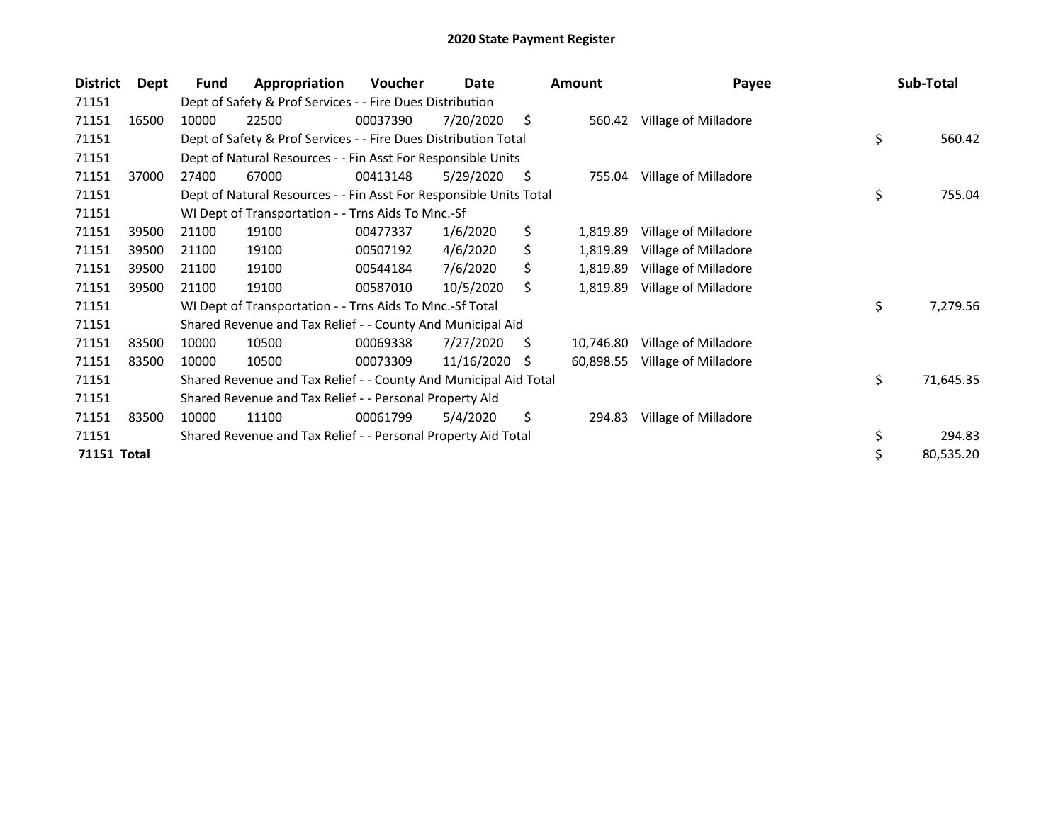| <b>District</b> | Dept  | Fund  | Appropriation                                                      | Voucher  | Date       |     | <b>Amount</b> | Payee                | Sub-Total       |
|-----------------|-------|-------|--------------------------------------------------------------------|----------|------------|-----|---------------|----------------------|-----------------|
| 71151           |       |       | Dept of Safety & Prof Services - - Fire Dues Distribution          |          |            |     |               |                      |                 |
| 71151           | 16500 | 10000 | 22500                                                              | 00037390 | 7/20/2020  | \$  | 560.42        | Village of Milladore |                 |
| 71151           |       |       | Dept of Safety & Prof Services - - Fire Dues Distribution Total    |          |            |     |               |                      | \$<br>560.42    |
| 71151           |       |       | Dept of Natural Resources - - Fin Asst For Responsible Units       |          |            |     |               |                      |                 |
| 71151           | 37000 | 27400 | 67000                                                              | 00413148 | 5/29/2020  | \$. | 755.04        | Village of Milladore |                 |
| 71151           |       |       | Dept of Natural Resources - - Fin Asst For Responsible Units Total |          |            |     |               |                      | \$<br>755.04    |
| 71151           |       |       | WI Dept of Transportation - - Trns Aids To Mnc.-Sf                 |          |            |     |               |                      |                 |
| 71151           | 39500 | 21100 | 19100                                                              | 00477337 | 1/6/2020   | \$  | 1,819.89      | Village of Milladore |                 |
| 71151           | 39500 | 21100 | 19100                                                              | 00507192 | 4/6/2020   | \$  | 1,819.89      | Village of Milladore |                 |
| 71151           | 39500 | 21100 | 19100                                                              | 00544184 | 7/6/2020   | \$  | 1,819.89      | Village of Milladore |                 |
| 71151           | 39500 | 21100 | 19100                                                              | 00587010 | 10/5/2020  | \$  | 1,819.89      | Village of Milladore |                 |
| 71151           |       |       | WI Dept of Transportation - - Trns Aids To Mnc.-Sf Total           |          |            |     |               |                      | \$<br>7,279.56  |
| 71151           |       |       | Shared Revenue and Tax Relief - - County And Municipal Aid         |          |            |     |               |                      |                 |
| 71151           | 83500 | 10000 | 10500                                                              | 00069338 | 7/27/2020  | S   | 10,746.80     | Village of Milladore |                 |
| 71151           | 83500 | 10000 | 10500                                                              | 00073309 | 11/16/2020 | - S | 60,898.55     | Village of Milladore |                 |
| 71151           |       |       | Shared Revenue and Tax Relief - - County And Municipal Aid Total   |          |            |     |               |                      | \$<br>71,645.35 |
| 71151           |       |       | Shared Revenue and Tax Relief - - Personal Property Aid            |          |            |     |               |                      |                 |
| 71151           | 83500 | 10000 | 11100                                                              | 00061799 | 5/4/2020   | \$  | 294.83        | Village of Milladore |                 |
| 71151           |       |       | Shared Revenue and Tax Relief - - Personal Property Aid Total      |          |            |     |               |                      | \$<br>294.83    |
| 71151 Total     |       |       |                                                                    |          |            |     |               |                      | \$<br>80,535.20 |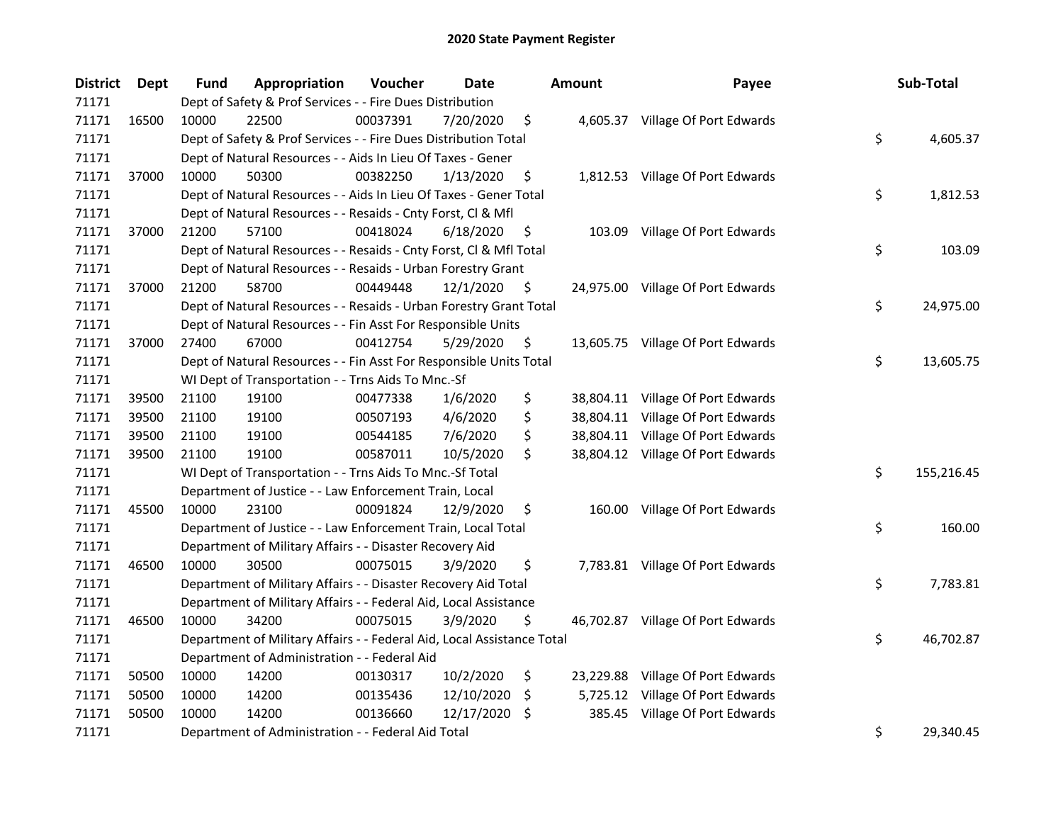| <b>District</b> | <b>Dept</b> | Fund  | Appropriation                                                          | Voucher  | <b>Date</b> |    | <b>Amount</b> | Payee                             | Sub-Total        |
|-----------------|-------------|-------|------------------------------------------------------------------------|----------|-------------|----|---------------|-----------------------------------|------------------|
| 71171           |             |       | Dept of Safety & Prof Services - - Fire Dues Distribution              |          |             |    |               |                                   |                  |
| 71171           | 16500       | 10000 | 22500                                                                  | 00037391 | 7/20/2020   | \$ |               | 4,605.37 Village Of Port Edwards  |                  |
| 71171           |             |       | Dept of Safety & Prof Services - - Fire Dues Distribution Total        |          |             |    |               |                                   | \$<br>4,605.37   |
| 71171           |             |       | Dept of Natural Resources - - Aids In Lieu Of Taxes - Gener            |          |             |    |               |                                   |                  |
| 71171           | 37000       | 10000 | 50300                                                                  | 00382250 | 1/13/2020   | \$ |               | 1,812.53 Village Of Port Edwards  |                  |
| 71171           |             |       | Dept of Natural Resources - - Aids In Lieu Of Taxes - Gener Total      |          |             |    |               |                                   | \$<br>1,812.53   |
| 71171           |             |       | Dept of Natural Resources - - Resaids - Cnty Forst, Cl & Mfl           |          |             |    |               |                                   |                  |
| 71171           | 37000       | 21200 | 57100                                                                  | 00418024 | 6/18/2020   | \$ |               | 103.09 Village Of Port Edwards    |                  |
| 71171           |             |       | Dept of Natural Resources - - Resaids - Cnty Forst, Cl & Mfl Total     |          |             |    |               |                                   | \$<br>103.09     |
| 71171           |             |       | Dept of Natural Resources - - Resaids - Urban Forestry Grant           |          |             |    |               |                                   |                  |
| 71171           | 37000       | 21200 | 58700                                                                  | 00449448 | 12/1/2020   | \$ |               | 24,975.00 Village Of Port Edwards |                  |
| 71171           |             |       | Dept of Natural Resources - - Resaids - Urban Forestry Grant Total     |          |             |    |               |                                   | \$<br>24,975.00  |
| 71171           |             |       | Dept of Natural Resources - - Fin Asst For Responsible Units           |          |             |    |               |                                   |                  |
| 71171           | 37000       | 27400 | 67000                                                                  | 00412754 | 5/29/2020   | \$ |               | 13,605.75 Village Of Port Edwards |                  |
| 71171           |             |       | Dept of Natural Resources - - Fin Asst For Responsible Units Total     |          |             |    |               |                                   | \$<br>13,605.75  |
| 71171           |             |       | WI Dept of Transportation - - Trns Aids To Mnc.-Sf                     |          |             |    |               |                                   |                  |
| 71171           | 39500       | 21100 | 19100                                                                  | 00477338 | 1/6/2020    | \$ |               | 38,804.11 Village Of Port Edwards |                  |
| 71171           | 39500       | 21100 | 19100                                                                  | 00507193 | 4/6/2020    | \$ |               | 38,804.11 Village Of Port Edwards |                  |
| 71171           | 39500       | 21100 | 19100                                                                  | 00544185 | 7/6/2020    | \$ |               | 38,804.11 Village Of Port Edwards |                  |
| 71171           | 39500       | 21100 | 19100                                                                  | 00587011 | 10/5/2020   | \$ |               | 38,804.12 Village Of Port Edwards |                  |
| 71171           |             |       | WI Dept of Transportation - - Trns Aids To Mnc.-Sf Total               |          |             |    |               |                                   | \$<br>155,216.45 |
| 71171           |             |       | Department of Justice - - Law Enforcement Train, Local                 |          |             |    |               |                                   |                  |
| 71171           | 45500       | 10000 | 23100                                                                  | 00091824 | 12/9/2020   | \$ |               | 160.00 Village Of Port Edwards    |                  |
| 71171           |             |       | Department of Justice - - Law Enforcement Train, Local Total           |          |             |    |               |                                   | \$<br>160.00     |
| 71171           |             |       | Department of Military Affairs - - Disaster Recovery Aid               |          |             |    |               |                                   |                  |
| 71171           | 46500       | 10000 | 30500                                                                  | 00075015 | 3/9/2020    | \$ |               | 7,783.81 Village Of Port Edwards  |                  |
| 71171           |             |       | Department of Military Affairs - - Disaster Recovery Aid Total         |          |             |    |               |                                   | \$<br>7,783.81   |
| 71171           |             |       | Department of Military Affairs - - Federal Aid, Local Assistance       |          |             |    |               |                                   |                  |
| 71171           | 46500       | 10000 | 34200                                                                  | 00075015 | 3/9/2020    | \$ |               | 46,702.87 Village Of Port Edwards |                  |
| 71171           |             |       | Department of Military Affairs - - Federal Aid, Local Assistance Total |          |             |    |               |                                   | \$<br>46,702.87  |
| 71171           |             |       | Department of Administration - - Federal Aid                           |          |             |    |               |                                   |                  |
| 71171           | 50500       | 10000 | 14200                                                                  | 00130317 | 10/2/2020   | \$ | 23,229.88     | Village Of Port Edwards           |                  |
| 71171           | 50500       | 10000 | 14200                                                                  | 00135436 | 12/10/2020  | \$ | 5,725.12      | Village Of Port Edwards           |                  |
| 71171           | 50500       | 10000 | 14200                                                                  | 00136660 | 12/17/2020  | -S | 385.45        | Village Of Port Edwards           |                  |
| 71171           |             |       | Department of Administration - - Federal Aid Total                     |          |             |    |               |                                   | \$<br>29,340.45  |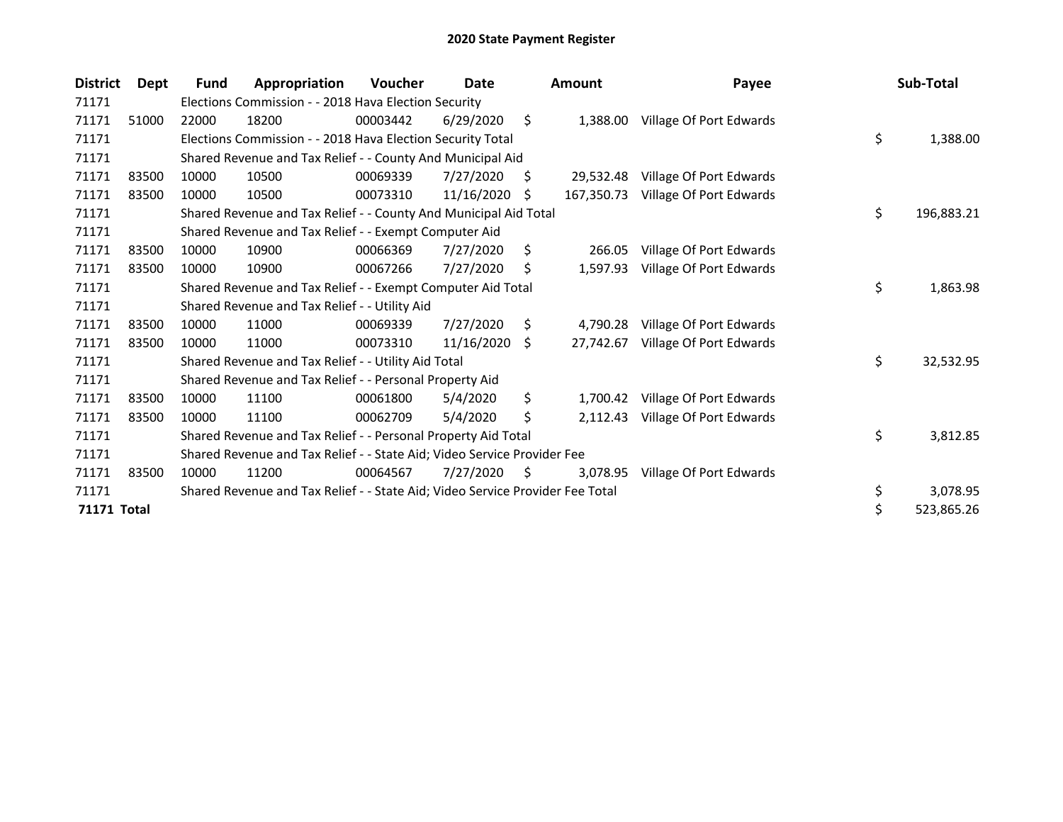| <b>District</b>    | Dept  | Fund  | Appropriation                                                                 | Voucher  | Date       |    | <b>Amount</b> | Payee                   | Sub-Total        |
|--------------------|-------|-------|-------------------------------------------------------------------------------|----------|------------|----|---------------|-------------------------|------------------|
| 71171              |       |       | Elections Commission - - 2018 Hava Election Security                          |          |            |    |               |                         |                  |
| 71171              | 51000 | 22000 | 18200                                                                         | 00003442 | 6/29/2020  | \$ | 1.388.00      | Village Of Port Edwards |                  |
| 71171              |       |       | Elections Commission - - 2018 Hava Election Security Total                    |          |            |    |               |                         | \$<br>1,388.00   |
| 71171              |       |       | Shared Revenue and Tax Relief - - County And Municipal Aid                    |          |            |    |               |                         |                  |
| 71171              | 83500 | 10000 | 10500                                                                         | 00069339 | 7/27/2020  | S  | 29,532.48     | Village Of Port Edwards |                  |
| 71171              | 83500 | 10000 | 10500                                                                         | 00073310 | 11/16/2020 | S  | 167,350.73    | Village Of Port Edwards |                  |
| 71171              |       |       | Shared Revenue and Tax Relief - - County And Municipal Aid Total              |          |            |    |               |                         | \$<br>196,883.21 |
| 71171              |       |       | Shared Revenue and Tax Relief - - Exempt Computer Aid                         |          |            |    |               |                         |                  |
| 71171              | 83500 | 10000 | 10900                                                                         | 00066369 | 7/27/2020  | \$ | 266.05        | Village Of Port Edwards |                  |
| 71171              | 83500 | 10000 | 10900                                                                         | 00067266 | 7/27/2020  | S  | 1,597.93      | Village Of Port Edwards |                  |
| 71171              |       |       | Shared Revenue and Tax Relief - - Exempt Computer Aid Total                   |          |            |    |               |                         | \$<br>1,863.98   |
| 71171              |       |       | Shared Revenue and Tax Relief - - Utility Aid                                 |          |            |    |               |                         |                  |
| 71171              | 83500 | 10000 | 11000                                                                         | 00069339 | 7/27/2020  | \$ | 4,790.28      | Village Of Port Edwards |                  |
| 71171              | 83500 | 10000 | 11000                                                                         | 00073310 | 11/16/2020 | Ŝ. | 27,742.67     | Village Of Port Edwards |                  |
| 71171              |       |       | Shared Revenue and Tax Relief - - Utility Aid Total                           |          |            |    |               |                         | \$<br>32,532.95  |
| 71171              |       |       | Shared Revenue and Tax Relief - - Personal Property Aid                       |          |            |    |               |                         |                  |
| 71171              | 83500 | 10000 | 11100                                                                         | 00061800 | 5/4/2020   | \$ | 1,700.42      | Village Of Port Edwards |                  |
| 71171              | 83500 | 10000 | 11100                                                                         | 00062709 | 5/4/2020   | \$ | 2,112.43      | Village Of Port Edwards |                  |
| 71171              |       |       | Shared Revenue and Tax Relief - - Personal Property Aid Total                 |          |            |    |               |                         | \$<br>3,812.85   |
| 71171              |       |       | Shared Revenue and Tax Relief - - State Aid; Video Service Provider Fee       |          |            |    |               |                         |                  |
| 71171              | 83500 | 10000 | 11200                                                                         | 00064567 | 7/27/2020  | S  | 3,078.95      | Village Of Port Edwards |                  |
| 71171              |       |       | Shared Revenue and Tax Relief - - State Aid; Video Service Provider Fee Total |          |            |    |               |                         | \$<br>3,078.95   |
| <b>71171 Total</b> |       |       |                                                                               |          |            |    |               |                         | \$<br>523,865.26 |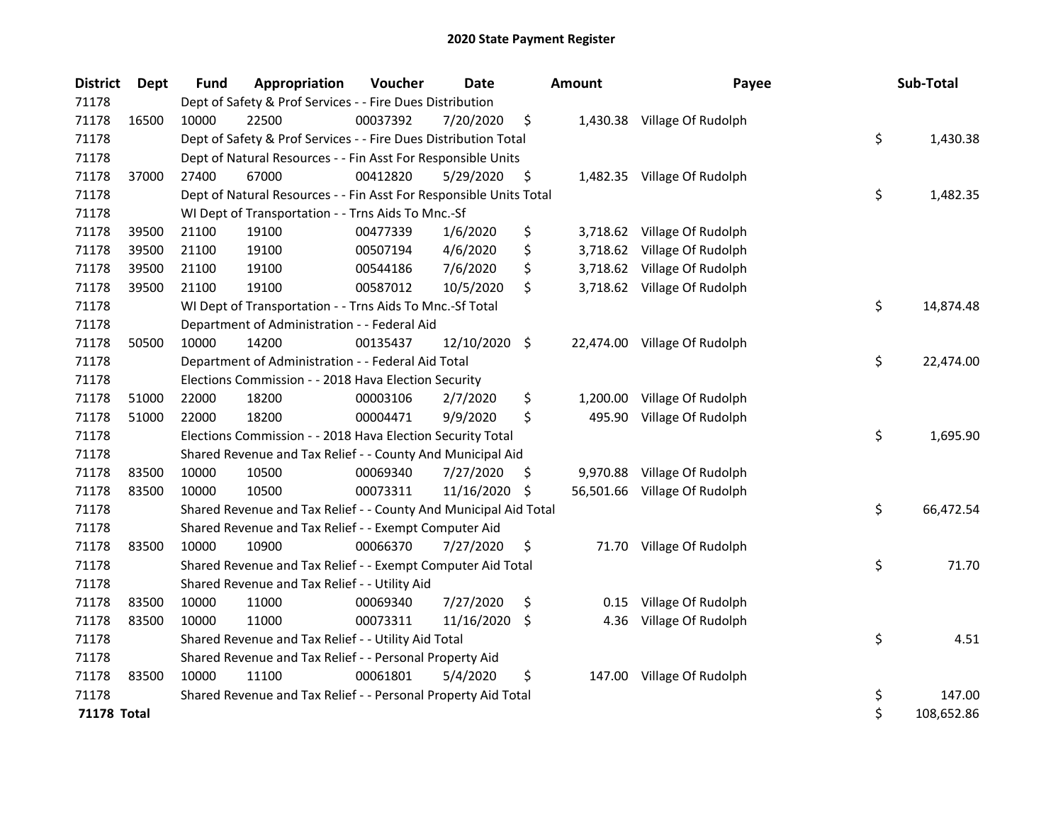| <b>District</b>    | Dept  | <b>Fund</b> | Appropriation                                                      | Voucher  | <b>Date</b> |     | <b>Amount</b> | Payee                        | Sub-Total        |
|--------------------|-------|-------------|--------------------------------------------------------------------|----------|-------------|-----|---------------|------------------------------|------------------|
| 71178              |       |             | Dept of Safety & Prof Services - - Fire Dues Distribution          |          |             |     |               |                              |                  |
| 71178              | 16500 | 10000       | 22500                                                              | 00037392 | 7/20/2020   | \$  |               | 1,430.38 Village Of Rudolph  |                  |
| 71178              |       |             | Dept of Safety & Prof Services - - Fire Dues Distribution Total    |          |             |     |               |                              | \$<br>1,430.38   |
| 71178              |       |             | Dept of Natural Resources - - Fin Asst For Responsible Units       |          |             |     |               |                              |                  |
| 71178              | 37000 | 27400       | 67000                                                              | 00412820 | 5/29/2020   | \$  |               | 1,482.35 Village Of Rudolph  |                  |
| 71178              |       |             | Dept of Natural Resources - - Fin Asst For Responsible Units Total |          |             |     |               |                              | \$<br>1,482.35   |
| 71178              |       |             | WI Dept of Transportation - - Trns Aids To Mnc.-Sf                 |          |             |     |               |                              |                  |
| 71178              | 39500 | 21100       | 19100                                                              | 00477339 | 1/6/2020    | \$  | 3,718.62      | Village Of Rudolph           |                  |
| 71178              | 39500 | 21100       | 19100                                                              | 00507194 | 4/6/2020    | \$  | 3,718.62      | Village Of Rudolph           |                  |
| 71178              | 39500 | 21100       | 19100                                                              | 00544186 | 7/6/2020    | \$  | 3,718.62      | Village Of Rudolph           |                  |
| 71178              | 39500 | 21100       | 19100                                                              | 00587012 | 10/5/2020   | \$  |               | 3,718.62 Village Of Rudolph  |                  |
| 71178              |       |             | WI Dept of Transportation - - Trns Aids To Mnc.-Sf Total           |          |             |     |               |                              | \$<br>14,874.48  |
| 71178              |       |             | Department of Administration - - Federal Aid                       |          |             |     |               |                              |                  |
| 71178              | 50500 | 10000       | 14200                                                              | 00135437 | 12/10/2020  | -\$ |               | 22,474.00 Village Of Rudolph |                  |
| 71178              |       |             | Department of Administration - - Federal Aid Total                 |          |             |     |               |                              | \$<br>22,474.00  |
| 71178              |       |             | Elections Commission - - 2018 Hava Election Security               |          |             |     |               |                              |                  |
| 71178              | 51000 | 22000       | 18200                                                              | 00003106 | 2/7/2020    | \$  | 1,200.00      | Village Of Rudolph           |                  |
| 71178              | 51000 | 22000       | 18200                                                              | 00004471 | 9/9/2020    | \$  | 495.90        | Village Of Rudolph           |                  |
| 71178              |       |             | Elections Commission - - 2018 Hava Election Security Total         |          |             |     |               |                              | \$<br>1,695.90   |
| 71178              |       |             | Shared Revenue and Tax Relief - - County And Municipal Aid         |          |             |     |               |                              |                  |
| 71178              | 83500 | 10000       | 10500                                                              | 00069340 | 7/27/2020   | \$. | 9,970.88      | Village Of Rudolph           |                  |
| 71178              | 83500 | 10000       | 10500                                                              | 00073311 | 11/16/2020  | \$  | 56,501.66     | Village Of Rudolph           |                  |
| 71178              |       |             | Shared Revenue and Tax Relief - - County And Municipal Aid Total   |          |             |     |               |                              | \$<br>66,472.54  |
| 71178              |       |             | Shared Revenue and Tax Relief - - Exempt Computer Aid              |          |             |     |               |                              |                  |
| 71178              | 83500 | 10000       | 10900                                                              | 00066370 | 7/27/2020   | \$  | 71.70         | Village Of Rudolph           |                  |
| 71178              |       |             | Shared Revenue and Tax Relief - - Exempt Computer Aid Total        |          |             |     |               |                              | \$<br>71.70      |
| 71178              |       |             | Shared Revenue and Tax Relief - - Utility Aid                      |          |             |     |               |                              |                  |
| 71178              | 83500 | 10000       | 11000                                                              | 00069340 | 7/27/2020   | \$  | 0.15          | Village Of Rudolph           |                  |
| 71178              | 83500 | 10000       | 11000                                                              | 00073311 | 11/16/2020  | \$  | 4.36          | Village Of Rudolph           |                  |
| 71178              |       |             | Shared Revenue and Tax Relief - - Utility Aid Total                |          |             |     |               |                              | \$<br>4.51       |
| 71178              |       |             | Shared Revenue and Tax Relief - - Personal Property Aid            |          |             |     |               |                              |                  |
| 71178              | 83500 | 10000       | 11100                                                              | 00061801 | 5/4/2020    | \$  | 147.00        | Village Of Rudolph           |                  |
| 71178              |       |             | Shared Revenue and Tax Relief - - Personal Property Aid Total      |          |             |     |               |                              | \$<br>147.00     |
| <b>71178 Total</b> |       |             |                                                                    |          |             |     |               |                              | \$<br>108,652.86 |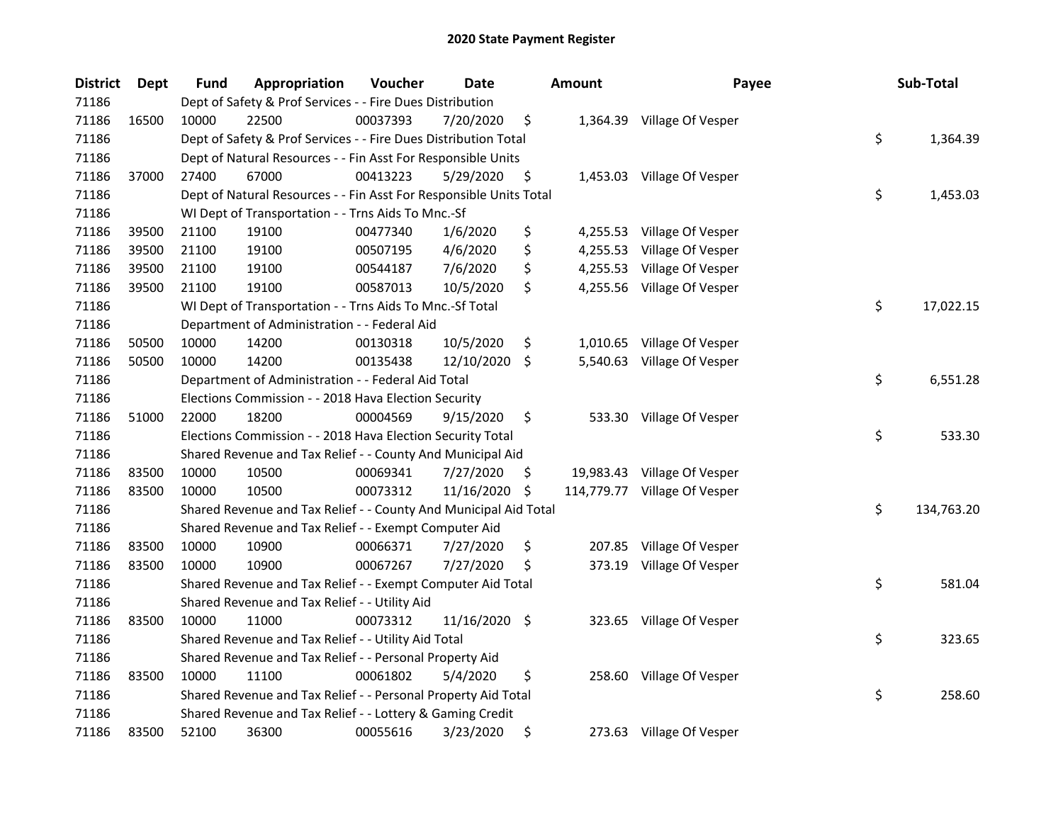| <b>District</b> | Dept  | <b>Fund</b> | Appropriation                                                      | Voucher  | Date          |     | <b>Amount</b> | Payee                        | Sub-Total        |
|-----------------|-------|-------------|--------------------------------------------------------------------|----------|---------------|-----|---------------|------------------------------|------------------|
| 71186           |       |             | Dept of Safety & Prof Services - - Fire Dues Distribution          |          |               |     |               |                              |                  |
| 71186           | 16500 | 10000       | 22500                                                              | 00037393 | 7/20/2020     | \$  |               | 1,364.39 Village Of Vesper   |                  |
| 71186           |       |             | Dept of Safety & Prof Services - - Fire Dues Distribution Total    |          |               |     |               |                              | \$<br>1,364.39   |
| 71186           |       |             | Dept of Natural Resources - - Fin Asst For Responsible Units       |          |               |     |               |                              |                  |
| 71186           | 37000 | 27400       | 67000                                                              | 00413223 | 5/29/2020     | \$  |               | 1,453.03 Village Of Vesper   |                  |
| 71186           |       |             | Dept of Natural Resources - - Fin Asst For Responsible Units Total |          |               |     |               |                              | \$<br>1,453.03   |
| 71186           |       |             | WI Dept of Transportation - - Trns Aids To Mnc.-Sf                 |          |               |     |               |                              |                  |
| 71186           | 39500 | 21100       | 19100                                                              | 00477340 | 1/6/2020      | \$  |               | 4,255.53 Village Of Vesper   |                  |
| 71186           | 39500 | 21100       | 19100                                                              | 00507195 | 4/6/2020      | \$  |               | 4,255.53 Village Of Vesper   |                  |
| 71186           | 39500 | 21100       | 19100                                                              | 00544187 | 7/6/2020      | \$  |               | 4,255.53 Village Of Vesper   |                  |
| 71186           | 39500 | 21100       | 19100                                                              | 00587013 | 10/5/2020     | \$  |               | 4,255.56 Village Of Vesper   |                  |
| 71186           |       |             | WI Dept of Transportation - - Trns Aids To Mnc.-Sf Total           |          |               |     |               |                              | \$<br>17,022.15  |
| 71186           |       |             | Department of Administration - - Federal Aid                       |          |               |     |               |                              |                  |
| 71186           | 50500 | 10000       | 14200                                                              | 00130318 | 10/5/2020     | \$  | 1,010.65      | Village Of Vesper            |                  |
| 71186           | 50500 | 10000       | 14200                                                              | 00135438 | 12/10/2020    | -\$ | 5,540.63      | Village Of Vesper            |                  |
| 71186           |       |             | Department of Administration - - Federal Aid Total                 |          |               |     |               |                              | \$<br>6,551.28   |
| 71186           |       |             | Elections Commission - - 2018 Hava Election Security               |          |               |     |               |                              |                  |
| 71186           | 51000 | 22000       | 18200                                                              | 00004569 | 9/15/2020     | \$  | 533.30        | Village Of Vesper            |                  |
| 71186           |       |             | Elections Commission - - 2018 Hava Election Security Total         |          |               |     |               |                              | \$<br>533.30     |
| 71186           |       |             | Shared Revenue and Tax Relief - - County And Municipal Aid         |          |               |     |               |                              |                  |
| 71186           | 83500 | 10000       | 10500                                                              | 00069341 | 7/27/2020     | \$  |               | 19,983.43 Village Of Vesper  |                  |
| 71186           | 83500 | 10000       | 10500                                                              | 00073312 | 11/16/2020    | \$  |               | 114,779.77 Village Of Vesper |                  |
| 71186           |       |             | Shared Revenue and Tax Relief - - County And Municipal Aid Total   |          |               |     |               |                              | \$<br>134,763.20 |
| 71186           |       |             | Shared Revenue and Tax Relief - - Exempt Computer Aid              |          |               |     |               |                              |                  |
| 71186           | 83500 | 10000       | 10900                                                              | 00066371 | 7/27/2020     | \$  | 207.85        | Village Of Vesper            |                  |
| 71186           | 83500 | 10000       | 10900                                                              | 00067267 | 7/27/2020     | \$  |               | 373.19 Village Of Vesper     |                  |
| 71186           |       |             | Shared Revenue and Tax Relief - - Exempt Computer Aid Total        |          |               |     |               |                              | \$<br>581.04     |
| 71186           |       |             | Shared Revenue and Tax Relief - - Utility Aid                      |          |               |     |               |                              |                  |
| 71186           | 83500 | 10000       | 11000                                                              | 00073312 | 11/16/2020 \$ |     |               | 323.65 Village Of Vesper     |                  |
| 71186           |       |             | Shared Revenue and Tax Relief - - Utility Aid Total                |          |               |     |               |                              | \$<br>323.65     |
| 71186           |       |             | Shared Revenue and Tax Relief - - Personal Property Aid            |          |               |     |               |                              |                  |
| 71186           | 83500 | 10000       | 11100                                                              | 00061802 | 5/4/2020      | \$  |               | 258.60 Village Of Vesper     |                  |
| 71186           |       |             | Shared Revenue and Tax Relief - - Personal Property Aid Total      |          |               |     |               |                              | \$<br>258.60     |
| 71186           |       |             | Shared Revenue and Tax Relief - - Lottery & Gaming Credit          |          |               |     |               |                              |                  |
| 71186           | 83500 | 52100       | 36300                                                              | 00055616 | 3/23/2020     | \$  |               | 273.63 Village Of Vesper     |                  |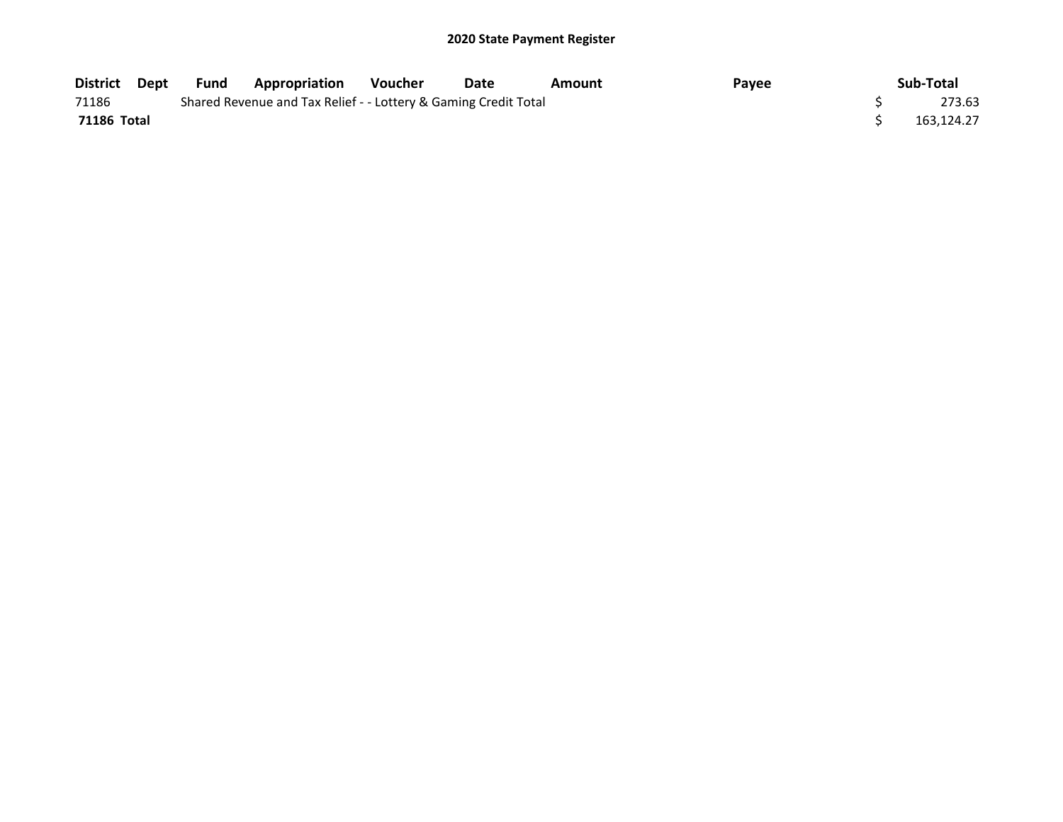| District Dept      | Fund | <b>Appropriation</b>                                            | Voucher | Date | Amount | Payee | Sub-Total  |
|--------------------|------|-----------------------------------------------------------------|---------|------|--------|-------|------------|
| 71186              |      | Shared Revenue and Tax Relief - - Lottery & Gaming Credit Total |         |      |        |       | 273.63     |
| <b>71186 Total</b> |      |                                                                 |         |      |        |       | 163.124.27 |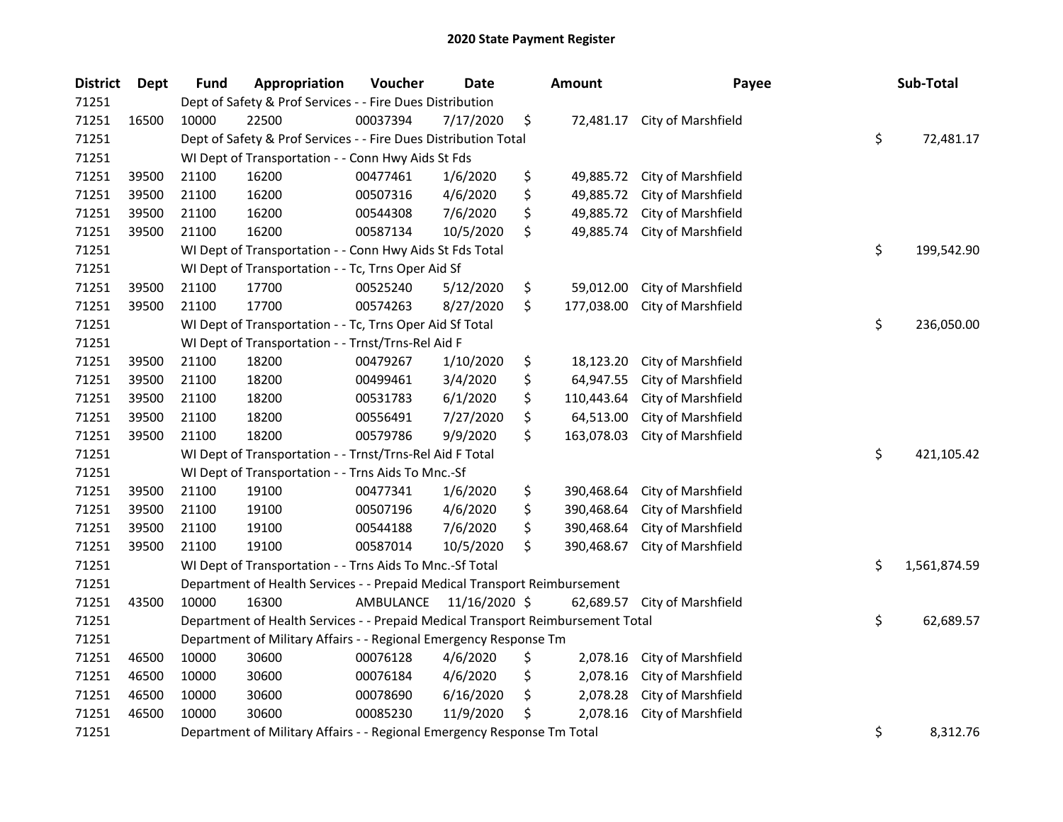| <b>District</b> | Dept  | <b>Fund</b> | Appropriation                                                                   | Voucher   | <b>Date</b>   | <b>Amount</b>    | Payee              | Sub-Total          |
|-----------------|-------|-------------|---------------------------------------------------------------------------------|-----------|---------------|------------------|--------------------|--------------------|
| 71251           |       |             | Dept of Safety & Prof Services - - Fire Dues Distribution                       |           |               |                  |                    |                    |
| 71251           | 16500 | 10000       | 22500                                                                           | 00037394  | 7/17/2020     | \$<br>72,481.17  | City of Marshfield |                    |
| 71251           |       |             | Dept of Safety & Prof Services - - Fire Dues Distribution Total                 |           |               |                  |                    | \$<br>72,481.17    |
| 71251           |       |             | WI Dept of Transportation - - Conn Hwy Aids St Fds                              |           |               |                  |                    |                    |
| 71251           | 39500 | 21100       | 16200                                                                           | 00477461  | 1/6/2020      | \$<br>49,885.72  | City of Marshfield |                    |
| 71251           | 39500 | 21100       | 16200                                                                           | 00507316  | 4/6/2020      | \$<br>49,885.72  | City of Marshfield |                    |
| 71251           | 39500 | 21100       | 16200                                                                           | 00544308  | 7/6/2020      | \$<br>49,885.72  | City of Marshfield |                    |
| 71251           | 39500 | 21100       | 16200                                                                           | 00587134  | 10/5/2020     | \$<br>49,885.74  | City of Marshfield |                    |
| 71251           |       |             | WI Dept of Transportation - - Conn Hwy Aids St Fds Total                        |           |               |                  |                    | \$<br>199,542.90   |
| 71251           |       |             | WI Dept of Transportation - - Tc, Trns Oper Aid Sf                              |           |               |                  |                    |                    |
| 71251           | 39500 | 21100       | 17700                                                                           | 00525240  | 5/12/2020     | \$<br>59,012.00  | City of Marshfield |                    |
| 71251           | 39500 | 21100       | 17700                                                                           | 00574263  | 8/27/2020     | \$<br>177,038.00 | City of Marshfield |                    |
| 71251           |       |             | WI Dept of Transportation - - Tc, Trns Oper Aid Sf Total                        |           |               |                  |                    | \$<br>236,050.00   |
| 71251           |       |             | WI Dept of Transportation - - Trnst/Trns-Rel Aid F                              |           |               |                  |                    |                    |
| 71251           | 39500 | 21100       | 18200                                                                           | 00479267  | 1/10/2020     | \$<br>18,123.20  | City of Marshfield |                    |
| 71251           | 39500 | 21100       | 18200                                                                           | 00499461  | 3/4/2020      | \$<br>64,947.55  | City of Marshfield |                    |
| 71251           | 39500 | 21100       | 18200                                                                           | 00531783  | 6/1/2020      | \$<br>110,443.64 | City of Marshfield |                    |
| 71251           | 39500 | 21100       | 18200                                                                           | 00556491  | 7/27/2020     | \$<br>64,513.00  | City of Marshfield |                    |
| 71251           | 39500 | 21100       | 18200                                                                           | 00579786  | 9/9/2020      | \$<br>163,078.03 | City of Marshfield |                    |
| 71251           |       |             | WI Dept of Transportation - - Trnst/Trns-Rel Aid F Total                        |           |               |                  |                    | \$<br>421,105.42   |
| 71251           |       |             | WI Dept of Transportation - - Trns Aids To Mnc.-Sf                              |           |               |                  |                    |                    |
| 71251           | 39500 | 21100       | 19100                                                                           | 00477341  | 1/6/2020      | \$<br>390,468.64 | City of Marshfield |                    |
| 71251           | 39500 | 21100       | 19100                                                                           | 00507196  | 4/6/2020      | \$<br>390,468.64 | City of Marshfield |                    |
| 71251           | 39500 | 21100       | 19100                                                                           | 00544188  | 7/6/2020      | \$<br>390,468.64 | City of Marshfield |                    |
| 71251           | 39500 | 21100       | 19100                                                                           | 00587014  | 10/5/2020     | \$<br>390,468.67 | City of Marshfield |                    |
| 71251           |       |             | WI Dept of Transportation - - Trns Aids To Mnc.-Sf Total                        |           |               |                  |                    | \$<br>1,561,874.59 |
| 71251           |       |             | Department of Health Services - - Prepaid Medical Transport Reimbursement       |           |               |                  |                    |                    |
| 71251           | 43500 | 10000       | 16300                                                                           | AMBULANCE | 11/16/2020 \$ | 62,689.57        | City of Marshfield |                    |
| 71251           |       |             | Department of Health Services - - Prepaid Medical Transport Reimbursement Total |           |               |                  |                    | \$<br>62,689.57    |
| 71251           |       |             | Department of Military Affairs - - Regional Emergency Response Tm               |           |               |                  |                    |                    |
| 71251           | 46500 | 10000       | 30600                                                                           | 00076128  | 4/6/2020      | \$<br>2,078.16   | City of Marshfield |                    |
| 71251           | 46500 | 10000       | 30600                                                                           | 00076184  | 4/6/2020      | \$<br>2,078.16   | City of Marshfield |                    |
| 71251           | 46500 | 10000       | 30600                                                                           | 00078690  | 6/16/2020     | \$<br>2,078.28   | City of Marshfield |                    |
| 71251           | 46500 | 10000       | 30600                                                                           | 00085230  | 11/9/2020     | \$<br>2,078.16   | City of Marshfield |                    |
| 71251           |       |             | Department of Military Affairs - - Regional Emergency Response Tm Total         |           |               |                  |                    | \$<br>8,312.76     |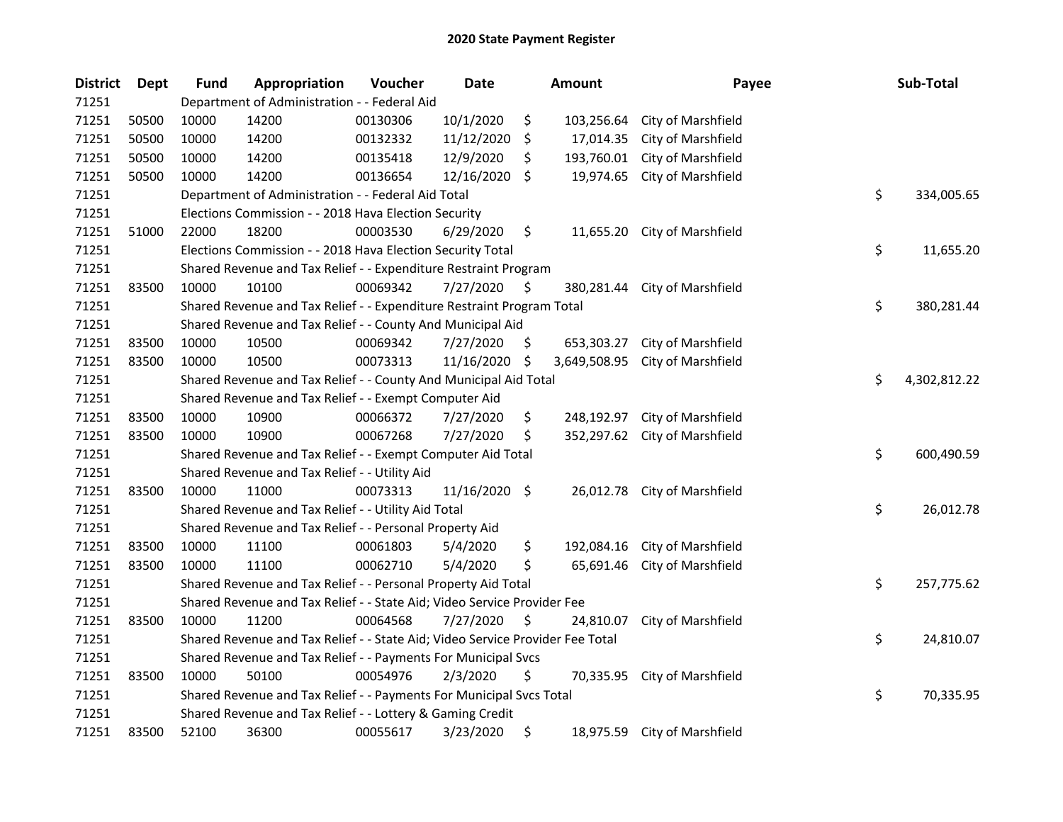| <b>District</b> | Dept  | <b>Fund</b> | Appropriation                                                                 | Voucher  | <b>Date</b>   |     | <b>Amount</b> | Payee                         | Sub-Total          |
|-----------------|-------|-------------|-------------------------------------------------------------------------------|----------|---------------|-----|---------------|-------------------------------|--------------------|
| 71251           |       |             | Department of Administration - - Federal Aid                                  |          |               |     |               |                               |                    |
| 71251           | 50500 | 10000       | 14200                                                                         | 00130306 | 10/1/2020     | \$  | 103,256.64    | City of Marshfield            |                    |
| 71251           | 50500 | 10000       | 14200                                                                         | 00132332 | 11/12/2020    | \$  | 17,014.35     | City of Marshfield            |                    |
| 71251           | 50500 | 10000       | 14200                                                                         | 00135418 | 12/9/2020     | \$  | 193,760.01    | City of Marshfield            |                    |
| 71251           | 50500 | 10000       | 14200                                                                         | 00136654 | 12/16/2020    | \$  | 19,974.65     | City of Marshfield            |                    |
| 71251           |       |             | Department of Administration - - Federal Aid Total                            |          |               |     |               |                               | \$<br>334,005.65   |
| 71251           |       |             | Elections Commission - - 2018 Hava Election Security                          |          |               |     |               |                               |                    |
| 71251           | 51000 | 22000       | 18200                                                                         | 00003530 | 6/29/2020     | \$  |               | 11,655.20 City of Marshfield  |                    |
| 71251           |       |             | Elections Commission - - 2018 Hava Election Security Total                    |          |               |     |               |                               | \$<br>11,655.20    |
| 71251           |       |             | Shared Revenue and Tax Relief - - Expenditure Restraint Program               |          |               |     |               |                               |                    |
| 71251           | 83500 | 10000       | 10100                                                                         | 00069342 | 7/27/2020     | \$. |               | 380,281.44 City of Marshfield |                    |
| 71251           |       |             | Shared Revenue and Tax Relief - - Expenditure Restraint Program Total         |          |               |     |               |                               | \$<br>380,281.44   |
| 71251           |       |             | Shared Revenue and Tax Relief - - County And Municipal Aid                    |          |               |     |               |                               |                    |
| 71251           | 83500 | 10000       | 10500                                                                         | 00069342 | 7/27/2020     | \$. | 653,303.27    | City of Marshfield            |                    |
| 71251           | 83500 | 10000       | 10500                                                                         | 00073313 | 11/16/2020    | \$  | 3,649,508.95  | City of Marshfield            |                    |
| 71251           |       |             | Shared Revenue and Tax Relief - - County And Municipal Aid Total              |          |               |     |               |                               | \$<br>4,302,812.22 |
| 71251           |       |             | Shared Revenue and Tax Relief - - Exempt Computer Aid                         |          |               |     |               |                               |                    |
| 71251           | 83500 | 10000       | 10900                                                                         | 00066372 | 7/27/2020     | \$  | 248,192.97    | City of Marshfield            |                    |
| 71251           | 83500 | 10000       | 10900                                                                         | 00067268 | 7/27/2020     | \$  | 352,297.62    | City of Marshfield            |                    |
| 71251           |       |             | Shared Revenue and Tax Relief - - Exempt Computer Aid Total                   |          |               |     |               |                               | \$<br>600,490.59   |
| 71251           |       |             | Shared Revenue and Tax Relief - - Utility Aid                                 |          |               |     |               |                               |                    |
| 71251           | 83500 | 10000       | 11000                                                                         | 00073313 | 11/16/2020 \$ |     |               | 26,012.78 City of Marshfield  |                    |
| 71251           |       |             | Shared Revenue and Tax Relief - - Utility Aid Total                           |          |               |     |               |                               | \$<br>26,012.78    |
| 71251           |       |             | Shared Revenue and Tax Relief - - Personal Property Aid                       |          |               |     |               |                               |                    |
| 71251           | 83500 | 10000       | 11100                                                                         | 00061803 | 5/4/2020      | \$  | 192,084.16    | City of Marshfield            |                    |
| 71251           | 83500 | 10000       | 11100                                                                         | 00062710 | 5/4/2020      | \$  | 65,691.46     | City of Marshfield            |                    |
| 71251           |       |             | Shared Revenue and Tax Relief - - Personal Property Aid Total                 |          |               |     |               |                               | \$<br>257,775.62   |
| 71251           |       |             | Shared Revenue and Tax Relief - - State Aid; Video Service Provider Fee       |          |               |     |               |                               |                    |
| 71251           | 83500 | 10000       | 11200                                                                         | 00064568 | 7/27/2020     | \$  | 24,810.07     | City of Marshfield            |                    |
| 71251           |       |             | Shared Revenue and Tax Relief - - State Aid; Video Service Provider Fee Total |          |               |     |               |                               | \$<br>24,810.07    |
| 71251           |       |             | Shared Revenue and Tax Relief - - Payments For Municipal Svcs                 |          |               |     |               |                               |                    |
| 71251           | 83500 | 10000       | 50100                                                                         | 00054976 | 2/3/2020      | \$  |               | 70,335.95 City of Marshfield  |                    |
| 71251           |       |             | Shared Revenue and Tax Relief - - Payments For Municipal Svcs Total           |          |               |     |               |                               | \$<br>70,335.95    |
| 71251           |       |             | Shared Revenue and Tax Relief - - Lottery & Gaming Credit                     |          |               |     |               |                               |                    |
| 71251           | 83500 | 52100       | 36300                                                                         | 00055617 | 3/23/2020     | \$  |               | 18,975.59 City of Marshfield  |                    |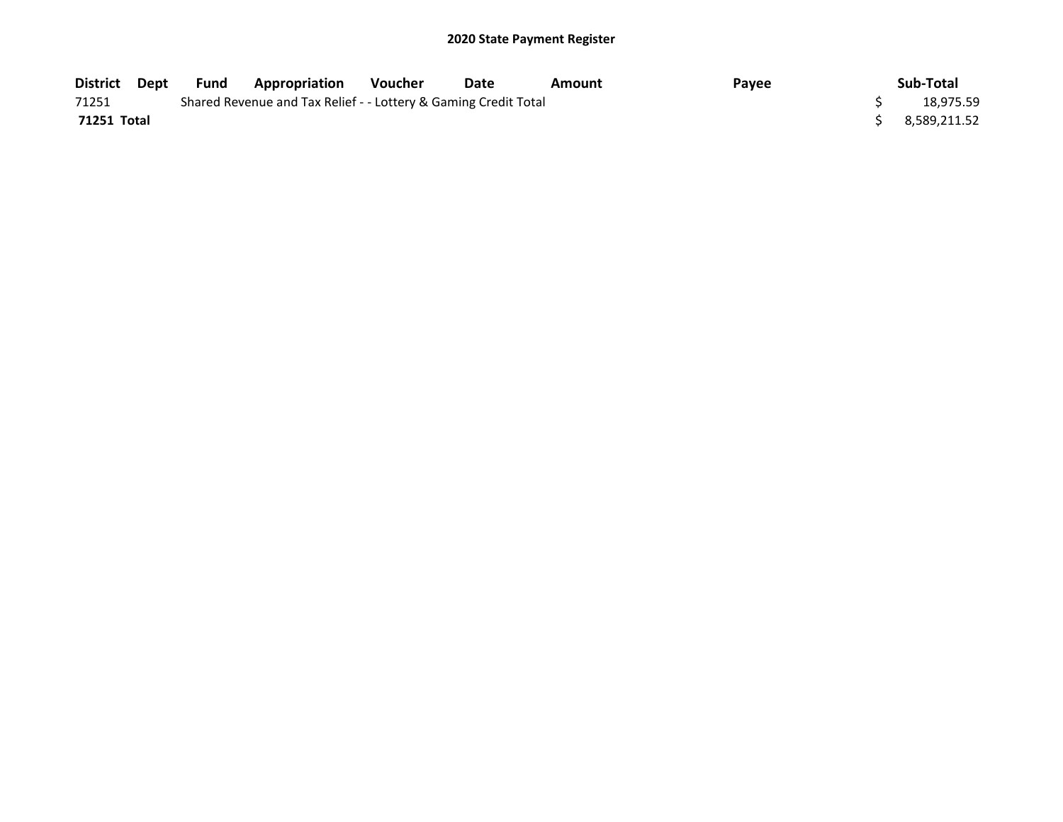| District Dept | Fund | <b>Appropriation</b>                                            | <b>Voucher</b> | Date | Amount | Payee | Sub-Total    |
|---------------|------|-----------------------------------------------------------------|----------------|------|--------|-------|--------------|
| 71251         |      | Shared Revenue and Tax Relief - - Lottery & Gaming Credit Total |                |      |        |       | 18,975.59    |
| 71251 Total   |      |                                                                 |                |      |        |       | 8,589,211.52 |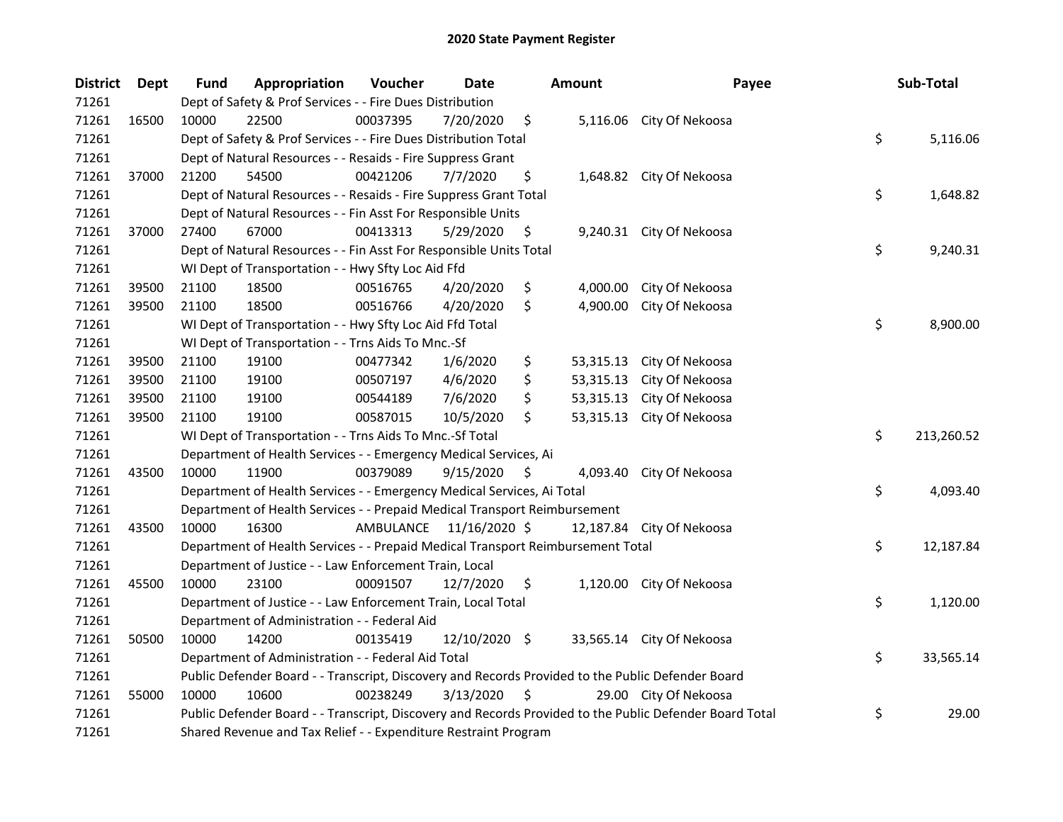| <b>District</b> | Dept  | Fund  | Appropriation                                                                                     | Voucher  | <b>Date</b>             | <b>Amount</b>   | Payee                                                                                                   | Sub-Total        |
|-----------------|-------|-------|---------------------------------------------------------------------------------------------------|----------|-------------------------|-----------------|---------------------------------------------------------------------------------------------------------|------------------|
| 71261           |       |       | Dept of Safety & Prof Services - - Fire Dues Distribution                                         |          |                         |                 |                                                                                                         |                  |
| 71261           | 16500 | 10000 | 22500                                                                                             | 00037395 | 7/20/2020               | \$              | 5,116.06 City Of Nekoosa                                                                                |                  |
| 71261           |       |       | Dept of Safety & Prof Services - - Fire Dues Distribution Total                                   |          |                         |                 |                                                                                                         | \$<br>5,116.06   |
| 71261           |       |       | Dept of Natural Resources - - Resaids - Fire Suppress Grant                                       |          |                         |                 |                                                                                                         |                  |
| 71261           | 37000 | 21200 | 54500                                                                                             | 00421206 | 7/7/2020                | \$              | 1,648.82 City Of Nekoosa                                                                                |                  |
| 71261           |       |       | Dept of Natural Resources - - Resaids - Fire Suppress Grant Total                                 |          |                         |                 |                                                                                                         | \$<br>1,648.82   |
| 71261           |       |       | Dept of Natural Resources - - Fin Asst For Responsible Units                                      |          |                         |                 |                                                                                                         |                  |
| 71261           | 37000 | 27400 | 67000                                                                                             | 00413313 | 5/29/2020               | \$              | 9,240.31 City Of Nekoosa                                                                                |                  |
| 71261           |       |       | Dept of Natural Resources - - Fin Asst For Responsible Units Total                                |          |                         |                 |                                                                                                         | \$<br>9,240.31   |
| 71261           |       |       | WI Dept of Transportation - - Hwy Sfty Loc Aid Ffd                                                |          |                         |                 |                                                                                                         |                  |
| 71261           | 39500 | 21100 | 18500                                                                                             | 00516765 | 4/20/2020               | \$<br>4,000.00  | City Of Nekoosa                                                                                         |                  |
| 71261           | 39500 | 21100 | 18500                                                                                             | 00516766 | 4/20/2020               | \$<br>4,900.00  | City Of Nekoosa                                                                                         |                  |
| 71261           |       |       | WI Dept of Transportation - - Hwy Sfty Loc Aid Ffd Total                                          |          |                         |                 |                                                                                                         | \$<br>8,900.00   |
| 71261           |       |       | WI Dept of Transportation - - Trns Aids To Mnc.-Sf                                                |          |                         |                 |                                                                                                         |                  |
| 71261           | 39500 | 21100 | 19100                                                                                             | 00477342 | 1/6/2020                | \$<br>53,315.13 | City Of Nekoosa                                                                                         |                  |
| 71261           | 39500 | 21100 | 19100                                                                                             | 00507197 | 4/6/2020                | \$<br>53,315.13 | City Of Nekoosa                                                                                         |                  |
| 71261           | 39500 | 21100 | 19100                                                                                             | 00544189 | 7/6/2020                | \$<br>53,315.13 | City Of Nekoosa                                                                                         |                  |
| 71261           | 39500 | 21100 | 19100                                                                                             | 00587015 | 10/5/2020               | \$<br>53,315.13 | City Of Nekoosa                                                                                         |                  |
| 71261           |       |       | WI Dept of Transportation - - Trns Aids To Mnc.-Sf Total                                          |          |                         |                 |                                                                                                         | \$<br>213,260.52 |
| 71261           |       |       | Department of Health Services - - Emergency Medical Services, Ai                                  |          |                         |                 |                                                                                                         |                  |
| 71261           | 43500 | 10000 | 11900                                                                                             | 00379089 | 9/15/2020               | \$<br>4,093.40  | City Of Nekoosa                                                                                         |                  |
| 71261           |       |       | Department of Health Services - - Emergency Medical Services, Ai Total                            |          |                         |                 |                                                                                                         | \$<br>4,093.40   |
| 71261           |       |       | Department of Health Services - - Prepaid Medical Transport Reimbursement                         |          |                         |                 |                                                                                                         |                  |
| 71261           | 43500 | 10000 | 16300                                                                                             |          | AMBULANCE 11/16/2020 \$ | 12,187.84       | City Of Nekoosa                                                                                         |                  |
| 71261           |       |       | Department of Health Services - - Prepaid Medical Transport Reimbursement Total                   |          |                         |                 |                                                                                                         | \$<br>12,187.84  |
| 71261           |       |       | Department of Justice - - Law Enforcement Train, Local                                            |          |                         |                 |                                                                                                         |                  |
| 71261           | 45500 | 10000 | 23100                                                                                             | 00091507 | 12/7/2020               | \$              | 1,120.00 City Of Nekoosa                                                                                |                  |
| 71261           |       |       | Department of Justice - - Law Enforcement Train, Local Total                                      |          |                         |                 |                                                                                                         | \$<br>1,120.00   |
| 71261           |       |       | Department of Administration - - Federal Aid                                                      |          |                         |                 |                                                                                                         |                  |
| 71261           | 50500 | 10000 | 14200                                                                                             | 00135419 | 12/10/2020 \$           |                 | 33,565.14 City Of Nekoosa                                                                               |                  |
| 71261           |       |       | Department of Administration - - Federal Aid Total                                                |          |                         |                 |                                                                                                         | \$<br>33,565.14  |
| 71261           |       |       | Public Defender Board - - Transcript, Discovery and Records Provided to the Public Defender Board |          |                         |                 |                                                                                                         |                  |
| 71261           | 55000 | 10000 | 10600                                                                                             | 00238249 | 3/13/2020               | \$              | 29.00 City Of Nekoosa                                                                                   |                  |
| 71261           |       |       |                                                                                                   |          |                         |                 | Public Defender Board - - Transcript, Discovery and Records Provided to the Public Defender Board Total | \$<br>29.00      |
| 71261           |       |       | Shared Revenue and Tax Relief - - Expenditure Restraint Program                                   |          |                         |                 |                                                                                                         |                  |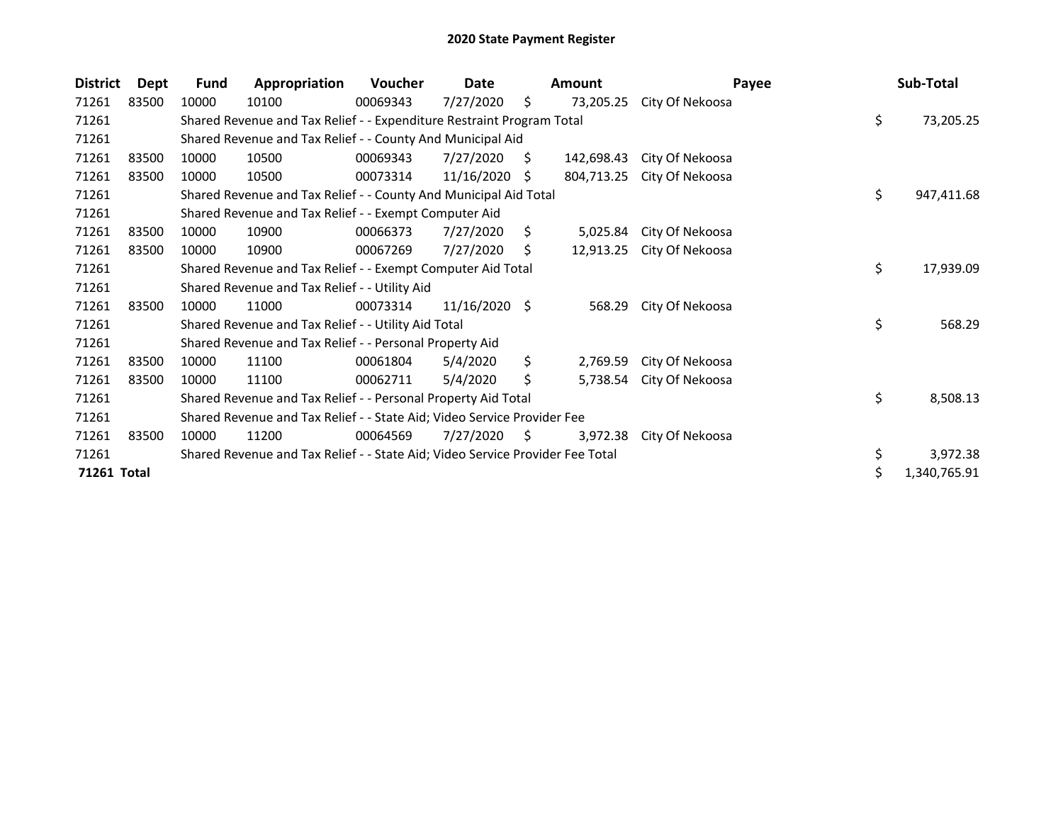| <b>District</b> | Dept  | <b>Fund</b> | Appropriation                                                                 | Voucher  | Date            |    | <b>Amount</b> |                 | Payee | Sub-Total        |
|-----------------|-------|-------------|-------------------------------------------------------------------------------|----------|-----------------|----|---------------|-----------------|-------|------------------|
| 71261           | 83500 | 10000       | 10100                                                                         | 00069343 | 7/27/2020       | \$ | 73,205.25     | City Of Nekoosa |       |                  |
| 71261           |       |             | Shared Revenue and Tax Relief - - Expenditure Restraint Program Total         |          |                 |    |               |                 |       | \$<br>73,205.25  |
| 71261           |       |             | Shared Revenue and Tax Relief - - County And Municipal Aid                    |          |                 |    |               |                 |       |                  |
| 71261           | 83500 | 10000       | 10500                                                                         | 00069343 | 7/27/2020       | Ŝ. | 142,698.43    | City Of Nekoosa |       |                  |
| 71261           | 83500 | 10000       | 10500                                                                         | 00073314 | 11/16/2020      | S. | 804,713.25    | City Of Nekoosa |       |                  |
| 71261           |       |             | Shared Revenue and Tax Relief - - County And Municipal Aid Total              |          |                 |    |               |                 |       | \$<br>947,411.68 |
| 71261           |       |             | Shared Revenue and Tax Relief - - Exempt Computer Aid                         |          |                 |    |               |                 |       |                  |
| 71261           | 83500 | 10000       | 10900                                                                         | 00066373 | 7/27/2020       | S. | 5,025.84      | City Of Nekoosa |       |                  |
| 71261           | 83500 | 10000       | 10900                                                                         | 00067269 | 7/27/2020       | S. | 12,913.25     | City Of Nekoosa |       |                  |
| 71261           |       |             | Shared Revenue and Tax Relief - - Exempt Computer Aid Total                   |          |                 |    |               |                 |       | \$<br>17,939.09  |
| 71261           |       |             | Shared Revenue and Tax Relief - - Utility Aid                                 |          |                 |    |               |                 |       |                  |
| 71261           | 83500 | 10000       | 11000                                                                         | 00073314 | $11/16/2020$ \$ |    | 568.29        | City Of Nekoosa |       |                  |
| 71261           |       |             | Shared Revenue and Tax Relief - - Utility Aid Total                           |          |                 |    |               |                 |       | \$<br>568.29     |
| 71261           |       |             | Shared Revenue and Tax Relief - - Personal Property Aid                       |          |                 |    |               |                 |       |                  |
| 71261           | 83500 | 10000       | 11100                                                                         | 00061804 | 5/4/2020        | \$ | 2,769.59      | City Of Nekoosa |       |                  |
| 71261           | 83500 | 10000       | 11100                                                                         | 00062711 | 5/4/2020        | \$ | 5,738.54      | City Of Nekoosa |       |                  |
| 71261           |       |             | Shared Revenue and Tax Relief - - Personal Property Aid Total                 |          |                 |    |               |                 |       | \$<br>8,508.13   |
| 71261           |       |             | Shared Revenue and Tax Relief - - State Aid; Video Service Provider Fee       |          |                 |    |               |                 |       |                  |
| 71261           | 83500 | 10000       | 11200                                                                         | 00064569 | 7/27/2020       | S. | 3,972.38      | City Of Nekoosa |       |                  |
| 71261           |       |             | Shared Revenue and Tax Relief - - State Aid; Video Service Provider Fee Total |          |                 |    |               |                 |       | \$<br>3,972.38   |
| 71261 Total     |       |             |                                                                               |          |                 |    |               |                 |       | 1,340,765.91     |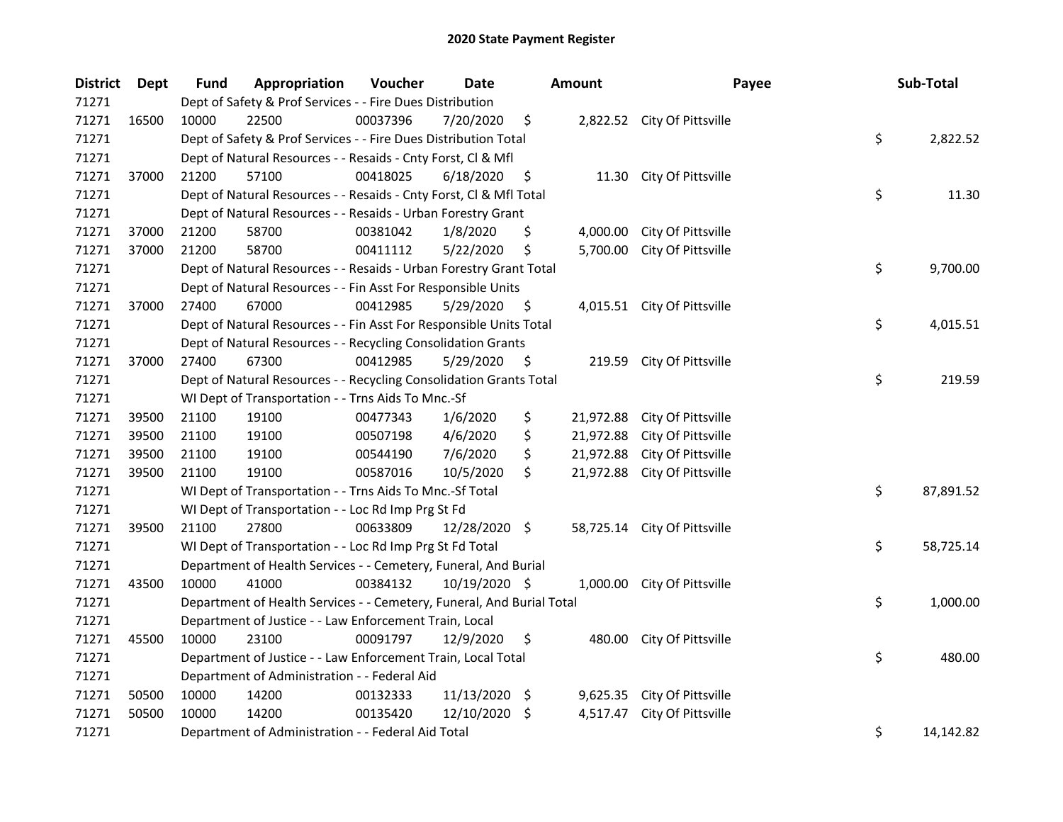| <b>District</b> | Dept  | <b>Fund</b> | Appropriation                                                         | Voucher  | Date          |     | Amount    | Payee                        | Sub-Total       |
|-----------------|-------|-------------|-----------------------------------------------------------------------|----------|---------------|-----|-----------|------------------------------|-----------------|
| 71271           |       |             | Dept of Safety & Prof Services - - Fire Dues Distribution             |          |               |     |           |                              |                 |
| 71271           | 16500 | 10000       | 22500                                                                 | 00037396 | 7/20/2020     | \$  |           | 2,822.52 City Of Pittsville  |                 |
| 71271           |       |             | Dept of Safety & Prof Services - - Fire Dues Distribution Total       |          |               |     |           |                              | \$<br>2,822.52  |
| 71271           |       |             | Dept of Natural Resources - - Resaids - Cnty Forst, Cl & Mfl          |          |               |     |           |                              |                 |
| 71271           | 37000 | 21200       | 57100                                                                 | 00418025 | 6/18/2020     | \$  |           | 11.30 City Of Pittsville     |                 |
| 71271           |       |             | Dept of Natural Resources - - Resaids - Cnty Forst, Cl & Mfl Total    |          |               |     |           |                              | \$<br>11.30     |
| 71271           |       |             | Dept of Natural Resources - - Resaids - Urban Forestry Grant          |          |               |     |           |                              |                 |
| 71271           | 37000 | 21200       | 58700                                                                 | 00381042 | 1/8/2020      | \$  | 4,000.00  | City Of Pittsville           |                 |
| 71271           | 37000 | 21200       | 58700                                                                 | 00411112 | 5/22/2020     | \$  | 5,700.00  | City Of Pittsville           |                 |
| 71271           |       |             | Dept of Natural Resources - - Resaids - Urban Forestry Grant Total    |          |               |     |           |                              | \$<br>9,700.00  |
| 71271           |       |             | Dept of Natural Resources - - Fin Asst For Responsible Units          |          |               |     |           |                              |                 |
| 71271           | 37000 | 27400       | 67000                                                                 | 00412985 | 5/29/2020     | -\$ |           | 4,015.51 City Of Pittsville  |                 |
| 71271           |       |             | Dept of Natural Resources - - Fin Asst For Responsible Units Total    |          |               |     |           |                              | \$<br>4,015.51  |
| 71271           |       |             | Dept of Natural Resources - - Recycling Consolidation Grants          |          |               |     |           |                              |                 |
| 71271           | 37000 | 27400       | 67300                                                                 | 00412985 | 5/29/2020     | \$, |           | 219.59 City Of Pittsville    |                 |
| 71271           |       |             | Dept of Natural Resources - - Recycling Consolidation Grants Total    |          |               |     |           |                              | \$<br>219.59    |
| 71271           |       |             | WI Dept of Transportation - - Trns Aids To Mnc.-Sf                    |          |               |     |           |                              |                 |
| 71271           | 39500 | 21100       | 19100                                                                 | 00477343 | 1/6/2020      | \$  | 21,972.88 | City Of Pittsville           |                 |
| 71271           | 39500 | 21100       | 19100                                                                 | 00507198 | 4/6/2020      | \$  | 21,972.88 | City Of Pittsville           |                 |
| 71271           | 39500 | 21100       | 19100                                                                 | 00544190 | 7/6/2020      | \$  | 21,972.88 | City Of Pittsville           |                 |
| 71271           | 39500 | 21100       | 19100                                                                 | 00587016 | 10/5/2020     | \$  | 21,972.88 | City Of Pittsville           |                 |
| 71271           |       |             | WI Dept of Transportation - - Trns Aids To Mnc.-Sf Total              |          |               |     |           |                              | \$<br>87,891.52 |
| 71271           |       |             | WI Dept of Transportation - - Loc Rd Imp Prg St Fd                    |          |               |     |           |                              |                 |
| 71271           | 39500 | 21100       | 27800                                                                 | 00633809 | 12/28/2020 \$ |     |           | 58,725.14 City Of Pittsville |                 |
| 71271           |       |             | WI Dept of Transportation - - Loc Rd Imp Prg St Fd Total              |          |               |     |           |                              | \$<br>58,725.14 |
| 71271           |       |             | Department of Health Services - - Cemetery, Funeral, And Burial       |          |               |     |           |                              |                 |
| 71271           | 43500 | 10000       | 41000                                                                 | 00384132 | 10/19/2020 \$ |     | 1,000.00  | City Of Pittsville           |                 |
| 71271           |       |             | Department of Health Services - - Cemetery, Funeral, And Burial Total |          |               |     |           |                              | \$<br>1,000.00  |
| 71271           |       |             | Department of Justice - - Law Enforcement Train, Local                |          |               |     |           |                              |                 |
| 71271           | 45500 | 10000       | 23100                                                                 | 00091797 | 12/9/2020     | \$  |           | 480.00 City Of Pittsville    |                 |
| 71271           |       |             | Department of Justice - - Law Enforcement Train, Local Total          |          |               |     |           |                              | \$<br>480.00    |
| 71271           |       |             | Department of Administration - - Federal Aid                          |          |               |     |           |                              |                 |
| 71271           | 50500 | 10000       | 14200                                                                 | 00132333 | 11/13/2020    | -\$ | 9,625.35  | City Of Pittsville           |                 |
| 71271           | 50500 | 10000       | 14200                                                                 | 00135420 | 12/10/2020    | -S  | 4,517.47  | City Of Pittsville           |                 |
| 71271           |       |             | Department of Administration - - Federal Aid Total                    |          |               |     |           |                              | \$<br>14,142.82 |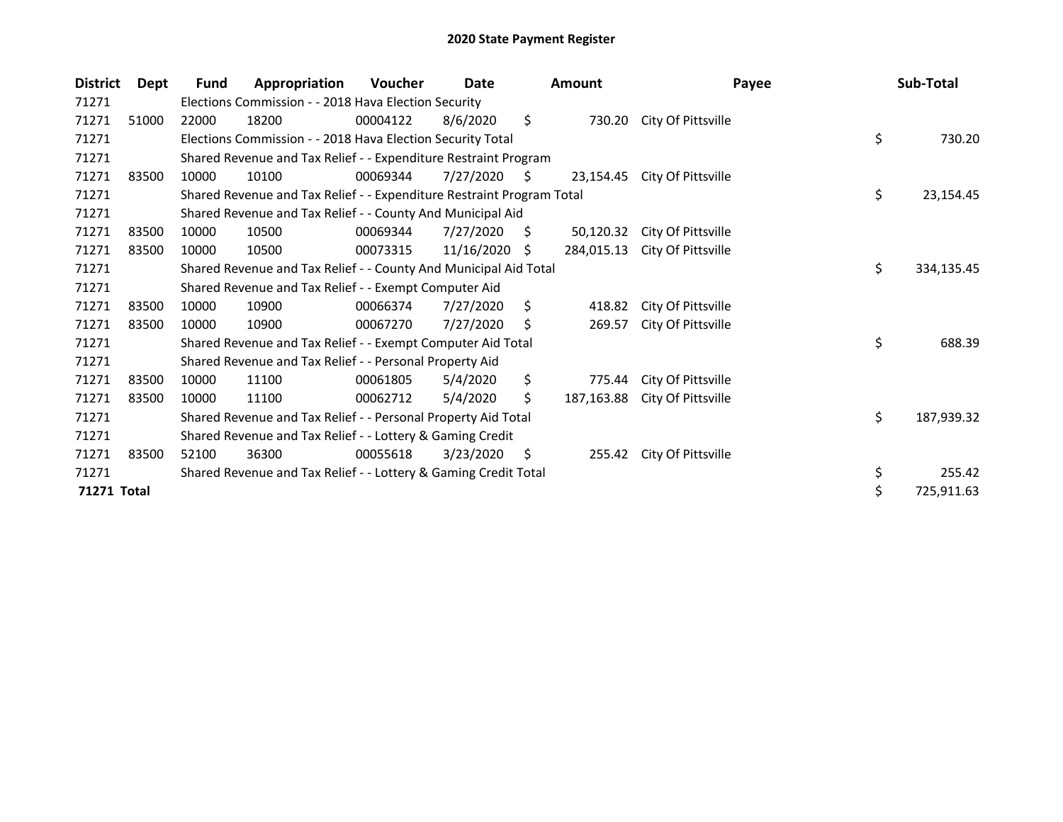| <b>District</b> | Dept  | Fund  | Appropriation                                                         | Voucher  | Date       |                     | <b>Amount</b> | Payee              | Sub-Total        |
|-----------------|-------|-------|-----------------------------------------------------------------------|----------|------------|---------------------|---------------|--------------------|------------------|
| 71271           |       |       | Elections Commission - - 2018 Hava Election Security                  |          |            |                     |               |                    |                  |
| 71271           | 51000 | 22000 | 18200                                                                 | 00004122 | 8/6/2020   | \$                  | 730.20        | City Of Pittsville |                  |
| 71271           |       |       | Elections Commission - - 2018 Hava Election Security Total            |          |            |                     |               |                    | \$<br>730.20     |
| 71271           |       |       | Shared Revenue and Tax Relief - - Expenditure Restraint Program       |          |            |                     |               |                    |                  |
| 71271           | 83500 | 10000 | 10100                                                                 | 00069344 | 7/27/2020  | $\ddot{\mathsf{s}}$ | 23,154.45     | City Of Pittsville |                  |
| 71271           |       |       | Shared Revenue and Tax Relief - - Expenditure Restraint Program Total |          |            |                     |               |                    | \$<br>23,154.45  |
| 71271           |       |       | Shared Revenue and Tax Relief - - County And Municipal Aid            |          |            |                     |               |                    |                  |
| 71271           | 83500 | 10000 | 10500                                                                 | 00069344 | 7/27/2020  | S.                  | 50,120.32     | City Of Pittsville |                  |
| 71271           | 83500 | 10000 | 10500                                                                 | 00073315 | 11/16/2020 | - \$                | 284,015.13    | City Of Pittsville |                  |
| 71271           |       |       | Shared Revenue and Tax Relief - - County And Municipal Aid Total      |          |            |                     |               |                    | \$<br>334,135.45 |
| 71271           |       |       | Shared Revenue and Tax Relief - - Exempt Computer Aid                 |          |            |                     |               |                    |                  |
| 71271           | 83500 | 10000 | 10900                                                                 | 00066374 | 7/27/2020  | \$                  | 418.82        | City Of Pittsville |                  |
| 71271           | 83500 | 10000 | 10900                                                                 | 00067270 | 7/27/2020  | S                   | 269.57        | City Of Pittsville |                  |
| 71271           |       |       | Shared Revenue and Tax Relief - - Exempt Computer Aid Total           |          |            |                     |               |                    | \$<br>688.39     |
| 71271           |       |       | Shared Revenue and Tax Relief - - Personal Property Aid               |          |            |                     |               |                    |                  |
| 71271           | 83500 | 10000 | 11100                                                                 | 00061805 | 5/4/2020   | \$                  | 775.44        | City Of Pittsville |                  |
| 71271           | 83500 | 10000 | 11100                                                                 | 00062712 | 5/4/2020   | \$                  | 187,163.88    | City Of Pittsville |                  |
| 71271           |       |       | Shared Revenue and Tax Relief - - Personal Property Aid Total         |          |            |                     |               |                    | \$<br>187,939.32 |
| 71271           |       |       | Shared Revenue and Tax Relief - - Lottery & Gaming Credit             |          |            |                     |               |                    |                  |
| 71271           | 83500 | 52100 | 36300                                                                 | 00055618 | 3/23/2020  | S                   | 255.42        | City Of Pittsville |                  |
| 71271           |       |       | Shared Revenue and Tax Relief - - Lottery & Gaming Credit Total       |          |            |                     |               |                    | \$<br>255.42     |
| 71271 Total     |       |       |                                                                       |          |            |                     |               |                    | \$<br>725,911.63 |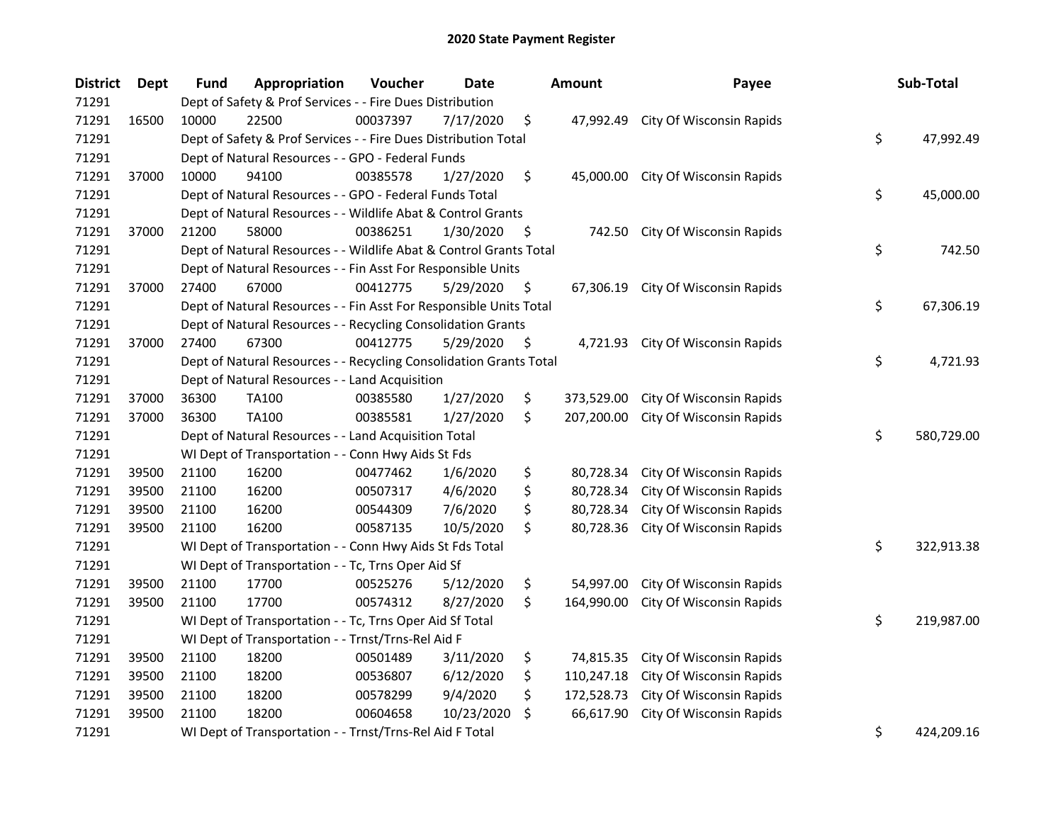| <b>District</b> | <b>Dept</b> | Fund  | Appropriation                                                      | Voucher  | <b>Date</b> | <b>Amount</b>    | Payee                              | Sub-Total        |
|-----------------|-------------|-------|--------------------------------------------------------------------|----------|-------------|------------------|------------------------------------|------------------|
| 71291           |             |       | Dept of Safety & Prof Services - - Fire Dues Distribution          |          |             |                  |                                    |                  |
| 71291           | 16500       | 10000 | 22500                                                              | 00037397 | 7/17/2020   | \$               | 47,992.49 City Of Wisconsin Rapids |                  |
| 71291           |             |       | Dept of Safety & Prof Services - - Fire Dues Distribution Total    |          |             |                  |                                    | \$<br>47,992.49  |
| 71291           |             |       | Dept of Natural Resources - - GPO - Federal Funds                  |          |             |                  |                                    |                  |
| 71291           | 37000       | 10000 | 94100                                                              | 00385578 | 1/27/2020   | \$<br>45,000.00  | City Of Wisconsin Rapids           |                  |
| 71291           |             |       | Dept of Natural Resources - - GPO - Federal Funds Total            |          |             |                  |                                    | \$<br>45,000.00  |
| 71291           |             |       | Dept of Natural Resources - - Wildlife Abat & Control Grants       |          |             |                  |                                    |                  |
| 71291           | 37000       | 21200 | 58000                                                              | 00386251 | 1/30/2020   | \$<br>742.50     | City Of Wisconsin Rapids           |                  |
| 71291           |             |       | Dept of Natural Resources - - Wildlife Abat & Control Grants Total |          |             |                  |                                    | \$<br>742.50     |
| 71291           |             |       | Dept of Natural Resources - - Fin Asst For Responsible Units       |          |             |                  |                                    |                  |
| 71291           | 37000       | 27400 | 67000                                                              | 00412775 | 5/29/2020   | \$               | 67,306.19 City Of Wisconsin Rapids |                  |
| 71291           |             |       | Dept of Natural Resources - - Fin Asst For Responsible Units Total |          |             |                  |                                    | \$<br>67,306.19  |
| 71291           |             |       | Dept of Natural Resources - - Recycling Consolidation Grants       |          |             |                  |                                    |                  |
| 71291           | 37000       | 27400 | 67300                                                              | 00412775 | 5/29/2020   | \$<br>4,721.93   | City Of Wisconsin Rapids           |                  |
| 71291           |             |       | Dept of Natural Resources - - Recycling Consolidation Grants Total |          |             |                  |                                    | \$<br>4,721.93   |
| 71291           |             |       | Dept of Natural Resources - - Land Acquisition                     |          |             |                  |                                    |                  |
| 71291           | 37000       | 36300 | TA100                                                              | 00385580 | 1/27/2020   | \$<br>373,529.00 | City Of Wisconsin Rapids           |                  |
| 71291           | 37000       | 36300 | <b>TA100</b>                                                       | 00385581 | 1/27/2020   | \$<br>207,200.00 | City Of Wisconsin Rapids           |                  |
| 71291           |             |       | Dept of Natural Resources - - Land Acquisition Total               |          |             |                  |                                    | \$<br>580,729.00 |
| 71291           |             |       | WI Dept of Transportation - - Conn Hwy Aids St Fds                 |          |             |                  |                                    |                  |
| 71291           | 39500       | 21100 | 16200                                                              | 00477462 | 1/6/2020    | \$<br>80,728.34  | City Of Wisconsin Rapids           |                  |
| 71291           | 39500       | 21100 | 16200                                                              | 00507317 | 4/6/2020    | \$<br>80,728.34  | City Of Wisconsin Rapids           |                  |
| 71291           | 39500       | 21100 | 16200                                                              | 00544309 | 7/6/2020    | \$<br>80,728.34  | City Of Wisconsin Rapids           |                  |
| 71291           | 39500       | 21100 | 16200                                                              | 00587135 | 10/5/2020   | \$<br>80,728.36  | City Of Wisconsin Rapids           |                  |
| 71291           |             |       | WI Dept of Transportation - - Conn Hwy Aids St Fds Total           |          |             |                  |                                    | \$<br>322,913.38 |
| 71291           |             |       | WI Dept of Transportation - - Tc, Trns Oper Aid Sf                 |          |             |                  |                                    |                  |
| 71291           | 39500       | 21100 | 17700                                                              | 00525276 | 5/12/2020   | \$<br>54,997.00  | City Of Wisconsin Rapids           |                  |
| 71291           | 39500       | 21100 | 17700                                                              | 00574312 | 8/27/2020   | \$<br>164,990.00 | City Of Wisconsin Rapids           |                  |
| 71291           |             |       | WI Dept of Transportation - - Tc, Trns Oper Aid Sf Total           |          |             |                  |                                    | \$<br>219,987.00 |
| 71291           |             |       | WI Dept of Transportation - - Trnst/Trns-Rel Aid F                 |          |             |                  |                                    |                  |
| 71291           | 39500       | 21100 | 18200                                                              | 00501489 | 3/11/2020   | \$<br>74,815.35  | City Of Wisconsin Rapids           |                  |
| 71291           | 39500       | 21100 | 18200                                                              | 00536807 | 6/12/2020   | \$<br>110,247.18 | City Of Wisconsin Rapids           |                  |
| 71291           | 39500       | 21100 | 18200                                                              | 00578299 | 9/4/2020    | \$<br>172,528.73 | City Of Wisconsin Rapids           |                  |
| 71291           | 39500       | 21100 | 18200                                                              | 00604658 | 10/23/2020  | \$<br>66,617.90  | City Of Wisconsin Rapids           |                  |
| 71291           |             |       | WI Dept of Transportation - - Trnst/Trns-Rel Aid F Total           |          |             |                  |                                    | \$<br>424,209.16 |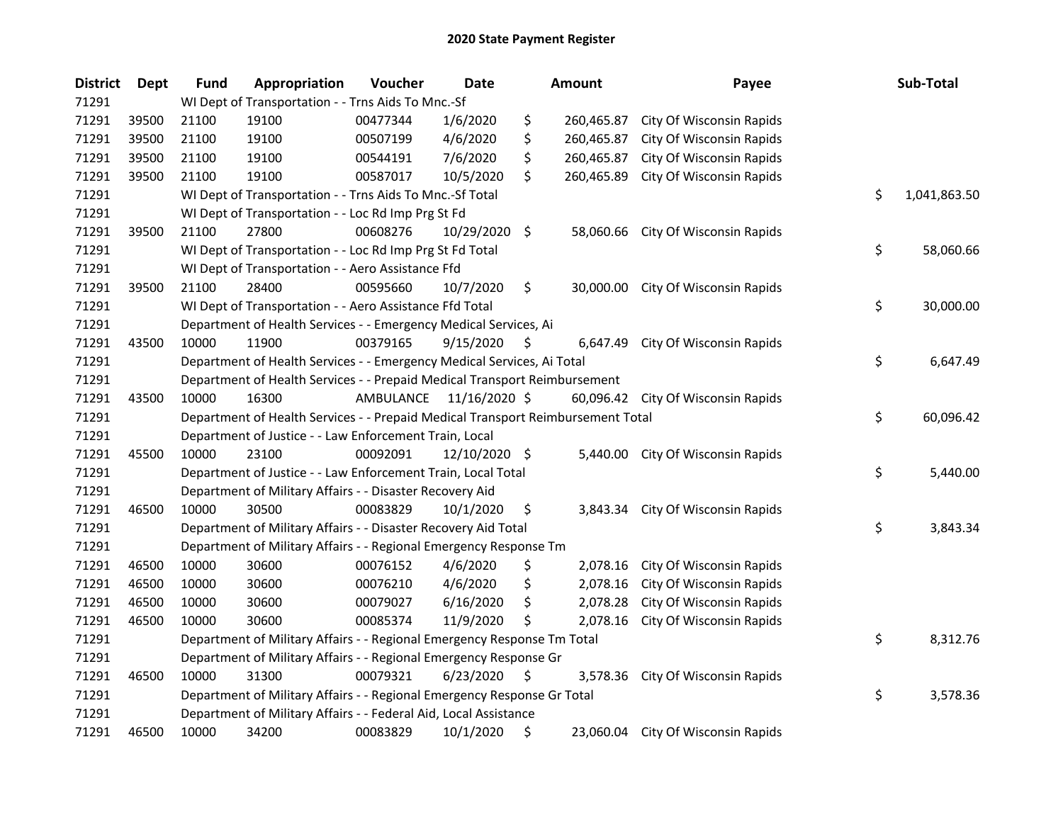| <b>District</b> | Dept  | <b>Fund</b> | Appropriation                                                                   | Voucher   | <b>Date</b>   |     | Amount     | Payee                              | Sub-Total          |
|-----------------|-------|-------------|---------------------------------------------------------------------------------|-----------|---------------|-----|------------|------------------------------------|--------------------|
| 71291           |       |             | WI Dept of Transportation - - Trns Aids To Mnc.-Sf                              |           |               |     |            |                                    |                    |
| 71291           | 39500 | 21100       | 19100                                                                           | 00477344  | 1/6/2020      | \$  | 260,465.87 | City Of Wisconsin Rapids           |                    |
| 71291           | 39500 | 21100       | 19100                                                                           | 00507199  | 4/6/2020      | \$  | 260,465.87 | City Of Wisconsin Rapids           |                    |
| 71291           | 39500 | 21100       | 19100                                                                           | 00544191  | 7/6/2020      | \$  | 260,465.87 | City Of Wisconsin Rapids           |                    |
| 71291           | 39500 | 21100       | 19100                                                                           | 00587017  | 10/5/2020     | \$  | 260,465.89 | City Of Wisconsin Rapids           |                    |
| 71291           |       |             | WI Dept of Transportation - - Trns Aids To Mnc.-Sf Total                        |           |               |     |            |                                    | \$<br>1,041,863.50 |
| 71291           |       |             | WI Dept of Transportation - - Loc Rd Imp Prg St Fd                              |           |               |     |            |                                    |                    |
| 71291           | 39500 | 21100       | 27800                                                                           | 00608276  | 10/29/2020    | \$  | 58,060.66  | City Of Wisconsin Rapids           |                    |
| 71291           |       |             | WI Dept of Transportation - - Loc Rd Imp Prg St Fd Total                        |           |               |     |            |                                    | \$<br>58,060.66    |
| 71291           |       |             | WI Dept of Transportation - - Aero Assistance Ffd                               |           |               |     |            |                                    |                    |
| 71291           | 39500 | 21100       | 28400                                                                           | 00595660  | 10/7/2020     | \$  | 30,000.00  | City Of Wisconsin Rapids           |                    |
| 71291           |       |             | WI Dept of Transportation - - Aero Assistance Ffd Total                         |           |               |     |            |                                    | \$<br>30,000.00    |
| 71291           |       |             | Department of Health Services - - Emergency Medical Services, Ai                |           |               |     |            |                                    |                    |
| 71291           | 43500 | 10000       | 11900                                                                           | 00379165  | 9/15/2020     | \$, | 6,647.49   | City Of Wisconsin Rapids           |                    |
| 71291           |       |             | Department of Health Services - - Emergency Medical Services, Ai Total          |           |               |     |            |                                    | \$<br>6,647.49     |
| 71291           |       |             | Department of Health Services - - Prepaid Medical Transport Reimbursement       |           |               |     |            |                                    |                    |
| 71291           | 43500 | 10000       | 16300                                                                           | AMBULANCE | 11/16/2020 \$ |     |            | 60,096.42 City Of Wisconsin Rapids |                    |
| 71291           |       |             | Department of Health Services - - Prepaid Medical Transport Reimbursement Total |           |               |     |            |                                    | \$<br>60,096.42    |
| 71291           |       |             | Department of Justice - - Law Enforcement Train, Local                          |           |               |     |            |                                    |                    |
| 71291           | 45500 | 10000       | 23100                                                                           | 00092091  | 12/10/2020 \$ |     | 5,440.00   | City Of Wisconsin Rapids           |                    |
| 71291           |       |             | Department of Justice - - Law Enforcement Train, Local Total                    |           |               |     |            |                                    | \$<br>5,440.00     |
| 71291           |       |             | Department of Military Affairs - - Disaster Recovery Aid                        |           |               |     |            |                                    |                    |
| 71291           | 46500 | 10000       | 30500                                                                           | 00083829  | 10/1/2020     | \$  | 3,843.34   | City Of Wisconsin Rapids           |                    |
| 71291           |       |             | Department of Military Affairs - - Disaster Recovery Aid Total                  |           |               |     |            |                                    | \$<br>3,843.34     |
| 71291           |       |             | Department of Military Affairs - - Regional Emergency Response Tm               |           |               |     |            |                                    |                    |
| 71291           | 46500 | 10000       | 30600                                                                           | 00076152  | 4/6/2020      | \$  | 2,078.16   | City Of Wisconsin Rapids           |                    |
| 71291           | 46500 | 10000       | 30600                                                                           | 00076210  | 4/6/2020      | \$  | 2,078.16   | City Of Wisconsin Rapids           |                    |
| 71291           | 46500 | 10000       | 30600                                                                           | 00079027  | 6/16/2020     | \$  | 2,078.28   | City Of Wisconsin Rapids           |                    |
| 71291           | 46500 | 10000       | 30600                                                                           | 00085374  | 11/9/2020     | \$  | 2,078.16   | City Of Wisconsin Rapids           |                    |
| 71291           |       |             | Department of Military Affairs - - Regional Emergency Response Tm Total         |           |               |     |            |                                    | \$<br>8,312.76     |
| 71291           |       |             | Department of Military Affairs - - Regional Emergency Response Gr               |           |               |     |            |                                    |                    |
| 71291           | 46500 | 10000       | 31300                                                                           | 00079321  | 6/23/2020     | \$  | 3,578.36   | City Of Wisconsin Rapids           |                    |
| 71291           |       |             | Department of Military Affairs - - Regional Emergency Response Gr Total         |           |               |     |            |                                    | \$<br>3,578.36     |
| 71291           |       |             | Department of Military Affairs - - Federal Aid, Local Assistance                |           |               |     |            |                                    |                    |
| 71291           | 46500 | 10000       | 34200                                                                           | 00083829  | 10/1/2020     | \$  |            | 23,060.04 City Of Wisconsin Rapids |                    |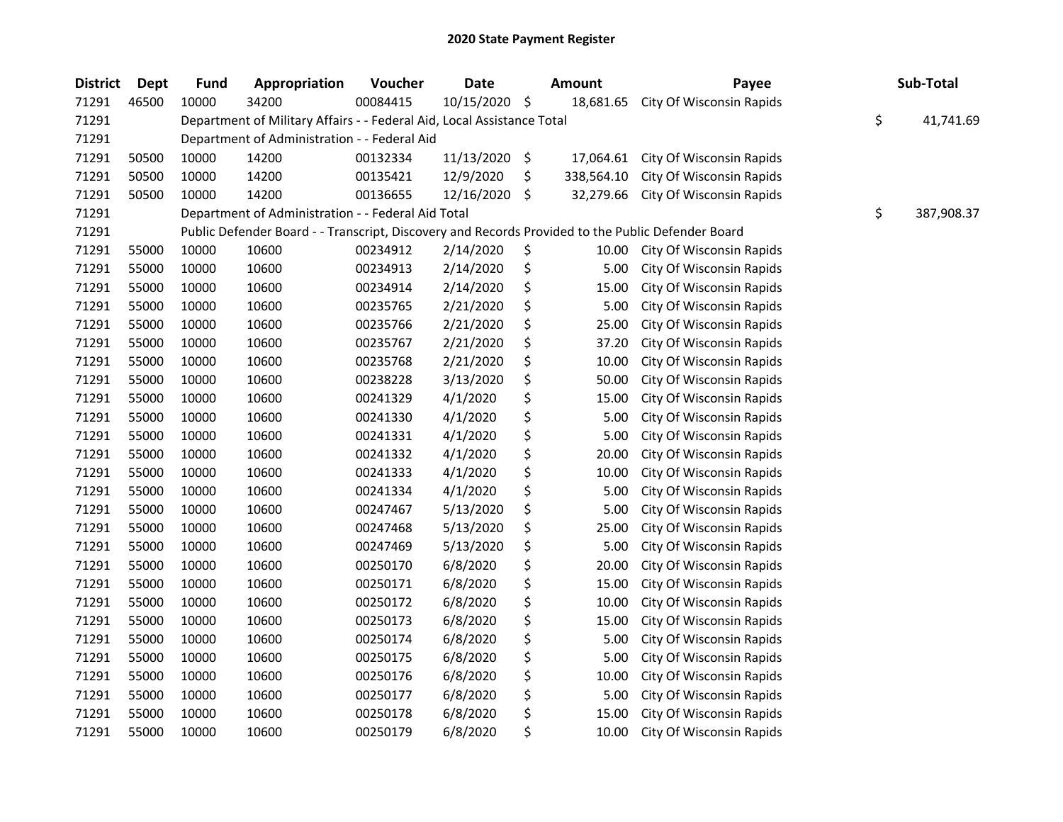| <b>District</b> | <b>Dept</b> | <b>Fund</b> | Appropriation                                                          | Voucher  | <b>Date</b> | <b>Amount</b>    | Payee                                                                                             | Sub-Total        |
|-----------------|-------------|-------------|------------------------------------------------------------------------|----------|-------------|------------------|---------------------------------------------------------------------------------------------------|------------------|
| 71291           | 46500       | 10000       | 34200                                                                  | 00084415 | 10/15/2020  | \$<br>18,681.65  | City Of Wisconsin Rapids                                                                          |                  |
| 71291           |             |             | Department of Military Affairs - - Federal Aid, Local Assistance Total |          |             |                  |                                                                                                   | \$<br>41,741.69  |
| 71291           |             |             | Department of Administration - - Federal Aid                           |          |             |                  |                                                                                                   |                  |
| 71291           | 50500       | 10000       | 14200                                                                  | 00132334 | 11/13/2020  | \$<br>17,064.61  | City Of Wisconsin Rapids                                                                          |                  |
| 71291           | 50500       | 10000       | 14200                                                                  | 00135421 | 12/9/2020   | \$<br>338,564.10 | City Of Wisconsin Rapids                                                                          |                  |
| 71291           | 50500       | 10000       | 14200                                                                  | 00136655 | 12/16/2020  | \$<br>32,279.66  | City Of Wisconsin Rapids                                                                          |                  |
| 71291           |             |             | Department of Administration - - Federal Aid Total                     |          |             |                  |                                                                                                   | \$<br>387,908.37 |
| 71291           |             |             |                                                                        |          |             |                  | Public Defender Board - - Transcript, Discovery and Records Provided to the Public Defender Board |                  |
| 71291           | 55000       | 10000       | 10600                                                                  | 00234912 | 2/14/2020   | \$<br>10.00      | City Of Wisconsin Rapids                                                                          |                  |
| 71291           | 55000       | 10000       | 10600                                                                  | 00234913 | 2/14/2020   | \$<br>5.00       | City Of Wisconsin Rapids                                                                          |                  |
| 71291           | 55000       | 10000       | 10600                                                                  | 00234914 | 2/14/2020   | \$<br>15.00      | City Of Wisconsin Rapids                                                                          |                  |
| 71291           | 55000       | 10000       | 10600                                                                  | 00235765 | 2/21/2020   | \$<br>5.00       | City Of Wisconsin Rapids                                                                          |                  |
| 71291           | 55000       | 10000       | 10600                                                                  | 00235766 | 2/21/2020   | \$<br>25.00      | City Of Wisconsin Rapids                                                                          |                  |
| 71291           | 55000       | 10000       | 10600                                                                  | 00235767 | 2/21/2020   | \$<br>37.20      | City Of Wisconsin Rapids                                                                          |                  |
| 71291           | 55000       | 10000       | 10600                                                                  | 00235768 | 2/21/2020   | \$<br>10.00      | City Of Wisconsin Rapids                                                                          |                  |
| 71291           | 55000       | 10000       | 10600                                                                  | 00238228 | 3/13/2020   | \$<br>50.00      | City Of Wisconsin Rapids                                                                          |                  |
| 71291           | 55000       | 10000       | 10600                                                                  | 00241329 | 4/1/2020    | \$<br>15.00      | City Of Wisconsin Rapids                                                                          |                  |
| 71291           | 55000       | 10000       | 10600                                                                  | 00241330 | 4/1/2020    | \$<br>5.00       | City Of Wisconsin Rapids                                                                          |                  |
| 71291           | 55000       | 10000       | 10600                                                                  | 00241331 | 4/1/2020    | \$<br>5.00       | City Of Wisconsin Rapids                                                                          |                  |
| 71291           | 55000       | 10000       | 10600                                                                  | 00241332 | 4/1/2020    | \$<br>20.00      | City Of Wisconsin Rapids                                                                          |                  |
| 71291           | 55000       | 10000       | 10600                                                                  | 00241333 | 4/1/2020    | \$<br>10.00      | City Of Wisconsin Rapids                                                                          |                  |
| 71291           | 55000       | 10000       | 10600                                                                  | 00241334 | 4/1/2020    | \$<br>5.00       | City Of Wisconsin Rapids                                                                          |                  |
| 71291           | 55000       | 10000       | 10600                                                                  | 00247467 | 5/13/2020   | \$<br>5.00       | City Of Wisconsin Rapids                                                                          |                  |
| 71291           | 55000       | 10000       | 10600                                                                  | 00247468 | 5/13/2020   | \$<br>25.00      | City Of Wisconsin Rapids                                                                          |                  |
| 71291           | 55000       | 10000       | 10600                                                                  | 00247469 | 5/13/2020   | \$<br>5.00       | City Of Wisconsin Rapids                                                                          |                  |
| 71291           | 55000       | 10000       | 10600                                                                  | 00250170 | 6/8/2020    | \$<br>20.00      | City Of Wisconsin Rapids                                                                          |                  |
| 71291           | 55000       | 10000       | 10600                                                                  | 00250171 | 6/8/2020    | \$<br>15.00      | City Of Wisconsin Rapids                                                                          |                  |
| 71291           | 55000       | 10000       | 10600                                                                  | 00250172 | 6/8/2020    | \$<br>10.00      | City Of Wisconsin Rapids                                                                          |                  |
| 71291           | 55000       | 10000       | 10600                                                                  | 00250173 | 6/8/2020    | \$<br>15.00      | City Of Wisconsin Rapids                                                                          |                  |
| 71291           | 55000       | 10000       | 10600                                                                  | 00250174 | 6/8/2020    | \$<br>5.00       | City Of Wisconsin Rapids                                                                          |                  |
| 71291           | 55000       | 10000       | 10600                                                                  | 00250175 | 6/8/2020    | \$<br>5.00       | City Of Wisconsin Rapids                                                                          |                  |
| 71291           | 55000       | 10000       | 10600                                                                  | 00250176 | 6/8/2020    | \$<br>10.00      | City Of Wisconsin Rapids                                                                          |                  |
| 71291           | 55000       | 10000       | 10600                                                                  | 00250177 | 6/8/2020    | \$<br>5.00       | City Of Wisconsin Rapids                                                                          |                  |
| 71291           | 55000       | 10000       | 10600                                                                  | 00250178 | 6/8/2020    | \$<br>15.00      | City Of Wisconsin Rapids                                                                          |                  |
| 71291           | 55000       | 10000       | 10600                                                                  | 00250179 | 6/8/2020    | \$<br>10.00      | City Of Wisconsin Rapids                                                                          |                  |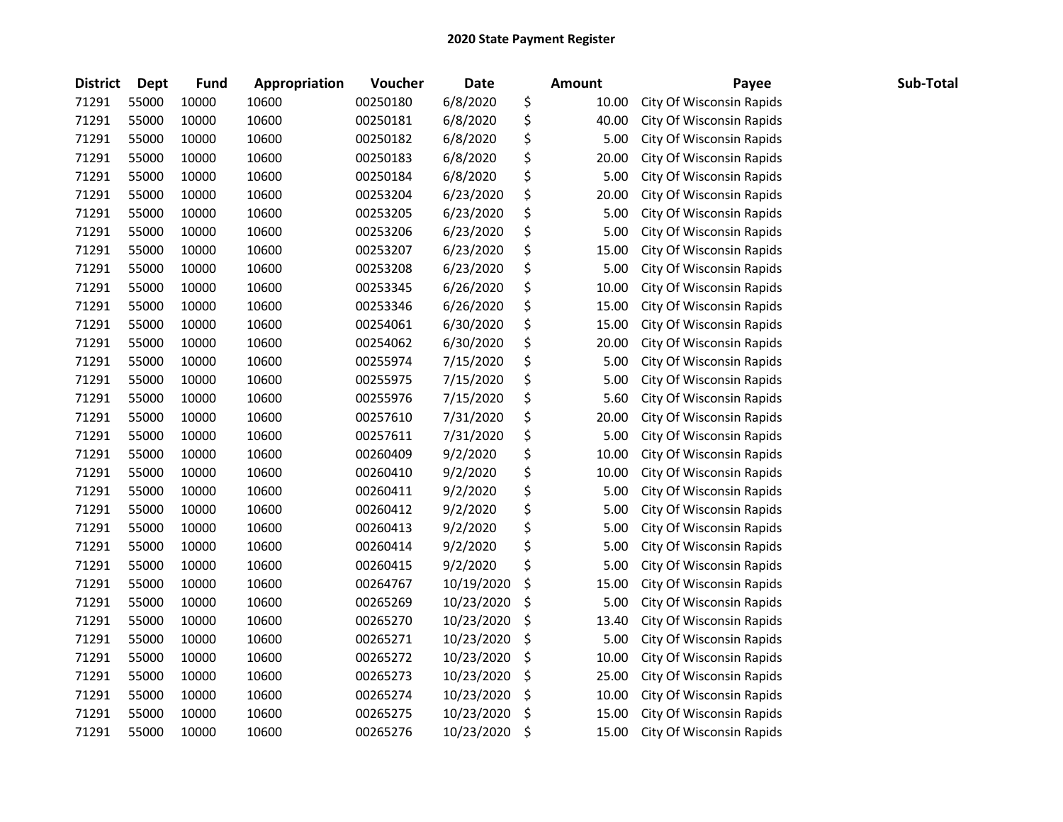| <b>District</b> | <b>Dept</b> | <b>Fund</b> | Appropriation | Voucher  | <b>Date</b> | <b>Amount</b> | Payee                    | Sub-Total |
|-----------------|-------------|-------------|---------------|----------|-------------|---------------|--------------------------|-----------|
| 71291           | 55000       | 10000       | 10600         | 00250180 | 6/8/2020    | \$<br>10.00   | City Of Wisconsin Rapids |           |
| 71291           | 55000       | 10000       | 10600         | 00250181 | 6/8/2020    | \$<br>40.00   | City Of Wisconsin Rapids |           |
| 71291           | 55000       | 10000       | 10600         | 00250182 | 6/8/2020    | \$<br>5.00    | City Of Wisconsin Rapids |           |
| 71291           | 55000       | 10000       | 10600         | 00250183 | 6/8/2020    | \$<br>20.00   | City Of Wisconsin Rapids |           |
| 71291           | 55000       | 10000       | 10600         | 00250184 | 6/8/2020    | \$<br>5.00    | City Of Wisconsin Rapids |           |
| 71291           | 55000       | 10000       | 10600         | 00253204 | 6/23/2020   | \$<br>20.00   | City Of Wisconsin Rapids |           |
| 71291           | 55000       | 10000       | 10600         | 00253205 | 6/23/2020   | \$<br>5.00    | City Of Wisconsin Rapids |           |
| 71291           | 55000       | 10000       | 10600         | 00253206 | 6/23/2020   | \$<br>5.00    | City Of Wisconsin Rapids |           |
| 71291           | 55000       | 10000       | 10600         | 00253207 | 6/23/2020   | \$<br>15.00   | City Of Wisconsin Rapids |           |
| 71291           | 55000       | 10000       | 10600         | 00253208 | 6/23/2020   | \$<br>5.00    | City Of Wisconsin Rapids |           |
| 71291           | 55000       | 10000       | 10600         | 00253345 | 6/26/2020   | \$<br>10.00   | City Of Wisconsin Rapids |           |
| 71291           | 55000       | 10000       | 10600         | 00253346 | 6/26/2020   | \$<br>15.00   | City Of Wisconsin Rapids |           |
| 71291           | 55000       | 10000       | 10600         | 00254061 | 6/30/2020   | \$<br>15.00   | City Of Wisconsin Rapids |           |
| 71291           | 55000       | 10000       | 10600         | 00254062 | 6/30/2020   | \$<br>20.00   | City Of Wisconsin Rapids |           |
| 71291           | 55000       | 10000       | 10600         | 00255974 | 7/15/2020   | \$<br>5.00    | City Of Wisconsin Rapids |           |
| 71291           | 55000       | 10000       | 10600         | 00255975 | 7/15/2020   | \$<br>5.00    | City Of Wisconsin Rapids |           |
| 71291           | 55000       | 10000       | 10600         | 00255976 | 7/15/2020   | \$<br>5.60    | City Of Wisconsin Rapids |           |
| 71291           | 55000       | 10000       | 10600         | 00257610 | 7/31/2020   | \$<br>20.00   | City Of Wisconsin Rapids |           |
| 71291           | 55000       | 10000       | 10600         | 00257611 | 7/31/2020   | \$<br>5.00    | City Of Wisconsin Rapids |           |
| 71291           | 55000       | 10000       | 10600         | 00260409 | 9/2/2020    | \$<br>10.00   | City Of Wisconsin Rapids |           |
| 71291           | 55000       | 10000       | 10600         | 00260410 | 9/2/2020    | \$<br>10.00   | City Of Wisconsin Rapids |           |
| 71291           | 55000       | 10000       | 10600         | 00260411 | 9/2/2020    | \$<br>5.00    | City Of Wisconsin Rapids |           |
| 71291           | 55000       | 10000       | 10600         | 00260412 | 9/2/2020    | \$<br>5.00    | City Of Wisconsin Rapids |           |
| 71291           | 55000       | 10000       | 10600         | 00260413 | 9/2/2020    | \$<br>5.00    | City Of Wisconsin Rapids |           |
| 71291           | 55000       | 10000       | 10600         | 00260414 | 9/2/2020    | \$<br>5.00    | City Of Wisconsin Rapids |           |
| 71291           | 55000       | 10000       | 10600         | 00260415 | 9/2/2020    | \$<br>5.00    | City Of Wisconsin Rapids |           |
| 71291           | 55000       | 10000       | 10600         | 00264767 | 10/19/2020  | \$<br>15.00   | City Of Wisconsin Rapids |           |
| 71291           | 55000       | 10000       | 10600         | 00265269 | 10/23/2020  | \$<br>5.00    | City Of Wisconsin Rapids |           |
| 71291           | 55000       | 10000       | 10600         | 00265270 | 10/23/2020  | \$<br>13.40   | City Of Wisconsin Rapids |           |
| 71291           | 55000       | 10000       | 10600         | 00265271 | 10/23/2020  | \$<br>5.00    | City Of Wisconsin Rapids |           |
| 71291           | 55000       | 10000       | 10600         | 00265272 | 10/23/2020  | \$<br>10.00   | City Of Wisconsin Rapids |           |
| 71291           | 55000       | 10000       | 10600         | 00265273 | 10/23/2020  | \$<br>25.00   | City Of Wisconsin Rapids |           |
| 71291           | 55000       | 10000       | 10600         | 00265274 | 10/23/2020  | \$<br>10.00   | City Of Wisconsin Rapids |           |
| 71291           | 55000       | 10000       | 10600         | 00265275 | 10/23/2020  | \$<br>15.00   | City Of Wisconsin Rapids |           |
| 71291           | 55000       | 10000       | 10600         | 00265276 | 10/23/2020  | \$<br>15.00   | City Of Wisconsin Rapids |           |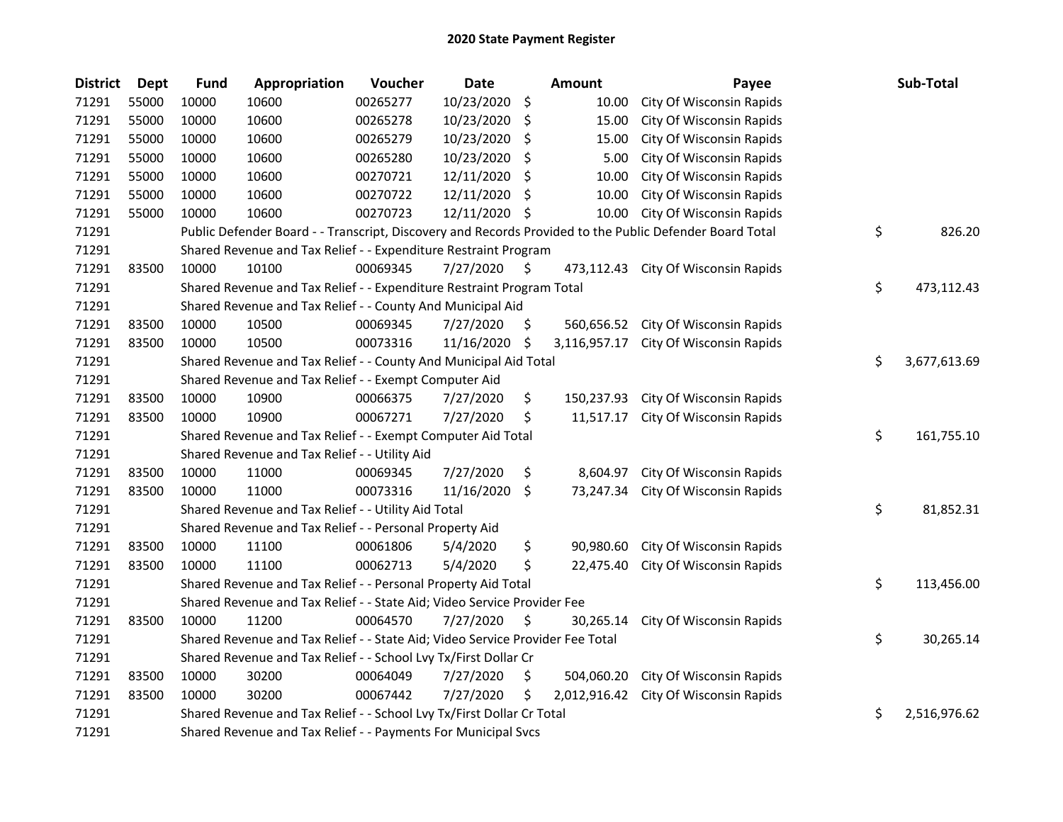## 2020 State Payment Register

| <b>District</b> | Dept  | <b>Fund</b>                                                                                             | Appropriation | Voucher  | <b>Date</b> |     | <b>Amount</b> | Payee                               |            | Sub-Total    |
|-----------------|-------|---------------------------------------------------------------------------------------------------------|---------------|----------|-------------|-----|---------------|-------------------------------------|------------|--------------|
| 71291           | 55000 | 10000                                                                                                   | 10600         | 00265277 | 10/23/2020  | \$  | 10.00         | City Of Wisconsin Rapids            |            |              |
| 71291           | 55000 | 10000                                                                                                   | 10600         | 00265278 | 10/23/2020  | \$  | 15.00         | City Of Wisconsin Rapids            |            |              |
| 71291           | 55000 | 10000                                                                                                   | 10600         | 00265279 | 10/23/2020  | \$  | 15.00         | City Of Wisconsin Rapids            |            |              |
| 71291           | 55000 | 10000                                                                                                   | 10600         | 00265280 | 10/23/2020  | \$  | 5.00          | City Of Wisconsin Rapids            |            |              |
| 71291           | 55000 | 10000                                                                                                   | 10600         | 00270721 | 12/11/2020  | \$  | 10.00         | City Of Wisconsin Rapids            |            |              |
| 71291           | 55000 | 10000                                                                                                   | 10600         | 00270722 | 12/11/2020  | \$  | 10.00         | City Of Wisconsin Rapids            |            |              |
| 71291           | 55000 | 10000                                                                                                   | 10600         | 00270723 | 12/11/2020  | \$  | 10.00         | City Of Wisconsin Rapids            |            |              |
| 71291           |       | Public Defender Board - - Transcript, Discovery and Records Provided to the Public Defender Board Total |               |          |             |     |               |                                     |            | 826.20       |
| 71291           |       | Shared Revenue and Tax Relief - - Expenditure Restraint Program                                         |               |          |             |     |               |                                     |            |              |
| 71291           | 83500 | 10000                                                                                                   | 10100         | 00069345 | 7/27/2020   | \$. |               | 473,112.43 City Of Wisconsin Rapids |            |              |
| 71291           |       | \$<br>Shared Revenue and Tax Relief - - Expenditure Restraint Program Total                             |               |          |             |     |               |                                     | 473,112.43 |              |
| 71291           |       | Shared Revenue and Tax Relief - - County And Municipal Aid                                              |               |          |             |     |               |                                     |            |              |
| 71291           | 83500 | 10000                                                                                                   | 10500         | 00069345 | 7/27/2020   | \$. | 560,656.52    | City Of Wisconsin Rapids            |            |              |
| 71291           | 83500 | 10000                                                                                                   | 10500         | 00073316 | 11/16/2020  | \$  | 3,116,957.17  | City Of Wisconsin Rapids            |            |              |
| 71291           |       | Shared Revenue and Tax Relief - - County And Municipal Aid Total                                        |               |          |             |     |               |                                     | \$         | 3,677,613.69 |
| 71291           |       | Shared Revenue and Tax Relief - - Exempt Computer Aid                                                   |               |          |             |     |               |                                     |            |              |
| 71291           | 83500 | 10000                                                                                                   | 10900         | 00066375 | 7/27/2020   | \$. | 150,237.93    | City Of Wisconsin Rapids            |            |              |
| 71291           | 83500 | 10000                                                                                                   | 10900         | 00067271 | 7/27/2020   | \$  | 11,517.17     | City Of Wisconsin Rapids            |            |              |
| 71291           |       | Shared Revenue and Tax Relief - - Exempt Computer Aid Total                                             |               |          |             |     |               |                                     | \$         | 161,755.10   |
| 71291           |       | Shared Revenue and Tax Relief - - Utility Aid                                                           |               |          |             |     |               |                                     |            |              |
| 71291           | 83500 | 10000                                                                                                   | 11000         | 00069345 | 7/27/2020   | \$  | 8,604.97      | City Of Wisconsin Rapids            |            |              |
| 71291           | 83500 | 10000                                                                                                   | 11000         | 00073316 | 11/16/2020  | \$  | 73,247.34     | City Of Wisconsin Rapids            |            |              |
| 71291           |       | Shared Revenue and Tax Relief - - Utility Aid Total                                                     |               |          |             |     |               |                                     | \$         | 81,852.31    |
| 71291           |       | Shared Revenue and Tax Relief - - Personal Property Aid                                                 |               |          |             |     |               |                                     |            |              |
| 71291           | 83500 | 10000                                                                                                   | 11100         | 00061806 | 5/4/2020    | \$  | 90,980.60     | City Of Wisconsin Rapids            |            |              |
| 71291           | 83500 | 10000                                                                                                   | 11100         | 00062713 | 5/4/2020    | \$  | 22,475.40     | City Of Wisconsin Rapids            |            |              |
| 71291           |       | Shared Revenue and Tax Relief - - Personal Property Aid Total                                           |               |          |             |     |               |                                     | \$         | 113,456.00   |
| 71291           |       | Shared Revenue and Tax Relief - - State Aid; Video Service Provider Fee                                 |               |          |             |     |               |                                     |            |              |
| 71291           | 83500 | 10000                                                                                                   | 11200         | 00064570 | 7/27/2020   | \$  | 30,265.14     | City Of Wisconsin Rapids            |            |              |
| 71291           |       | Shared Revenue and Tax Relief - - State Aid; Video Service Provider Fee Total                           |               |          |             |     |               |                                     | \$         | 30,265.14    |
| 71291           |       | Shared Revenue and Tax Relief - - School Lvy Tx/First Dollar Cr                                         |               |          |             |     |               |                                     |            |              |
| 71291           | 83500 | 10000                                                                                                   | 30200         | 00064049 | 7/27/2020   | \$  | 504,060.20    | City Of Wisconsin Rapids            |            |              |
| 71291           | 83500 | 10000                                                                                                   | 30200         | 00067442 | 7/27/2020   | \$  | 2,012,916.42  | City Of Wisconsin Rapids            |            |              |
| 71291           |       | Shared Revenue and Tax Relief - - School Lvy Tx/First Dollar Cr Total                                   |               |          |             |     |               |                                     | \$         | 2,516,976.62 |
| 71291           |       | Shared Revenue and Tax Relief - - Payments For Municipal Svcs                                           |               |          |             |     |               |                                     |            |              |